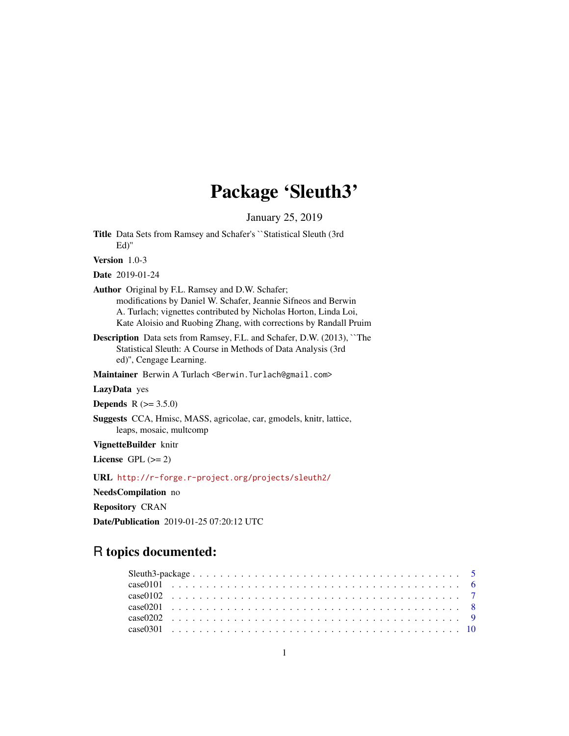# Package 'Sleuth3'

January 25, 2019

Title Data Sets from Ramsey and Schafer's ``Statistical Sleuth (3rd Ed)'' Version 1.0-3 Date 2019-01-24 Author Original by F.L. Ramsey and D.W. Schafer; modifications by Daniel W. Schafer, Jeannie Sifneos and Berwin A. Turlach; vignettes contributed by Nicholas Horton, Linda Loi, Kate Aloisio and Ruobing Zhang, with corrections by Randall Pruim Description Data sets from Ramsey, F.L. and Schafer, D.W. (2013), ``The Statistical Sleuth: A Course in Methods of Data Analysis (3rd ed)'', Cengage Learning. Maintainer Berwin A Turlach <Berwin.Turlach@gmail.com> LazyData yes **Depends** R  $(>= 3.5.0)$ Suggests CCA, Hmisc, MASS, agricolae, car, gmodels, knitr, lattice, leaps, mosaic, multcomp VignetteBuilder knitr License GPL  $(>= 2)$ URL <http://r-forge.r-project.org/projects/sleuth2/> NeedsCompilation no Repository CRAN Date/Publication 2019-01-25 07:20:12 UTC

## R topics documented: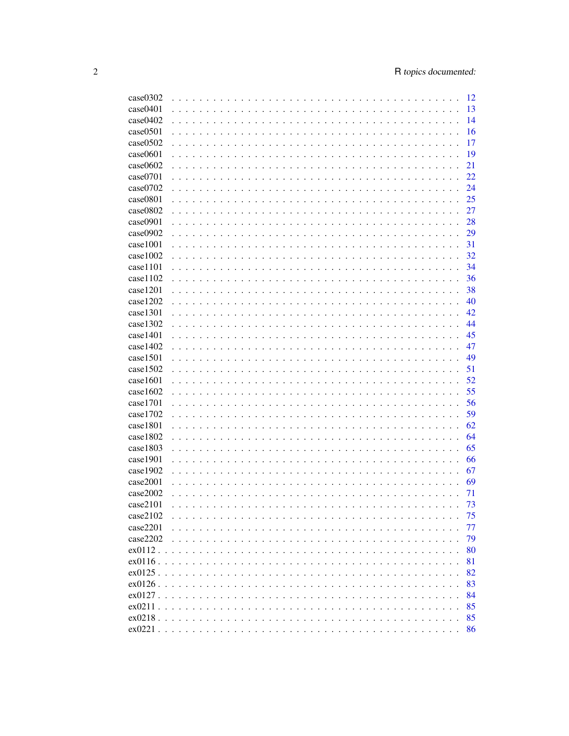| case0302 |  |  |  |                                                                                                                                                                                                                                      |  |  |  |  |  |  |  |  |  |  |  |                          | 12       |
|----------|--|--|--|--------------------------------------------------------------------------------------------------------------------------------------------------------------------------------------------------------------------------------------|--|--|--|--|--|--|--|--|--|--|--|--------------------------|----------|
| case0401 |  |  |  |                                                                                                                                                                                                                                      |  |  |  |  |  |  |  |  |  |  |  |                          | 13       |
| case0402 |  |  |  |                                                                                                                                                                                                                                      |  |  |  |  |  |  |  |  |  |  |  |                          | 14       |
| case0501 |  |  |  |                                                                                                                                                                                                                                      |  |  |  |  |  |  |  |  |  |  |  |                          | 16       |
| case0502 |  |  |  |                                                                                                                                                                                                                                      |  |  |  |  |  |  |  |  |  |  |  |                          | 17       |
| case0601 |  |  |  |                                                                                                                                                                                                                                      |  |  |  |  |  |  |  |  |  |  |  |                          | 19       |
| case0602 |  |  |  |                                                                                                                                                                                                                                      |  |  |  |  |  |  |  |  |  |  |  |                          | 21       |
| case0701 |  |  |  |                                                                                                                                                                                                                                      |  |  |  |  |  |  |  |  |  |  |  |                          | 22       |
| case0702 |  |  |  |                                                                                                                                                                                                                                      |  |  |  |  |  |  |  |  |  |  |  |                          | 24       |
| case0801 |  |  |  |                                                                                                                                                                                                                                      |  |  |  |  |  |  |  |  |  |  |  |                          | 25       |
| case0802 |  |  |  |                                                                                                                                                                                                                                      |  |  |  |  |  |  |  |  |  |  |  |                          | 27       |
| case0901 |  |  |  |                                                                                                                                                                                                                                      |  |  |  |  |  |  |  |  |  |  |  |                          | 28       |
| case0902 |  |  |  |                                                                                                                                                                                                                                      |  |  |  |  |  |  |  |  |  |  |  |                          | 29       |
| case1001 |  |  |  |                                                                                                                                                                                                                                      |  |  |  |  |  |  |  |  |  |  |  |                          | 31       |
| case1002 |  |  |  |                                                                                                                                                                                                                                      |  |  |  |  |  |  |  |  |  |  |  |                          | 32       |
| case1101 |  |  |  |                                                                                                                                                                                                                                      |  |  |  |  |  |  |  |  |  |  |  |                          | 34       |
| case1102 |  |  |  |                                                                                                                                                                                                                                      |  |  |  |  |  |  |  |  |  |  |  |                          | 36       |
| case1201 |  |  |  |                                                                                                                                                                                                                                      |  |  |  |  |  |  |  |  |  |  |  |                          | 38       |
| case1202 |  |  |  |                                                                                                                                                                                                                                      |  |  |  |  |  |  |  |  |  |  |  |                          | 40       |
| case1301 |  |  |  |                                                                                                                                                                                                                                      |  |  |  |  |  |  |  |  |  |  |  |                          | 42       |
| case1302 |  |  |  |                                                                                                                                                                                                                                      |  |  |  |  |  |  |  |  |  |  |  |                          | 44       |
| case1401 |  |  |  |                                                                                                                                                                                                                                      |  |  |  |  |  |  |  |  |  |  |  |                          | 45       |
| case1402 |  |  |  |                                                                                                                                                                                                                                      |  |  |  |  |  |  |  |  |  |  |  |                          | 47       |
| case1501 |  |  |  |                                                                                                                                                                                                                                      |  |  |  |  |  |  |  |  |  |  |  |                          | 49       |
| case1502 |  |  |  |                                                                                                                                                                                                                                      |  |  |  |  |  |  |  |  |  |  |  |                          | 51       |
| case1601 |  |  |  |                                                                                                                                                                                                                                      |  |  |  |  |  |  |  |  |  |  |  |                          | 52       |
|          |  |  |  |                                                                                                                                                                                                                                      |  |  |  |  |  |  |  |  |  |  |  |                          | 55       |
| case1602 |  |  |  |                                                                                                                                                                                                                                      |  |  |  |  |  |  |  |  |  |  |  |                          | 56       |
| case1701 |  |  |  |                                                                                                                                                                                                                                      |  |  |  |  |  |  |  |  |  |  |  |                          |          |
| case1702 |  |  |  |                                                                                                                                                                                                                                      |  |  |  |  |  |  |  |  |  |  |  |                          | 59<br>62 |
| case1801 |  |  |  |                                                                                                                                                                                                                                      |  |  |  |  |  |  |  |  |  |  |  |                          |          |
| case1802 |  |  |  |                                                                                                                                                                                                                                      |  |  |  |  |  |  |  |  |  |  |  |                          | 64       |
| case1803 |  |  |  |                                                                                                                                                                                                                                      |  |  |  |  |  |  |  |  |  |  |  |                          | 65       |
| case1901 |  |  |  |                                                                                                                                                                                                                                      |  |  |  |  |  |  |  |  |  |  |  | $\overline{\phantom{a}}$ | 66       |
| case1902 |  |  |  |                                                                                                                                                                                                                                      |  |  |  |  |  |  |  |  |  |  |  | $\overline{\phantom{a}}$ | 67       |
| case2001 |  |  |  |                                                                                                                                                                                                                                      |  |  |  |  |  |  |  |  |  |  |  | $\overline{\phantom{a}}$ | 69       |
| case2002 |  |  |  |                                                                                                                                                                                                                                      |  |  |  |  |  |  |  |  |  |  |  |                          | 71       |
| case2101 |  |  |  |                                                                                                                                                                                                                                      |  |  |  |  |  |  |  |  |  |  |  | $\mathbf{r}$             | 73       |
| case2102 |  |  |  |                                                                                                                                                                                                                                      |  |  |  |  |  |  |  |  |  |  |  |                          | 75       |
| case2201 |  |  |  |                                                                                                                                                                                                                                      |  |  |  |  |  |  |  |  |  |  |  |                          | 77       |
| case2202 |  |  |  | <u>. In the second contract of the second contract of the second contract of the second contract of the second contract of the second contract of the second contract of the second contract of the second contract of the secon</u> |  |  |  |  |  |  |  |  |  |  |  |                          | 79       |
| ex0112   |  |  |  |                                                                                                                                                                                                                                      |  |  |  |  |  |  |  |  |  |  |  |                          | 80       |
| ex0116   |  |  |  |                                                                                                                                                                                                                                      |  |  |  |  |  |  |  |  |  |  |  |                          | 81       |
| ex0125   |  |  |  |                                                                                                                                                                                                                                      |  |  |  |  |  |  |  |  |  |  |  |                          | 82       |
| ex0126   |  |  |  |                                                                                                                                                                                                                                      |  |  |  |  |  |  |  |  |  |  |  |                          | 83       |
|          |  |  |  |                                                                                                                                                                                                                                      |  |  |  |  |  |  |  |  |  |  |  |                          | 84       |
|          |  |  |  |                                                                                                                                                                                                                                      |  |  |  |  |  |  |  |  |  |  |  |                          | 85       |
|          |  |  |  |                                                                                                                                                                                                                                      |  |  |  |  |  |  |  |  |  |  |  |                          | 85       |
| $ex0221$ |  |  |  |                                                                                                                                                                                                                                      |  |  |  |  |  |  |  |  |  |  |  |                          | 86       |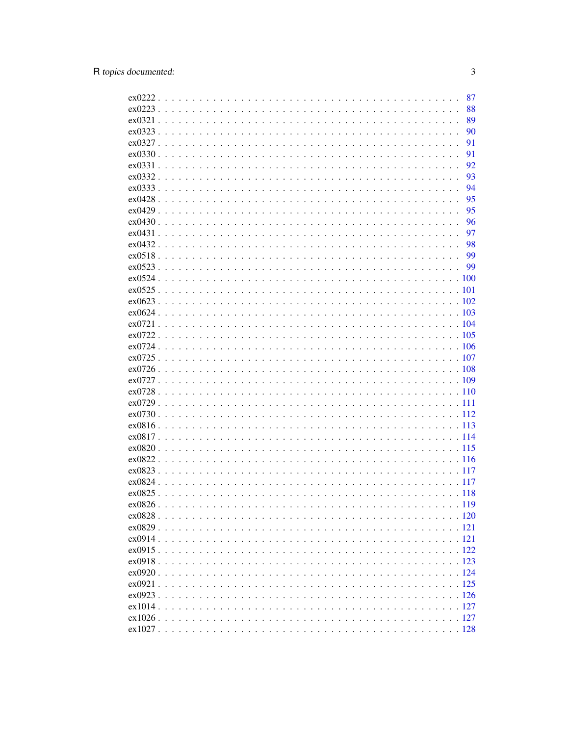|             | 87   |
|-------------|------|
|             | 88   |
|             | 89   |
|             | 90   |
|             | 91   |
|             | 91   |
|             | 92   |
|             | 93   |
|             | 94   |
|             | 95   |
|             | 95   |
|             | 96   |
|             | 97   |
|             | - 98 |
|             |      |
|             | 99   |
|             |      |
|             |      |
|             |      |
|             |      |
|             |      |
|             |      |
|             |      |
|             |      |
| $ex0726$    |      |
| $ex0727$    |      |
|             |      |
|             |      |
|             |      |
|             |      |
|             |      |
|             |      |
|             |      |
|             |      |
|             |      |
| $ex0825118$ |      |
|             | .119 |
|             |      |
|             |      |
|             |      |
|             |      |
|             |      |
|             |      |
|             |      |
|             |      |
|             |      |
|             |      |
|             |      |
|             |      |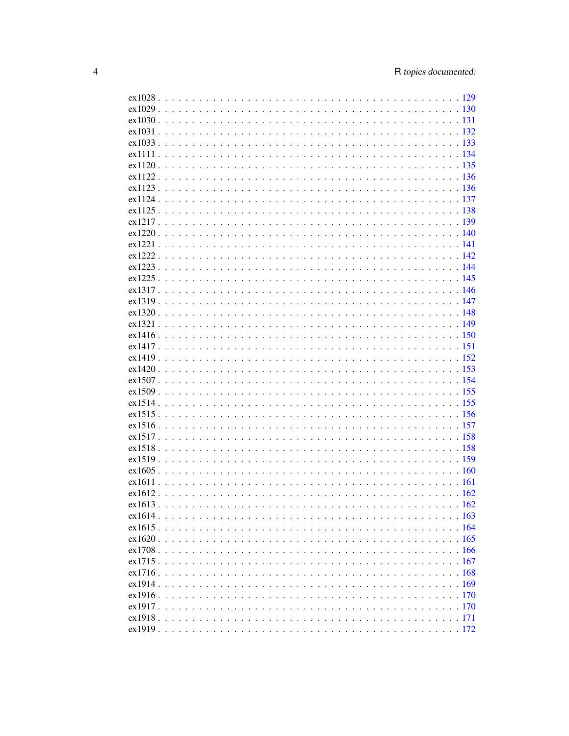| $ex1028$ . 129 |      |
|----------------|------|
| $ex1029$ . 130 |      |
|                |      |
|                |      |
|                |      |
|                |      |
| $ex1120$ . 135 |      |
|                |      |
|                |      |
|                |      |
|                |      |
|                |      |
|                |      |
|                |      |
|                |      |
| $ex1222$       |      |
|                |      |
|                |      |
|                |      |
|                |      |
|                |      |
|                |      |
|                |      |
|                |      |
|                |      |
|                |      |
|                |      |
|                |      |
|                |      |
| $ex1515$       |      |
|                |      |
|                |      |
|                |      |
|                |      |
| $ex1605$       |      |
|                |      |
| $ex1612162$    |      |
|                |      |
| $ex1614$ . 163 |      |
|                | .164 |
|                |      |
| $ex1620$ . 165 |      |
|                |      |
|                |      |
|                |      |
|                |      |
|                |      |
|                |      |
|                |      |
|                |      |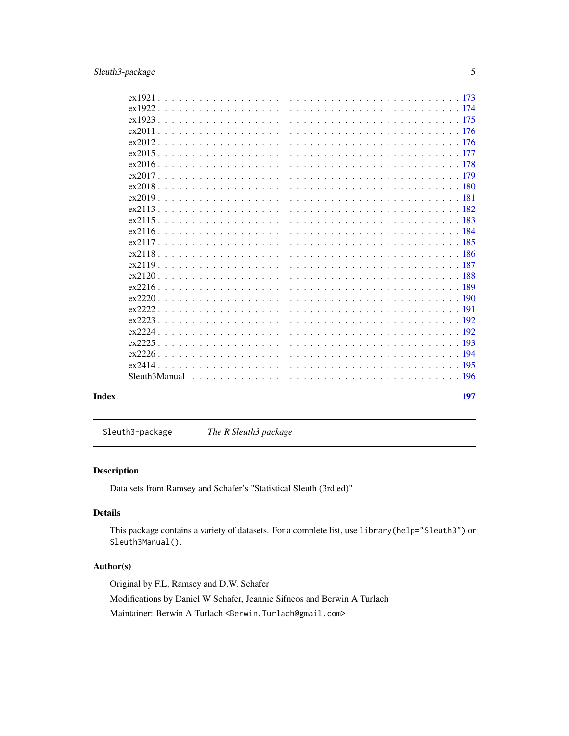## <span id="page-4-0"></span>Sleuth3-package 5

| Index |  |  |                                                                                                                                                          | 197 |
|-------|--|--|----------------------------------------------------------------------------------------------------------------------------------------------------------|-----|
|       |  |  | Sleuth 3Manual $\ldots$ , $\ldots$ , $\ldots$ , $\ldots$ , $\ldots$ , $\ldots$ , $\ldots$ , $\ldots$ , $\ldots$ , $\ldots$ , $\ldots$ , $\ldots$ , $196$ |     |
|       |  |  |                                                                                                                                                          |     |
|       |  |  |                                                                                                                                                          |     |
|       |  |  |                                                                                                                                                          |     |
|       |  |  |                                                                                                                                                          |     |
|       |  |  |                                                                                                                                                          |     |
|       |  |  |                                                                                                                                                          |     |
|       |  |  |                                                                                                                                                          |     |
|       |  |  |                                                                                                                                                          |     |
|       |  |  |                                                                                                                                                          |     |
|       |  |  |                                                                                                                                                          |     |
|       |  |  |                                                                                                                                                          |     |
|       |  |  |                                                                                                                                                          |     |
|       |  |  |                                                                                                                                                          |     |
|       |  |  |                                                                                                                                                          |     |
|       |  |  |                                                                                                                                                          |     |
|       |  |  |                                                                                                                                                          |     |
|       |  |  |                                                                                                                                                          |     |
|       |  |  |                                                                                                                                                          |     |
|       |  |  |                                                                                                                                                          |     |
|       |  |  |                                                                                                                                                          |     |
|       |  |  |                                                                                                                                                          |     |
|       |  |  |                                                                                                                                                          |     |
|       |  |  |                                                                                                                                                          |     |
|       |  |  |                                                                                                                                                          |     |
|       |  |  |                                                                                                                                                          |     |

Sleuth3-package *The R Sleuth3 package*

### Description

Data sets from Ramsey and Schafer's "Statistical Sleuth (3rd ed)"

### Details

This package contains a variety of datasets. For a complete list, use library(help="Sleuth3") or Sleuth3Manual().

### Author(s)

Original by F.L. Ramsey and D.W. Schafer

Modifications by Daniel W Schafer, Jeannie Sifneos and Berwin A Turlach

Maintainer: Berwin A Turlach <Berwin.Turlach@gmail.com>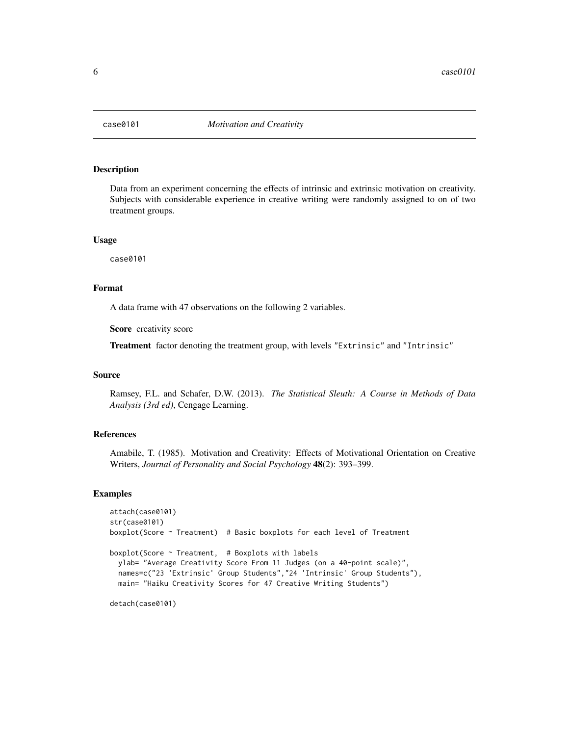<span id="page-5-0"></span>

### Description

Data from an experiment concerning the effects of intrinsic and extrinsic motivation on creativity. Subjects with considerable experience in creative writing were randomly assigned to on of two treatment groups.

### Usage

case0101

### Format

A data frame with 47 observations on the following 2 variables.

Score creativity score

Treatment factor denoting the treatment group, with levels "Extrinsic" and "Intrinsic"

### Source

Ramsey, F.L. and Schafer, D.W. (2013). *The Statistical Sleuth: A Course in Methods of Data Analysis (3rd ed)*, Cengage Learning.

### References

Amabile, T. (1985). Motivation and Creativity: Effects of Motivational Orientation on Creative Writers, *Journal of Personality and Social Psychology* 48(2): 393–399.

### Examples

```
attach(case0101)
str(case0101)
boxplot(Score ~ Treatment) # Basic boxplots for each level of Treatment
boxplot(Score ~ Treatment, # Boxplots with labels
 ylab= "Average Creativity Score From 11 Judges (on a 40-point scale)",
 names=c("23 'Extrinsic' Group Students","24 'Intrinsic' Group Students"),
 main= "Haiku Creativity Scores for 47 Creative Writing Students")
```
detach(case0101)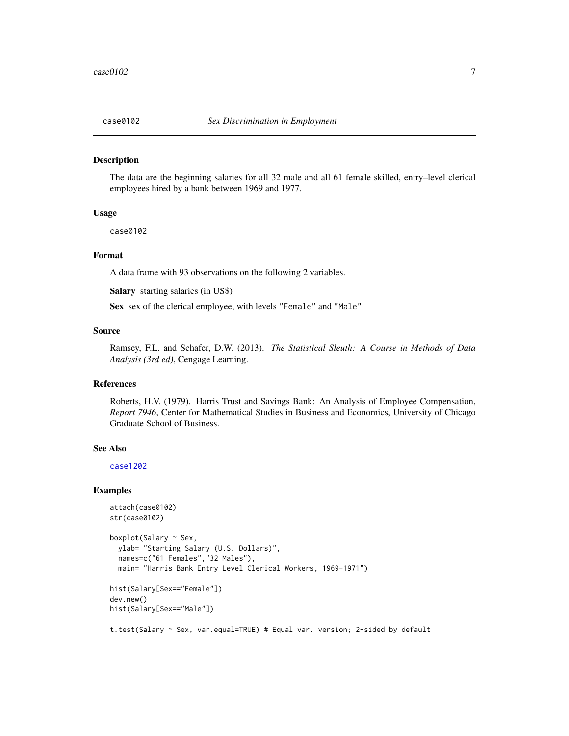<span id="page-6-0"></span>

### Description

The data are the beginning salaries for all 32 male and all 61 female skilled, entry–level clerical employees hired by a bank between 1969 and 1977.

### Usage

case0102

### Format

A data frame with 93 observations on the following 2 variables.

Salary starting salaries (in US\$)

Sex sex of the clerical employee, with levels "Female" and "Male"

### Source

Ramsey, F.L. and Schafer, D.W. (2013). *The Statistical Sleuth: A Course in Methods of Data Analysis (3rd ed)*, Cengage Learning.

### References

Roberts, H.V. (1979). Harris Trust and Savings Bank: An Analysis of Employee Compensation, *Report 7946*, Center for Mathematical Studies in Business and Economics, University of Chicago Graduate School of Business.

### See Also

[case1202](#page-39-1)

```
attach(case0102)
str(case0102)
boxplot(Salary ~ Sex,
 ylab= "Starting Salary (U.S. Dollars)",
 names=c("61 Females","32 Males"),
 main= "Harris Bank Entry Level Clerical Workers, 1969-1971")
hist(Salary[Sex=="Female"])
dev.new()
hist(Salary[Sex=="Male"])
t.test(Salary ~ Sex, var.equal=TRUE) # Equal var. version; 2-sided by default
```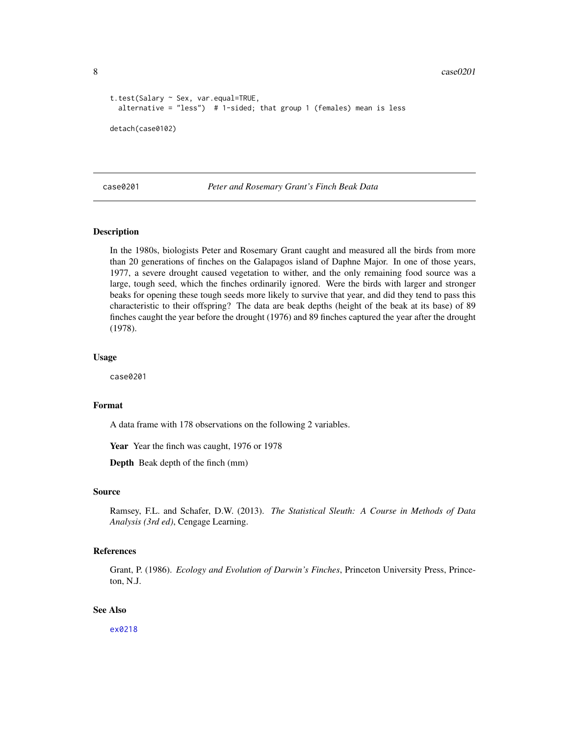$8$  case0201

```
t.test(Salary ~ Sex, var.equal=TRUE,
 alternative = "less") # 1-sided; that group 1 (females) mean is less
detach(case0102)
```
case0201 *Peter and Rosemary Grant's Finch Beak Data*

### Description

In the 1980s, biologists Peter and Rosemary Grant caught and measured all the birds from more than 20 generations of finches on the Galapagos island of Daphne Major. In one of those years, 1977, a severe drought caused vegetation to wither, and the only remaining food source was a large, tough seed, which the finches ordinarily ignored. Were the birds with larger and stronger beaks for opening these tough seeds more likely to survive that year, and did they tend to pass this characteristic to their offspring? The data are beak depths (height of the beak at its base) of 89 finches caught the year before the drought (1976) and 89 finches captured the year after the drought (1978).

### Usage

case0201

### Format

A data frame with 178 observations on the following 2 variables.

Year Year the finch was caught, 1976 or 1978

Depth Beak depth of the finch (mm)

### Source

Ramsey, F.L. and Schafer, D.W. (2013). *The Statistical Sleuth: A Course in Methods of Data Analysis (3rd ed)*, Cengage Learning.

### References

Grant, P. (1986). *Ecology and Evolution of Darwin's Finches*, Princeton University Press, Princeton, N.J.

### See Also

[ex0218](#page-84-1)

<span id="page-7-0"></span>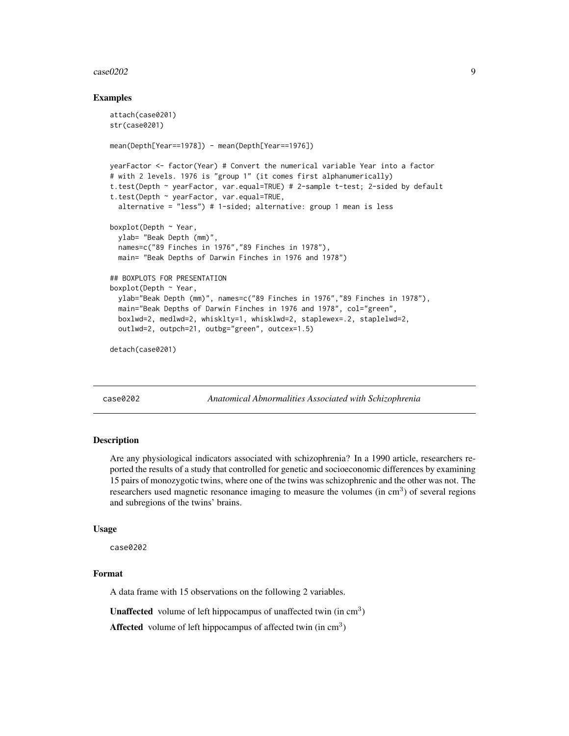### <span id="page-8-0"></span> $\cos\theta$  2020 9

### Examples

```
attach(case0201)
str(case0201)
mean(Depth[Year==1978]) - mean(Depth[Year==1976])
yearFactor <- factor(Year) # Convert the numerical variable Year into a factor
# with 2 levels. 1976 is "group 1" (it comes first alphanumerically)
t.test(Depth ~ yearFactor, var.equal=TRUE) # 2-sample t-test; 2-sided by default
t.test(Depth ~ yearFactor, var.equal=TRUE,
 alternative = "less") # 1-sided; alternative: group 1 mean is less
boxplot(Depth \sim Year,
 ylab= "Beak Depth (mm)",
 names=c("89 Finches in 1976","89 Finches in 1978"),
 main= "Beak Depths of Darwin Finches in 1976 and 1978")
## BOXPLOTS FOR PRESENTATION
boxplot(Depth ~\sim Year,
 ylab="Beak Depth (mm)", names=c("89 Finches in 1976","89 Finches in 1978"),
 main="Beak Depths of Darwin Finches in 1976 and 1978", col="green",
 boxlwd=2, medlwd=2, whisklty=1, whisklwd=2, staplewex=.2, staplelwd=2,
 outlwd=2, outpch=21, outbg="green", outcex=1.5)
detach(case0201)
```
case0202 *Anatomical Abnormalities Associated with Schizophrenia*

### **Description**

Are any physiological indicators associated with schizophrenia? In a 1990 article, researchers reported the results of a study that controlled for genetic and socioeconomic differences by examining 15 pairs of monozygotic twins, where one of the twins was schizophrenic and the other was not. The researchers used magnetic resonance imaging to measure the volumes (in cm<sup>3</sup>) of several regions and subregions of the twins' brains.

#### Usage

case0202

### Format

A data frame with 15 observations on the following 2 variables.

**Unaffected** volume of left hippocampus of unaffected twin (in  $cm<sup>3</sup>$ )

Affected volume of left hippocampus of affected twin  $(in cm<sup>3</sup>)$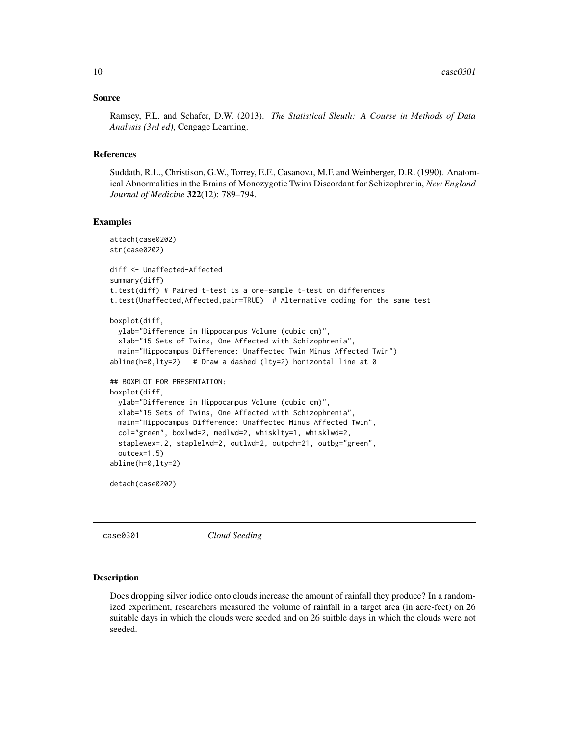### <span id="page-9-0"></span>Source

Ramsey, F.L. and Schafer, D.W. (2013). *The Statistical Sleuth: A Course in Methods of Data Analysis (3rd ed)*, Cengage Learning.

### References

Suddath, R.L., Christison, G.W., Torrey, E.F., Casanova, M.F. and Weinberger, D.R. (1990). Anatomical Abnormalities in the Brains of Monozygotic Twins Discordant for Schizophrenia, *New England Journal of Medicine* 322(12): 789–794.

### Examples

```
attach(case0202)
str(case0202)
diff <- Unaffected-Affected
summary(diff)
t.test(diff) # Paired t-test is a one-sample t-test on differences
t.test(Unaffected,Affected,pair=TRUE) # Alternative coding for the same test
boxplot(diff,
 ylab="Difference in Hippocampus Volume (cubic cm)",
 xlab="15 Sets of Twins, One Affected with Schizophrenia",
 main="Hippocampus Difference: Unaffected Twin Minus Affected Twin")
abline(h=0, lty=2) # Draw a dashed (lty=2) horizontal line at 0
## BOXPLOT FOR PRESENTATION:
boxplot(diff,
 ylab="Difference in Hippocampus Volume (cubic cm)",
 xlab="15 Sets of Twins, One Affected with Schizophrenia",
 main="Hippocampus Difference: Unaffected Minus Affected Twin",
 col="green", boxlwd=2, medlwd=2, whisklty=1, whisklwd=2,
 staplewex=.2, staplelwd=2, outlwd=2, outpch=21, outbg="green",
 outcex=1.5)
abline(h=0,lty=2)
detach(case0202)
```
case0301 *Cloud Seeding*

### Description

Does dropping silver iodide onto clouds increase the amount of rainfall they produce? In a randomized experiment, researchers measured the volume of rainfall in a target area (in acre-feet) on 26 suitable days in which the clouds were seeded and on 26 suitble days in which the clouds were not seeded.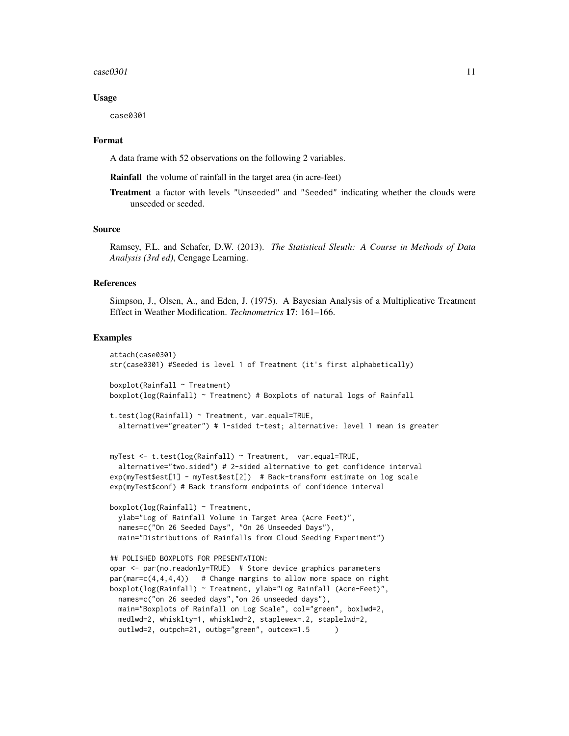### $case0301$  11

### Usage

case0301

### Format

A data frame with 52 observations on the following 2 variables.

Rainfall the volume of rainfall in the target area (in acre-feet)

Treatment a factor with levels "Unseeded" and "Seeded" indicating whether the clouds were unseeded or seeded.

### Source

Ramsey, F.L. and Schafer, D.W. (2013). *The Statistical Sleuth: A Course in Methods of Data Analysis (3rd ed)*, Cengage Learning.

### References

Simpson, J., Olsen, A., and Eden, J. (1975). A Bayesian Analysis of a Multiplicative Treatment Effect in Weather Modification. *Technometrics* 17: 161–166.

```
attach(case0301)
str(case0301) #Seeded is level 1 of Treatment (it's first alphabetically)
boxplot(Rainfall ~ Treatment)
boxplot(log(Rainfall) \sim Treatment) # Boxplots of natural logs of Rainfall
t.test(log(Rainfall) ~ Treatment, var.equal=TRUE,
 alternative="greater") # 1-sided t-test; alternative: level 1 mean is greater
myTest <- t.test(log(Rainfall) ~ Treatment, var.equal=TRUE,
 alternative="two.sided") # 2-sided alternative to get confidence interval
exp(myTest$est[1] - myTest$est[2]) # Back-transform estimate on log scale
exp(myTest$conf) # Back transform endpoints of confidence interval
boxplot(log(Rainfall) ~ Treatment,
 ylab="Log of Rainfall Volume in Target Area (Acre Feet)",
 names=c("On 26 Seeded Days", "On 26 Unseeded Days"),
 main="Distributions of Rainfalls from Cloud Seeding Experiment")
## POLISHED BOXPLOTS FOR PRESENTATION:
opar <- par(no.readonly=TRUE) # Store device graphics parameters
par(max=c(4,4,4,4)) # Change margins to allow more space on right
boxplot(log(Rainfall) ~ Treatment, ylab="Log Rainfall (Acre-Feet)",
 names=c("on 26 seeded days","on 26 unseeded days"),
 main="Boxplots of Rainfall on Log Scale", col="green", boxlwd=2,
 medlwd=2, whisklty=1, whisklwd=2, staplewex=.2, staplelwd=2,
 outlwd=2, outpch=21, outbg="green", outcex=1.5 )
```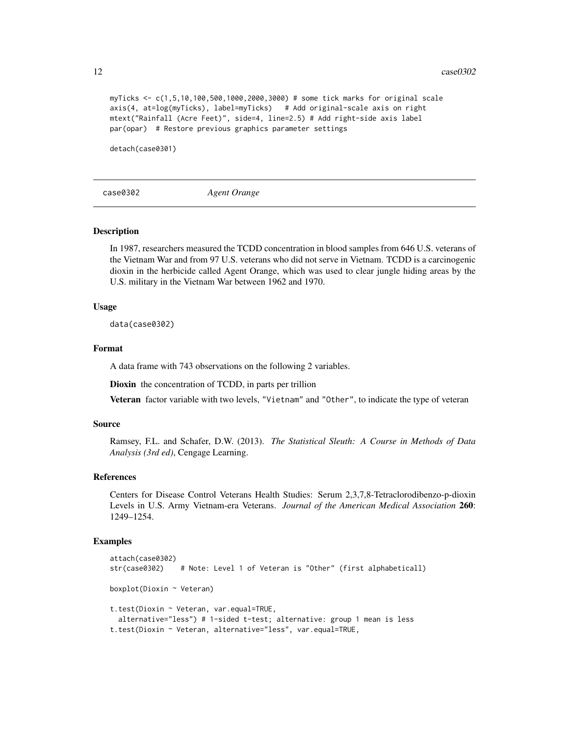```
myTicks <- c(1,5,10,100,500,1000,2000,3000) # some tick marks for original scale
axis(4, at=log(myTicks), label=myTicks) # Add original-scale axis on right
mtext("Rainfall (Acre Feet)", side=4, line=2.5) # Add right-side axis label
par(opar) # Restore previous graphics parameter settings
```
detach(case0301)

case0302 *Agent Orange*

#### **Description**

In 1987, researchers measured the TCDD concentration in blood samples from 646 U.S. veterans of the Vietnam War and from 97 U.S. veterans who did not serve in Vietnam. TCDD is a carcinogenic dioxin in the herbicide called Agent Orange, which was used to clear jungle hiding areas by the U.S. military in the Vietnam War between 1962 and 1970.

### Usage

data(case0302)

#### Format

A data frame with 743 observations on the following 2 variables.

Dioxin the concentration of TCDD, in parts per trillion

Veteran factor variable with two levels, "Vietnam" and "Other", to indicate the type of veteran

### Source

Ramsey, F.L. and Schafer, D.W. (2013). *The Statistical Sleuth: A Course in Methods of Data Analysis (3rd ed)*, Cengage Learning.

### References

Centers for Disease Control Veterans Health Studies: Serum 2,3,7,8-Tetraclorodibenzo-p-dioxin Levels in U.S. Army Vietnam-era Veterans. *Journal of the American Medical Association* 260: 1249–1254.

```
attach(case0302)
str(case0302) # Note: Level 1 of Veteran is "Other" (first alphabeticall)
boxplot(Dioxin ~ Veteran)
t.test(Dioxin ~ Veteran, var.equal=TRUE,
 alternative="less") # 1-sided t-test; alternative: group 1 mean is less
t.test(Dioxin ~ Veteran, alternative="less", var.equal=TRUE,
```
<span id="page-11-0"></span>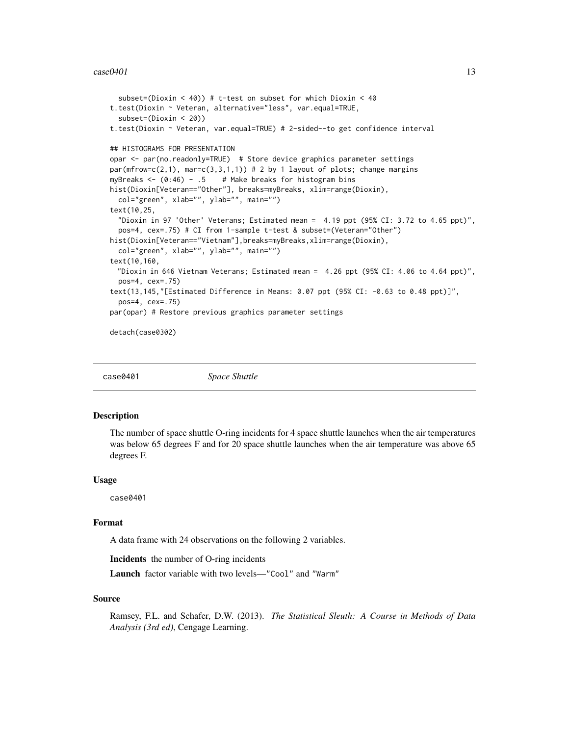### <span id="page-12-0"></span> $case0401$  13

```
subset=(Dioxin < 40)) # t-test on subset for which Dioxin < 40
t.test(Dioxin ~ Veteran, alternative="less", var.equal=TRUE,
 subset=(Dioxin < 20))
t.test(Dioxin ~ Veteran, var.equal=TRUE) # 2-sided--to get confidence interval
## HISTOGRAMS FOR PRESENTATION
opar <- par(no.readonly=TRUE) # Store device graphics parameter settings
par(mfrow=c(2,1), mar=c(3,3,1,1)) # 2 by 1 layout of plots; change marginsmyBreaks \leq (0:46) - .5 # Make breaks for histogram bins
hist(Dioxin[Veteran=="Other"], breaks=myBreaks, xlim=range(Dioxin),
 col="green", xlab="", ylab="", main="")
text(10,25,
 "Dioxin in 97 'Other' Veterans; Estimated mean = 4.19 ppt (95% CI: 3.72 to 4.65 ppt)",
 pos=4, cex=.75) # CI from 1-sample t-test & subset=(Veteran="Other")
hist(Dioxin[Veteran=="Vietnam"],breaks=myBreaks,xlim=range(Dioxin),
 col="green", xlab="", ylab="", main="")
text(10,160,
 "Dioxin in 646 Vietnam Veterans; Estimated mean = 4.26 ppt (95% CI: 4.06 to 4.64 ppt)",
 pos=4, cex=.75)
text(13,145,"[Estimated Difference in Means: 0.07 ppt (95% CI: -0.63 to 0.48 ppt)]",
 pos=4, cex=.75)
par(opar) # Restore previous graphics parameter settings
detach(case0302)
```
case0401 *Space Shuttle*

### Description

The number of space shuttle O-ring incidents for 4 space shuttle launches when the air temperatures was below 65 degrees F and for 20 space shuttle launches when the air temperature was above 65 degrees F.

#### Usage

case0401

### Format

A data frame with 24 observations on the following 2 variables.

Incidents the number of O-ring incidents

Launch factor variable with two levels-"Cool" and "Warm"

### Source

Ramsey, F.L. and Schafer, D.W. (2013). *The Statistical Sleuth: A Course in Methods of Data Analysis (3rd ed)*, Cengage Learning.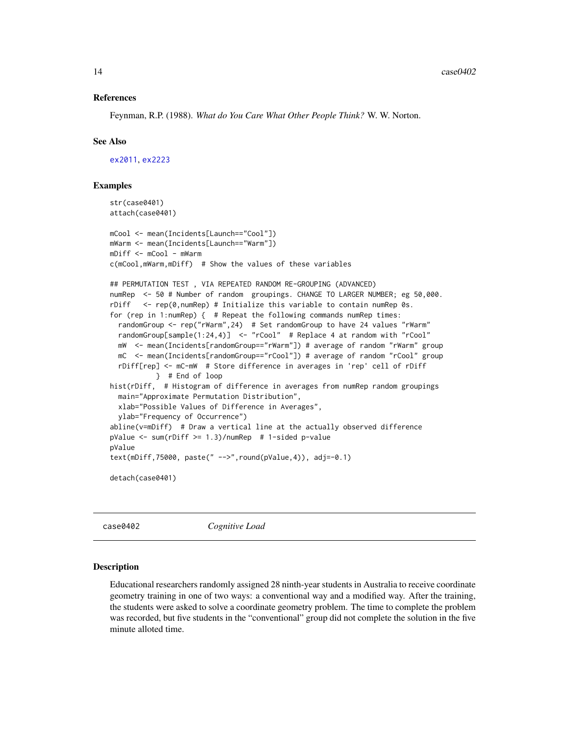### <span id="page-13-0"></span>References

Feynman, R.P. (1988). *What do You Care What Other People Think?* W. W. Norton.

### See Also

[ex2011](#page-175-1), [ex2223](#page-191-1)

#### Examples

```
str(case0401)
attach(case0401)
mCool <- mean(Incidents[Launch=="Cool"])
mWarm <- mean(Incidents[Launch=="Warm"])
mDiff <- mCool - mWarm
c(mCool,mWarm,mDiff) # Show the values of these variables
## PERMUTATION TEST , VIA REPEATED RANDOM RE-GROUPING (ADVANCED)
numRep <- 50 # Number of random groupings. CHANGE TO LARGER NUMBER; eg 50,000.
rDiff \leq rep(0, numRep) # Initialize this variable to contain numRep 0s.
for (rep in 1:numRep) { # Repeat the following commands numRep times:
 randomGroup <- rep("rWarm",24) # Set randomGroup to have 24 values "rWarm"
 randomGroup[sample(1:24,4)] <- "rCool" # Replace 4 at random with "rCool"
 mW <- mean(Incidents[randomGroup=="rWarm"]) # average of random "rWarm" group
 mC <- mean(Incidents[randomGroup=="rCool"]) # average of random "rCool" group
 rDiff[rep] <- mC-mW # Store difference in averages in 'rep' cell of rDiff
          } # End of loop
hist(rDiff, # Histogram of difference in averages from numRep random groupings
 main="Approximate Permutation Distribution",
 xlab="Possible Values of Difference in Averages",
 ylab="Frequency of Occurrence")
abline(v=mDiff) # Draw a vertical line at the actually observed difference
pValue \le -sum(rDiff \ge 1.3)/numRep # 1-sided p-valuepValue
text(mDiff,75000, paste(" -->",round(pValue,4)), adj=-0.1)
detach(case0401)
```
case0402 *Cognitive Load*

### Description

Educational researchers randomly assigned 28 ninth-year students in Australia to receive coordinate geometry training in one of two ways: a conventional way and a modified way. After the training, the students were asked to solve a coordinate geometry problem. The time to complete the problem was recorded, but five students in the "conventional" group did not complete the solution in the five minute alloted time.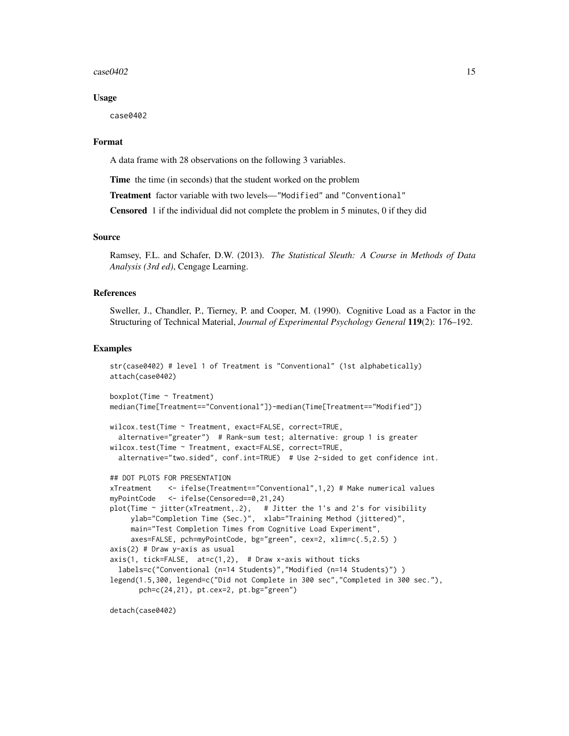### $case0402$  15

### Usage

case0402

### Format

A data frame with 28 observations on the following 3 variables.

Time the time (in seconds) that the student worked on the problem

Treatment factor variable with two levels—"Modified" and "Conventional"

Censored 1 if the individual did not complete the problem in 5 minutes, 0 if they did

#### Source

Ramsey, F.L. and Schafer, D.W. (2013). *The Statistical Sleuth: A Course in Methods of Data Analysis (3rd ed)*, Cengage Learning.

### References

Sweller, J., Chandler, P., Tierney, P. and Cooper, M. (1990). Cognitive Load as a Factor in the Structuring of Technical Material, *Journal of Experimental Psychology General* 119(2): 176–192.

### Examples

```
str(case0402) # level 1 of Treatment is "Conventional" (1st alphabetically)
attach(case0402)
boxplot(Time ~ Treatment)
median(Time[Treatment=="Conventional"])-median(Time[Treatment=="Modified"])
wilcox.test(Time ~ Treatment, exact=FALSE, correct=TRUE,
 alternative="greater") # Rank-sum test; alternative: group 1 is greater
wilcox.test(Time ~ Treatment, exact=FALSE, correct=TRUE,
 alternative="two.sided", conf.int=TRUE) # Use 2-sided to get confidence int.
## DOT PLOTS FOR PRESENTATION
xTreatment <- ifelse(Treatment=="Conventional",1,2) # Make numerical values
myPointCode <- ifelse(Censored==0,21,24)
plot(Time \sim jitter(xTreatment,.2), # Jitter the 1's and 2's for visibility
     ylab="Completion Time (Sec.)", xlab="Training Method (jittered)",
     main="Test Completion Times from Cognitive Load Experiment",
     axes=FALSE, pch=myPointCode, bg="green", cex=2, xlim=c(.5,2.5) )
axis(2) # Draw y-axis as usual
axis(1, tick=FALSE, at=c(1,2), # Draw x-axis without ticks
 labels=c("Conventional (n=14 Students)","Modified (n=14 Students)") )
legend(1.5,300, legend=c("Did not Complete in 300 sec","Completed in 300 sec."),
      pch=c(24,21), pt.cex=2, pt.bg="green")
```
detach(case0402)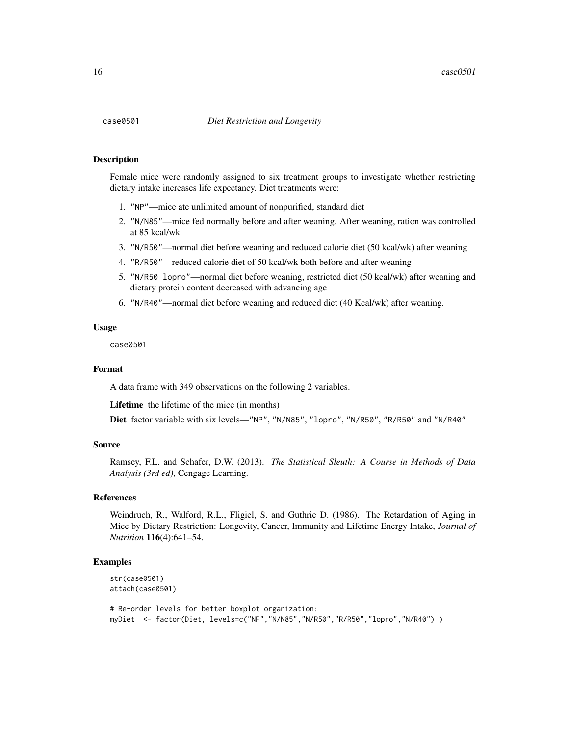### <span id="page-15-0"></span>**Description**

Female mice were randomly assigned to six treatment groups to investigate whether restricting dietary intake increases life expectancy. Diet treatments were:

- 1. "NP"—mice ate unlimited amount of nonpurified, standard diet
- 2. "N/N85"—mice fed normally before and after weaning. After weaning, ration was controlled at 85 kcal/wk
- 3. "N/R50"—normal diet before weaning and reduced calorie diet (50 kcal/wk) after weaning
- 4. "R/R50"—reduced calorie diet of 50 kcal/wk both before and after weaning
- 5. "N/R50 lopro"—normal diet before weaning, restricted diet (50 kcal/wk) after weaning and dietary protein content decreased with advancing age
- 6. "N/R40"—normal diet before weaning and reduced diet (40 Kcal/wk) after weaning.

### Usage

case0501

### Format

A data frame with 349 observations on the following 2 variables.

Lifetime the lifetime of the mice (in months)

```
Diet factor variable with six levels—"NP", "N/N85", "lopro", "N/R50", "R/R50" and "N/R40"
```
### Source

Ramsey, F.L. and Schafer, D.W. (2013). *The Statistical Sleuth: A Course in Methods of Data Analysis (3rd ed)*, Cengage Learning.

### References

Weindruch, R., Walford, R.L., Fligiel, S. and Guthrie D. (1986). The Retardation of Aging in Mice by Dietary Restriction: Longevity, Cancer, Immunity and Lifetime Energy Intake, *Journal of Nutrition* 116(4):641–54.

```
str(case0501)
attach(case0501)
# Re-order levels for better boxplot organization:
myDiet <- factor(Diet, levels=c("NP","N/N85","N/R50","R/R50","lopro","N/R40") )
```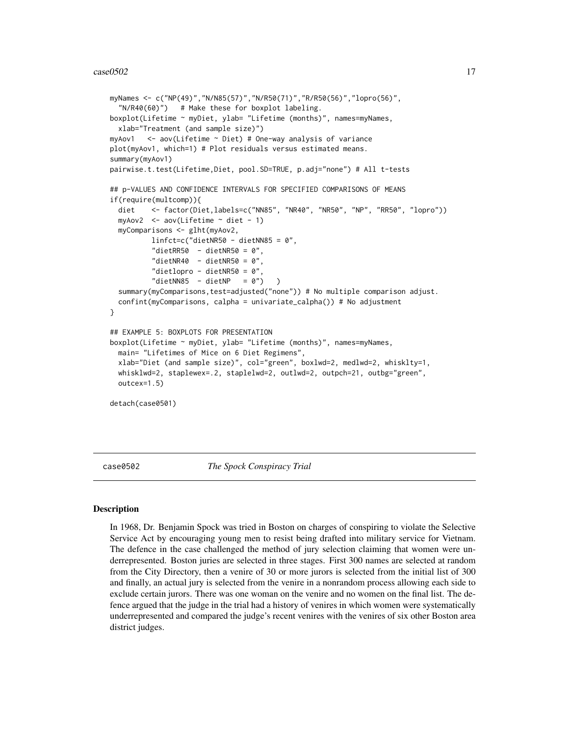```
myNames <- c("NP(49)","N/N85(57)","N/R50(71)","R/R50(56)","lopro(56)",
  "N/R40(60)") # Make these for boxplot labeling.
boxplot(Lifetime ~ myDiet, ylab= "Lifetime (months)", names=myNames,
 xlab="Treatment (and sample size)")
myAov1 <- aov(Lifetime ~ Diet) # One-way analysis of variance
plot(myAov1, which=1) # Plot residuals versus estimated means.
summary(myAov1)
pairwise.t.test(Lifetime,Diet, pool.SD=TRUE, p.adj="none") # All t-tests
## p-VALUES AND CONFIDENCE INTERVALS FOR SPECIFIED COMPARISONS OF MEANS
if(require(multcomp)){
 diet <- factor(Diet,labels=c("NN85", "NR40", "NR50", "NP", "RR50", "lopro"))
 myAov2 <- aov(Lifetime ~ diet - 1)
 myComparisons <- glht(myAov2,
          linfct=c("dietNR50 - dietNN85 = 0","dietRR50 - dietNR50 = 0",
          "dietNR40 - dietNR50 = 0""dietlopro - dietNR50 = 0",
          "dietNN85 - dietNP = 0")
  summary(myComparisons,test=adjusted("none")) # No multiple comparison adjust.
 confint(myComparisons, calpha = univariate_calpha()) # No adjustment
}
## EXAMPLE 5: BOXPLOTS FOR PRESENTATION
boxplot(Lifetime ~ myDiet, ylab= "Lifetime (months)", names=myNames,
 main= "Lifetimes of Mice on 6 Diet Regimens",
 xlab="Diet (and sample size)", col="green", boxlwd=2, medlwd=2, whisklty=1,
 whisklwd=2, staplewex=.2, staplelwd=2, outlwd=2, outpch=21, outbg="green",
 outcex=1.5)
detach(case0501)
```
case0502 *The Spock Conspiracy Trial*

### Description

In 1968, Dr. Benjamin Spock was tried in Boston on charges of conspiring to violate the Selective Service Act by encouraging young men to resist being drafted into military service for Vietnam. The defence in the case challenged the method of jury selection claiming that women were underrepresented. Boston juries are selected in three stages. First 300 names are selected at random from the City Directory, then a venire of 30 or more jurors is selected from the initial list of 300 and finally, an actual jury is selected from the venire in a nonrandom process allowing each side to exclude certain jurors. There was one woman on the venire and no women on the final list. The defence argued that the judge in the trial had a history of venires in which women were systematically underrepresented and compared the judge's recent venires with the venires of six other Boston area district judges.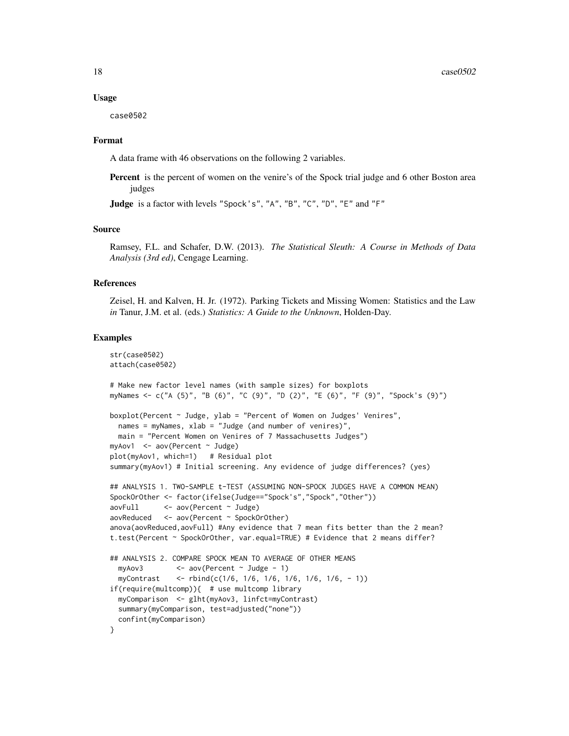### Usage

case0502

### Format

A data frame with 46 observations on the following 2 variables.

Percent is the percent of women on the venire's of the Spock trial judge and 6 other Boston area judges

Judge is a factor with levels "Spock's", "A", "B", "C", "D", "E" and "F"

### Source

Ramsey, F.L. and Schafer, D.W. (2013). *The Statistical Sleuth: A Course in Methods of Data Analysis (3rd ed)*, Cengage Learning.

### References

Zeisel, H. and Kalven, H. Jr. (1972). Parking Tickets and Missing Women: Statistics and the Law *in* Tanur, J.M. et al. (eds.) *Statistics: A Guide to the Unknown*, Holden-Day.

```
str(case0502)
attach(case0502)
# Make new factor level names (with sample sizes) for boxplots
myNames <- c("A (5)", "B (6)", "C (9)", "D (2)", "E (6)", "F (9)", "Spock's (9)")
boxplot(Percent ~ Judge, ylab = "Percent of Women on Judges' Venires",
 names = myNames, xlab = "Judge (and number of venires)",
 main = "Percent Women on Venires of 7 Massachusetts Judges")
myAov1 <- aov(Percent ~ Judge)
plot(myAov1, which=1) # Residual plot
summary(myAov1) # Initial screening. Any evidence of judge differences? (yes)
## ANALYSIS 1. TWO-SAMPLE t-TEST (ASSUMING NON-SPOCK JUDGES HAVE A COMMON MEAN)
SpockOrOther <- factor(ifelse(Judge=="Spock's","Spock","Other"))
aovFull <- aov(Percent ~ Judge)
aovReduced <- aov(Percent ~ SpockOrOther)
anova(aovReduced,aovFull) #Any evidence that 7 mean fits better than the 2 mean?
t.test(Percent ~ SpockOrOther, var.equal=TRUE) # Evidence that 2 means differ?
## ANALYSIS 2. COMPARE SPOCK MEAN TO AVERAGE OF OTHER MEANS
 myAov3 <- aov(Percent ~ Judge - 1)
 myContrast <- rbind(c(1/6, 1/6, 1/6, 1/6, 1/6, 1/6, - 1))
if(require(multcomp)){ # use multcomp library
 myComparison <- glht(myAov3, linfct=myContrast)
 summary(myComparison, test=adjusted("none"))
 confint(myComparison)
}
```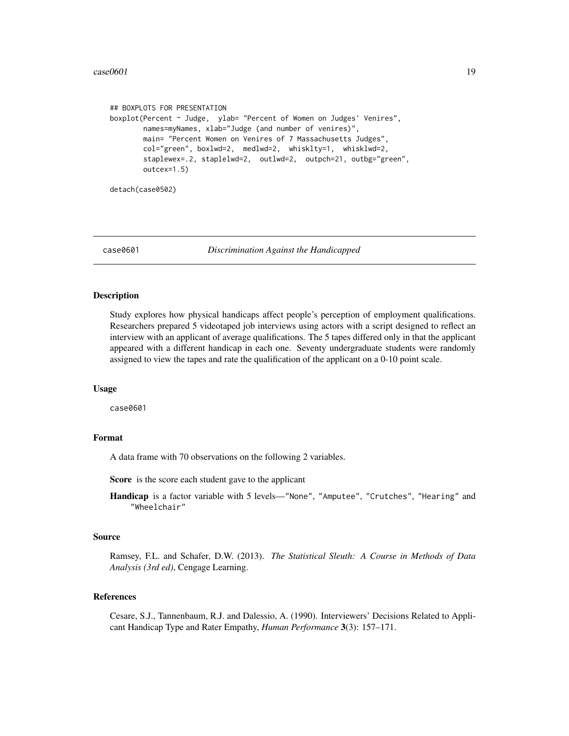```
## BOXPLOTS FOR PRESENTATION
boxplot(Percent ~ Judge, ylab= "Percent of Women on Judges' Venires",
       names=myNames, xlab="Judge (and number of venires)",
       main= "Percent Women on Venires of 7 Massachusetts Judges",
       col="green", boxlwd=2, medlwd=2, whisklty=1, whisklwd=2,
       staplewex=.2, staplelwd=2, outlwd=2, outpch=21, outbg="green",
       outcex=1.5)
```
detach(case0502)

case0601 *Discrimination Against the Handicapped*

### Description

Study explores how physical handicaps affect people's perception of employment qualifications. Researchers prepared 5 videotaped job interviews using actors with a script designed to reflect an interview with an applicant of average qualifications. The 5 tapes differed only in that the applicant appeared with a different handicap in each one. Seventy undergraduate students were randomly assigned to view the tapes and rate the qualification of the applicant on a 0-10 point scale.

### Usage

case0601

### Format

A data frame with 70 observations on the following 2 variables.

Score is the score each student gave to the applicant

Handicap is a factor variable with 5 levels—"None", "Amputee", "Crutches", "Hearing" and "Wheelchair"

### Source

Ramsey, F.L. and Schafer, D.W. (2013). *The Statistical Sleuth: A Course in Methods of Data Analysis (3rd ed)*, Cengage Learning.

### References

Cesare, S.J., Tannenbaum, R.J. and Dalessio, A. (1990). Interviewers' Decisions Related to Applicant Handicap Type and Rater Empathy, *Human Performance* 3(3): 157–171.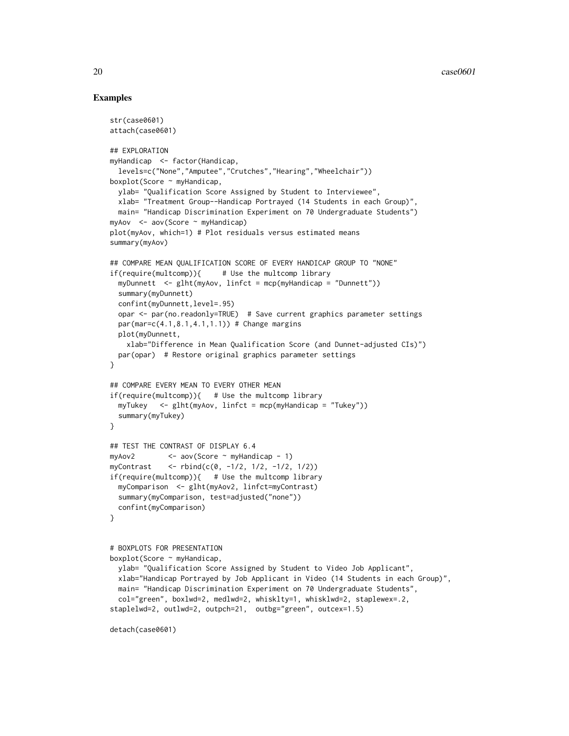### Examples

str(case0601)

detach(case0601)

```
attach(case0601)
## EXPLORATION
myHandicap <- factor(Handicap,
  levels=c("None","Amputee","Crutches","Hearing","Wheelchair"))
boxplot(Score ~ myHandicap,
  ylab= "Qualification Score Assigned by Student to Interviewee",
  xlab= "Treatment Group--Handicap Portrayed (14 Students in each Group)",
  main= "Handicap Discrimination Experiment on 70 Undergraduate Students")
myAov <- aov(Score ~ myHandicap)
plot(myAov, which=1) # Plot residuals versus estimated means
summary(myAov)
## COMPARE MEAN QUALIFICATION SCORE OF EVERY HANDICAP GROUP TO "NONE"
if(require(multcomp)){ # Use the multcomp library
  myDunnett <- glht(myAov, linfct = mcp(myHandicap = "Dunnett"))
  summary(myDunnett)
  confint(myDunnett,level=.95)
  opar <- par(no.readonly=TRUE) # Save current graphics parameter settings
  par(max=c(4.1,8.1,4.1,1.1)) # Change margins
  plot(myDunnett,
   xlab="Difference in Mean Qualification Score (and Dunnet-adjusted CIs)")
  par(opar) # Restore original graphics parameter settings
}
## COMPARE EVERY MEAN TO EVERY OTHER MEAN
if(require(multcomp)){ # Use the multcomp library
  myTukey <- glht(myAov, linfct = mcp(myHandicap = "Tukey"))
  summary(myTukey)
}
## TEST THE CONTRAST OF DISPLAY 6.4
myAov2 <- aov(Score ~ myHandicap - 1)
myContrast <- rbind(c(\emptyset, -1/2, 1/2, -1/2, 1/2))if(require(multcomp)){ # Use the multcomp library
  myComparison <- glht(myAov2, linfct=myContrast)
  summary(myComparison, test=adjusted("none"))
  confint(myComparison)
}
# BOXPLOTS FOR PRESENTATION
boxplot(Score ~ myHandicap,
  ylab= "Qualification Score Assigned by Student to Video Job Applicant",
  xlab="Handicap Portrayed by Job Applicant in Video (14 Students in each Group)",
  main= "Handicap Discrimination Experiment on 70 Undergraduate Students",
  col="green", boxlwd=2, medlwd=2, whisklty=1, whisklwd=2, staplewex=.2,
staplelwd=2, outlwd=2, outpch=21, outbg="green", outcex=1.5)
```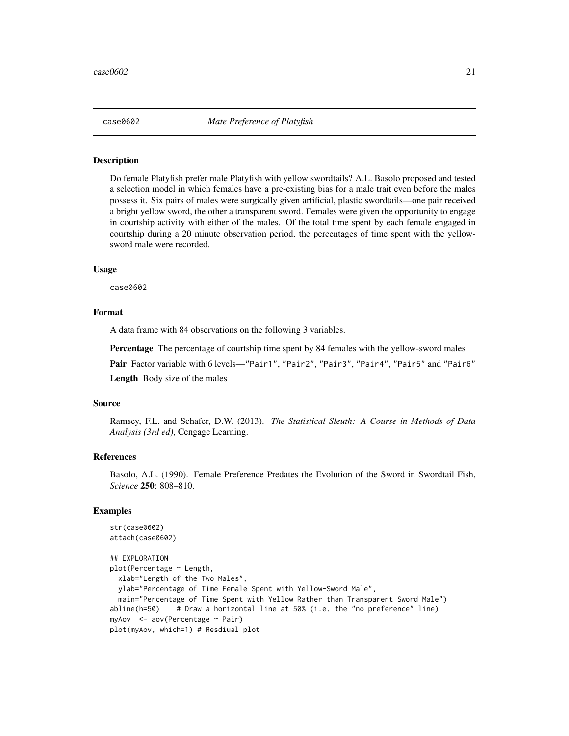<span id="page-20-0"></span>

#### Description

Do female Platyfish prefer male Platyfish with yellow swordtails? A.L. Basolo proposed and tested a selection model in which females have a pre-existing bias for a male trait even before the males possess it. Six pairs of males were surgically given artificial, plastic swordtails—one pair received a bright yellow sword, the other a transparent sword. Females were given the opportunity to engage in courtship activity with either of the males. Of the total time spent by each female engaged in courtship during a 20 minute observation period, the percentages of time spent with the yellowsword male were recorded.

### Usage

case0602

### Format

A data frame with 84 observations on the following 3 variables.

Percentage The percentage of courtship time spent by 84 females with the yellow-sword males

Pair Factor variable with 6 levels—"Pair1", "Pair2", "Pair3", "Pair4", "Pair5" and "Pair6"

Length Body size of the males

### Source

Ramsey, F.L. and Schafer, D.W. (2013). *The Statistical Sleuth: A Course in Methods of Data Analysis (3rd ed)*, Cengage Learning.

### References

Basolo, A.L. (1990). Female Preference Predates the Evolution of the Sword in Swordtail Fish, *Science* 250: 808–810.

```
str(case0602)
attach(case0602)
## EXPLORATION
plot(Percentage ~ Length,
 xlab="Length of the Two Males",
 ylab="Percentage of Time Female Spent with Yellow-Sword Male",
 main="Percentage of Time Spent with Yellow Rather than Transparent Sword Male")
abline(h=50) # Draw a horizontal line at 50% (i.e. the "no preference" line)
myAov <- aov(Percentage ~ Pair)
plot(myAov, which=1) # Resdiual plot
```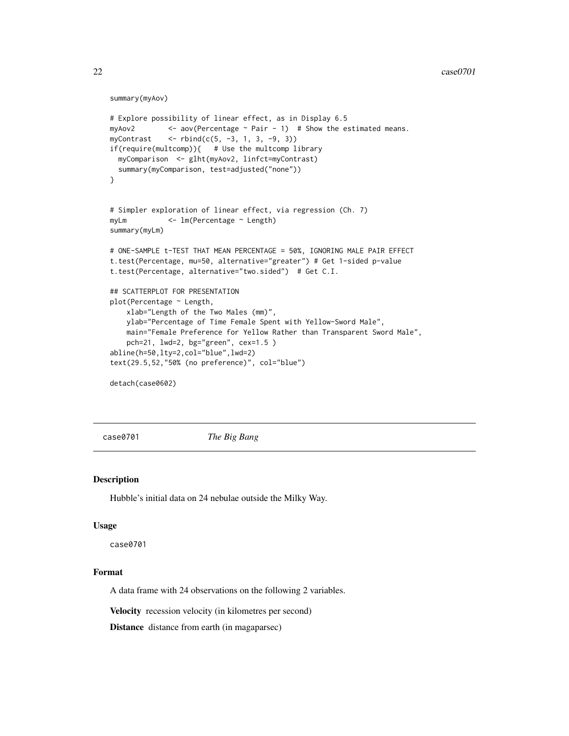```
summary(myAov)
```

```
# Explore possibility of linear effect, as in Display 6.5
myAov2 <- aov(Percentage \sim Pair - 1) # Show the estimated means.
myContrast \leq rbind(c(5, -3, 1, 3, -9, 3))
if(require(multcomp)){ # Use the multcomp library
 myComparison <- glht(myAov2, linfct=myContrast)
 summary(myComparison, test=adjusted("none"))
}
# Simpler exploration of linear effect, via regression (Ch. 7)
myLm <- lm(Percentage ~ Length)
summary(myLm)
# ONE-SAMPLE t-TEST THAT MEAN PERCENTAGE = 50%, IGNORING MALE PAIR EFFECT
t.test(Percentage, mu=50, alternative="greater") # Get 1-sided p-value
t.test(Percentage, alternative="two.sided") # Get C.I.
## SCATTERPLOT FOR PRESENTATION
plot(Percentage ~ Length,
   xlab="Length of the Two Males (mm)",
   ylab="Percentage of Time Female Spent with Yellow-Sword Male",
   main="Female Preference for Yellow Rather than Transparent Sword Male",
   pch=21, lwd=2, bg="green", cex=1.5 )
abline(h=50,lty=2,col="blue",lwd=2)
text(29.5,52,"50% (no preference)", col="blue")
detach(case0602)
```
case0701 *The Big Bang*

### Description

Hubble's initial data on 24 nebulae outside the Milky Way.

#### Usage

case0701

### Format

A data frame with 24 observations on the following 2 variables.

Velocity recession velocity (in kilometres per second)

Distance distance from earth (in magaparsec)

<span id="page-21-0"></span>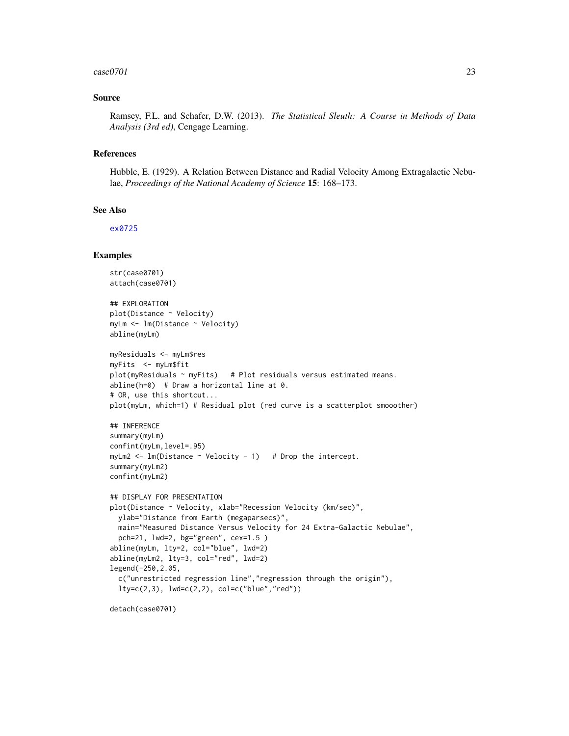### $case0701$  23

### Source

Ramsey, F.L. and Schafer, D.W. (2013). *The Statistical Sleuth: A Course in Methods of Data Analysis (3rd ed)*, Cengage Learning.

### References

Hubble, E. (1929). A Relation Between Distance and Radial Velocity Among Extragalactic Nebulae, *Proceedings of the National Academy of Science* 15: 168–173.

### See Also

[ex0725](#page-106-1)

```
str(case0701)
attach(case0701)
## EXPLORATION
plot(Distance ~ Velocity)
myLm <- lm(Distance ~ Velocity)
abline(myLm)
myResiduals <- myLm$res
myFits <- myLm$fit
plot(myResiduals ~ myFits) # Plot residuals versus estimated means.
abline(h=0) # Draw a horizontal line at 0.
# OR, use this shortcut...
plot(myLm, which=1) # Residual plot (red curve is a scatterplot smooother)
## INFERENCE
summary(myLm)
confint(myLm,level=.95)
myLm2 <- lm(Distance ~ Velocity - 1) # Drop the intercept.
summary(myLm2)
confint(myLm2)
## DISPLAY FOR PRESENTATION
plot(Distance ~ Velocity, xlab="Recession Velocity (km/sec)",
  ylab="Distance from Earth (megaparsecs)",
  main="Measured Distance Versus Velocity for 24 Extra-Galactic Nebulae",
  pch=21, lwd=2, bg="green", cex=1.5 )
abline(myLm, lty=2, col="blue", lwd=2)
abline(myLm2, lty=3, col="red", lwd=2)
legend(-250,2.05,
  c("unrestricted regression line","regression through the origin"),
  lty=c(2,3), lwd=c(2,2), col=c("blue", "red"))
```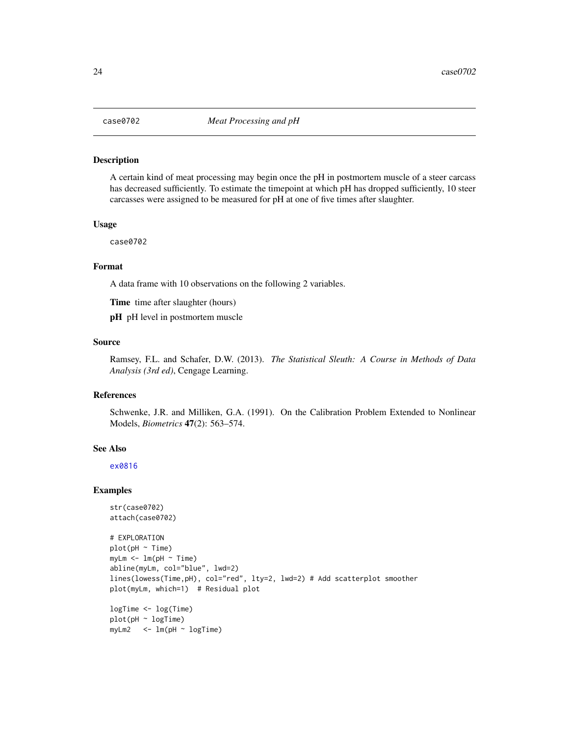### <span id="page-23-0"></span>Description

A certain kind of meat processing may begin once the pH in postmortem muscle of a steer carcass has decreased sufficiently. To estimate the timepoint at which pH has dropped sufficiently, 10 steer carcasses were assigned to be measured for pH at one of five times after slaughter.

### Usage

case0702

### Format

A data frame with 10 observations on the following 2 variables.

Time time after slaughter (hours)

pH pH level in postmortem muscle

### Source

Ramsey, F.L. and Schafer, D.W. (2013). *The Statistical Sleuth: A Course in Methods of Data Analysis (3rd ed)*, Cengage Learning.

### References

Schwenke, J.R. and Milliken, G.A. (1991). On the Calibration Problem Extended to Nonlinear Models, *Biometrics* 47(2): 563–574.

### See Also

[ex0816](#page-112-1)

```
str(case0702)
attach(case0702)
# EXPLORATION
plot(ph \sim Time)myLm < -lm(pH ~ ~ Time)abline(myLm, col="blue", lwd=2)
lines(lowess(Time,pH), col="red", lty=2, lwd=2) # Add scatterplot smoother
plot(myLm, which=1) # Residual plot
logTime <- log(Time)
plot(pH ~ logTime)
myLm2 <- lm(pH ~ logTime)
```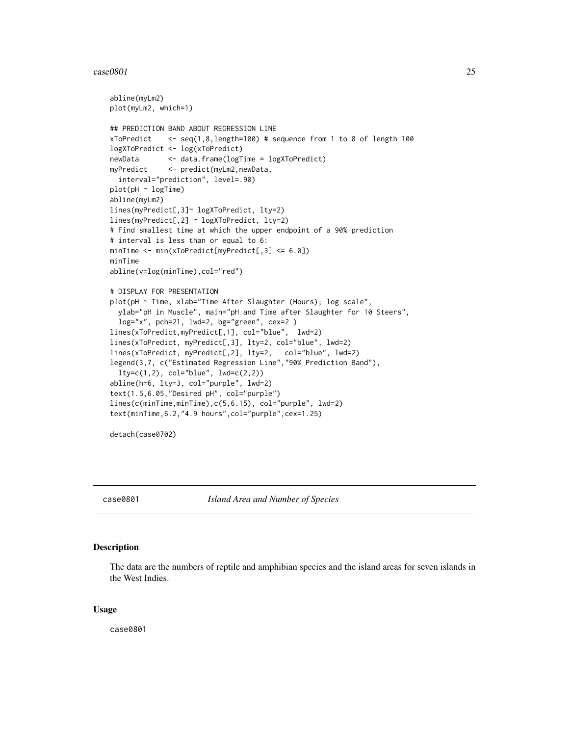### <span id="page-24-0"></span> $case0801$  25

```
abline(myLm2)
plot(myLm2, which=1)
## PREDICTION BAND ABOUT REGRESSION LINE
xToPredict \leq seq(1,8,length=100) # sequence from 1 to 8 of length 100
logXToPredict <- log(xToPredict)
newData <- data.frame(logTime = logXToPredict)
myPredict <- predict(myLm2,newData,
 interval="prediction", level=.90)
plot(pH ~ logTime)
abline(myLm2)
lines(myPredict[,3]~ logXToPredict, lty=2)
lines(myPredict[,2] ~ logXToPredict, lty=2)
# Find smallest time at which the upper endpoint of a 90% prediction
# interval is less than or equal to 6:
minTime <- min(xToPredict[myPredict[,3] <= 6.0])
minTime
abline(v=log(minTime),col="red")
# DISPLAY FOR PRESENTATION
plot(pH ~ Time, xlab="Time After Slaughter (Hours); log scale",
 ylab="pH in Muscle", main="pH and Time after Slaughter for 10 Steers",
 log="x", pch=21, lwd=2, bg="green", cex=2 )
lines(xToPredict,myPredict[,1], col="blue", lwd=2)
lines(xToPredict, myPredict[,3], lty=2, col="blue", lwd=2)
lines(xToPredict, myPredict[,2], lty=2, col="blue", lwd=2)
legend(3,7, c("Estimated Regression Line","90% Prediction Band"),
 lty=c(1,2), col="blue", lwd=c(2,2))
abline(h=6, lty=3, col="purple", lwd=2)
text(1.5,6.05,"Desired pH", col="purple")
lines(c(minTime,minTime),c(5,6.15), col="purple", lwd=2)
text(minTime,6.2,"4.9 hours",col="purple",cex=1.25)
```
detach(case0702)

case0801 *Island Area and Number of Species*

### Description

The data are the numbers of reptile and amphibian species and the island areas for seven islands in the West Indies.

#### Usage

case0801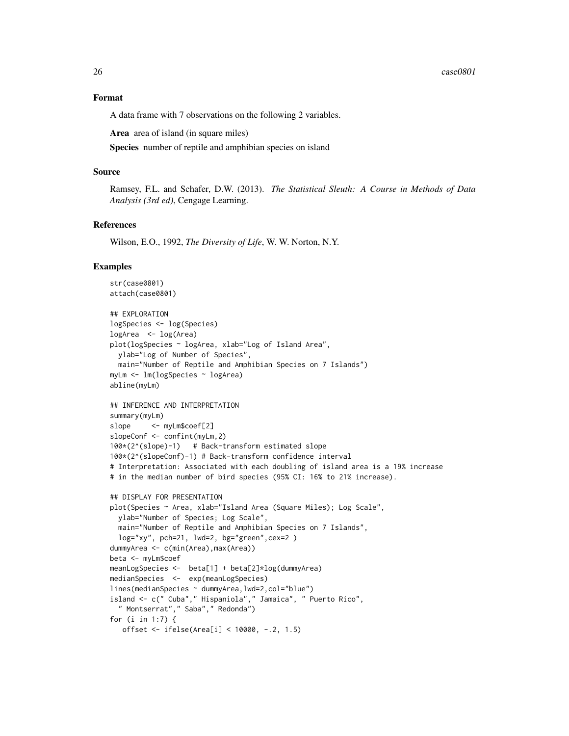### Format

A data frame with 7 observations on the following 2 variables.

Area area of island (in square miles)

Species number of reptile and amphibian species on island

#### Source

Ramsey, F.L. and Schafer, D.W. (2013). *The Statistical Sleuth: A Course in Methods of Data Analysis (3rd ed)*, Cengage Learning.

### References

Wilson, E.O., 1992, *The Diversity of Life*, W. W. Norton, N.Y.

```
str(case0801)
attach(case0801)
## EXPLORATION
logSpecies <- log(Species)
logArea <- log(Area)
plot(logSpecies ~ logArea, xlab="Log of Island Area",
  ylab="Log of Number of Species",
  main="Number of Reptile and Amphibian Species on 7 Islands")
myLm <- lm(logSpecies ~ logArea)
abline(myLm)
## INFERENCE AND INTERPRETATION
summary(myLm)
slope <- myLm$coef[2]
slopeConf <- confint(myLm,2)
100*(2^(slope)-1) # Back-transform estimated slope
100*(2^(slopeConf)-1) # Back-transform confidence interval
# Interpretation: Associated with each doubling of island area is a 19% increase
# in the median number of bird species (95% CI: 16% to 21% increase).
## DISPLAY FOR PRESENTATION
plot(Species ~ Area, xlab="Island Area (Square Miles); Log Scale",
  ylab="Number of Species; Log Scale",
  main="Number of Reptile and Amphibian Species on 7 Islands",
  log="xy", pch=21, lwd=2, bg="green",cex=2 )
dummyArea <- c(min(Area),max(Area))
beta <- myLm$coef
meanLogSpecies <- beta[1] + beta[2]*log(dummyArea)
medianSpecies <- exp(meanLogSpecies)
lines(medianSpecies ~ dummyArea,lwd=2,col="blue")
island <- c(" Cuba"," Hispaniola"," Jamaica", " Puerto Rico",
  " Montserrat"," Saba"," Redonda")
for (i in 1:7) {
   offset <- ifelse(Area[i] < 10000, -.2, 1.5)
```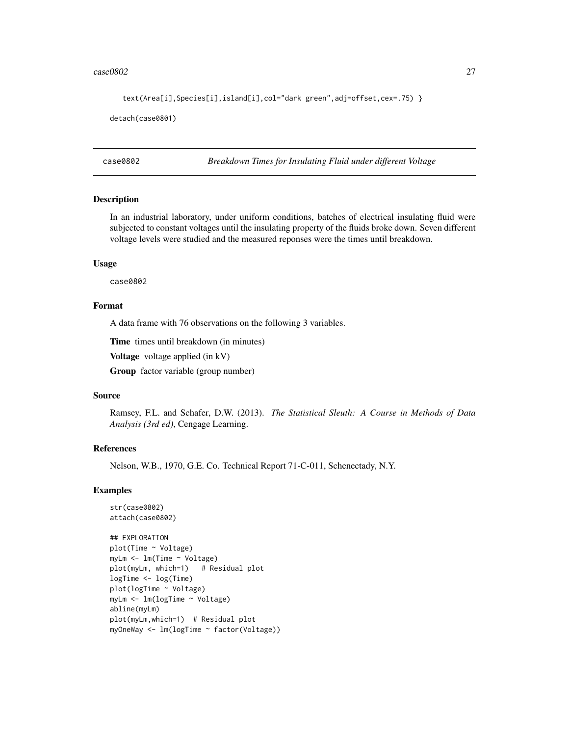### <span id="page-26-0"></span> $case0802$   $27$

text(Area[i],Species[i],island[i],col="dark green",adj=offset,cex=.75) }

```
detach(case0801)
```
case0802 *Breakdown Times for Insulating Fluid under different Voltage*

### Description

In an industrial laboratory, under uniform conditions, batches of electrical insulating fluid were subjected to constant voltages until the insulating property of the fluids broke down. Seven different voltage levels were studied and the measured reponses were the times until breakdown.

### Usage

case0802

### Format

A data frame with 76 observations on the following 3 variables.

Time times until breakdown (in minutes)

Voltage voltage applied (in kV)

Group factor variable (group number)

### Source

Ramsey, F.L. and Schafer, D.W. (2013). *The Statistical Sleuth: A Course in Methods of Data Analysis (3rd ed)*, Cengage Learning.

### References

Nelson, W.B., 1970, G.E. Co. Technical Report 71-C-011, Schenectady, N.Y.

```
str(case0802)
attach(case0802)
```

```
## EXPLORATION
plot(Time ~ Voltage)
myLm <- lm(Time ~ Voltage)
plot(myLm, which=1) # Residual plot
logTime <- log(Time)
plot(logTime ~ Voltage)
myLm <- lm(logTime ~ Voltage)
abline(myLm)
plot(myLm,which=1) # Residual plot
myOneWay <- lm(logTime ~ factor(Voltage))
```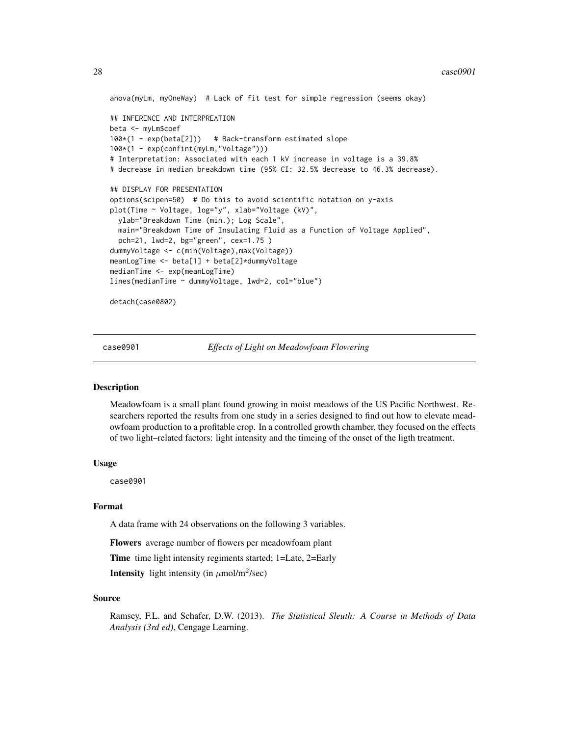```
anova(myLm, myOneWay) # Lack of fit test for simple regression (seems okay)
## INFERENCE AND INTERPREATION
beta <- myLm$coef
100*(1 - exp(beta[2])) # Back-transform estimated slope
100*(1 - exp(confint(myLm,"Voltage")))
# Interpretation: Associated with each 1 kV increase in voltage is a 39.8%
# decrease in median breakdown time (95% CI: 32.5% decrease to 46.3% decrease).
## DISPLAY FOR PRESENTATION
options(scipen=50) # Do this to avoid scientific notation on y-axis
plot(Time ~ Voltage, log="y", xlab="Voltage (kV)",
 ylab="Breakdown Time (min.); Log Scale",
 main="Breakdown Time of Insulating Fluid as a Function of Voltage Applied",
 pch=21, lwd=2, bg="green", cex=1.75 )
dummyVoltage <- c(min(Voltage),max(Voltage))
meanLogTime <- beta[1] + beta[2]*dummyVoltage
medianTime <- exp(meanLogTime)
lines(medianTime ~ dummyVoltage, lwd=2, col="blue")
```
detach(case0802)

case0901 *Effects of Light on Meadowfoam Flowering*

### **Description**

Meadowfoam is a small plant found growing in moist meadows of the US Pacific Northwest. Researchers reported the results from one study in a series designed to find out how to elevate meadowfoam production to a profitable crop. In a controlled growth chamber, they focused on the effects of two light–related factors: light intensity and the timeing of the onset of the ligth treatment.

#### Usage

case0901

### Format

A data frame with 24 observations on the following 3 variables.

Flowers average number of flowers per meadowfoam plant

Time time light intensity regiments started; 1=Late, 2=Early

**Intensity** light intensity (in  $\mu$ mol/m<sup>2</sup>/sec)

### Source

Ramsey, F.L. and Schafer, D.W. (2013). *The Statistical Sleuth: A Course in Methods of Data Analysis (3rd ed)*, Cengage Learning.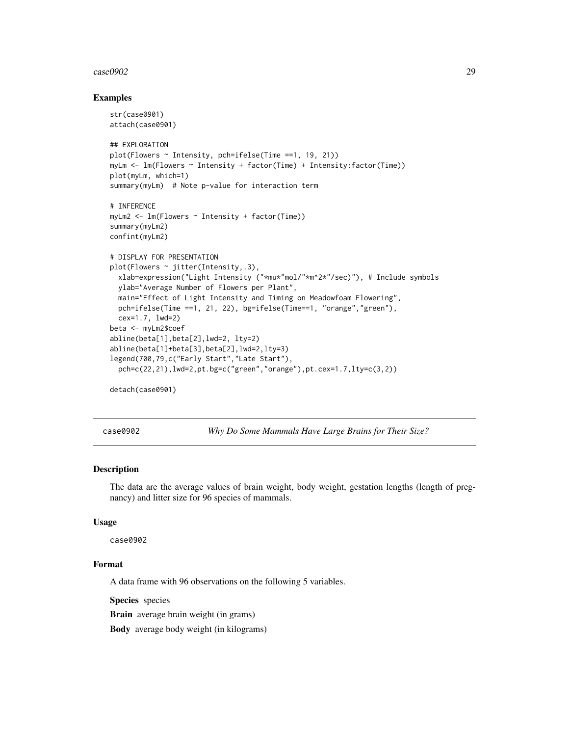### <span id="page-28-0"></span>case0902 29

### Examples

```
str(case0901)
attach(case0901)
## EXPLORATION
plot(Flowers ~ Thtensity, pch=ifelse(Time == 1, 19, 21))myLm <- lm(Flowers ~ Intensity + factor(Time) + Intensity:factor(Time))
plot(myLm, which=1)
summary(myLm) # Note p-value for interaction term
# INFERENCE
myLm2 <- lm(Flowers ~ Intensity + factor(Time))
summary(myLm2)
confint(myLm2)
# DISPLAY FOR PRESENTATION
plot(Flowers ~^-jitter(Intensity, .3),xlab=expression("Light Intensity ("*mu*"mol/"*m^2*"/sec)"), # Include symbols
  ylab="Average Number of Flowers per Plant",
  main="Effect of Light Intensity and Timing on Meadowfoam Flowering",
  pch=ifelse(Time ==1, 21, 22), bg=ifelse(Time==1, "orange","green"),
  cex=1.7, lwd=2)
beta <- myLm2$coef
abline(beta[1],beta[2],lwd=2, lty=2)
abline(beta[1]+beta[3],beta[2],lwd=2,lty=3)
legend(700,79,c("Early Start","Late Start"),
  pch=c(22,21),lwd=2,pt.bg=c("green","orange"),pt.cex=1.7,lty=c(3,2))
```
detach(case0901)

case0902 *Why Do Some Mammals Have Large Brains for Their Size?*

### **Description**

The data are the average values of brain weight, body weight, gestation lengths (length of pregnancy) and litter size for 96 species of mammals.

### Usage

case0902

### Format

A data frame with 96 observations on the following 5 variables.

Species species

Brain average brain weight (in grams)

Body average body weight (in kilograms)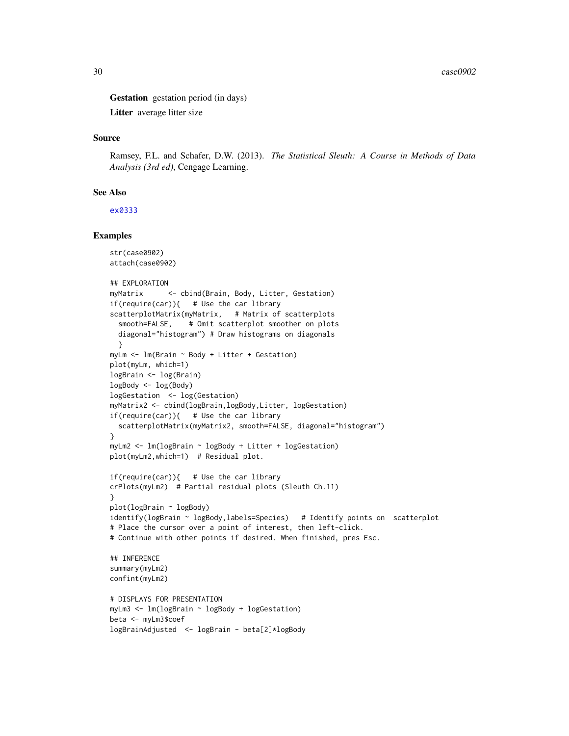Gestation gestation period (in days)

Litter average litter size

### Source

Ramsey, F.L. and Schafer, D.W. (2013). *The Statistical Sleuth: A Course in Methods of Data Analysis (3rd ed)*, Cengage Learning.

### See Also

[ex0333](#page-93-1)

```
str(case0902)
attach(case0902)
## EXPLORATION
myMatrix <- cbind(Brain, Body, Litter, Gestation)
if(require(car)){ # Use the car library
scatterplotMatrix(myMatrix, # Matrix of scatterplots
  smooth=FALSE, # Omit scatterplot smoother on plots
  diagonal="histogram") # Draw histograms on diagonals
  }
myLm <- lm(Brain ~ Body + Litter + Gestation)
plot(myLm, which=1)
logBrain <- log(Brain)
logBody <- log(Body)
logGestation <- log(Gestation)
myMatrix2 <- cbind(logBrain,logBody,Litter, logGestation)
if(require(car)){ # Use the car library
  scatterplotMatrix(myMatrix2, smooth=FALSE, diagonal="histogram")
}
myLm2 <- lm(logBrain ~ logBody + Litter + logGestation)
plot(myLm2,which=1) # Residual plot.
if(require(car)){ # Use the car library
crPlots(myLm2) # Partial residual plots (Sleuth Ch.11)
}
plot(logBrain ~ logBody)
identify(logBrain ~ logBody,labels=Species) # Identify points on scatterplot
# Place the cursor over a point of interest, then left-click.
# Continue with other points if desired. When finished, pres Esc.
## INFERENCE
summary(myLm2)
confint(myLm2)
# DISPLAYS FOR PRESENTATION
myLm3 <- lm(logBrain ~ logBody + logGestation)
beta <- myLm3$coef
logBrainAdjusted <- logBrain - beta[2]*logBody
```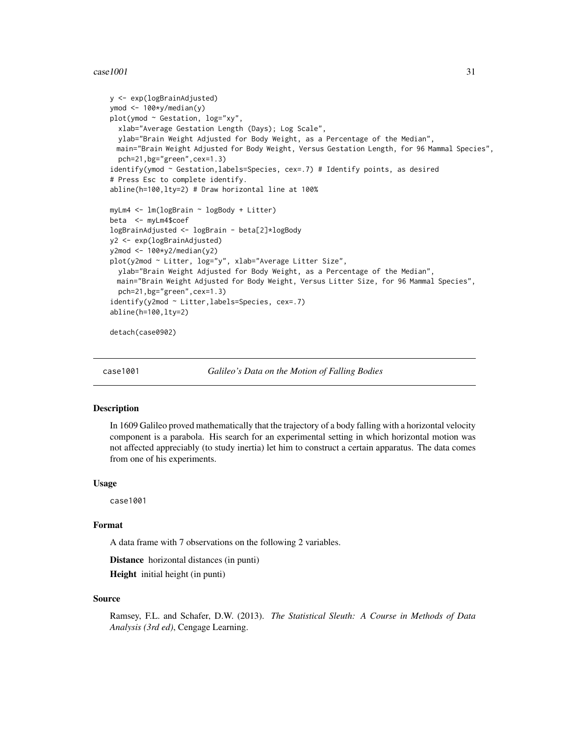### <span id="page-30-0"></span> $case1001$  31

```
y <- exp(logBrainAdjusted)
ymod <- 100*y/median(y)
plot(ymod ~ Gestation, log="xy",
  xlab="Average Gestation Length (Days); Log Scale",
  ylab="Brain Weight Adjusted for Body Weight, as a Percentage of the Median",
 main="Brain Weight Adjusted for Body Weight, Versus Gestation Length, for 96 Mammal Species",
  pch=21,bg="green",cex=1.3)
identify(ymod ~ Gestation,labels=Species, cex=.7) # Identify points, as desired
# Press Esc to complete identify.
abline(h=100,lty=2) # Draw horizontal line at 100%
myLm4 <- lm(logBrain ~ logBody + Litter)
beta <- myLm4$coef
logBrainAdjusted <- logBrain - beta[2]*logBody
y2 <- exp(logBrainAdjusted)
y2mod <- 100*y2/median(y2)
plot(y2mod ~ Litter, log="y", xlab="Average Litter Size",
  ylab="Brain Weight Adjusted for Body Weight, as a Percentage of the Median",
 main="Brain Weight Adjusted for Body Weight, Versus Litter Size, for 96 Mammal Species",
  pch=21,bg="green",cex=1.3)
identify(y2mod ~ Litter,labels=Species, cex=.7)
abline(h=100,lty=2)
detach(case0902)
```
case1001 *Galileo's Data on the Motion of Falling Bodies*

### Description

In 1609 Galileo proved mathematically that the trajectory of a body falling with a horizontal velocity component is a parabola. His search for an experimental setting in which horizontal motion was not affected appreciably (to study inertia) let him to construct a certain apparatus. The data comes from one of his experiments.

#### Usage

case1001

### Format

A data frame with 7 observations on the following 2 variables.

Distance horizontal distances (in punti)

Height initial height (in punti)

### Source

Ramsey, F.L. and Schafer, D.W. (2013). *The Statistical Sleuth: A Course in Methods of Data Analysis (3rd ed)*, Cengage Learning.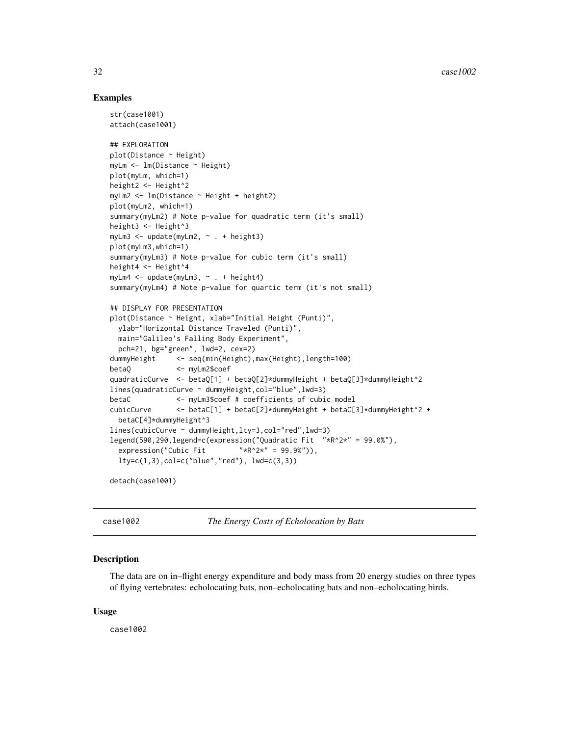### Examples

```
str(case1001)
attach(case1001)
## EXPLORATION
plot(Distance ~ Height)
myLm <- lm(Distance ~ Height)
plot(myLm, which=1)
height2 <- Height^2
myLm2 <- lm(Distance ~ Height + height2)
plot(myLm2, which=1)
summary(myLm2) # Note p-value for quadratic term (it's small)
height3 <- Height^3
myLm3 <- update(myLm2, ~ . + height3)
plot(myLm3,which=1)
summary(myLm3) # Note p-value for cubic term (it's small)
height4 <- Height^4
myLm4 <- update(myLm3, ~ . + height4)
summary(myLm4) # Note p-value for quartic term (it's not small)
## DISPLAY FOR PRESENTATION
plot(Distance ~ Height, xlab="Initial Height (Punti)",
  ylab="Horizontal Distance Traveled (Punti)",
  main="Galileo's Falling Body Experiment",
  pch=21, bg="green", lwd=2, cex=2)
dummyHeight <- seq(min(Height),max(Height),length=100)
betaQ <- myLm2$coef
quadraticCurve <- betaQ[1] + betaQ[2]*dummyHeight + betaQ[3]*dummyHeight^2
lines(quadraticCurve ~ dummyHeight,col="blue",lwd=3)
betaC <- myLm3$coef # coefficients of cubic model
cubicCurve <- betaC[1] + betaC[2]*dummyHeight + betaC[3]*dummyHeight^2 +
  betaC[4]*dummyHeight^3
lines(cubicCurve ~ dummyHeight,lty=3,col="red",lwd=3)
legend(590,290,legend=c(expression("Quadratic Fit "*R^2*" = 99.0%"),<br>expression("Cubic Fit "*R^2*" = 99.9%")),
  expression("Cubic Fit
  lty=c(1,3),col=c("blue","red"), lwd=c(3,3))
detach(case1001)
```
case1002 *The Energy Costs of Echolocation by Bats*

### **Description**

The data are on in–flight energy expenditure and body mass from 20 energy studies on three types of flying vertebrates: echolocating bats, non–echolocating bats and non–echolocating birds.

### Usage

case1002

<span id="page-31-0"></span>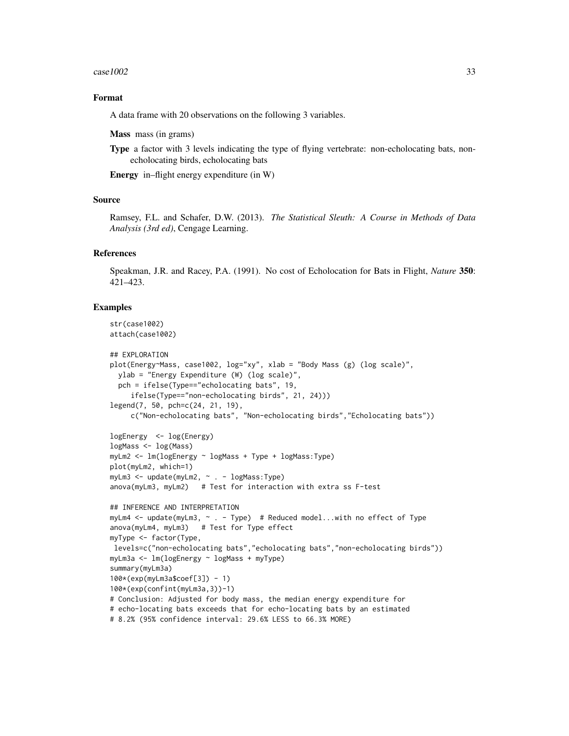### $\cos\theta = 1002$  33

### Format

A data frame with 20 observations on the following 3 variables.

Mass mass (in grams)

Type a factor with 3 levels indicating the type of flying vertebrate: non-echolocating bats, nonecholocating birds, echolocating bats

Energy in–flight energy expenditure (in W)

### Source

Ramsey, F.L. and Schafer, D.W. (2013). *The Statistical Sleuth: A Course in Methods of Data Analysis (3rd ed)*, Cengage Learning.

### References

Speakman, J.R. and Racey, P.A. (1991). No cost of Echolocation for Bats in Flight, *Nature* 350: 421–423.

```
str(case1002)
attach(case1002)
## EXPLORATION
plot(Energy~Mass, case1002, log="xy", xlab = "Body Mass (g) (log scale)",
 ylab = "Energy Expenditure (W) (log scale)",
 pch = ifelse(Type=="echolocating bats", 19,
     ifelse(Type=="non-echolocating birds", 21, 24)))
legend(7, 50, pch=c(24, 21, 19),
     c("Non-echolocating bats", "Non-echolocating birds","Echolocating bats"))
logEnergy <- log(Energy)
logMass <- log(Mass)
myLm2 <- lm(logEnergy ~ logMass + Type + logMass:Type)
plot(myLm2, which=1)
myLm3 <- update(myLm2, ~ . - logMass:Type)
anova(myLm3, myLm2) # Test for interaction with extra ss F-test
## INFERENCE AND INTERPRETATION
myLm4 <- update(myLm3, ~ . - Type) # Reduced model...with no effect of Type
anova(myLm4, myLm3) # Test for Type effect
myType <- factor(Type,
levels=c("non-echolocating bats","echolocating bats","non-echolocating birds"))
myLm3a <- lm(logEnergy ~ logMass + myType)
summary(myLm3a)
100*(exp(myLm3a$coef[3]) - 1)
100*(exp(confint(myLm3a,3))-1)
# Conclusion: Adjusted for body mass, the median energy expenditure for
# echo-locating bats exceeds that for echo-locating bats by an estimated
# 8.2% (95% confidence interval: 29.6% LESS to 66.3% MORE)
```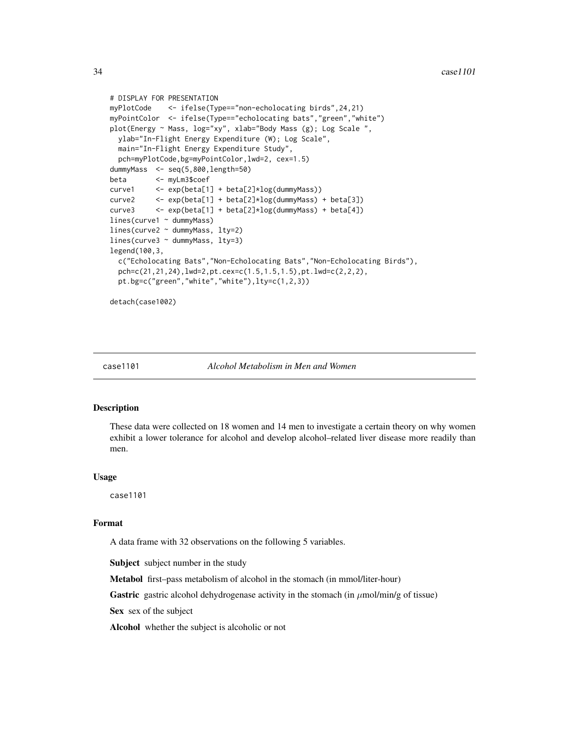```
# DISPLAY FOR PRESENTATION
myPlotCode <- ifelse(Type=="non-echolocating birds",24,21)
myPointColor <- ifelse(Type=="echolocating bats","green","white")
plot(Energy ~ Mass, log="xy", xlab="Body Mass (g); Log Scale ",
 ylab="In-Flight Energy Expenditure (W); Log Scale",
 main="In-Flight Energy Expenditure Study",
 pch=myPlotCode,bg=myPointColor,lwd=2, cex=1.5)
dummyMass <- seq(5,800,length=50)
beta <- myLm3$coef
curve1 <- exp(beta[1] + beta[2]*log(dummyMass))
curve2 <- exp(beta[1] + beta[2]*log(dummyMass) + beta[3])
curve3 <- exp(beta[1] + beta[2]*log(dummyMass) + beta[4])
lines(curve1 ~ dummyMass)
lines(curve2 ~ dummyMass, lty=2)
lines(curve3 ~ dummyMass, lty=3)
legend(100,3,
 c("Echolocating Bats","Non-Echolocating Bats","Non-Echolocating Birds"),
 pch=c(21,21,24),lwd=2,pt.cex=c(1.5,1.5,1.5),pt.lwd=c(2,2,2),
 pt.bg=c("green","white","white"),lty=c(1,2,3))
```
detach(case1002)

case1101 *Alcohol Metabolism in Men and Women*

### Description

These data were collected on 18 women and 14 men to investigate a certain theory on why women exhibit a lower tolerance for alcohol and develop alcohol–related liver disease more readily than men.

#### Usage

case1101

#### Format

A data frame with 32 observations on the following 5 variables.

Subject subject number in the study

Metabol first–pass metabolism of alcohol in the stomach (in mmol/liter-hour)

**Gastric** gastric alcohol dehydrogenase activity in the stomach (in  $\mu$ mol/min/g of tissue)

Sex sex of the subject

Alcohol whether the subject is alcoholic or not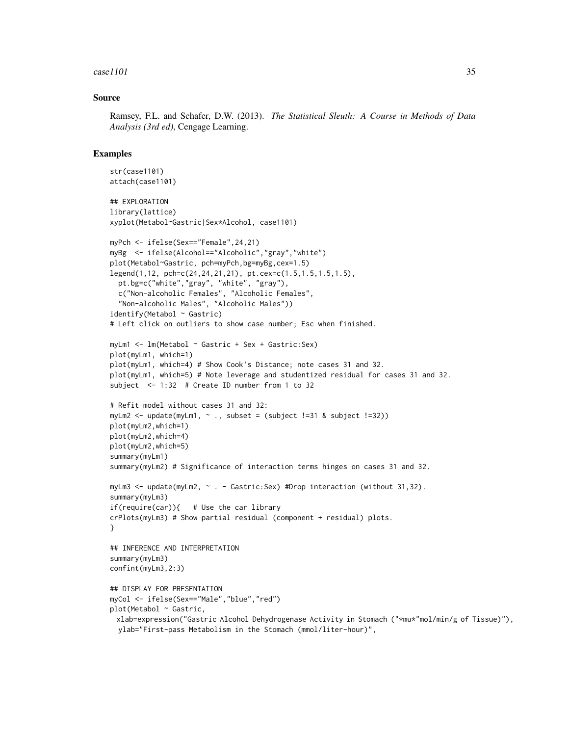### $case1101$  35

### Source

Ramsey, F.L. and Schafer, D.W. (2013). *The Statistical Sleuth: A Course in Methods of Data Analysis (3rd ed)*, Cengage Learning.

```
str(case1101)
attach(case1101)
## EXPLORATION
library(lattice)
xyplot(Metabol~Gastric|Sex*Alcohol, case1101)
myPch <- ifelse(Sex=="Female",24,21)
myBg <- ifelse(Alcohol=="Alcoholic","gray","white")
plot(Metabol~Gastric, pch=myPch,bg=myBg,cex=1.5)
legend(1,12, pch=c(24,24,21,21), pt.cex=c(1.5,1.5,1.5,1.5),
 pt.bg=c("white","gray", "white", "gray"),
 c("Non-alcoholic Females", "Alcoholic Females",
  "Non-alcoholic Males", "Alcoholic Males"))
identity(Metabol \sim Gastric)# Left click on outliers to show case number; Esc when finished.
myLm1 <- lm(Metabol ~ Gastric + Sex + Gastric:Sex)
plot(myLm1, which=1)
plot(myLm1, which=4) # Show Cook's Distance; note cases 31 and 32.
plot(myLm1, which=5) # Note leverage and studentized residual for cases 31 and 32.
subject \leq -1:32 # Create ID number from 1 to 32
# Refit model without cases 31 and 32:
myLm2 <- update(myLm1, \sim ., subset = (subject !=31 & subject !=32))
plot(myLm2,which=1)
plot(myLm2,which=4)
plot(myLm2,which=5)
summary(myLm1)
summary(myLm2) # Significance of interaction terms hinges on cases 31 and 32.
myLm3 <- update(myLm2, ~ . - Gastric:Sex) #Drop interaction (without 31,32).
summary(myLm3)
if(require(car)){ # Use the car library
crPlots(myLm3) # Show partial residual (component + residual) plots.
}
## INFERENCE AND INTERPRETATION
summary(myLm3)
confint(myLm3,2:3)
## DISPLAY FOR PRESENTATION
myCol <- ifelse(Sex=="Male","blue","red")
plot(Metabol ~ Gastric,
 xlab=expression("Gastric Alcohol Dehydrogenase Activity in Stomach ("*mu*"mol/min/g of Tissue)"),
 ylab="First-pass Metabolism in the Stomach (mmol/liter-hour)",
```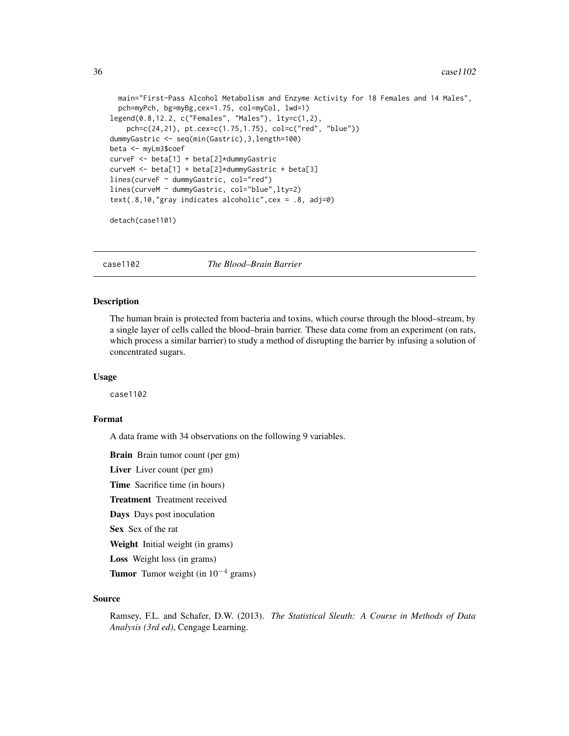```
main="First-Pass Alcohol Metabolism and Enzyme Activity for 18 Females and 14 Males",
 pch=myPch, bg=myBg,cex=1.75, col=myCol, lwd=1)
legend(0.8,12.2, c("Females", "Males"), lty=c(1,2),
   pch=c(24,21), pt.cex=c(1.75,1.75), col=c("red", "blue"))
dummyGastric <- seq(min(Gastric),3,length=100)
beta <- myLm3$coef
curveF <- beta[1] + beta[2]*dummyGastric
curveM <- beta[1] + beta[2]*dummyGastric + beta[3]
lines(curveF ~ dummyGastric, col="red")
lines(curveM ~ dummyGastric, col="blue",lty=2)
text(.8,10,"gray indicates alcoholic",cex = .8, adj=0)
```
detach(case1101)

case1102 *The Blood–Brain Barrier*

### Description

The human brain is protected from bacteria and toxins, which course through the blood–stream, by a single layer of cells called the blood–brain barrier. These data come from an experiment (on rats, which process a similar barrier) to study a method of disrupting the barrier by infusing a solution of concentrated sugars.

#### Usage

case1102

### Format

A data frame with 34 observations on the following 9 variables.

Brain Brain tumor count (per gm)

Liver Liver count (per gm)

Time Sacrifice time (in hours)

Treatment Treatment received

Days Days post inoculation

Sex Sex of the rat

Weight Initial weight (in grams)

Loss Weight loss (in grams)

**Tumor** Tumor weight (in  $10^{-4}$  grams)

### Source

Ramsey, F.L. and Schafer, D.W. (2013). *The Statistical Sleuth: A Course in Methods of Data Analysis (3rd ed)*, Cengage Learning.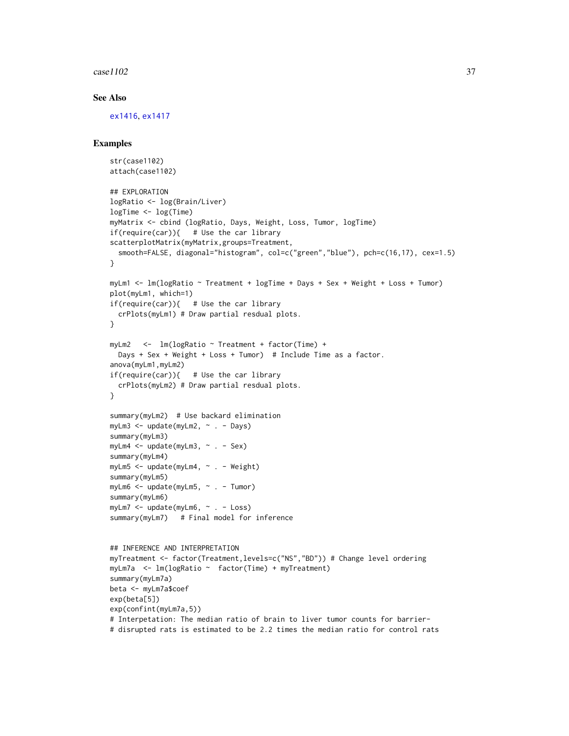$\case1102$  37

# See Also

[ex1416](#page-149-0), [ex1417](#page-150-0)

```
str(case1102)
attach(case1102)
## EXPLORATION
logRatio <- log(Brain/Liver)
logTime <- log(Time)
myMatrix <- cbind (logRatio, Days, Weight, Loss, Tumor, logTime)
if(require(car)){ # Use the car library
scatterplotMatrix(myMatrix,groups=Treatment,
  smooth=FALSE, diagonal="histogram", col=c("green","blue"), pch=c(16,17), cex=1.5)
}
myLm1 <- lm(logRatio ~ Treatment + logTime + Days + Sex + Weight + Loss + Tumor)
plot(myLm1, which=1)
if(require(car)){ # Use the car library
  crPlots(myLm1) # Draw partial resdual plots.
}
myLm2 <- lm(logRatio ~ Treatment + factor(Time) +
  Days + Sex + Weight + Loss + Tumor) # Include Time as a factor.
anova(myLm1,myLm2)
if(require(car)){ # Use the car library
  crPlots(myLm2) # Draw partial resdual plots.
}
summary(myLm2) # Use backard elimination
myLm3 <- update(myLm2, ~ . - Days)
summary(myLm3)
myLm4 \leq update(myLm3, \sim . - Sex)
summary(myLm4)
myLm5 <- update(myLm4, ~ . - Weight)
summary(myLm5)
myLm6 <- update(myLm5, ~ . - Tumor)
summary(myLm6)
myLm7 \leq update(myLm6, \sim . - Loss)summary(myLm7) # Final model for inference
## INFERENCE AND INTERPRETATION
myTreatment <- factor(Treatment,levels=c("NS","BD")) # Change level ordering
myLm7a <- lm(logRatio ~ factor(Time) + myTreatment)
summary(myLm7a)
beta <- myLm7a$coef
exp(beta[5])
exp(confint(myLm7a,5))
# Interpetation: The median ratio of brain to liver tumor counts for barrier-
# disrupted rats is estimated to be 2.2 times the median ratio for control rats
```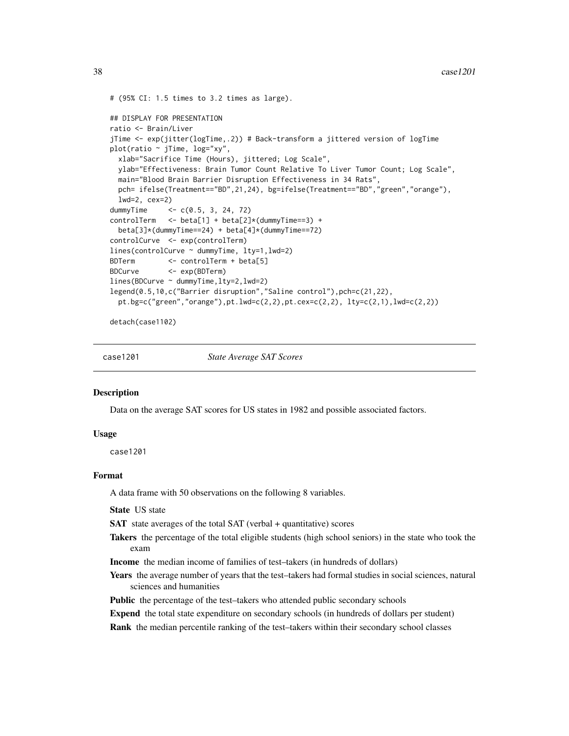```
# (95% CI: 1.5 times to 3.2 times as large).
## DISPLAY FOR PRESENTATION
ratio <- Brain/Liver
jTime <- exp(jitter(logTime,.2)) # Back-transform a jittered version of logTime
plot(ratio ~ jTime, log="xy",
 xlab="Sacrifice Time (Hours), jittered; Log Scale",
 ylab="Effectiveness: Brain Tumor Count Relative To Liver Tumor Count; Log Scale",
 main="Blood Brain Barrier Disruption Effectiveness in 34 Rats",
 pch= ifelse(Treatment=="BD",21,24), bg=ifelse(Treatment=="BD","green","orange"),
 lwd=2, cex=2)
dummyTime <- c(0.5, 3, 24, 72)
controlTerm <- beta[1] + beta[2]*(dummyTime==3) +
 beta[3]*(dummyTime==24) + beta[4]*(dummyTime==72)
controlCurve <- exp(controlTerm)
lines(controlCurve ~ dummyTime, lty=1,lwd=2)
BDTerm <- controlTerm + beta[5]
BDCurve <- exp(BDTerm)
lines(BDCurve ~ dummyTime,lty=2,lwd=2)
legend(0.5,10,c("Barrier disruption","Saline control"),pch=c(21,22),
 pt.bg=c("green","orange"),pt.lwd=c(2,2),pt.cex=c(2,2), lty=c(2,1),lwd=c(2,2))
```
detach(case1102)

case1201 *State Average SAT Scores*

## Description

Data on the average SAT scores for US states in 1982 and possible associated factors.

## Usage

case1201

## Format

A data frame with 50 observations on the following 8 variables.

State US state

SAT state averages of the total SAT (verbal + quantitative) scores

- Takers the percentage of the total eligible students (high school seniors) in the state who took the exam
- Income the median income of families of test–takers (in hundreds of dollars)
- Years the average number of years that the test–takers had formal studies in social sciences, natural sciences and humanities
- Public the percentage of the test–takers who attended public secondary schools

Expend the total state expenditure on secondary schools (in hundreds of dollars per student)

Rank the median percentile ranking of the test–takers within their secondary school classes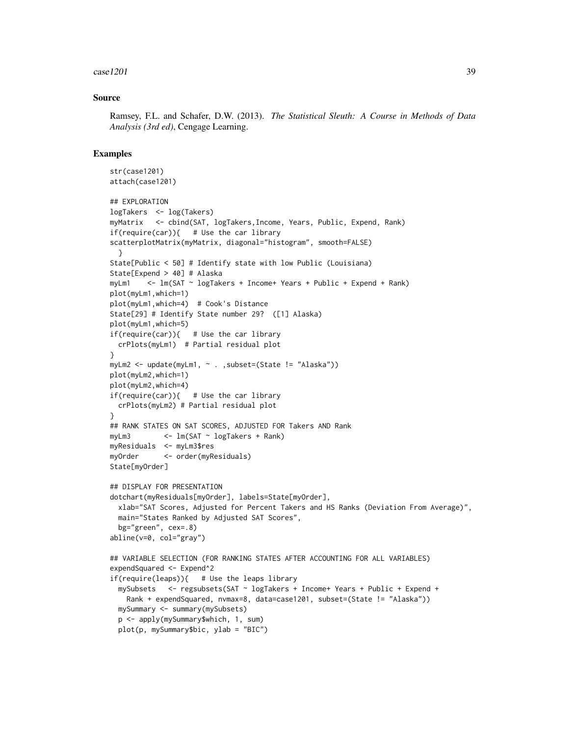## $case1201$  39

## Source

Ramsey, F.L. and Schafer, D.W. (2013). *The Statistical Sleuth: A Course in Methods of Data Analysis (3rd ed)*, Cengage Learning.

```
str(case1201)
attach(case1201)
## EXPLORATION
logTakers <- log(Takers)
myMatrix <- cbind(SAT, logTakers,Income, Years, Public, Expend, Rank)
if(require(car)){ # Use the car library
scatterplotMatrix(myMatrix, diagonal="histogram", smooth=FALSE)
 }
State[Public < 50] # Identify state with low Public (Louisiana)
State[Expend > 40] # Alaska
myLm1 <- lm(SAT ~ logTakers + Income+ Years + Public + Expend + Rank)
plot(myLm1,which=1)
plot(myLm1,which=4) # Cook's Distance
State[29] # Identify State number 29? ([1] Alaska)
plot(myLm1,which=5)
if(require(car)){ # Use the car library
 crPlots(myLm1) # Partial residual plot
}
myLm2 <- update(myLm1, ~ . ,subset=(State != "Alaska"))
plot(myLm2,which=1)
plot(myLm2,which=4)
if(require(car)){ # Use the car library
 crPlots(myLm2) # Partial residual plot
}
## RANK STATES ON SAT SCORES, ADJUSTED FOR Takers AND Rank
myLm3 <- lm(SAT ~ logTakers + Rank)
myResiduals <- myLm3$res
myOrder <- order(myResiduals)
State[myOrder]
## DISPLAY FOR PRESENTATION
dotchart(myResiduals[myOrder], labels=State[myOrder],
 xlab="SAT Scores, Adjusted for Percent Takers and HS Ranks (Deviation From Average)",
 main="States Ranked by Adjusted SAT Scores",
 bg="green", cex=.8)
abline(v=0, col="gray")
## VARIABLE SELECTION (FOR RANKING STATES AFTER ACCOUNTING FOR ALL VARIABLES)
expendSquared <- Expend^2
if(require(leaps)){ # Use the leaps library
 mySubsets <- regsubsets(SAT ~ logTakers + Income+ Years + Public + Expend +
   Rank + expendSquared, nvmax=8, data=case1201, subset=(State != "Alaska"))
 mySummary <- summary(mySubsets)
 p <- apply(mySummary$which, 1, sum)
 plot(p, mySummary$bic, ylab = "BIC")
```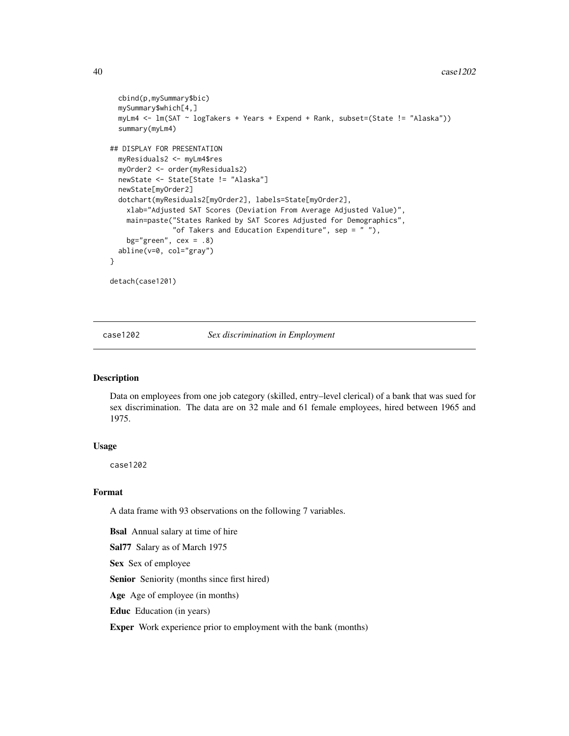```
cbind(p,mySummary$bic)
 mySummary$which[4,]
 myLm4 <- lm(SAT ~ logTakers + Years + Expend + Rank, subset=(State != "Alaska"))
 summary(myLm4)
## DISPLAY FOR PRESENTATION
 myResiduals2 <- myLm4$res
 myOrder2 <- order(myResiduals2)
 newState <- State[State != "Alaska"]
 newState[myOrder2]
 dotchart(myResiduals2[myOrder2], labels=State[myOrder2],
    xlab="Adjusted SAT Scores (Deviation From Average Adjusted Value)",
   main=paste("States Ranked by SAT Scores Adjusted for Demographics",
               "of Takers and Education Expenditure", sep = ""),
    bg="green", cex = .8)
 abline(v=0, col="gray")
}
detach(case1201)
```
case1202 *Sex discrimination in Employment*

# Description

Data on employees from one job category (skilled, entry–level clerical) of a bank that was sued for sex discrimination. The data are on 32 male and 61 female employees, hired between 1965 and 1975.

#### Usage

case1202

#### Format

A data frame with 93 observations on the following 7 variables.

Bsal Annual salary at time of hire

Sal77 Salary as of March 1975

Sex Sex of employee

Senior Seniority (months since first hired)

Age Age of employee (in months)

Educ Education (in years)

Exper Work experience prior to employment with the bank (months)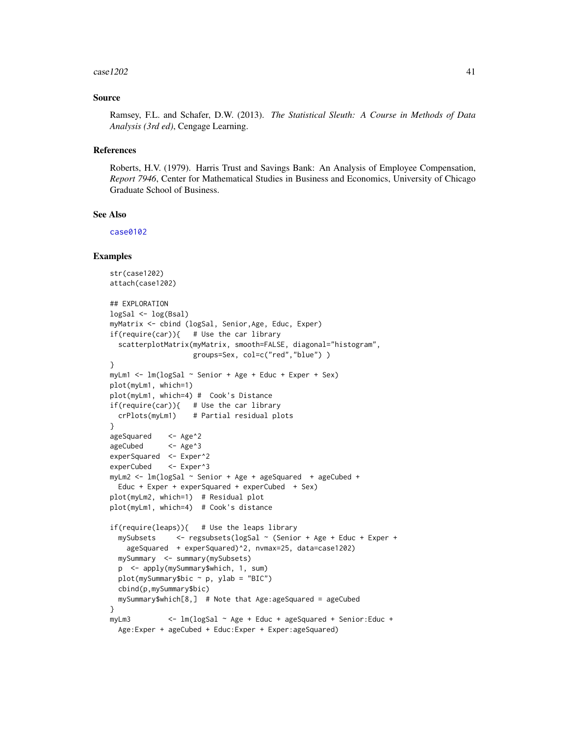#### $\cose1202$  41

## Source

Ramsey, F.L. and Schafer, D.W. (2013). *The Statistical Sleuth: A Course in Methods of Data Analysis (3rd ed)*, Cengage Learning.

## References

Roberts, H.V. (1979). Harris Trust and Savings Bank: An Analysis of Employee Compensation, *Report 7946*, Center for Mathematical Studies in Business and Economics, University of Chicago Graduate School of Business.

# See Also

[case0102](#page-6-0)

```
str(case1202)
attach(case1202)
## EXPLORATION
logSal <- log(Bsal)
myMatrix <- cbind (logSal, Senior,Age, Educ, Exper)
if(require(car)){ # Use the car library
 scatterplotMatrix(myMatrix, smooth=FALSE, diagonal="histogram",
                   groups=Sex, col=c("red","blue") )
}
myLm1 < - \text{lm}(logSal \sim Senior + Age + Educ + Expert + Sex)plot(myLm1, which=1)
plot(myLm1, which=4) # Cook's Distance
if(require(car)){ # Use the car library
 crPlots(myLm1) # Partial residual plots
}
ageSquared <- Age^2
ageCubed <- Age^3
experSquared <- Exper^2
experCubed <- Exper^3
myLm2 <- lm(logSal ~ Senior + Age + ageSquared + ageCubed +
 Educ + Exper + experSquared + experCubed + Sex)
plot(myLm2, which=1) # Residual plot
plot(myLm1, which=4) # Cook's distance
if(require(leaps)){ # Use the leaps library
 mySubsets <- regsubsets(logSal ~ (Senior + Age + Educ + Exper +
   ageSquared + experSquared)^2, nvmax=25, data=case1202)
 mySummary <- summary(mySubsets)
 p <- apply(mySummary$which, 1, sum)
 plot(mySummary$bic \sim p, ylab = "BIC")
 cbind(p,mySummary$bic)
 mySummary$which[8,] # Note that Age:ageSquared = ageCubed
}
myLm3 <- lm(logSal ~ Age + Educ + ageSquared + Senior:Educ +
 Age:Exper + ageCubed + Educ:Exper + Exper:ageSquared)
```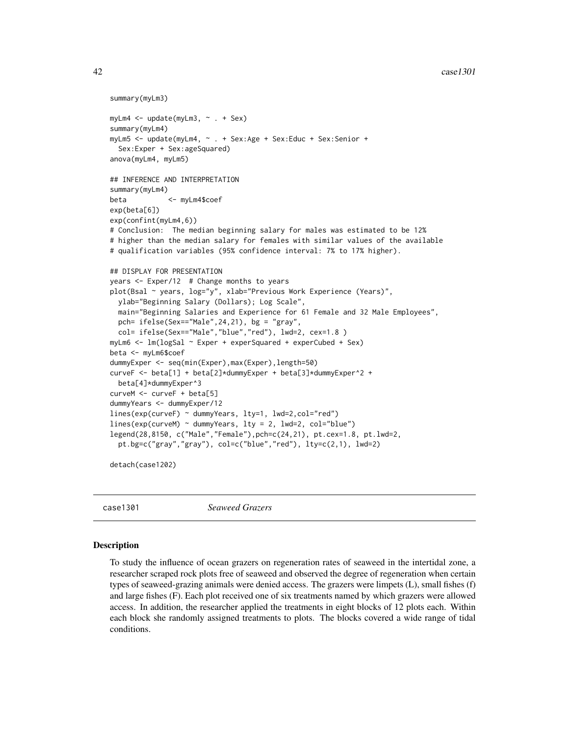```
summary(myLm3)
myLm4 <- update(myLm3, ~ . + Sex)
summary(myLm4)
myLm5 <- update(myLm4, ~ . + Sex:Age + Sex:Educ + Sex:Senior +
 Sex:Exper + Sex:ageSquared)
anova(myLm4, myLm5)
## INFERENCE AND INTERPRETATION
summary(myLm4)
beta <- myLm4$coef
exp(beta[6])
exp(confint(myLm4,6))
# Conclusion: The median beginning salary for males was estimated to be 12%
# higher than the median salary for females with similar values of the available
# qualification variables (95% confidence interval: 7% to 17% higher).
## DISPLAY FOR PRESENTATION
years <- Exper/12 # Change months to years
plot(Bsal ~ years, log="y", xlab="Previous Work Experience (Years)",
 ylab="Beginning Salary (Dollars); Log Scale",
 main="Beginning Salaries and Experience for 61 Female and 32 Male Employees",
 pch= ifelse(Sex=="Male",24,21), bg = "gray",
 col= ifelse(Sex=="Male","blue","red"), lwd=2, cex=1.8 )
myLm6 <- lm(logSal ~ Exper + experSquared + experCubed + Sex)
beta <- myLm6$coef
dummyExper <- seq(min(Exper),max(Exper),length=50)
curveF <- beta[1] + beta[2]*dummyExper + beta[3]*dummyExper^2 +
 beta[4]*dummyExper^3
curveM <- curveF + beta[5]
dummyYears <- dummyExper/12
lines(exp(curveF) ~ dummyYears, lty=1, lwd=2,col="red")
lines(exp(curveM) ~ ~ dummy Years, 1ty = 2, 1wd=2, col="blue")legend(28,8150, c("Male","Female"),pch=c(24,21), pt.cex=1.8, pt.lwd=2,
 pt.bg=c("gray","gray"), col=c("blue","red"), lty=c(2,1), lwd=2)
detach(case1202)
```
case1301 *Seaweed Grazers*

## **Description**

To study the influence of ocean grazers on regeneration rates of seaweed in the intertidal zone, a researcher scraped rock plots free of seaweed and observed the degree of regeneration when certain types of seaweed-grazing animals were denied access. The grazers were limpets (L), small fishes (f) and large fishes (F). Each plot received one of six treatments named by which grazers were allowed access. In addition, the researcher applied the treatments in eight blocks of 12 plots each. Within each block she randomly assigned treatments to plots. The blocks covered a wide range of tidal conditions.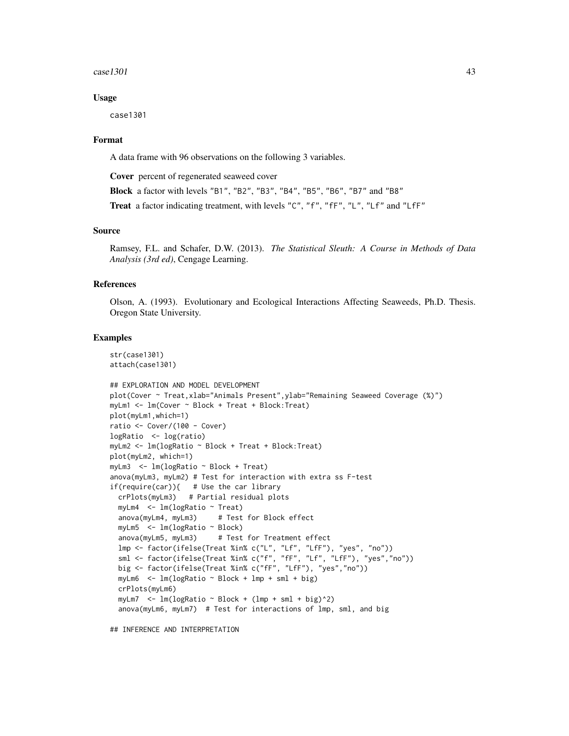#### $case1301$  43

## Usage

case1301

## Format

A data frame with 96 observations on the following 3 variables.

Cover percent of regenerated seaweed cover

Block a factor with levels "B1", "B2", "B3", "B4", "B5", "B6", "B7" and "B8"

Treat a factor indicating treatment, with levels "C", "f", "fF", "L", "Lf" and "LfF"

## Source

Ramsey, F.L. and Schafer, D.W. (2013). *The Statistical Sleuth: A Course in Methods of Data Analysis (3rd ed)*, Cengage Learning.

#### References

Olson, A. (1993). Evolutionary and Ecological Interactions Affecting Seaweeds, Ph.D. Thesis. Oregon State University.

## Examples

str(case1301) attach(case1301)

```
## EXPLORATION AND MODEL DEVELOPMENT
plot(Cover ~ Treat, xlab="Animals Present", ylab="Remaining Seaweed Coverage (%)")
myLm1 <- lm(Cover ~ Block + Treat + Block:Treat)
plot(myLm1,which=1)
ratio <- Cover/(100 - Cover)
logRatio <- log(ratio)
myLm2 <- lm(logRatio ~ Block + Treat + Block:Treat)
plot(myLm2, which=1)
myLm3 <- lm(logRatio ~ Block + Treat)
anova(myLm3, myLm2) # Test for interaction with extra ss F-test
if(require(car)){ # Use the car library
  crPlots(myLm3) # Partial residual plots
  myLm4 <- lm(logRatio ~ Treat)
  anova(myLm4, myLm3) # Test for Block effect
  myLm5 <- lm(logRatio ~ Block)
  anova(myLm5, myLm3) # Test for Treatment effect
  lmp <- factor(ifelse(Treat %in% c("L", "Lf", "LfF"), "yes", "no"))
  sml <- factor(ifelse(Treat %in% c("f", "fF", "Lf", "LfF"), "yes","no"))
  big <- factor(ifelse(Treat %in% c("fF", "LfF"), "yes","no"))
  myLm6 <- lm(logRatio ~ Block + lmp + sml + big)
  crPlots(myLm6)
  myLm7 \leftarrow lm(logRatio \sim Block + (lmp + sml + big)^2)
  anova(myLm6, myLm7) # Test for interactions of lmp, sml, and big
```
## INFERENCE AND INTERPRETATION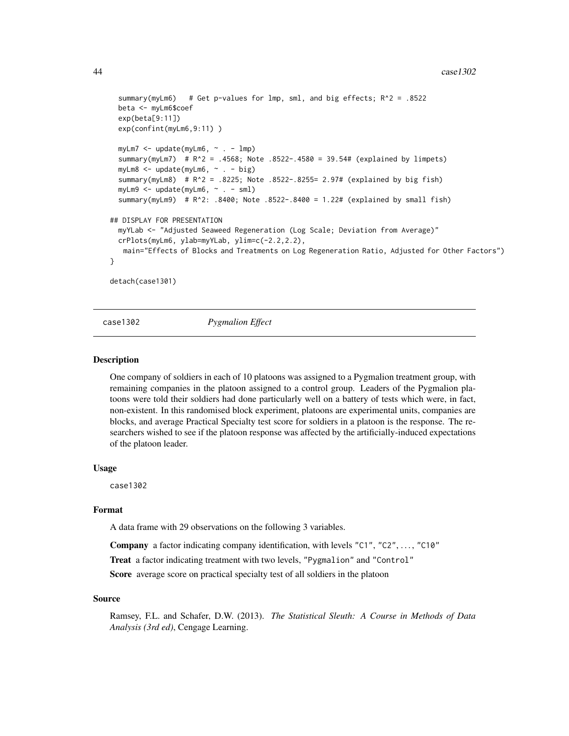```
summary(myLm6) # Get p-values for lmp, sml, and big effects; R^2 = .8522
 beta <- myLm6$coef
 exp(beta[9:11])
 exp(confint(myLm6,9:11) )
 myLm7 <- update(myLm6, ~ . - lmp)
 summary(myLm7) # R^2 = .4568; Note .8522-.4580 = 39.54# (explained by limpets)
 myLm8 <- update(myLm6, ~ . - big)
 summary(myLm8) # R^2 = .8225; Note .8522-.8255= 2.97# (explained by big fish)
 myLm9 <- update(myLm6, ~ . - sml)
 summary(myLm9) # R^2: .8400; Note .8522-.8400 = 1.22# (explained by small fish)
## DISPLAY FOR PRESENTATION
 myYLab <- "Adjusted Seaweed Regeneration (Log Scale; Deviation from Average)"
 crPlots(myLm6, ylab=myYLab, ylim=c(-2.2,2.2),
   main="Effects of Blocks and Treatments on Log Regeneration Ratio, Adjusted for Other Factors")
}
detach(case1301)
```
case1302 *Pygmalion Effect*

#### Description

One company of soldiers in each of 10 platoons was assigned to a Pygmalion treatment group, with remaining companies in the platoon assigned to a control group. Leaders of the Pygmalion platoons were told their soldiers had done particularly well on a battery of tests which were, in fact, non-existent. In this randomised block experiment, platoons are experimental units, companies are blocks, and average Practical Specialty test score for soldiers in a platoon is the response. The researchers wished to see if the platoon response was affected by the artificially-induced expectations of the platoon leader.

#### Usage

case1302

## Format

A data frame with 29 observations on the following 3 variables.

Company a factor indicating company identification, with levels "C1", "C2", . . . , "C10"

Treat a factor indicating treatment with two levels, "Pygmalion" and "Control"

Score average score on practical specialty test of all soldiers in the platoon

## Source

Ramsey, F.L. and Schafer, D.W. (2013). *The Statistical Sleuth: A Course in Methods of Data Analysis (3rd ed)*, Cengage Learning.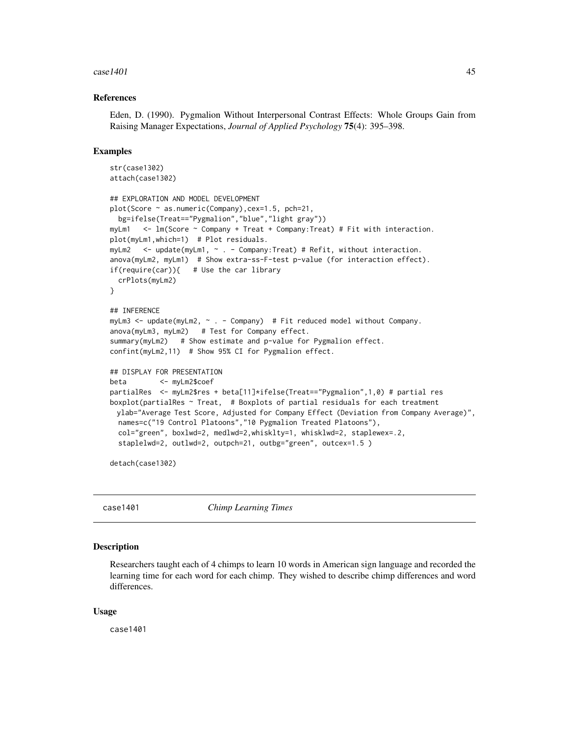#### $\cose1401$  45

## References

Eden, D. (1990). Pygmalion Without Interpersonal Contrast Effects: Whole Groups Gain from Raising Manager Expectations, *Journal of Applied Psychology* 75(4): 395–398.

#### Examples

```
str(case1302)
attach(case1302)
## EXPLORATION AND MODEL DEVELOPMENT
plot(Score ~ as.numeric(Company),cex=1.5, pch=21,
 bg=ifelse(Treat=="Pygmalion","blue","light gray"))
myLm1 <- lm(Score ~ Company + Treat + Company:Treat) # Fit with interaction.
plot(myLm1,which=1) # Plot residuals.
myLm2 <- update(myLm1, ~ . - Company:Treat) # Refit, without interaction.
anova(myLm2, myLm1) # Show extra-ss-F-test p-value (for interaction effect).
if(require(car)){ # Use the car library
 crPlots(myLm2)
}
## INFERENCE
myLm3 <- update(myLm2, ~ . - Company) # Fit reduced model without Company.
anova(myLm3, myLm2) # Test for Company effect.
summary(myLm2) # Show estimate and p-value for Pygmalion effect.
confint(myLm2,11) # Show 95% CI for Pygmalion effect.
## DISPLAY FOR PRESENTATION
beta <- myLm2$coef
partialRes <- myLm2$res + beta[11]*ifelse(Treat=="Pygmalion",1,0) # partial res
boxplot(partialRes ~ Treat, # Boxplots of partial residuals for each treatment
 ylab="Average Test Score, Adjusted for Company Effect (Deviation from Company Average)",
 names=c("19 Control Platoons","10 Pygmalion Treated Platoons"),
 col="green", boxlwd=2, medlwd=2,whisklty=1, whisklwd=2, staplewex=.2,
 staplelwd=2, outlwd=2, outpch=21, outbg="green", outcex=1.5)
```
detach(case1302)

case1401 *Chimp Learning Times*

#### Description

Researchers taught each of 4 chimps to learn 10 words in American sign language and recorded the learning time for each word for each chimp. They wished to describe chimp differences and word differences.

#### Usage

case1401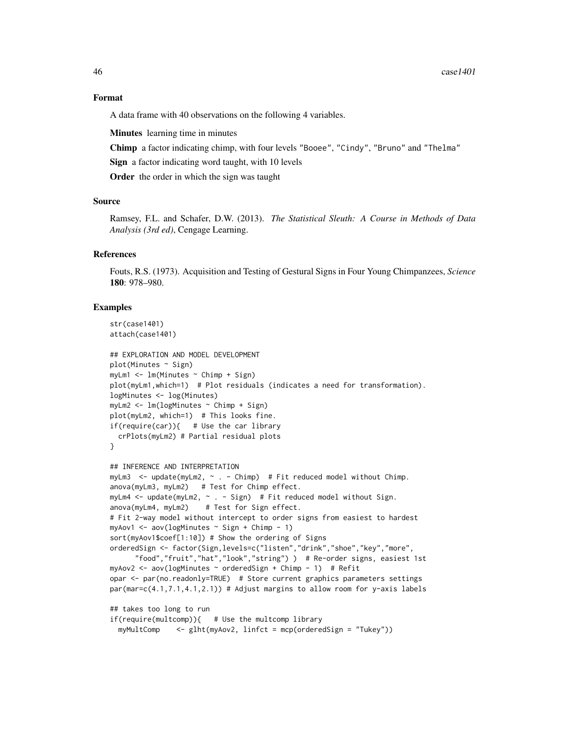## Format

A data frame with 40 observations on the following 4 variables.

Minutes learning time in minutes

Chimp a factor indicating chimp, with four levels "Booee", "Cindy", "Bruno" and "Thelma"

Sign a factor indicating word taught, with 10 levels

Order the order in which the sign was taught

## Source

Ramsey, F.L. and Schafer, D.W. (2013). *The Statistical Sleuth: A Course in Methods of Data Analysis (3rd ed)*, Cengage Learning.

## References

Fouts, R.S. (1973). Acquisition and Testing of Gestural Signs in Four Young Chimpanzees, *Science* 180: 978–980.

```
str(case1401)
attach(case1401)
## EXPLORATION AND MODEL DEVELOPMENT
plot(Minutes ~ Sign)myLm1 <- lm(Minutes ~ Chimp + Sign)
plot(myLm1,which=1) # Plot residuals (indicates a need for transformation).
logMinutes <- log(Minutes)
myLm2 <- lm(logMinutes ~ Chimp + Sign)
plot(myLm2, which=1) # This looks fine.
if(require(car)){ # Use the car library
 crPlots(myLm2) # Partial residual plots
}
## INFERENCE AND INTERPRETATION
myLm3 <- update(myLm2, ~ . - Chimp) # Fit reduced model without Chimp.
anova(myLm3, myLm2) # Test for Chimp effect.
myLm4 <- update(myLm2, ~ . - Sign) # Fit reduced model without Sign.
anova(myLm4, myLm2) # Test for Sign effect.
# Fit 2-way model without intercept to order signs from easiest to hardest
myAov1 <- aov(logMinutes ~ Sign + Chimp - 1)
sort(myAov1$coef[1:10]) # Show the ordering of Signs
orderedSign <- factor(Sign,levels=c("listen","drink","shoe","key","more",
      "food","fruit","hat","look","string") ) # Re-order signs, easiest 1st
myAov2 <- aov(logMinutes ~ orderedSign + Chimp - 1) # Refit
opar <- par(no.readonly=TRUE) # Store current graphics parameters settings
par(mar=c(4.1,7.1,4.1,2.1)) # Adjust margins to allow room for y-axis labels
## takes too long to run
if(require(multcomp)){ # Use the multcomp library
 myMultComp <- glht(myAov2, linfct = mcp(orderedSign = "Tukey"))
```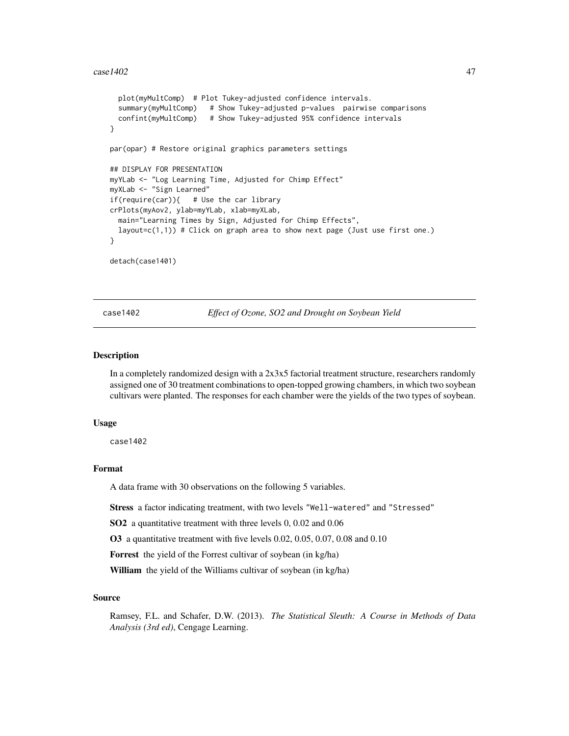```
plot(myMultComp) # Plot Tukey-adjusted confidence intervals.
  summary(myMultComp) # Show Tukey-adjusted p-values pairwise comparisons
 confint(myMultComp) # Show Tukey-adjusted 95% confidence intervals
}
par(opar) # Restore original graphics parameters settings
## DISPLAY FOR PRESENTATION
myYLab <- "Log Learning Time, Adjusted for Chimp Effect"
myXLab <- "Sign Learned"
if(require(car)){ # Use the car library
crPlots(myAov2, ylab=myYLab, xlab=myXLab,
 main="Learning Times by Sign, Adjusted for Chimp Effects",
 layout=c(1,1)) # Click on graph area to show next page (Just use first one.)
}
detach(case1401)
```
case1402 *Effect of Ozone, SO2 and Drought on Soybean Yield*

#### Description

In a completely randomized design with a 2x3x5 factorial treatment structure, researchers randomly assigned one of 30 treatment combinations to open-topped growing chambers, in which two soybean cultivars were planted. The responses for each chamber were the yields of the two types of soybean.

## Usage

case1402

## Format

A data frame with 30 observations on the following 5 variables.

Stress a factor indicating treatment, with two levels "Well-watered" and "Stressed"

SO2 a quantitative treatment with three levels 0, 0.02 and 0.06

O3 a quantitative treatment with five levels 0.02, 0.05, 0.07, 0.08 and 0.10

Forrest the yield of the Forrest cultivar of soybean (in kg/ha)

William the yield of the Williams cultivar of soybean (in kg/ha)

## Source

Ramsey, F.L. and Schafer, D.W. (2013). *The Statistical Sleuth: A Course in Methods of Data Analysis (3rd ed)*, Cengage Learning.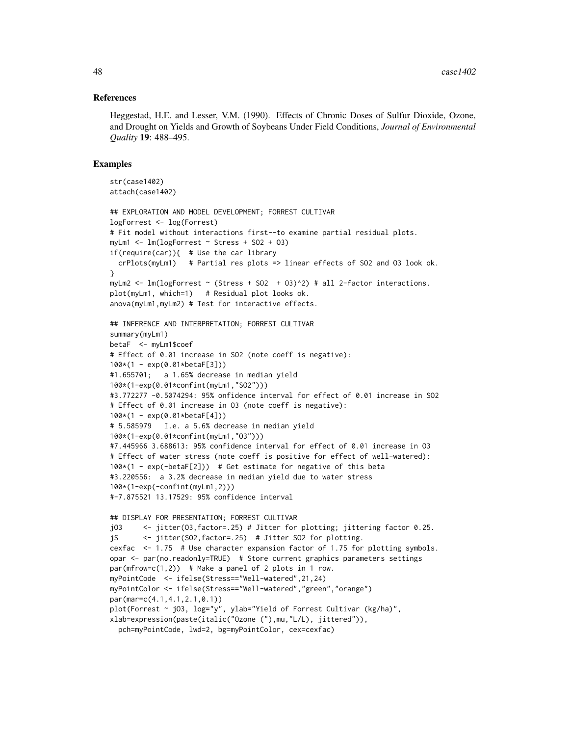## References

Heggestad, H.E. and Lesser, V.M. (1990). Effects of Chronic Doses of Sulfur Dioxide, Ozone, and Drought on Yields and Growth of Soybeans Under Field Conditions, *Journal of Environmental Quality* 19: 488–495.

```
str(case1402)
attach(case1402)
## EXPLORATION AND MODEL DEVELOPMENT; FORREST CULTIVAR
logForrest <- log(Forrest)
# Fit model without interactions first--to examine partial residual plots.
myLm1 < - \ln(\text{logForrest} \sim \text{Stress} + \text{SO2} + \text{O3})if(require(car)){ # Use the car library
 crPlots(myLm1) # Partial res plots => linear effects of SO2 and O3 look ok.
}
myLm2 <- lm(logForrest \sim (Stress + SO2 + O3)^2) # all 2-factor interactions.
plot(myLm1, which=1) # Residual plot looks ok.
anova(myLm1,myLm2) # Test for interactive effects.
## INFERENCE AND INTERPRETATION; FORREST CULTIVAR
summary(myLm1)
betaF <- myLm1$coef
# Effect of 0.01 increase in SO2 (note coeff is negative):
100*(1 - exp(0.01*betaF[3]))
#1.655701; a 1.65% decrease in median yield
100*(1-exp(0.01*confint(myLm1,"SO2")))
#3.772277 -0.5074294: 95% onfidence interval for effect of 0.01 increase in SO2
# Effect of 0.01 increase in O3 (note coeff is negative):
100*(1 - exp(0.01*betaF[4]))
# 5.585979 I.e. a 5.6% decrease in median yield
100*(1-exp(0.01*confint(myLm1,"O3")))
#7.445966 3.688613: 95% confidence interval for effect of 0.01 increase in O3
# Effect of water stress (note coeff is positive for effect of well-watered):
100*(1 - exp(-betaF[2])) # Get estimate for negative of this beta
#3.220556: a 3.2% decrease in median yield due to water stress
100*(1-exp(-confint(myLm1,2)))
#-7.875521 13.17529: 95% confidence interval
## DISPLAY FOR PRESENTATION; FORREST CULTIVAR
jO3 <- jitter(O3,factor=.25) # Jitter for plotting; jittering factor 0.25.
jS <- jitter(SO2,factor=.25) # Jitter SO2 for plotting.
cexfac <- 1.75 # Use character expansion factor of 1.75 for plotting symbols.
opar <- par(no.readonly=TRUE) # Store current graphics parameters settings
par(mfrow=c(1,2)) # Make a panel of 2 plots in 1 row.
myPointCode <- ifelse(Stress=="Well-watered",21,24)
myPointColor <- ifelse(Stress=="Well-watered","green","orange")
par(mar=c(4.1,4.1,2.1,0.1))
plot(Forrest ~ jO3, log="y", ylab="Yield of Forrest Cultivar (kg/ha)",
xlab=expression(paste(italic("Ozone ("),mu,"L/L), jittered")),
 pch=myPointCode, lwd=2, bg=myPointColor, cex=cexfac)
```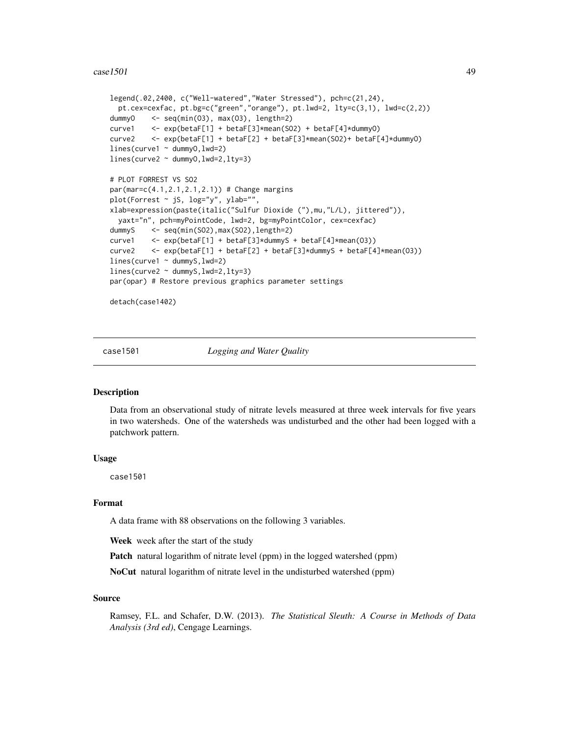#### $\cos\theta = 1501$  49

```
legend(.02,2400, c("Well-watered","Water Stressed"), pch=c(21,24),
 pt.cex=cexfac, pt.bg=c("green","orange"), pt.lwd=2, lty=c(3,1), lwd=c(2,2))
dummyO <- seq(min(O3), max(O3), length=2)
curve1 <- exp(betaF[1] + betaF[3]*mean(SO2) + betaF[4]*dummyO)
curve2 <- exp(betaF[1] + betaF[2] + betaF[3]*mean(SO2)+ betaF[4]*dummyO)
lines(curve1 ~ ~ dummyo, lwd=2)lines(curve2 ~ dummyO,lwd=2,lty=3)
# PLOT FORREST VS SO2
par(mar=c(4.1,2.1,2.1,2.1)) # Change margins
plot(Forrest ~ jS, log="y", ylab="",
xlab=expression(paste(italic("Sulfur Dioxide ("),mu,"L/L), jittered")),
 yaxt="n", pch=myPointCode, lwd=2, bg=myPointColor, cex=cexfac)
dummyS <- seq(min(SO2),max(SO2),length=2)
curve1 <- exp(betaF[1] + betaF[3]*dummyS + betaF[4]*mean(O3))
curve2 <- exp(betaF[1] + betaF[2] + betaF[3]*dummyS + betaF[4]*mean(O3))
lines(curve1 ~ dummyS,lwd=2)
lines(curve2 ~ dummyS,lwd=2,lty=3)
par(opar) # Restore previous graphics parameter settings
```
detach(case1402)

case1501 *Logging and Water Quality*

## Description

Data from an observational study of nitrate levels measured at three week intervals for five years in two watersheds. One of the watersheds was undisturbed and the other had been logged with a patchwork pattern.

#### Usage

case1501

#### Format

A data frame with 88 observations on the following 3 variables.

Week week after the start of the study

Patch natural logarithm of nitrate level (ppm) in the logged watershed (ppm)

NoCut natural logarithm of nitrate level in the undisturbed watershed (ppm)

## Source

Ramsey, F.L. and Schafer, D.W. (2013). *The Statistical Sleuth: A Course in Methods of Data Analysis (3rd ed)*, Cengage Learnings.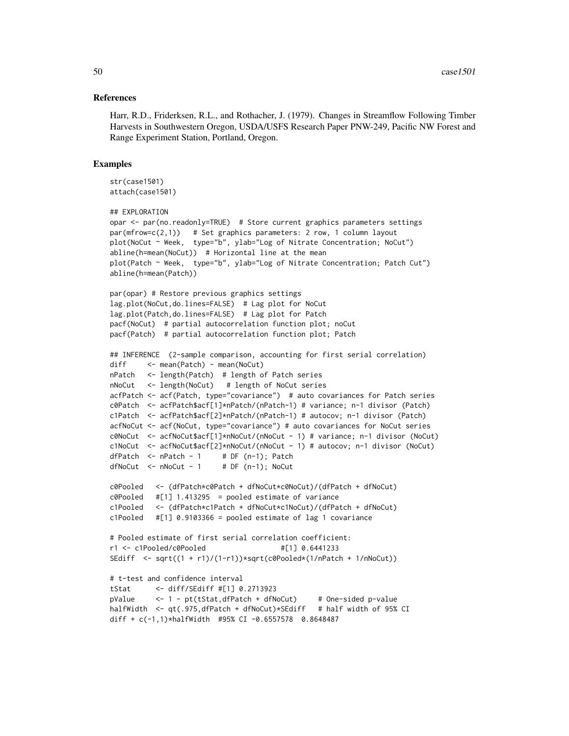## References

Harr, R.D., Friderksen, R.L., and Rothacher, J. (1979). Changes in Streamflow Following Timber Harvests in Southwestern Oregon, USDA/USFS Research Paper PNW-249, Pacific NW Forest and Range Experiment Station, Portland, Oregon.

```
str(case1501)
attach(case1501)
```

```
## EXPLORATION
opar <- par(no.readonly=TRUE) # Store current graphics parameters settings
par(mfrow=c(2,1)) # Set graphics parameters: 2 row, 1 column layout
plot(NoCut ~ Week, type="b", ylab="Log of Nitrate Concentration; NoCut")
abline(h=mean(NoCut)) # Horizontal line at the mean
plot(Patch ~ Week, type="b", ylab="Log of Nitrate Concentration; Patch Cut")
abline(h=mean(Patch))
par(opar) # Restore previous graphics settings
lag.plot(NoCut,do.lines=FALSE) # Lag plot for NoCut
lag.plot(Patch,do.lines=FALSE) # Lag plot for Patch
pacf(NoCut) # partial autocorrelation function plot; noCut
pacf(Patch) # partial autocorrelation function plot; Patch
## INFERENCE (2-sample comparison, accounting for first serial correlation)
diff <- mean(Patch) - mean(NoCut)
nPatch <- length(Patch) # length of Patch series
nNoCut <- length(NoCut) # length of NoCut series
acfPatch <- acf(Patch, type="covariance") # auto covariances for Patch series
c0Patch <- acfPatch$acf[1]*nPatch/(nPatch-1) # variance; n-1 divisor (Patch)
c1Patch <- acfPatch$acf[2]*nPatch/(nPatch-1) # autocov; n-1 divisor (Patch)
acfNoCut <- acf(NoCut, type="covariance") # auto covariances for NoCut series
c0NoCut <- acfNoCut$acf[1]*nNoCut/(nNoCut - 1) # variance; n-1 divisor (NoCut)
c1NoCut <- acfNoCut$acf[2]*nNoCut/(nNoCut - 1) # autocov; n-1 divisor (NoCut)
dfPatch \leq- nPatch - 1 # DF (n-1); Patch
dfNoCut \leq -nNoCut - 1 # DF (n-1); NoCut
c0Pooled <- (dfPatch*c0Patch + dfNoCut*c0NoCut)/(dfPatch + dfNoCut)
c0Pooled #[1] 1.413295 = pooled estimate of variance
c1Pooled <- (dfPatch*c1Patch + dfNoCut*c1NoCut)/(dfPatch + dfNoCut)
c1Pooled #[1] 0.9103366 = pooled estimate of lag 1 covariance
# Pooled estimate of first serial correlation coefficient:
r1 <- c1Pooled/c0Pooled #[1] 0.6441233
SEdiff <- sqrt((1 + r1)/(1-r1))*sqrt(c0Pooled*(1/nPatch + 1/nNoCut))
# t-test and confidence interval
tStat <- diff/SEdiff #[1] 0.2713923
pValue <- 1 - pt(tStat,dfPatch + dfNoCut) # One-sided p-value
halfWidth <- qt(.975,dfPatch + dfNoCut)*SEdiff # half width of 95% CI
diff + c(-1,1)*halfWidth #95% CI -0.6557578 0.8648487
```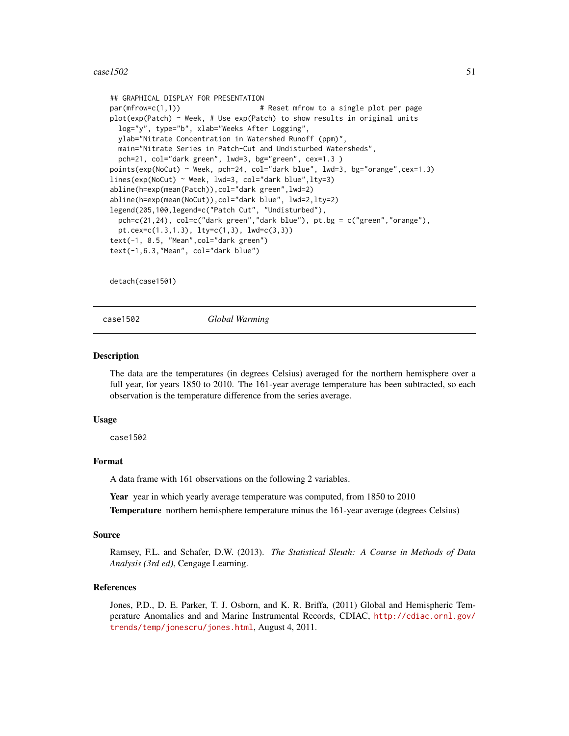#### $\cos\theta = 502$  51

```
## GRAPHICAL DISPLAY FOR PRESENTATION
par(mfrow=c(1,1)) \qquad \qquad \qquad \qquad # Reset mfrow to a single plot per page
plot(exp(Patch) ~ Week, # Use exp(Patch) to show results in original units
 log="y", type="b", xlab="Weeks After Logging",
 ylab="Nitrate Concentration in Watershed Runoff (ppm)",
 main="Nitrate Series in Patch-Cut and Undisturbed Watersheds",
 pch=21, col="dark green", lwd=3, bg="green", cex=1.3 )
points(exp(NoCut) ~ Week, pch=24, col="dark blue", lwd=3, bg="orange",cex=1.3)
lines(exp(NoCut) ~ Week, lwd=3, col="dark blue",lty=3)
abline(h=exp(mean(Patch)),col="dark green",lwd=2)
abline(h=exp(mean(NoCut)),col="dark blue", lwd=2,lty=2)
legend(205,100,legend=c("Patch Cut", "Undisturbed"),
 pch=c(21,24), col=c("dark green","dark blue"), pt.bg = c("green","orange"),
 pt.cex=c(1.3,1.3), lty=c(1,3), lwd=c(3,3))
text(-1, 8.5, "Mean",col="dark green")
text(-1,6.3,"Mean", col="dark blue")
```
detach(case1501)

case1502 *Global Warming*

## Description

The data are the temperatures (in degrees Celsius) averaged for the northern hemisphere over a full year, for years 1850 to 2010. The 161-year average temperature has been subtracted, so each observation is the temperature difference from the series average.

## Usage

case1502

## Format

A data frame with 161 observations on the following 2 variables.

Year year in which yearly average temperature was computed, from 1850 to 2010

Temperature northern hemisphere temperature minus the 161-year average (degrees Celsius)

## Source

Ramsey, F.L. and Schafer, D.W. (2013). *The Statistical Sleuth: A Course in Methods of Data Analysis (3rd ed)*, Cengage Learning.

# References

Jones, P.D., D. E. Parker, T. J. Osborn, and K. R. Briffa, (2011) Global and Hemispheric Temperature Anomalies and and Marine Instrumental Records, CDIAC, [http://cdiac.ornl.gov/](http://cdiac.ornl.gov/trends/temp/jonescru/jones.html) [trends/temp/jonescru/jones.html](http://cdiac.ornl.gov/trends/temp/jonescru/jones.html), August 4, 2011.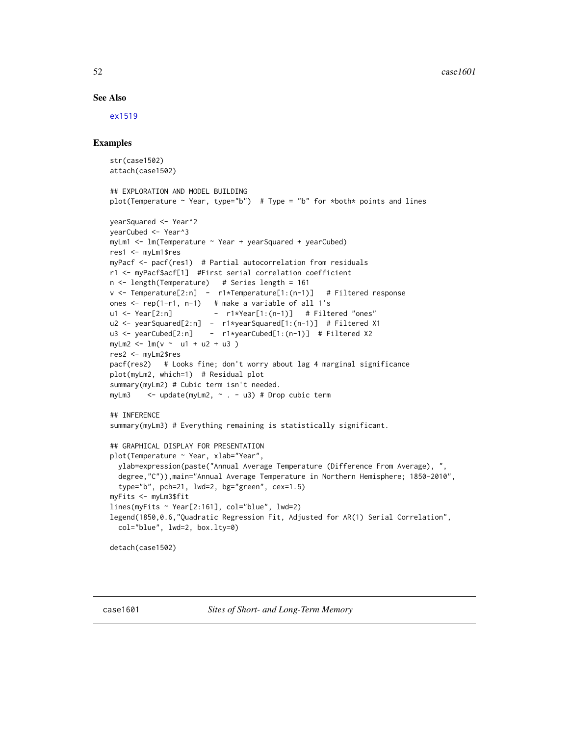## See Also

[ex1519](#page-158-0)

```
str(case1502)
attach(case1502)
## EXPLORATION AND MODEL BUILDING
plot(Temperature \sim Year, type="b") # Type = "b" for *both* points and lines
yearSquared <- Year^2
yearCubed <- Year^3
myLm1 <- lm(Temperature ~ Year + yearSquared + yearCubed)
res1 <- myLm1$res
myPacf <- pacf(res1) # Partial autocorrelation from residuals
r1 <- myPacf$acf[1] #First serial correlation coefficient
n <- length(Temperature) # Series length = 161
v \le Temperature[2:n] - r1*Temperature[1:(n-1)] # Filtered response
ones \le rep(1-r1, n-1) # make a variable of all 1's
u1 \leq Year[2:n] - r1*Year[1:(n-1)] # Filtered "ones"
u2 <- yearSquared[2:n] - r1*yearSquared[1:(n-1)] # Filtered X1
u3 <- yearCubed[2:n] - r1*yearCubed[1:(n-1)] # Filtered X2
myLm2 < - \ln(v - u1 + u2 + u3)res2 <- myLm2$res
pacf(res2) # Looks fine; don't worry about lag 4 marginal significance
plot(myLm2, which=1) # Residual plot
summary(myLm2) # Cubic term isn't needed.
myLm3 <- update(myLm2, ~ . - u3) # Drop cubic term
## INFERENCE
summary(myLm3) # Everything remaining is statistically significant.
## GRAPHICAL DISPLAY FOR PRESENTATION
plot(Temperature ~ Year, xlab="Year",
 ylab=expression(paste("Annual Average Temperature (Difference From Average), ",
 degree,"C")),main="Annual Average Temperature in Northern Hemisphere; 1850-2010",
 type="b", pch=21, lwd=2, bg="green", cex=1.5)
myFits <- myLm3$fit
lines(myFits ~ Year[2:161], col="blue", lwd=2)
legend(1850,0.6,"Quadratic Regression Fit, Adjusted for AR(1) Serial Correlation",
 col="blue", lwd=2, box.lty=0)
detach(case1502)
```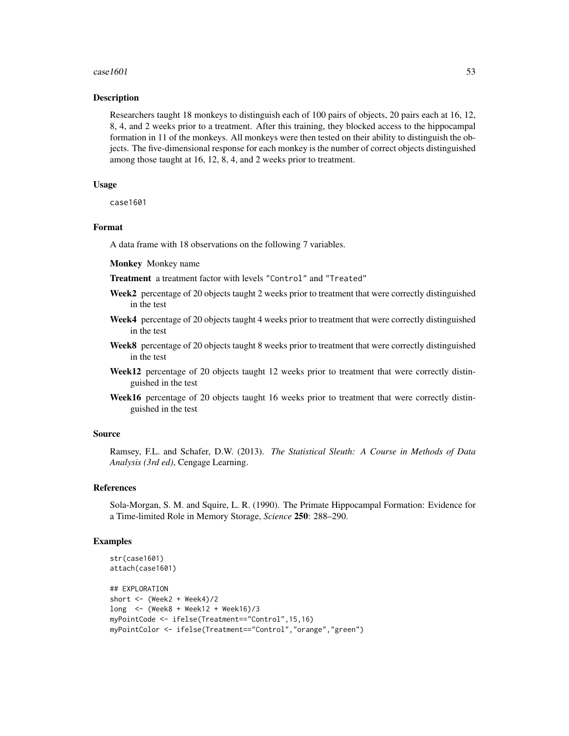#### $case1601$  53

## Description

Researchers taught 18 monkeys to distinguish each of 100 pairs of objects, 20 pairs each at 16, 12, 8, 4, and 2 weeks prior to a treatment. After this training, they blocked access to the hippocampal formation in 11 of the monkeys. All monkeys were then tested on their ability to distinguish the objects. The five-dimensional response for each monkey is the number of correct objects distinguished among those taught at 16, 12, 8, 4, and 2 weeks prior to treatment.

## Usage

case1601

## Format

A data frame with 18 observations on the following 7 variables.

Monkey Monkey name

Treatment a treatment factor with levels "Control" and "Treated"

- Week2 percentage of 20 objects taught 2 weeks prior to treatment that were correctly distinguished in the test
- Week4 percentage of 20 objects taught 4 weeks prior to treatment that were correctly distinguished in the test
- Week8 percentage of 20 objects taught 8 weeks prior to treatment that were correctly distinguished in the test
- Week12 percentage of 20 objects taught 12 weeks prior to treatment that were correctly distinguished in the test
- Week16 percentage of 20 objects taught 16 weeks prior to treatment that were correctly distinguished in the test

## Source

Ramsey, F.L. and Schafer, D.W. (2013). *The Statistical Sleuth: A Course in Methods of Data Analysis (3rd ed)*, Cengage Learning.

## References

Sola-Morgan, S. M. and Squire, L. R. (1990). The Primate Hippocampal Formation: Evidence for a Time-limited Role in Memory Storage, *Science* 250: 288–290.

```
str(case1601)
attach(case1601)
## EXPLORATION
short <- (Week2 + Week4)/2
long <- (Week8 + Week12 + Week16)/3
myPointCode <- ifelse(Treatment=="Control",15,16)
myPointColor <- ifelse(Treatment=="Control","orange","green")
```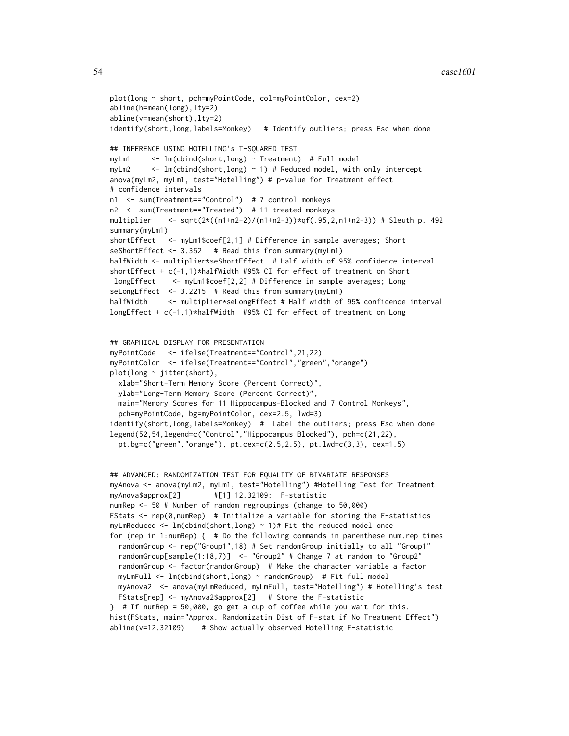```
plot(long ~ short, pch=myPointCode, col=myPointColor, cex=2)
abline(h=mean(long),lty=2)
abline(v=mean(short),lty=2)
identify(short,long,labels=Monkey) # Identify outliers; press Esc when done
## INFERENCE USING HOTELLING's T-SQUARED TEST
myLm1 <- lm(cbind(short,long) ~ Treatment) # Full model
myLm2 \leq - lm(cbind(short,long) \sim 1) # Reduced model, with only intercept
anova(myLm2, myLm1, test="Hotelling") # p-value for Treatment effect
# confidence intervals
n1 <- sum(Treatment=="Control") # 7 control monkeys
n2 <- sum(Treatment=="Treated") # 11 treated monkeys
multiplier <- sqrt(2*((n1+n2-2)/(n1+n2-3))*qf(.95,2,n1+n2-3)) # Sleuth p. 492
summary(myLm1)
shortEffect <- myLm1$coef[2,1] # Difference in sample averages; Short
seShortEffect <- 3.352 # Read this from summary(myLm1)
halfWidth <- multiplier*seShortEffect # Half width of 95% confidence interval
shortEffect + c(-1,1)*halfWidth #95% CI for effect of treatment on Short
longEffect <- myLm1$coef[2,2] # Difference in sample averages; Long
seLongEffect <- 3.2215 # Read this from summary(myLm1)
halfWidth <- multiplier*seLongEffect # Half width of 95% confidence interval
longEffect + c(-1,1)*halfWidth #95% CI for effect of treatment on Long
## GRAPHICAL DISPLAY FOR PRESENTATION
myPointCode <- ifelse(Treatment=="Control",21,22)
myPointColor <- ifelse(Treatment=="Control","green","orange")
plot(long ~ jitter(short),
 xlab="Short-Term Memory Score (Percent Correct)",
 ylab="Long-Term Memory Score (Percent Correct)",
 main="Memory Scores for 11 Hippocampus-Blocked and 7 Control Monkeys",
```

```
pch=myPointCode, bg=myPointColor, cex=2.5, lwd=3)
identify(short,long,labels=Monkey) # Label the outliers; press Esc when done
```

```
legend(52,54,legend=c("Control","Hippocampus Blocked"), pch=c(21,22),
```

```
pt.bg=c("green","orange"), pt.cex=c(2.5,2.5), pt.lwd=c(3,3), cex=1.5)
```

```
## ADVANCED: RANDOMIZATION TEST FOR EQUALITY OF BIVARIATE RESPONSES
myAnova <- anova(myLm2, myLm1, test="Hotelling") #Hotelling Test for Treatment
myAnova$approx[2] #[1] 12.32109: F-statistic
numRep <- 50 # Number of random regroupings (change to 50,000)
FStats <- rep(0, numRep) # Initialize a variable for storing the F-statistics
myLmReduced <- lm(cbind(short,long) ~ 1)# Fit the reduced model once
for (rep in 1:numRep) { # Do the following commands in parenthese num.rep times
 randomGroup <- rep("Group1",18) # Set randomGroup initially to all "Group1"
 randomGroup[sample(1:18,7)] <- "Group2" # Change 7 at random to "Group2"
 randomGroup <- factor(randomGroup) # Make the character variable a factor
 myLmFull <- lm(cbind(short,long) ~ randomGroup) # Fit full model
 myAnova2 <- anova(myLmReduced, myLmFull, test="Hotelling") # Hotelling's test
 FStats[rep] <- myAnova2$approx[2] # Store the F-statistic
} # If numRep = 50,000, go get a cup of coffee while you wait for this.
hist(FStats, main="Approx. Randomizatin Dist of F-stat if No Treatment Effect")
abline(v=12.32109) # Show actually observed Hotelling F-statistic
```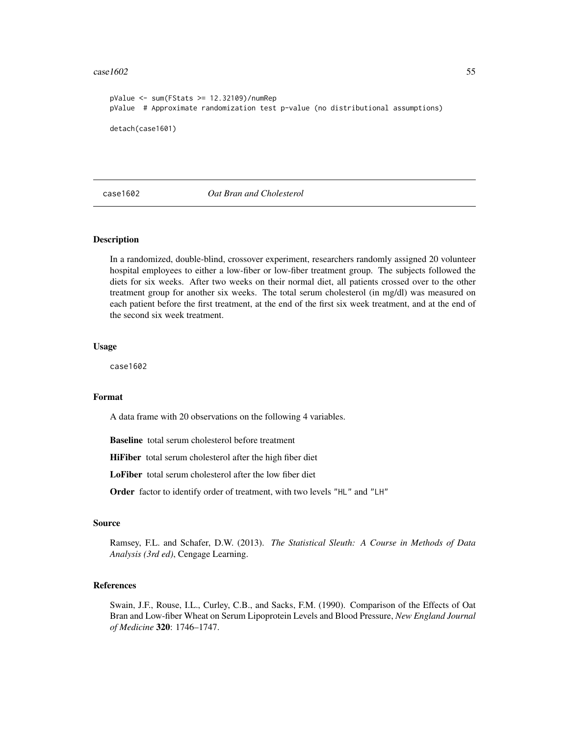#### $case1602$  55

```
pValue <- sum(FStats >= 12.32109)/numRep
pValue # Approximate randomization test p-value (no distributional assumptions)
detach(case1601)
```
### case1602 *Oat Bran and Cholesterol*

## Description

In a randomized, double-blind, crossover experiment, researchers randomly assigned 20 volunteer hospital employees to either a low-fiber or low-fiber treatment group. The subjects followed the diets for six weeks. After two weeks on their normal diet, all patients crossed over to the other treatment group for another six weeks. The total serum cholesterol (in mg/dl) was measured on each patient before the first treatment, at the end of the first six week treatment, and at the end of the second six week treatment.

#### Usage

case1602

## Format

A data frame with 20 observations on the following 4 variables.

Baseline total serum cholesterol before treatment

HiFiber total serum cholesterol after the high fiber diet

LoFiber total serum cholesterol after the low fiber diet

Order factor to identify order of treatment, with two levels "HL" and "LH"

## Source

Ramsey, F.L. and Schafer, D.W. (2013). *The Statistical Sleuth: A Course in Methods of Data Analysis (3rd ed)*, Cengage Learning.

#### References

Swain, J.F., Rouse, I.L., Curley, C.B., and Sacks, F.M. (1990). Comparison of the Effects of Oat Bran and Low-fiber Wheat on Serum Lipoprotein Levels and Blood Pressure, *New England Journal of Medicine* 320: 1746–1747.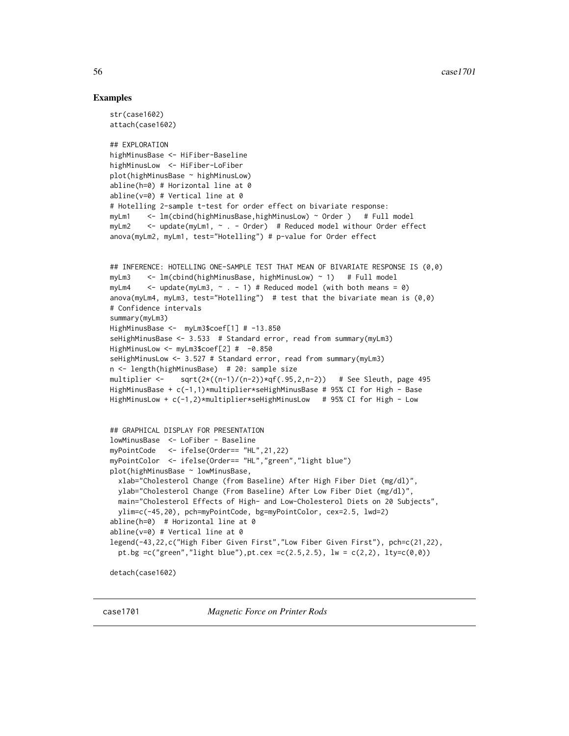## Examples

```
str(case1602)
attach(case1602)
## EXPLORATION
highMinusBase <- HiFiber-Baseline
highMinusLow <- HiFiber-LoFiber
plot(highMinusBase ~ highMinusLow)
abline(h=0) # Horizontal line at 0
abline(v=0) # Vertical line at 0
# Hotelling 2-sample t-test for order effect on bivariate response:
myLm1 <- lm(cbind(highMinusBase,highMinusLow) ~ Order ) # Full model
myLm2 <- update(myLm1, ~ . - Order) # Reduced model withour Order effect
anova(myLm2, myLm1, test="Hotelling") # p-value for Order effect
## INFERENCE: HOTELLING ONE-SAMPLE TEST THAT MEAN OF BIVARIATE RESPONSE IS (0,0)
myLm3 <- lm(cbind(highMinusBase, highMinusLow) ~ 1) # Full model
myLm4 \leq update(myLm3, \sim . - 1) # Reduced model (with both means = 0)
anova(myLm4, myLm3, test="Hotelling") # test that the bivariate mean is (0,0)# Confidence intervals
summary(myLm3)
HighMinusBase <- myLm3$coef[1] # -13.850
seHighMinusBase <- 3.533 # Standard error, read from summary(myLm3)
HighMinusLow <- myLm3$coef[2] # -0.850
seHighMinusLow <- 3.527 # Standard error, read from summary(myLm3)
n <- length(highMinusBase) # 20: sample size
multiplier <- sqrt{(n-1)/(n-2)} \times qf(.95,2,n-2) # See Sleuth, page 495
HighMinusBase + c(-1,1)*multiplier*seHighMinusBase # 95% CI for High - Base
HighMinusLow + c(-1,2)*multiplier*seHighMinusLow # 95% CI for High - Low
## GRAPHICAL DISPLAY FOR PRESENTATION
lowMinusBase <- LoFiber - Baseline
myPointCode <- ifelse(Order== "HL",21,22)
myPointColor <- ifelse(Order== "HL","green","light blue")
plot(highMinusBase ~ lowMinusBase,
 xlab="Cholesterol Change (from Baseline) After High Fiber Diet (mg/dl)",
 ylab="Cholesterol Change (From Baseline) After Low Fiber Diet (mg/dl)",
 main="Cholesterol Effects of High- and Low-Cholesterol Diets on 20 Subjects",
 ylim=c(-45,20), pch=myPointCode, bg=myPointColor, cex=2.5, lwd=2)
abline(h=0) # Horizontal line at 0
abline(v=0) # Vertical line at 0
legend(-43,22,c("High Fiber Given First","Low Fiber Given First"), pch=c(21,22),
 pt.bg =c("green","light blue"),pt.cex =c(2.5,2.5), lw = c(2,2), lty=c(0,0))
detach(case1602)
```
case1701 *Magnetic Force on Printer Rods*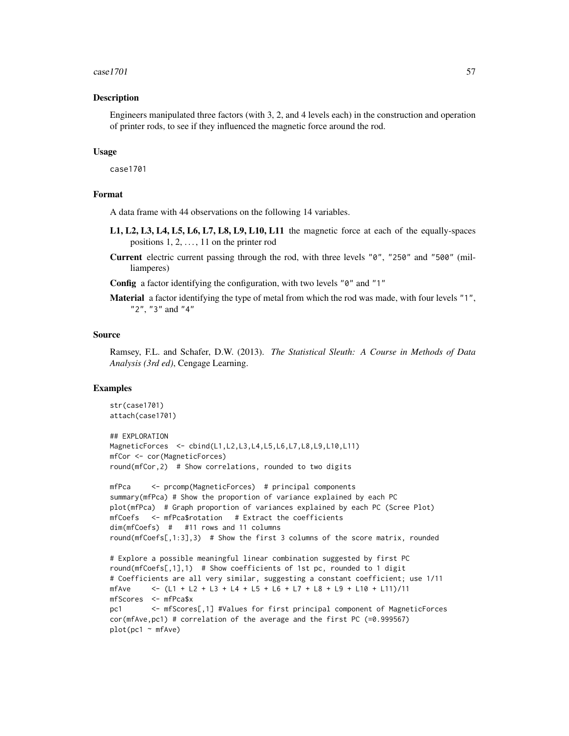#### $\cose1701$  57

## Description

Engineers manipulated three factors (with 3, 2, and 4 levels each) in the construction and operation of printer rods, to see if they influenced the magnetic force around the rod.

## Usage

case1701

# Format

A data frame with 44 observations on the following 14 variables.

- L1, L2, L3, L4, L5, L6, L7, L8, L9, L10, L11 the magnetic force at each of the equally-spaces positions  $1, 2, \ldots, 11$  on the printer rod
- Current electric current passing through the rod, with three levels "0", "250" and "500" (milliamperes)

Config a factor identifying the configuration, with two levels "0" and "1"

Material a factor identifying the type of metal from which the rod was made, with four levels "1", "2", "3" and "4"

#### Source

Ramsey, F.L. and Schafer, D.W. (2013). *The Statistical Sleuth: A Course in Methods of Data Analysis (3rd ed)*, Cengage Learning.

```
str(case1701)
attach(case1701)
## EXPLORATION
MagneticForces <- cbind(L1,L2,L3,L4,L5,L6,L7,L8,L9,L10,L11)
mfCor <- cor(MagneticForces)
round(mfCor,2) # Show correlations, rounded to two digits
mfPca <- prcomp(MagneticForces) # principal components
summary(mfPca) # Show the proportion of variance explained by each PC
plot(mfPca) # Graph proportion of variances explained by each PC (Scree Plot)
mfCoefs <- mfPca$rotation # Extract the coefficients
dim(mfCoefs) # #11 rows and 11 columns
round(mfCoefs[,1:3],3) # Show the first 3 columns of the score matrix, rounded
# Explore a possible meaningful linear combination suggested by first PC
round(mfCoefs[,1],1) # Show coefficients of 1st pc, rounded to 1 digit
# Coefficients are all very similar, suggesting a constant coefficient; use 1/11
mfAve \langle - (L1 + L2 + L3 + L4 + L5 + L6 + L7 + L8 + L9 + L10 + L11)/11mfScores <- mfPca$x
pc1 <- mfScores[,1] #Values for first principal component of MagneticForces
cor(mfAve,pc1) # correlation of the average and the first PC (=0.999567)
plot(pc1 ~ mfAve)
```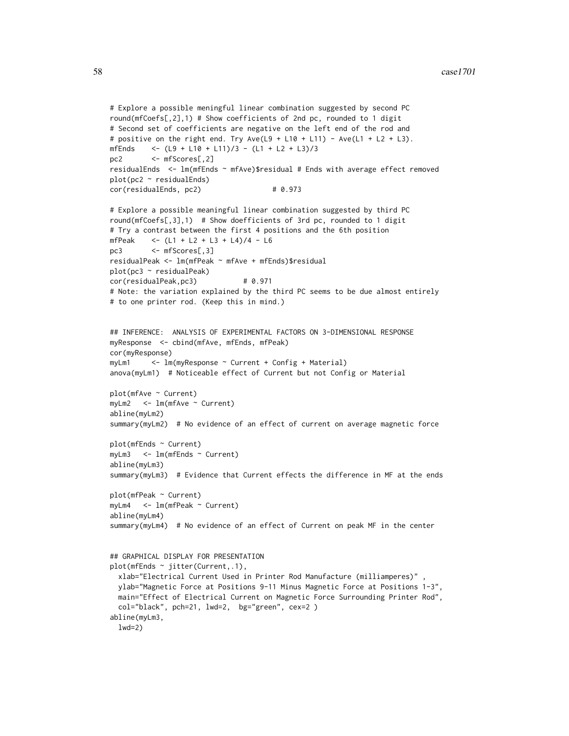```
# Explore a possible meningful linear combination suggested by second PC
round(mfCoefs[,2],1) # Show coefficients of 2nd pc, rounded to 1 digit
# Second set of coefficients are negative on the left end of the rod and
# positive on the right end. Try Ave(L9 + L10 + L11) - Ave(L1 + L2 + L3).
mfEnds \leftarrow (L9 + L10 + L11)/3 - (L1 + L2 + L3)/3
pc2 <- mfScores[,2]
residualEnds <- lm(mfEnds ~ mfAve)$residual # Ends with average effect removed
plot(pc2 ~ ~ residualEnds)cor(residualEnds, pc2) # 0.973
# Explore a possible meaningful linear combination suggested by third PC
round(mfCoefs[,3],1) # Show doefficients of 3rd pc, rounded to 1 digit
# Try a contrast between the first 4 positions and the 6th position
mfPeak \leftarrow (L1 + L2 + L3 + L4)/4 - L6
pc3 <- mfScores[,3]
residualPeak <- lm(mfPeak ~ mfAve + mfEnds)$residual
plot(pc3 ~ ~residualPeak)
cor(residualPeak,pc3) # 0.971
# Note: the variation explained by the third PC seems to be due almost entirely
# to one printer rod. (Keep this in mind.)
## INFERENCE: ANALYSIS OF EXPERIMENTAL FACTORS ON 3-DIMENSIONAL RESPONSE
myResponse <- cbind(mfAve, mfEnds, mfPeak)
cor(myResponse)
myLm1 <- lm(myResponse ~ Current + Config + Material)
anova(myLm1) # Noticeable effect of Current but not Config or Material
plot(mfAve ~ Current)
myLm2 <- lm(mfAve ~ Current)
abline(myLm2)
summary(myLm2) # No evidence of an effect of current on average magnetic force
plot(mfEnds ~ Current)
myLm3 <- lm(mfEnds ~ Current)
abline(myLm3)
summary(myLm3) # Evidence that Current effects the difference in MF at the ends
plot(mfPeak ~ Current)
myLm4 <- lm(mfPeak ~ Current)
abline(myLm4)
summary(myLm4) # No evidence of an effect of Current on peak MF in the center
## GRAPHICAL DISPLAY FOR PRESENTATION
plot(mfEnds ~ jitter(Current,.1),
 xlab="Electrical Current Used in Printer Rod Manufacture (milliamperes)" ,
 ylab="Magnetic Force at Positions 9-11 Minus Magnetic Force at Positions 1-3",
 main="Effect of Electrical Current on Magnetic Force Surrounding Printer Rod",
 col="black", pch=21, lwd=2, bg="green", cex=2 )
abline(myLm3,
 lwd=2)
```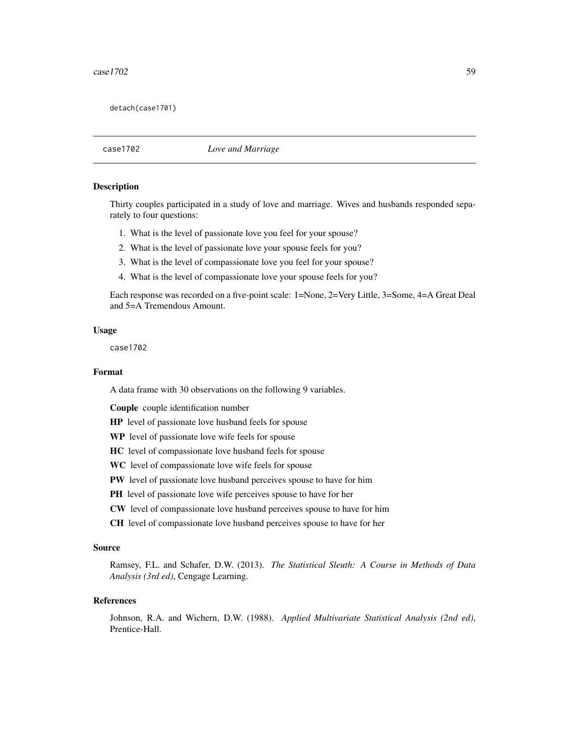detach(case1701)

case1702 *Love and Marriage*

#### **Description**

Thirty couples participated in a study of love and marriage. Wives and husbands responded separately to four questions:

- 1. What is the level of passionate love you feel for your spouse?
- 2. What is the level of passionate love your spouse feels for you?
- 3. What is the level of compassionate love you feel for your spouse?
- 4. What is the level of compassionate love your spouse feels for you?

Each response was recorded on a five-point scale: 1=None, 2=Very Little, 3=Some, 4=A Great Deal and 5=A Tremendous Amount.

## Usage

case1702

## Format

A data frame with 30 observations on the following 9 variables.

Couple couple identification number

- HP level of passionate love husband feels for spouse
- WP level of passionate love wife feels for spouse
- HC level of compassionate love husband feels for spouse
- WC level of compassionate love wife feels for spouse
- PW level of passionate love husband perceives spouse to have for him
- PH level of passionate love wife perceives spouse to have for her
- CW level of compassionate love husband perceives spouse to have for him
- CH level of compassionate love husband perceives spouse to have for her

# Source

Ramsey, F.L. and Schafer, D.W. (2013). *The Statistical Sleuth: A Course in Methods of Data Analysis (3rd ed)*, Cengage Learning.

#### References

Johnson, R.A. and Wichern, D.W. (1988). *Applied Multivariate Statistical Analysis (2nd ed)*, Prentice-Hall.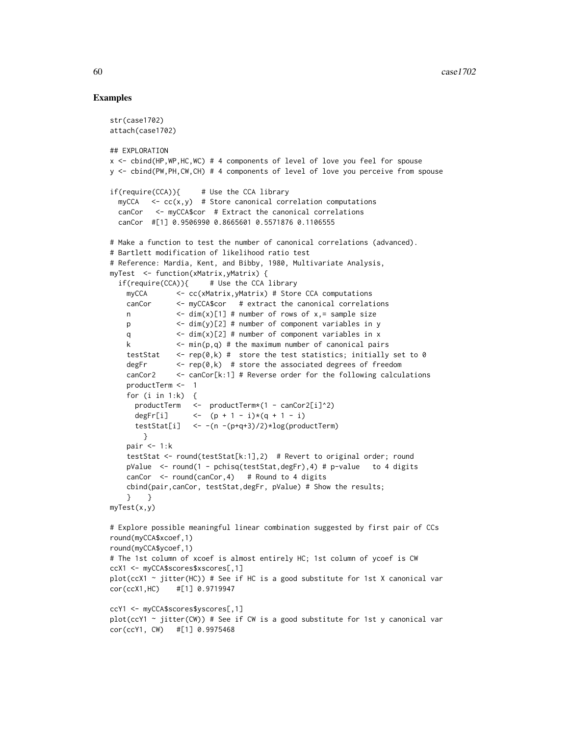```
str(case1702)
attach(case1702)
## EXPLORATION
x <- cbind(HP,WP,HC,WC) # 4 components of level of love you feel for spouse
y <- cbind(PW,PH,CW,CH) # 4 components of level of love you perceive from spouse
if(require(CCA)){ # Use the CCA library
 myCCA \leftarrow cc(x,y) # Store canonical correlation computations
 canCor <- myCCA$cor # Extract the canonical correlations
 canCor #[1] 0.9506990 0.8665601 0.5571876 0.1106555
# Make a function to test the number of canonical correlations (advanced).
# Bartlett modification of likelihood ratio test
# Reference: Mardia, Kent, and Bibby, 1980, Multivariate Analysis,
myTest <- function(xMatrix,yMatrix) {
 if(require(CCA)){ # Use the CCA library
   myCCA <- cc(xMatrix,yMatrix) # Store CCA computations
   canCor <- myCCA$cor # extract the canonical correlations
   n \langle -\dim(x)[1] # number of rows of x, = sample size
   p <- dim(y)[2] # number of component variables in y
   q \langle -\dim(x)[2] # number of component variables in x
   k \leftarrow \min(p, q) # the maximum number of canonical pairs
   testStat \leq rep(0,k) # store the test statistics; initially set to 0
   degFr \leftarrow rep(0,k) # store the associated degrees of freedom
   canCor2 <- canCor[k:1] # Reverse order for the following calculations
   productTerm <- 1
   for (i in 1:k) \{productTerm <- productTerm*(1 - canCor2[i]^2)
     degFr[i] \langle - (p + 1 - i) \times (q + 1 - i) \rangletestStat[i] \leftarrow -(n -(p+q+3)/2) \times log(production)}
   pair \leq -1:ktestStat <- round(testStat[k:1],2) # Revert to original order; round
   pValue <- round(1 - pchisq(testStat,degFr),4) # p-value to 4 digits
   canCor <- round(canCor,4) # Round to 4 digits
   cbind(pair,canCor, testStat,degFr, pValue) # Show the results;
   } }
myTest(x,y)
# Explore possible meaningful linear combination suggested by first pair of CCs
round(myCCA$xcoef,1)
round(myCCA$ycoef,1)
# The 1st column of xcoef is almost entirely HC; 1st column of ycoef is CW
ccX1 <- myCCA$scores$xscores[,1]
plot(ccX1 ~ jitter(HC)) # See if HC is a good substitute for 1st X canonical var
cor(ccX1,HC) #[1] 0.9719947
ccY1 <- myCCA$scores$yscores[,1]
plot(ccY1 \sim jitter(CW)) # See if CW is a good substitute for 1st y canonical var
cor(ccY1, CW) #[1] 0.9975468
```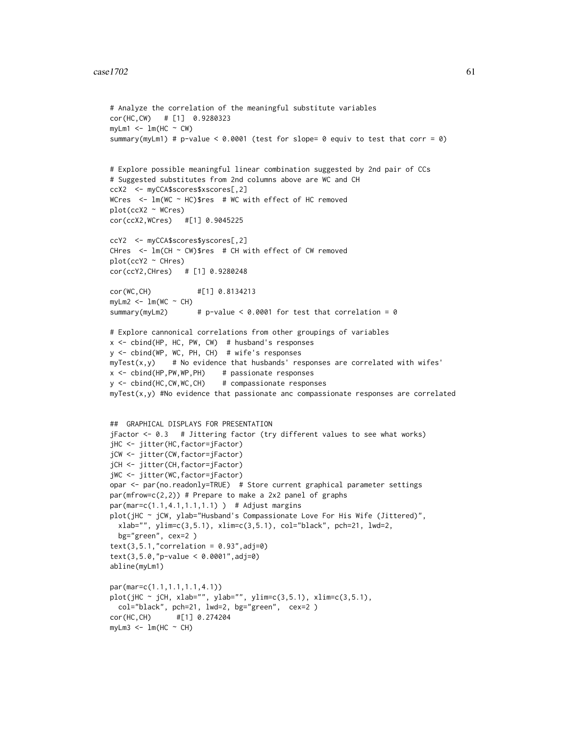```
# Analyze the correlation of the meaningful substitute variables
cor(HC,CW) # [1] 0.9280323
myLm1 < - \ln(HC \sim CW)summary(myLm1) # p-value < 0.0001 (test for slope= 0 equiv to test that corr = 0)
# Explore possible meaningful linear combination suggested by 2nd pair of CCs
# Suggested substitutes from 2nd columns above are WC and CH
ccX2 <- myCCA$scores$xscores[,2]
WCres <- lm(WC ~ HC)$res # WC with effect of HC removed
plot(ccX2 ~ WCres)
cor(ccX2,WCres) #[1] 0.9045225
ccY2 <- myCCA$scores$yscores[,2]
CHres \leq lm(CH \sim CW)$res # CH with effect of CW removed
plot(ccY2 ~ CHres)
cor(ccY2,CHres) # [1] 0.9280248
cor(WC,CH) #[1] 0.8134213
myLm2 < - \ln(WC \sim CH)summary(myLm2) # p-value < 0.0001 for test that correlation = 0
# Explore cannonical correlations from other groupings of variables
x <- cbind(HP, HC, PW, CW) # husband's responses
y <- cbind(WP, WC, PH, CH) # wife's responses
myTest(x, y) # No evidence that husbands' responses are correlated with wifes'
x \le cbind(HP, PW, WP, PH) # passionate responses
y <- cbind(HC,CW,WC,CH) # compassionate responses
myTest(x, y) #No evidence that passionate anc compassionate responses are correlated
## GRAPHICAL DISPLAYS FOR PRESENTATION
jFactor <- 0.3 # Jittering factor (try different values to see what works)
jHC <- jitter(HC,factor=jFactor)
jCW <- jitter(CW,factor=jFactor)
jCH <- jitter(CH,factor=jFactor)
jWC <- jitter(WC,factor=jFactor)
opar <- par(no.readonly=TRUE) # Store current graphical parameter settings
par(mfrow=c(2,2)) # Prepare to make a 2x2 panel of graphs
par(mar=c(1.1,4.1,1.1,1.1) ) # Adjust margins
plot(jHC ~ jCW, ylab="Husband's Compassionate Love For His Wife (Jittered)",
  xlab="", ylim=c(3,5.1), xlim=c(3,5.1), col="black", pch=21, lwd=2,
  bg="green", cex=2 )
text(3,5.1, "correlation = 0.93", adj=0)text(3,5.0,"p-value < 0.0001",adj=0)
abline(myLm1)
par(mar=c(1.1,1.1,1.1,4.1))
plot(jHC ~ jCH, xlab="", ylab="", ylim=c(3,5.1), xlim=c(3,5.1),
  col="black", pch=21, lwd=2, bg="green", cex=2 )
cor(HC,CH) #[1] 0.274204
myLm3 < - lm(HC \sim CH)
```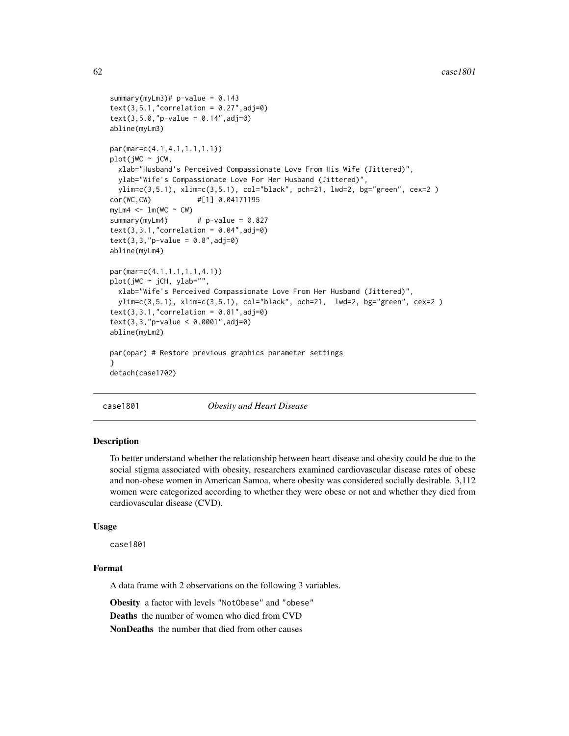```
summary(myLm3)# p-value = 0.143text(3,5.1, "correlation = 0.27", adj=0)text(3,5.0, "p-value = 0.14", adj=0)abline(myLm3)
par(mar=c(4.1,4.1,1.1,1.1))
plot(jWC ~ jCW,
 xlab="Husband's Perceived Compassionate Love From His Wife (Jittered)",
 ylab="Wife's Compassionate Love For Her Husband (Jittered)",
 ylim=c(3,5.1), xlim=c(3,5.1), col="black", pch=21, lwd=2, bg="green", cex=2 )
cor(WC,CW) #[1] 0.04171195
myLm4 < - \ln(WC \sim CW)summary(myLm4) # p-value = 0.827text(3,3.1, "correlation = 0.04", adj=0)text(3,3,'p-value = 0.8", adj=0)abline(myLm4)
par(mar=c(4.1,1.1,1.1,4.1))
plot(jWC ~ jCH, ylab="",
 xlab="Wife's Perceived Compassionate Love From Her Husband (Jittered)",
 ylim=c(3,5.1), xlim=c(3,5.1), col="black", pch=21, lwd=2, bg="green", cex=2 )
text(3,3.1, "correlation = 0.81", adj=0)text(3,3,"p-value < 0.0001",adj=0)
abline(myLm2)
par(opar) # Restore previous graphics parameter settings
}
detach(case1702)
```
case1801 *Obesity and Heart Disease*

#### **Description**

To better understand whether the relationship between heart disease and obesity could be due to the social stigma associated with obesity, researchers examined cardiovascular disease rates of obese and non-obese women in American Samoa, where obesity was considered socially desirable. 3,112 women were categorized according to whether they were obese or not and whether they died from cardiovascular disease (CVD).

#### Usage

case1801

## Format

A data frame with 2 observations on the following 3 variables.

Obesity a factor with levels "NotObese" and "obese" Deaths the number of women who died from CVD

NonDeaths the number that died from other causes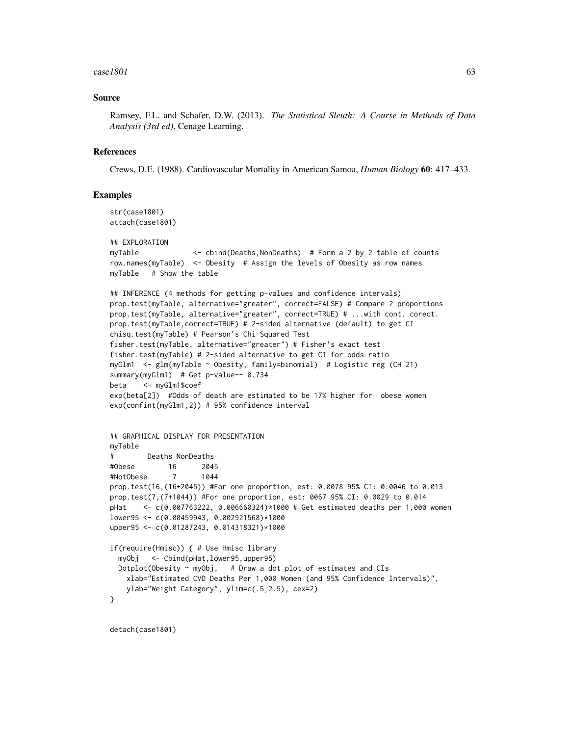#### $case1801$  63

## Source

Ramsey, F.L. and Schafer, D.W. (2013). *The Statistical Sleuth: A Course in Methods of Data Analysis (3rd ed)*, Cenage Learning.

## References

Crews, D.E. (1988). Cardiovascular Mortality in American Samoa, *Human Biology* 60: 417–433.

## Examples

```
str(case1801)
attach(case1801)
## EXPLORATION
myTable <- cbind(Deaths,NonDeaths) # Form a 2 by 2 table of counts
row.names(myTable) <- Obesity # Assign the levels of Obesity as row names
myTable # Show the table
## INFERENCE (4 methods for getting p-values and confidence intervals)
prop.test(myTable, alternative="greater", correct=FALSE) # Compare 2 proportions
prop.test(myTable, alternative="greater", correct=TRUE) # ...with cont. corect.
prop.test(myTable,correct=TRUE) # 2-sided alternative (default) to get CI
chisq.test(myTable) # Pearson's Chi-Squared Test
fisher.test(myTable, alternative="greater") # Fisher's exact test
fisher.test(myTable) # 2-sided alternative to get CI for odds ratio
myGlm1 <- glm(myTable ~ Obesity, family=binomial) # Logistic reg (CH 21)
summary(myGlm1) # Get p-value-- 0.734
beta <- myGlm1$coef
exp(beta[2]) #Odds of death are estimated to be 17% higher for obese women
exp(confint(myGlm1,2)) # 95% confidence interval
## GRAPHICAL DISPLAY FOR PRESENTATION
myTable
# Deaths NonDeaths
#Obese 16 2045
#NotObese 7 1044
prop.test(16,(16+2045)) #For one proportion, est: 0.0078 95% CI: 0.0046 to 0.013
prop.test(7,(7+1044)) #For one proportion, est: 0067 95% CI: 0.0029 to 0.014
pHat <- c(0.007763222, 0.006660324)*1000 # Get estimated deaths per 1,000 women
lower95 <- c(0.00459943, 0.002921568)*1000
upper95 <- c(0.01287243, 0.014318321)*1000
if(require(Hmisc)) { # Use Hmisc library
 myObj <- Cbind(pHat,lower95,upper95)
 Dotplot(Obesity \sim myObj, # Draw a dot plot of estimates and CIs
   xlab="Estimated CVD Deaths Per 1,000 Women (and 95% Confidence Intervals)",
   ylab="Weight Category", ylim=c(.5,2.5), cex=2)
}
```
detach(case1801)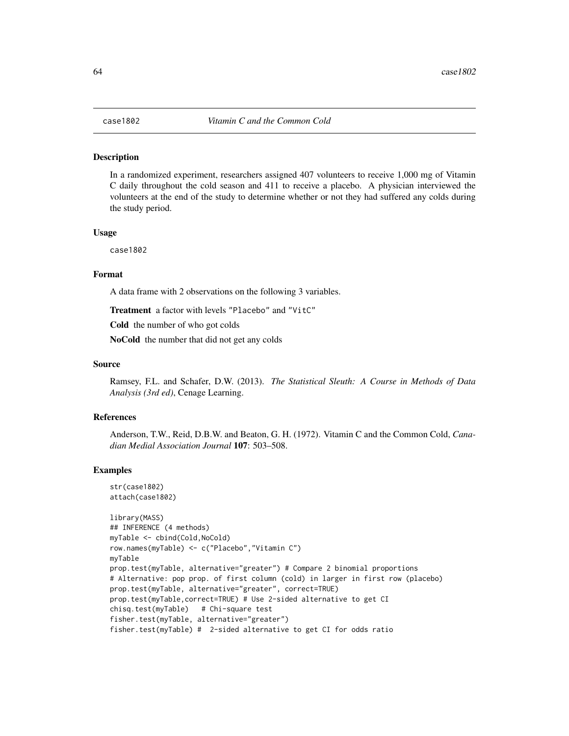#### Description

In a randomized experiment, researchers assigned 407 volunteers to receive 1,000 mg of Vitamin C daily throughout the cold season and 411 to receive a placebo. A physician interviewed the volunteers at the end of the study to determine whether or not they had suffered any colds during the study period.

#### Usage

case1802

## Format

A data frame with 2 observations on the following 3 variables.

Treatment a factor with levels "Placebo" and "VitC"

Cold the number of who got colds

NoCold the number that did not get any colds

## Source

Ramsey, F.L. and Schafer, D.W. (2013). *The Statistical Sleuth: A Course in Methods of Data Analysis (3rd ed)*, Cenage Learning.

## References

Anderson, T.W., Reid, D.B.W. and Beaton, G. H. (1972). Vitamin C and the Common Cold, *Canadian Medial Association Journal* 107: 503–508.

```
str(case1802)
attach(case1802)
```

```
library(MASS)
## INFERENCE (4 methods)
myTable <- cbind(Cold,NoCold)
row.names(myTable) <- c("Placebo","Vitamin C")
myTable
prop.test(myTable, alternative="greater") # Compare 2 binomial proportions
# Alternative: pop prop. of first column (cold) in larger in first row (placebo)
prop.test(myTable, alternative="greater", correct=TRUE)
prop.test(myTable,correct=TRUE) # Use 2-sided alternative to get CI
chisq.test(myTable) # Chi-square test
fisher.test(myTable, alternative="greater")
fisher.test(myTable) # 2-sided alternative to get CI for odds ratio
```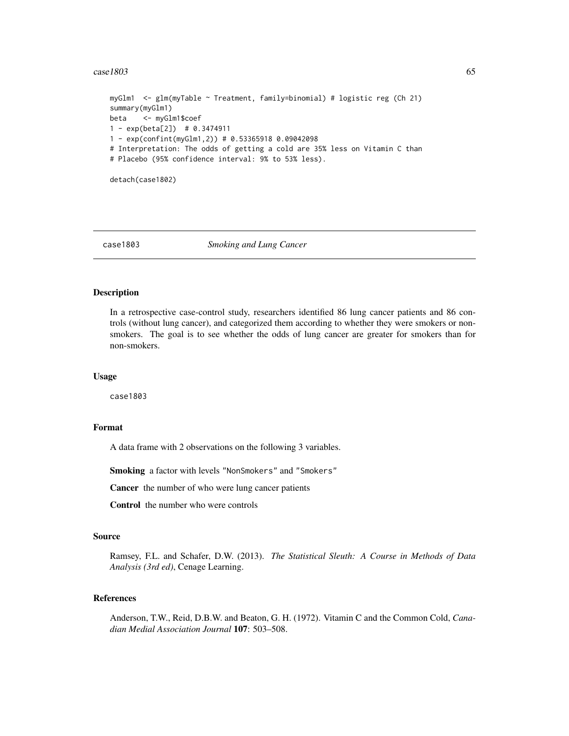#### $case1803$  65

```
myGlm1 <- glm(myTable ~ Treatment, family=binomial) # logistic reg (Ch 21)
summary(myGlm1)
beta <- myGlm1$coef
1 - exp(beta[2]) # 0.3474911
1 - exp(confint(myGlm1,2)) # 0.53365918 0.09042098
# Interpretation: The odds of getting a cold are 35% less on Vitamin C than
# Placebo (95% confidence interval: 9% to 53% less).
```
detach(case1802)

# case1803 *Smoking and Lung Cancer*

## Description

In a retrospective case-control study, researchers identified 86 lung cancer patients and 86 controls (without lung cancer), and categorized them according to whether they were smokers or nonsmokers. The goal is to see whether the odds of lung cancer are greater for smokers than for non-smokers.

#### Usage

case1803

#### Format

A data frame with 2 observations on the following 3 variables.

Smoking a factor with levels "NonSmokers" and "Smokers"

Cancer the number of who were lung cancer patients

Control the number who were controls

# Source

Ramsey, F.L. and Schafer, D.W. (2013). *The Statistical Sleuth: A Course in Methods of Data Analysis (3rd ed)*, Cenage Learning.

## References

Anderson, T.W., Reid, D.B.W. and Beaton, G. H. (1972). Vitamin C and the Common Cold, *Canadian Medial Association Journal* 107: 503–508.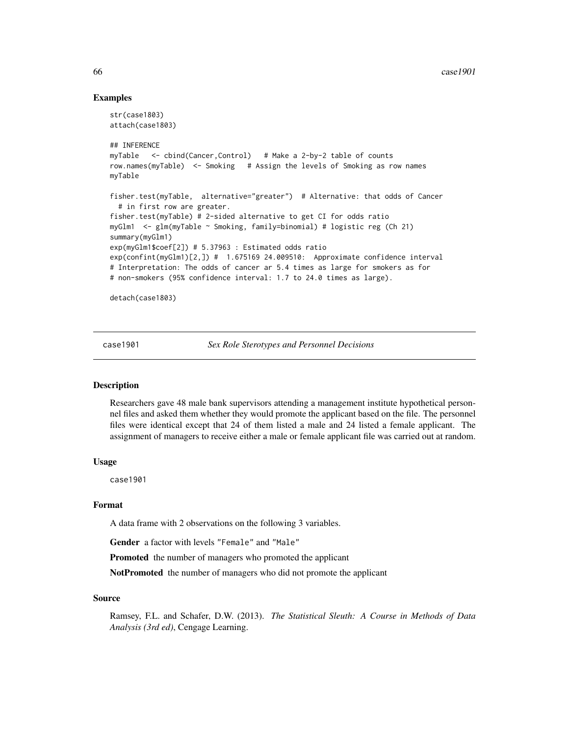## Examples

```
str(case1803)
attach(case1803)
## INFERENCE
myTable <- cbind(Cancer,Control) # Make a 2-by-2 table of counts
row.names(myTable) <- Smoking # Assign the levels of Smoking as row names
myTable
fisher.test(myTable, alternative="greater") # Alternative: that odds of Cancer
 # in first row are greater.
fisher.test(myTable) # 2-sided alternative to get CI for odds ratio
myGlm1 <- glm(myTable ~ Smoking, family=binomial) # logistic reg (Ch 21)
summary(myGlm1)
exp(myGlm1$coef[2]) # 5.37963 : Estimated odds ratio
exp(confint(myGlm1)[2,]) # 1.675169 24.009510: Approximate confidence interval
# Interpretation: The odds of cancer ar 5.4 times as large for smokers as for
# non-smokers (95% confidence interval: 1.7 to 24.0 times as large).
```
detach(case1803)

case1901 *Sex Role Sterotypes and Personnel Decisions*

#### **Description**

Researchers gave 48 male bank supervisors attending a management institute hypothetical personnel files and asked them whether they would promote the applicant based on the file. The personnel files were identical except that 24 of them listed a male and 24 listed a female applicant. The assignment of managers to receive either a male or female applicant file was carried out at random.

#### Usage

case1901

## Format

A data frame with 2 observations on the following 3 variables.

Gender a factor with levels "Female" and "Male"

Promoted the number of managers who promoted the applicant

NotPromoted the number of managers who did not promote the applicant

## Source

Ramsey, F.L. and Schafer, D.W. (2013). *The Statistical Sleuth: A Course in Methods of Data Analysis (3rd ed)*, Cengage Learning.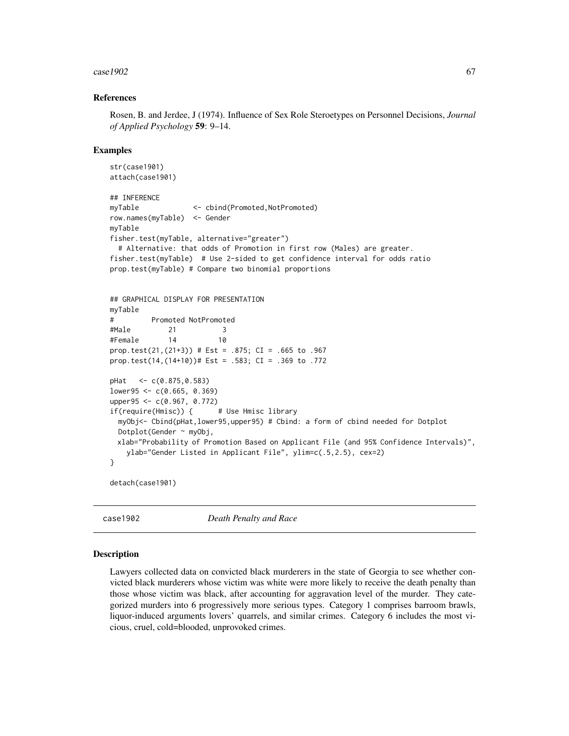#### $\cos\theta$  67 67 67 688 692 67

## References

Rosen, B. and Jerdee, J (1974). Influence of Sex Role Steroetypes on Personnel Decisions, *Journal of Applied Psychology* 59: 9–14.

## Examples

```
str(case1901)
attach(case1901)
## INFERENCE
myTable <- cbind(Promoted,NotPromoted)
row.names(myTable) <- Gender
myTable
fisher.test(myTable, alternative="greater")
 # Alternative: that odds of Promotion in first row (Males) are greater.
fisher.test(myTable) # Use 2-sided to get confidence interval for odds ratio
prop.test(myTable) # Compare two binomial proportions
## GRAPHICAL DISPLAY FOR PRESENTATION
myTable
# Promoted NotPromoted
#Male 21 3
#Female 14 10
prop.test(21,(21+3)) # Est = .875; CI = .665 to .967
prop.test(14,(14+10))# Est = .583; CI = .369 to .772
pHat <- c(0.875,0.583)
lower95 <- c(0.665, 0.369)
upper95 <- c(0.967, 0.772)
if(require(Hmisc)) { # Use Hmisc library
 myObj<- Cbind(pHat,lower95,upper95) # Cbind: a form of cbind needed for Dotplot
 Dotplot(Gender ~ myObj,
 xlab="Probability of Promotion Based on Applicant File (and 95% Confidence Intervals)",
   ylab="Gender Listed in Applicant File", ylim=c(.5,2.5), cex=2)
}
```
detach(case1901)

case1902 *Death Penalty and Race*

#### Description

Lawyers collected data on convicted black murderers in the state of Georgia to see whether convicted black murderers whose victim was white were more likely to receive the death penalty than those whose victim was black, after accounting for aggravation level of the murder. They categorized murders into 6 progressively more serious types. Category 1 comprises barroom brawls, liquor-induced arguments lovers' quarrels, and similar crimes. Category 6 includes the most vicious, cruel, cold=blooded, unprovoked crimes.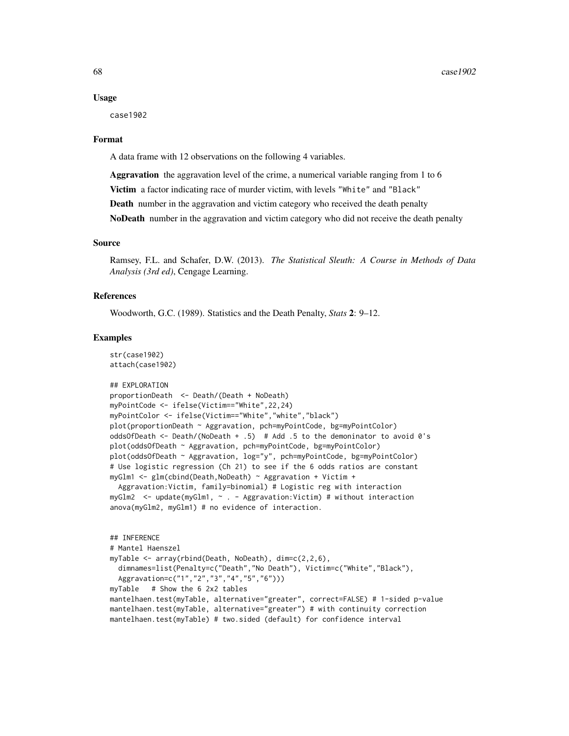#### Usage

case1902

#### Format

A data frame with 12 observations on the following 4 variables.

Aggravation the aggravation level of the crime, a numerical variable ranging from 1 to 6

Victim a factor indicating race of murder victim, with levels "White" and "Black"

Death number in the aggravation and victim category who received the death penalty

NoDeath number in the aggravation and victim category who did not receive the death penalty

# Source

Ramsey, F.L. and Schafer, D.W. (2013). *The Statistical Sleuth: A Course in Methods of Data Analysis (3rd ed)*, Cengage Learning.

## References

Woodworth, G.C. (1989). Statistics and the Death Penalty, *Stats* 2: 9–12.

```
str(case1902)
attach(case1902)
## EXPLORATION
proportionDeath <- Death/(Death + NoDeath)
myPointCode <- ifelse(Victim=="White",22,24)
myPointColor <- ifelse(Victim=="White","white","black")
plot(proportionDeath ~ Aggravation, pch=myPointCode, bg=myPointColor)
oddsOfDeath <- Death/(NoDeath + .5) # Add .5 to the demoninator to avoid 0's
plot(oddsOfDeath ~ Aggravation, pch=myPointCode, bg=myPointColor)
plot(oddsOfDeath ~ Aggravation, log="y", pch=myPointCode, bg=myPointColor)
# Use logistic regression (Ch 21) to see if the 6 odds ratios are constant
myGlm1 <- glm(cbind(Death,NoDeath) ~ Aggravation + Victim +
 Aggravation:Victim, family=binomial) # Logistic reg with interaction
myGlm2 <- update(myGlm1, ~ . - Aggravation:Victim) # without interaction
anova(myGlm2, myGlm1) # no evidence of interaction.
## INFERENCE
# Mantel Haenszel
myTable \leq array(rbind(Death, NoDeath), dim=c(2,2,6),
 dimnames=list(Penalty=c("Death","No Death"), Victim=c("White","Black"),
 Aggravation=c("1","2","3","4","5","6")))
myTable # Show the 6 2x2 tables
mantelhaen.test(myTable, alternative="greater", correct=FALSE) # 1-sided p-value
mantelhaen.test(myTable, alternative="greater") # with continuity correction
mantelhaen.test(myTable) # two.sided (default) for confidence interval
```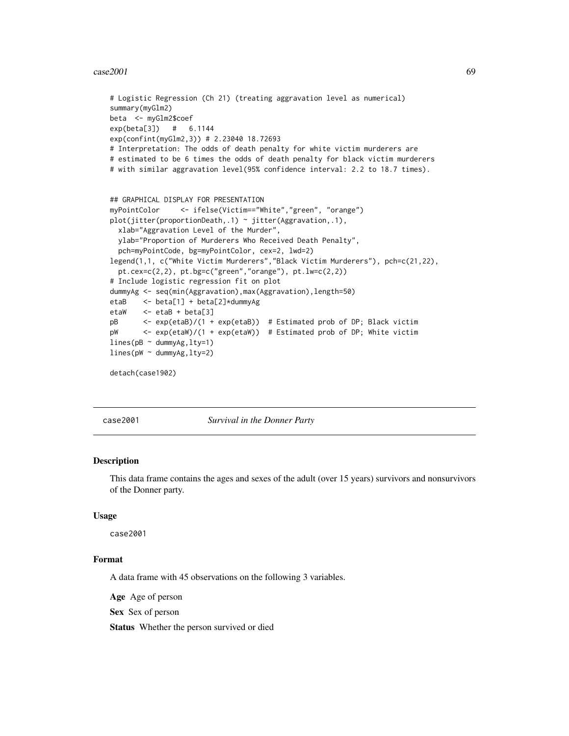#### $case2001$  69

```
# Logistic Regression (Ch 21) (treating aggravation level as numerical)
summary(myGlm2)
beta <- myGlm2$coef
exp(beta[3]) # 6.1144
exp(confint(myGlm2,3)) # 2.23040 18.72693
# Interpretation: The odds of death penalty for white victim murderers are
# estimated to be 6 times the odds of death penalty for black victim murderers
# with similar aggravation level(95% confidence interval: 2.2 to 18.7 times).
## GRAPHICAL DISPLAY FOR PRESENTATION
myPointColor <- ifelse(Victim=="White","green", "orange")
plot(jitter(proportionDeath,.1) ~ jitter(Aggravation,.1),
  xlab="Aggravation Level of the Murder",
  ylab="Proportion of Murderers Who Received Death Penalty",
  pch=myPointCode, bg=myPointColor, cex=2, lwd=2)
legend(1,1, c("White Victim Murderers","Black Victim Murderers"), pch=c(21,22),
  pt.cex=c(2,2), pt.bg=c("green","orange"), pt.lw=c(2,2))
# Include logistic regression fit on plot
dummyAg <- seq(min(Aggravation),max(Aggravation),length=50)
etaB <- beta[1] + beta[2]*dummyAg
etaw \leftarrow etab + beta[3]pB <- exp(etaB)/(1 + exp(etaB)) # Estimated prob of DP; Black victim
pW <- exp(etaW)/(1 + exp(etaW)) # Estimated prob of DP; White victim
lines(pB ~ ~ dummyAg, lty=1)lines(pW ~ dummyAg,lty=2)
detach(case1902)
```
case2001 *Survival in the Donner Party*

#### Description

This data frame contains the ages and sexes of the adult (over 15 years) survivors and nonsurvivors of the Donner party.

## Usage

case2001

## Format

A data frame with 45 observations on the following 3 variables.

Age Age of person

Sex Sex of person

Status Whether the person survived or died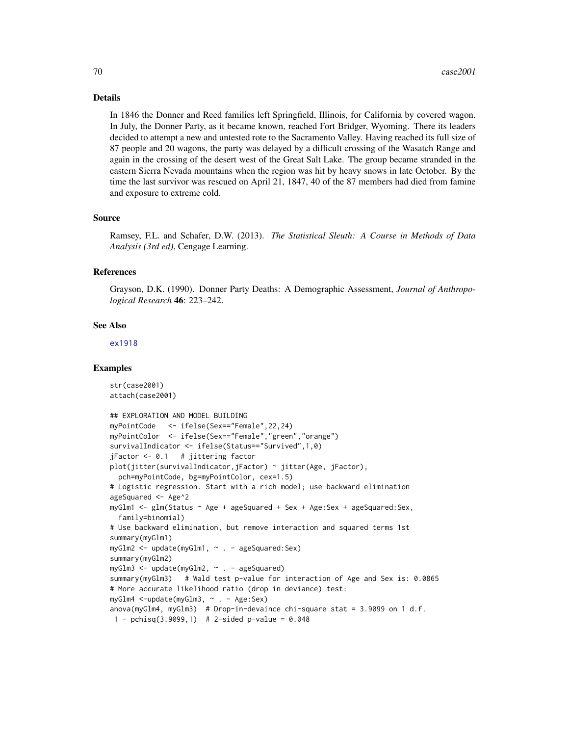## Details

In 1846 the Donner and Reed families left Springfield, Illinois, for California by covered wagon. In July, the Donner Party, as it became known, reached Fort Bridger, Wyoming. There its leaders decided to attempt a new and untested rote to the Sacramento Valley. Having reached its full size of 87 people and 20 wagons, the party was delayed by a difficult crossing of the Wasatch Range and again in the crossing of the desert west of the Great Salt Lake. The group became stranded in the eastern Sierra Nevada mountains when the region was hit by heavy snows in late October. By the time the last survivor was rescued on April 21, 1847, 40 of the 87 members had died from famine and exposure to extreme cold.

## Source

Ramsey, F.L. and Schafer, D.W. (2013). *The Statistical Sleuth: A Course in Methods of Data Analysis (3rd ed)*, Cengage Learning.

## References

Grayson, D.K. (1990). Donner Party Deaths: A Demographic Assessment, *Journal of Anthropological Research* 46: 223–242.

#### See Also

[ex1918](#page-170-0)

```
str(case2001)
attach(case2001)
## EXPLORATION AND MODEL BUILDING
myPointCode <- ifelse(Sex=="Female",22,24)
myPointColor <- ifelse(Sex=="Female","green","orange")
survivalIndicator <- ifelse(Status=="Survived",1,0)
jFactor <- 0.1 # jittering factor
plot(jitter(survivalIndicator,jFactor) ~ jitter(Age, jFactor),
  pch=myPointCode, bg=myPointColor, cex=1.5)
# Logistic regression. Start with a rich model; use backward elimination
ageSquared <- Age^2
myGlm1 <- glm(Status ~ Age + ageSquared + Sex + Age:Sex + ageSquared:Sex,
  family=binomial)
# Use backward elimination, but remove interaction and squared terms 1st
summary(myGlm1)
myGlm2 <- update(myGlm1, ~ . - ageSquared:Sex)
summary(myGlm2)
myGlm3 <- update(myGlm2, ~ . - ageSquared)
summary(myGlm3) # Wald test p-value for interaction of Age and Sex is: 0.0865
# More accurate likelihood ratio (drop in deviance) test:
myGlm4 <-update(myGlm3, ~ . - Age:Sex)
anova(myGlm4, myGlm3) # Drop-in-devaince chi-square stat = 3.9099 on 1 d.f.
 1 - pchisq(3.9099,1) # 2-sided p-value = 0.048
```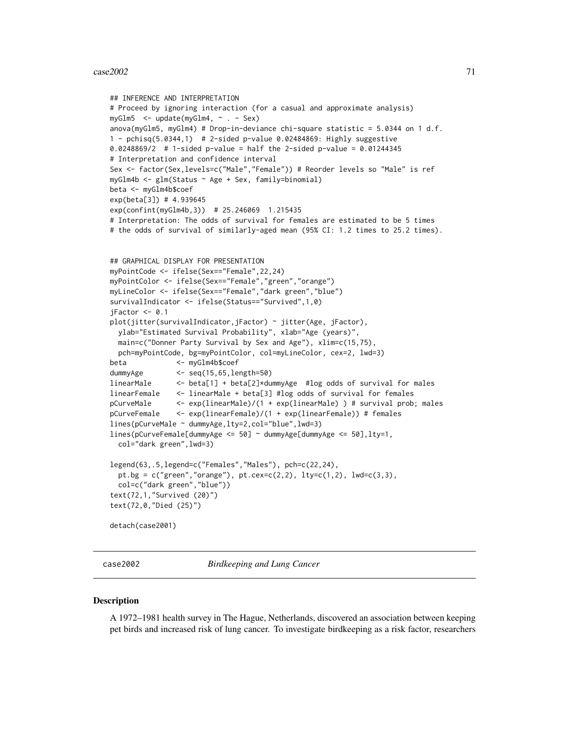#### $case2002$   $71$

```
## INFERENCE AND INTERPRETATION
# Proceed by ignoring interaction (for a casual and approximate analysis)
myGlm5 <- update(myGlm4, ~ . - Sex)
anova(myGlm5, myGlm4) # Drop-in-deviance chi-square statistic = 5.0344 on 1 d.f.
1 - pchisq(5.0344,1) # 2-sided p-value 0.02484869: Highly suggestive
0.0248869/2 # 1-sided p-value = half the 2-sided p-value = 0.01244345
# Interpretation and confidence interval
Sex <- factor(Sex,levels=c("Male","Female")) # Reorder levels so "Male" is ref
myGlm4b <- glm(Status ~ Age + Sex, family=binomial)
beta <- myGlm4b$coef
exp(beta[3]) # 4.939645
exp(confint(myGlm4b,3)) # 25.246069 1.215435
# Interpretation: The odds of survival for females are estimated to be 5 times
# the odds of survival of similarly-aged mean (95% CI: 1.2 times to 25.2 times).
## GRAPHICAL DISPLAY FOR PRESENTATION
myPointCode <- ifelse(Sex=="Female",22,24)
myPointColor <- ifelse(Sex=="Female","green","orange")
myLineColor <- ifelse(Sex=="Female","dark green","blue")
survivalIndicator <- ifelse(Status=="Survived",1,0)
iFactor < 0.1plot(jitter(survivalIndicator,jFactor) ~ jitter(Age, jFactor),
 ylab="Estimated Survival Probability", xlab="Age (years)"
 main=c("Donner Party Survival by Sex and Age"), xlim=c(15,75),
 pch=myPointCode, bg=myPointColor, col=myLineColor, cex=2, lwd=3)
beta <- myGlm4b$coef
dummyAge <- seq(15,65,length=50)
linearMale <- beta[1] + beta[2]*dummyAge #log odds of survival for males
linearFemale <- linearMale + beta[3] #log odds of survival for females
pCurveMale <- exp(linearMale)/(1 + exp(linearMale) ) # survival prob; males
pCurveFemale <- exp(linearFemale)/(1 + exp(linearFemale)) # females
lines(pCurveMale ~ dummyAge,lty=2,col="blue",lwd=3)
lines(pCurveFemale[dummyAge <= 50] ~ dummyAge[dummyAge <= 50],lty=1,
 col="dark green",lwd=3)
legend(63,.5,legend=c("Females","Males"), pch=c(22,24),
 pt.bg = c("green", "orange"), pt.cex=c(2,2), lty=c(1,2), lwd=c(3,3),col=c("dark green","blue"))
text(72,1,"Survived (20)")
text(72,0,"Died (25)")
detach(case2001)
```
case2002 *Birdkeeping and Lung Cancer*

#### **Description**

A 1972–1981 health survey in The Hague, Netherlands, discovered an association between keeping pet birds and increased risk of lung cancer. To investigate birdkeeping as a risk factor, researchers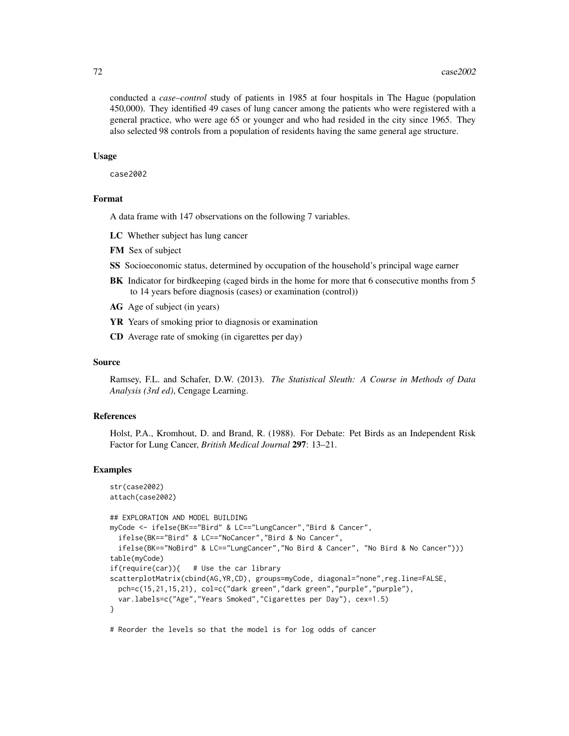conducted a *case–control* study of patients in 1985 at four hospitals in The Hague (population 450,000). They identified 49 cases of lung cancer among the patients who were registered with a general practice, who were age 65 or younger and who had resided in the city since 1965. They also selected 98 controls from a population of residents having the same general age structure.

#### Usage

case2002

# Format

A data frame with 147 observations on the following 7 variables.

- LC Whether subject has lung cancer
- FM Sex of subject
- SS Socioeconomic status, determined by occupation of the household's principal wage earner
- BK Indicator for birdkeeping (caged birds in the home for more that 6 consecutive months from 5 to 14 years before diagnosis (cases) or examination (control))
- AG Age of subject (in years)
- YR Years of smoking prior to diagnosis or examination
- CD Average rate of smoking (in cigarettes per day)

#### Source

Ramsey, F.L. and Schafer, D.W. (2013). *The Statistical Sleuth: A Course in Methods of Data Analysis (3rd ed)*, Cengage Learning.

#### References

Holst, P.A., Kromhout, D. and Brand, R. (1988). For Debate: Pet Birds as an Independent Risk Factor for Lung Cancer, *British Medical Journal* 297: 13–21.

## Examples

```
str(case2002)
attach(case2002)
## EXPLORATION AND MODEL BUILDING
myCode <- ifelse(BK=="Bird" & LC=="LungCancer","Bird & Cancer",
 ifelse(BK=="Bird" & LC=="NoCancer","Bird & No Cancer",
 ifelse(BK=="NoBird" & LC=="LungCancer","No Bird & Cancer", "No Bird & No Cancer")))
table(myCode)
if(require(car)){ # Use the car library
scatterplotMatrix(cbind(AG,YR,CD), groups=myCode, diagonal="none",reg.line=FALSE,
 pch=c(15,21,15,21), col=c("dark green","dark green","purple","purple"),
 var.labels=c("Age","Years Smoked","Cigarettes per Day"), cex=1.5)
}
```
# Reorder the levels so that the model is for log odds of cancer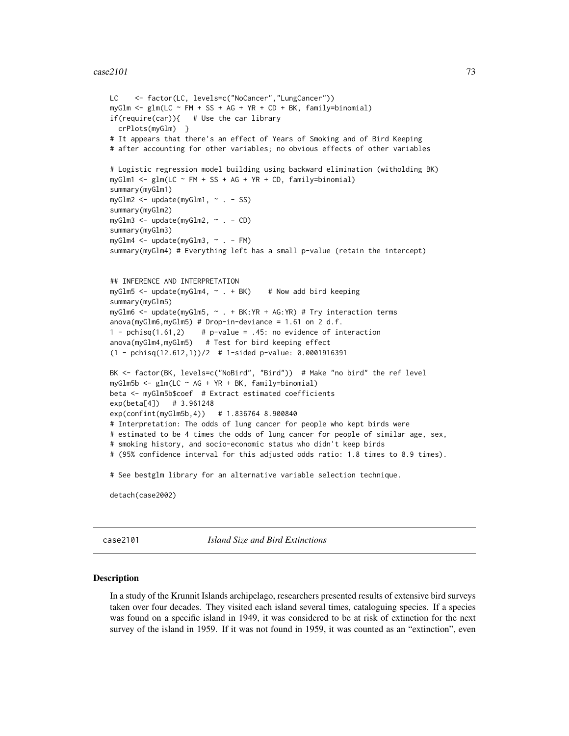#### $case2101$   $73$

```
LC <- factor(LC, levels=c("NoCancer","LungCancer"))
myGlm \leq glm(LC \sim FM + SS + AG + YR + CD + BK, family = binomialif(require(car)){ # Use the car library
 crPlots(myGlm) }
# It appears that there's an effect of Years of Smoking and of Bird Keeping
# after accounting for other variables; no obvious effects of other variables
# Logistic regression model building using backward elimination (witholding BK)
myGlm1 \leq -glm(LC \sim FM + SS + AG + YR + CD, family=binomial)summary(myGlm1)
myGlm2 <- update(myGlm1, ~ . - SS)
summary(myGlm2)
myGlm3 <- update(myGlm2, ~ . - CD)
summary(myGlm3)
myGlm4 \leq update(myGlm3, \sim . - FM)summary(myGlm4) # Everything left has a small p-value (retain the intercept)
## INFERENCE AND INTERPRETATION
myGlm5 <- update(myGlm4, \sim . + BK) # Now add bird keeping
summary(myGlm5)
myGlm6 \leq update(myGlm5, \sim . + BK:YR + AG:YR) # Try interaction termsanova(myGlm6,myGlm5) # Drop-in-deviance = 1.61 on 2 d.f.
1 - pchisq(1.61,2) # p-value = .45: no evidence of interaction
anova(myGlm4,myGlm5) # Test for bird keeping effect
(1 - pchisq(12.612,1))/2 # 1-sided p-value: 0.0001916391
BK <- factor(BK, levels=c("NoBird", "Bird")) # Make "no bird" the ref level
myGlm5b \leq glm(LC \sim AG + YR + BK, family=binomial)beta <- myGlm5b$coef # Extract estimated coefficients
exp(beta[4]) # 3.961248
exp(confint(myGlm5b,4)) # 1.836764 8.900840
# Interpretation: The odds of lung cancer for people who kept birds were
# estimated to be 4 times the odds of lung cancer for people of similar age, sex,
# smoking history, and socio-economic status who didn't keep birds
# (95% confidence interval for this adjusted odds ratio: 1.8 times to 8.9 times).
# See bestglm library for an alternative variable selection technique.
detach(case2002)
```
case2101 *Island Size and Bird Extinctions*

### Description

In a study of the Krunnit Islands archipelago, researchers presented results of extensive bird surveys taken over four decades. They visited each island several times, cataloguing species. If a species was found on a specific island in 1949, it was considered to be at risk of extinction for the next survey of the island in 1959. If it was not found in 1959, it was counted as an "extinction", even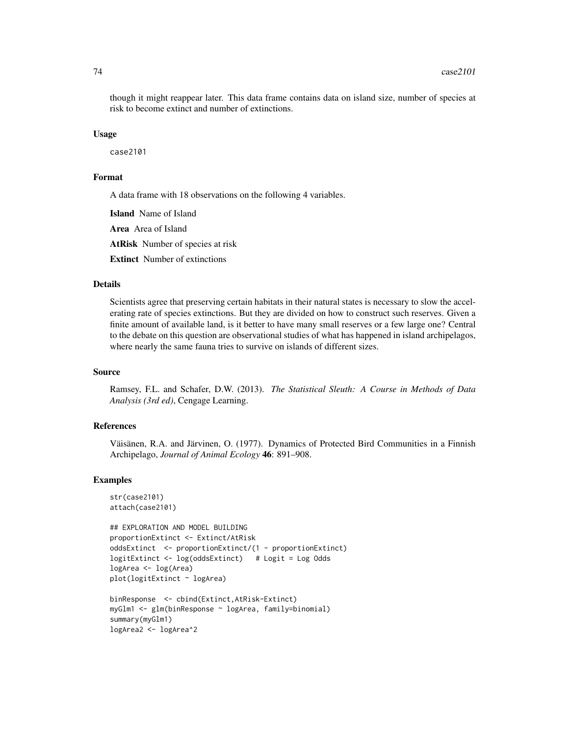though it might reappear later. This data frame contains data on island size, number of species at risk to become extinct and number of extinctions.

#### Usage

case2101

#### Format

A data frame with 18 observations on the following 4 variables.

Island Name of Island Area Area of Island

AtRisk Number of species at risk

Extinct Number of extinctions

#### Details

Scientists agree that preserving certain habitats in their natural states is necessary to slow the accelerating rate of species extinctions. But they are divided on how to construct such reserves. Given a finite amount of available land, is it better to have many small reserves or a few large one? Central to the debate on this question are observational studies of what has happened in island archipelagos, where nearly the same fauna tries to survive on islands of different sizes.

### Source

Ramsey, F.L. and Schafer, D.W. (2013). *The Statistical Sleuth: A Course in Methods of Data Analysis (3rd ed)*, Cengage Learning.

#### References

Väisänen, R.A. and Järvinen, O. (1977). Dynamics of Protected Bird Communities in a Finnish Archipelago, *Journal of Animal Ecology* 46: 891–908.

#### Examples

```
str(case2101)
attach(case2101)
```

```
## EXPLORATION AND MODEL BUILDING
proportionExtinct <- Extinct/AtRisk
oddsExtinct <- proportionExtinct/(1 - proportionExtinct)
logitExtinct <- log(oddsExtinct) # Logit = Log Odds
logArea <- log(Area)
plot(logitExtinct ~ logArea)
```

```
binResponse <- cbind(Extinct,AtRisk-Extinct)
myGlm1 <- glm(binResponse ~ logArea, family=binomial)
summary(myGlm1)
logArea2 <- logArea^2
```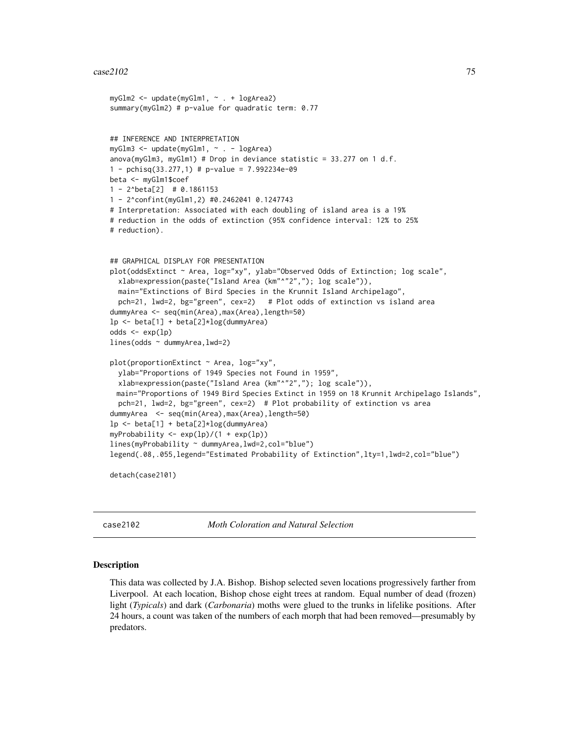#### $case2102$   $75$

```
myGlm2 <- update(myGlm1, ~ . + logArea2)
summary(myGlm2) # p-value for quadratic term: 0.77
## INFERENCE AND INTERPRETATION
myGlm3 <- update(myGlm1, ~ . - logArea)
anova(myGlm3, myGlm1) # Drop in deviance statistic = 33.277 on 1 d.f.
1 - pchisq(33.277,1) # p-value = 7.992234e-09
beta <- myGlm1$coef
1 - 2^beta[2] # 0.1861153
1 - 2^confint(myGlm1,2) #0.2462041 0.1247743
# Interpretation: Associated with each doubling of island area is a 19%
# reduction in the odds of extinction (95% confidence interval: 12% to 25%
# reduction).
## GRAPHICAL DISPLAY FOR PRESENTATION
plot(oddsExtinct ~ Area, log="xy", ylab="Observed Odds of Extinction; log scale",
  xlab=expression(paste("Island Area (km"^"2","); log scale")),
  main="Extinctions of Bird Species in the Krunnit Island Archipelago",
  pch=21, lwd=2, bg="green", cex=2) # Plot odds of extinction vs island area
dummyArea <- seq(min(Area),max(Area),length=50)
lp <- beta[1] + beta[2]*log(dummyArea)
odds <- exp(lp)
lines(odds ~ dummyArea,lwd=2)
plot(proportionExtinct ~ Area, log="xy",
  ylab="Proportions of 1949 Species not Found in 1959",
  xlab=expression(paste("Island Area (km"^"2","); log scale")),
 main="Proportions of 1949 Bird Species Extinct in 1959 on 18 Krunnit Archipelago Islands",
  pch=21, lwd=2, bg="green", cex=2) # Plot probability of extinction vs area
dummyArea <- seq(min(Area),max(Area),length=50)
lp <- beta[1] + beta[2]*log(dummyArea)
myProbability \langle -\exp(\ln)(1 + \exp(\ln)) \ranglelines(myProbability ~ dummyArea,lwd=2,col="blue")
legend(.08,.055,legend="Estimated Probability of Extinction",lty=1,lwd=2,col="blue")
detach(case2101)
```
case2102 *Moth Coloration and Natural Selection*

#### Description

This data was collected by J.A. Bishop. Bishop selected seven locations progressively farther from Liverpool. At each location, Bishop chose eight trees at random. Equal number of dead (frozen) light (*Typicals*) and dark (*Carbonaria*) moths were glued to the trunks in lifelike positions. After 24 hours, a count was taken of the numbers of each morph that had been removed—presumably by predators.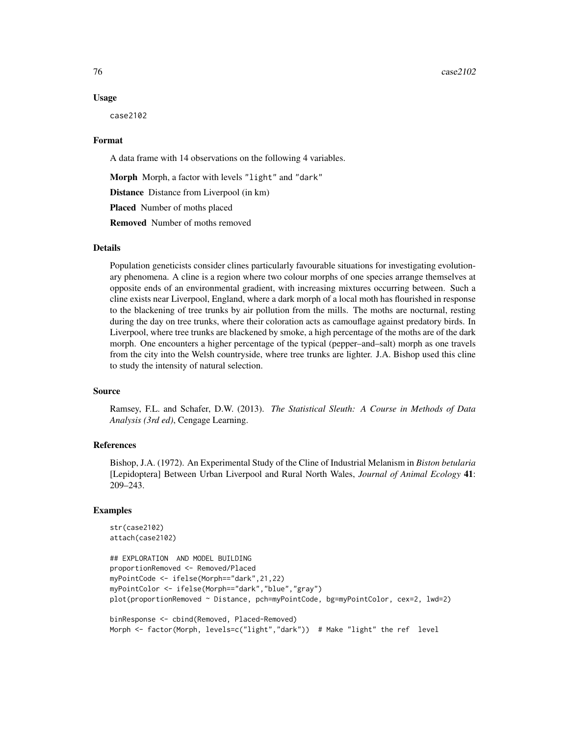#### Usage

case2102

#### Format

A data frame with 14 observations on the following 4 variables.

Morph Morph, a factor with levels "light" and "dark"

Distance Distance from Liverpool (in km)

Placed Number of moths placed

Removed Number of moths removed

### Details

Population geneticists consider clines particularly favourable situations for investigating evolutionary phenomena. A cline is a region where two colour morphs of one species arrange themselves at opposite ends of an environmental gradient, with increasing mixtures occurring between. Such a cline exists near Liverpool, England, where a dark morph of a local moth has flourished in response to the blackening of tree trunks by air pollution from the mills. The moths are nocturnal, resting during the day on tree trunks, where their coloration acts as camouflage against predatory birds. In Liverpool, where tree trunks are blackened by smoke, a high percentage of the moths are of the dark morph. One encounters a higher percentage of the typical (pepper–and–salt) morph as one travels from the city into the Welsh countryside, where tree trunks are lighter. J.A. Bishop used this cline to study the intensity of natural selection.

#### Source

Ramsey, F.L. and Schafer, D.W. (2013). *The Statistical Sleuth: A Course in Methods of Data Analysis (3rd ed)*, Cengage Learning.

### References

Bishop, J.A. (1972). An Experimental Study of the Cline of Industrial Melanism in *Biston betularia* [Lepidoptera] Between Urban Liverpool and Rural North Wales, *Journal of Animal Ecology* 41: 209–243.

## Examples

```
str(case2102)
attach(case2102)
```

```
## EXPLORATION AND MODEL BUILDING
proportionRemoved <- Removed/Placed
myPointCode <- ifelse(Morph=="dark",21,22)
myPointColor <- ifelse(Morph=="dark","blue","gray")
plot(proportionRemoved ~ Distance, pch=myPointCode, bg=myPointColor, cex=2, lwd=2)
```
binResponse <- cbind(Removed, Placed-Removed) Morph <- factor(Morph, levels=c("light","dark")) # Make "light" the ref level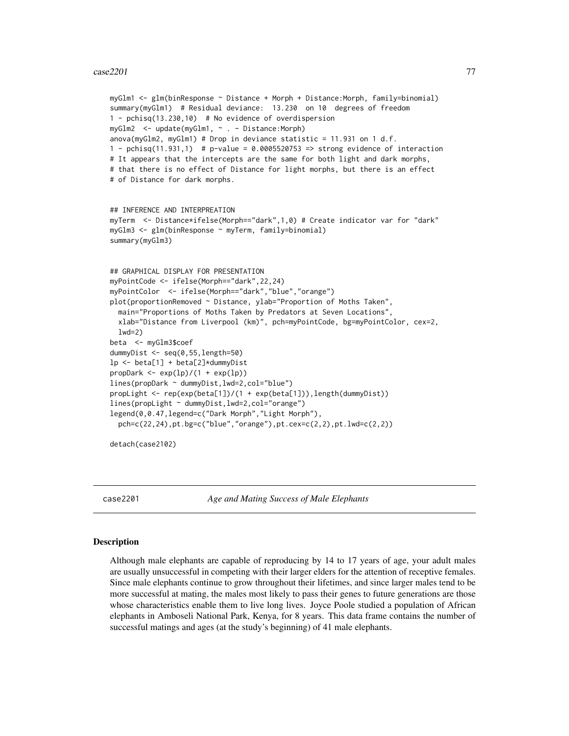#### $case2201$   $77$

```
myGlm1 <- glm(binResponse ~ Distance + Morph + Distance:Morph, family=binomial)
summary(myGlm1) # Residual deviance: 13.230 on 10 degrees of freedom
1 - pchisq(13.230,10) # No evidence of overdispersion
myGlm2 <- update(myGlm1, ~ . - Distance:Morph)
anova(myGlm2, myGlm1) # Drop in deviance statistic = 11.931 on 1 d.f.
1 - pchisq(11.931,1) # p-value = 0.0005520753 => strong evidence of interaction
# It appears that the intercepts are the same for both light and dark morphs,
# that there is no effect of Distance for light morphs, but there is an effect
# of Distance for dark morphs.
## INFERENCE AND INTERPREATION
myTerm <- Distance*ifelse(Morph=="dark",1,0) # Create indicator var for "dark"
myGlm3 <- glm(binResponse ~ myTerm, family=binomial)
summary(myGlm3)
## GRAPHICAL DISPLAY FOR PRESENTATION
myPointCode <- ifelse(Morph=="dark",22,24)
myPointColor <- ifelse(Morph=="dark","blue","orange")
plot(proportionRemoved ~ Distance, ylab="Proportion of Moths Taken",
 main="Proportions of Moths Taken by Predators at Seven Locations",
 xlab="Distance from Liverpool (km)", pch=myPointCode, bg=myPointColor, cex=2,
 lwd=2)
beta <- myGlm3$coef
dummyDist <- seq(0,55,length=50)
lp <- beta[1] + beta[2]*dummyDist
propDark \leq -\exp(1p)/(1 + \exp(1p))lines(propDark ~ dummyDist,lwd=2,col="blue")
propLight <- rep(exp(beta[1])/(1 + exp(beta[1])),length(dummyDist))
lines(propLight ~ dummyDist,lwd=2,col="orange")
legend(0,0.47,legend=c("Dark Morph","Light Morph"),
 pch=c(22,24),pt.bg=c("blue","orange"),pt.cex=c(2,2),pt.lwd=c(2,2))
detach(case2102)
```
case2201 *Age and Mating Success of Male Elephants*

### Description

Although male elephants are capable of reproducing by 14 to 17 years of age, your adult males are usually unsuccessful in competing with their larger elders for the attention of receptive females. Since male elephants continue to grow throughout their lifetimes, and since larger males tend to be more successful at mating, the males most likely to pass their genes to future generations are those whose characteristics enable them to live long lives. Joyce Poole studied a population of African elephants in Amboseli National Park, Kenya, for 8 years. This data frame contains the number of successful matings and ages (at the study's beginning) of 41 male elephants.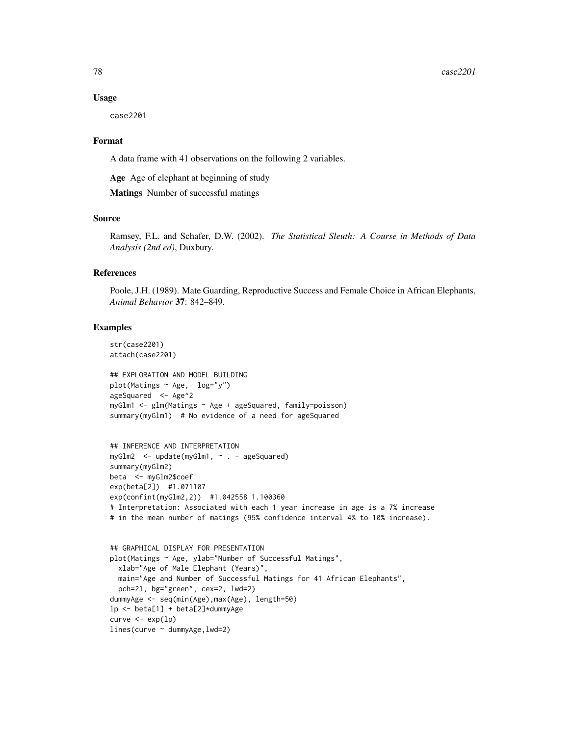#### Usage

case2201

### Format

A data frame with 41 observations on the following 2 variables.

Age Age of elephant at beginning of study

Matings Number of successful matings

## Source

Ramsey, F.L. and Schafer, D.W. (2002). *The Statistical Sleuth: A Course in Methods of Data Analysis (2nd ed)*, Duxbury.

### References

Poole, J.H. (1989). Mate Guarding, Reproductive Success and Female Choice in African Elephants, *Animal Behavior* 37: 842–849.

### Examples

str(case2201) attach(case2201)

```
## EXPLORATION AND MODEL BUILDING
plot(Matings \sim Age, log='y")ageSquared <- Age^2
myGlm1 <- glm(Matings ~ Age + ageSquared, family=poisson)
summary(myGlm1) # No evidence of a need for ageSquared
```

```
## INFERENCE AND INTERPRETATION
myGlm2 <- update(myGlm1, ~ . - ageSquared)
summary(myGlm2)
beta <- myGlm2$coef
exp(beta[2]) #1.071107
exp(confint(myGlm2,2)) #1.042558 1.100360
# Interpretation: Associated with each 1 year increase in age is a 7% increase
# in the mean number of matings (95% confidence interval 4% to 10% increase).
```

```
## GRAPHICAL DISPLAY FOR PRESENTATION
plot(Matings ~ Age, ylab="Number of Successful Matings",
 xlab="Age of Male Elephant (Years)",
 main="Age and Number of Successful Matings for 41 African Elephants",
 pch=21, bg="green", cex=2, lwd=2)
dummyAge <- seq(min(Age),max(Age), length=50)
lp <- beta[1] + beta[2]*dummyAge
curve < - exp(1p)lines(curve ~ dummyAge,lwd=2)
```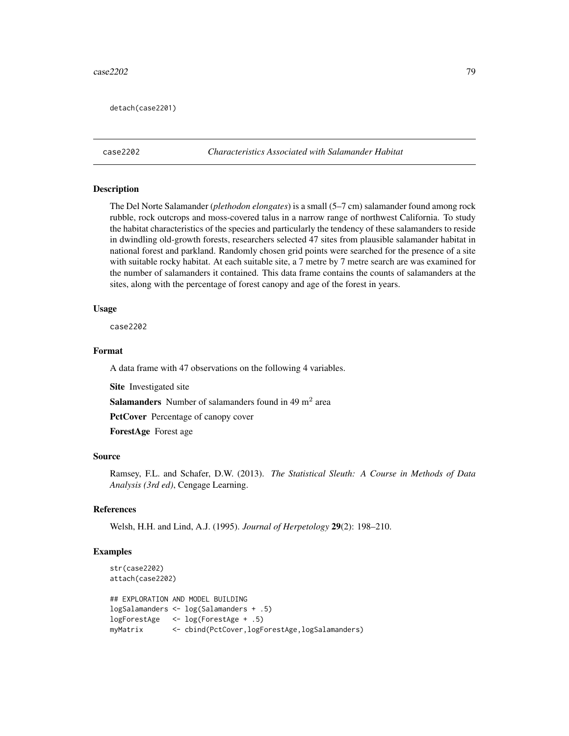detach(case2201)

case2202 *Characteristics Associated with Salamander Habitat*

### Description

The Del Norte Salamander (*plethodon elongates*) is a small (5–7 cm) salamander found among rock rubble, rock outcrops and moss-covered talus in a narrow range of northwest California. To study the habitat characteristics of the species and particularly the tendency of these salamanders to reside in dwindling old-growth forests, researchers selected 47 sites from plausible salamander habitat in national forest and parkland. Randomly chosen grid points were searched for the presence of a site with suitable rocky habitat. At each suitable site, a 7 metre by 7 metre search are was examined for the number of salamanders it contained. This data frame contains the counts of salamanders at the sites, along with the percentage of forest canopy and age of the forest in years.

#### Usage

case2202

### Format

A data frame with 47 observations on the following 4 variables.

Site Investigated site

**Salamanders** Number of salamanders found in 49  $m<sup>2</sup>$  area

PctCover Percentage of canopy cover

ForestAge Forest age

#### Source

Ramsey, F.L. and Schafer, D.W. (2013). *The Statistical Sleuth: A Course in Methods of Data Analysis (3rd ed)*, Cengage Learning.

#### References

Welsh, H.H. and Lind, A.J. (1995). *Journal of Herpetology* 29(2): 198–210.

## Examples

```
str(case2202)
attach(case2202)
## EXPLORATION AND MODEL BUILDING
logSalamanders <- log(Salamanders + .5)
logForestAge <- log(ForestAge + .5)
myMatrix <- cbind(PctCover,logForestAge,logSalamanders)
```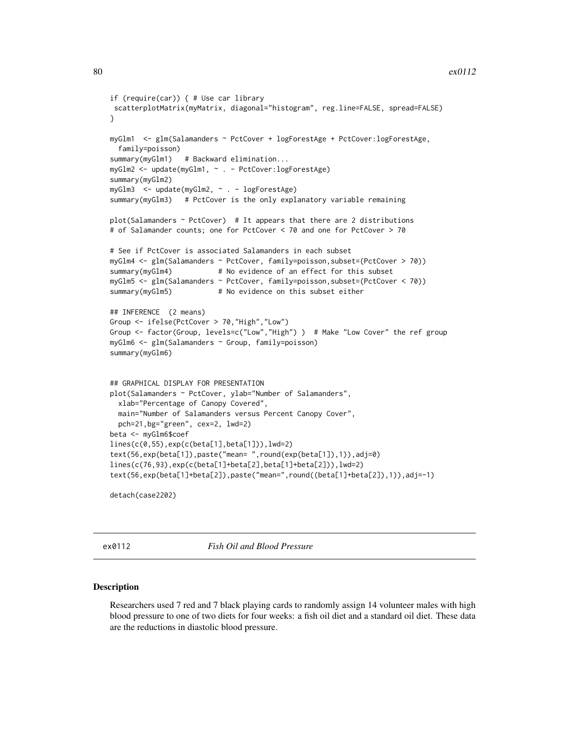```
if (require(car)) { # Use car library
scatterplotMatrix(myMatrix, diagonal="histogram", reg.line=FALSE, spread=FALSE)
}
myGlm1 <- glm(Salamanders ~ PctCover + logForestAge + PctCover:logForestAge,
 family=poisson)
summary(myGlm1) # Backward elimination...
myGlm2 <- update(myGlm1, ~ . - PctCover:logForestAge)
summary(myGlm2)
myGlm3 <- update(myGlm2, ~ . - logForestAge)
summary(myGlm3) # PctCover is the only explanatory variable remaining
plot(Salamanders ~ PctCover) # It appears that there are 2 distributions
# of Salamander counts; one for PctCover < 70 and one for PctCover > 70
# See if PctCover is associated Salamanders in each subset
myGlm4 <- glm(Salamanders ~ PctCover, family=poisson,subset=(PctCover > 70))
summary(myGlm4) # No evidence of an effect for this subset
myGlm5 <- glm(Salamanders ~ PctCover, family=poisson,subset=(PctCover < 70))
summary(myGlm5) # No evidence on this subset either
## INFERENCE (2 means)
Group <- ifelse(PctCover > 70,"High","Low")
Group <- factor(Group, levels=c("Low","High") ) # Make "Low Cover" the ref group
myGlm6 <- glm(Salamanders ~ Group, family=poisson)
summary(myGlm6)
## GRAPHICAL DISPLAY FOR PRESENTATION
plot(Salamanders ~ PctCover, ylab="Number of Salamanders",
 xlab="Percentage of Canopy Covered",
 main="Number of Salamanders versus Percent Canopy Cover",
 pch=21,bg="green", cex=2, lwd=2)
beta <- myGlm6$coef
lines(c(0,55),exp(c(beta[1],beta[1])),lwd=2)
text(56,exp(beta[1]),paste("mean= ",round(exp(beta[1]),1)),adj=0)
lines(c(76,93),exp(c(beta[1]+beta[2],beta[1]+beta[2])),lwd=2)
text(56,exp(beta[1]+beta[2]),paste("mean=",round((beta[1]+beta[2]),1)),adj=-1)
detach(case2202)
```
ex0112 *Fish Oil and Blood Pressure*

### Description

Researchers used 7 red and 7 black playing cards to randomly assign 14 volunteer males with high blood pressure to one of two diets for four weeks: a fish oil diet and a standard oil diet. These data are the reductions in diastolic blood pressure.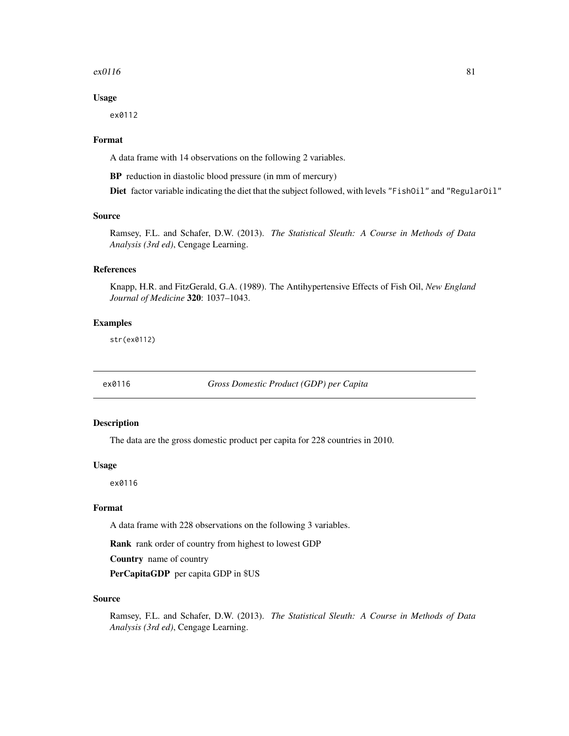#### $ex0116$  81

### Usage

ex0112

### Format

A data frame with 14 observations on the following 2 variables.

BP reduction in diastolic blood pressure (in mm of mercury)

Diet factor variable indicating the diet that the subject followed, with levels "FishOil" and "RegularOil"

### Source

Ramsey, F.L. and Schafer, D.W. (2013). *The Statistical Sleuth: A Course in Methods of Data Analysis (3rd ed)*, Cengage Learning.

## References

Knapp, H.R. and FitzGerald, G.A. (1989). The Antihypertensive Effects of Fish Oil, *New England Journal of Medicine* 320: 1037–1043.

### Examples

str(ex0112)

ex0116 *Gross Domestic Product (GDP) per Capita*

### Description

The data are the gross domestic product per capita for 228 countries in 2010.

#### Usage

ex0116

#### Format

A data frame with 228 observations on the following 3 variables.

Rank rank order of country from highest to lowest GDP

Country name of country

PerCapitaGDP per capita GDP in \$US

#### Source

Ramsey, F.L. and Schafer, D.W. (2013). *The Statistical Sleuth: A Course in Methods of Data Analysis (3rd ed)*, Cengage Learning.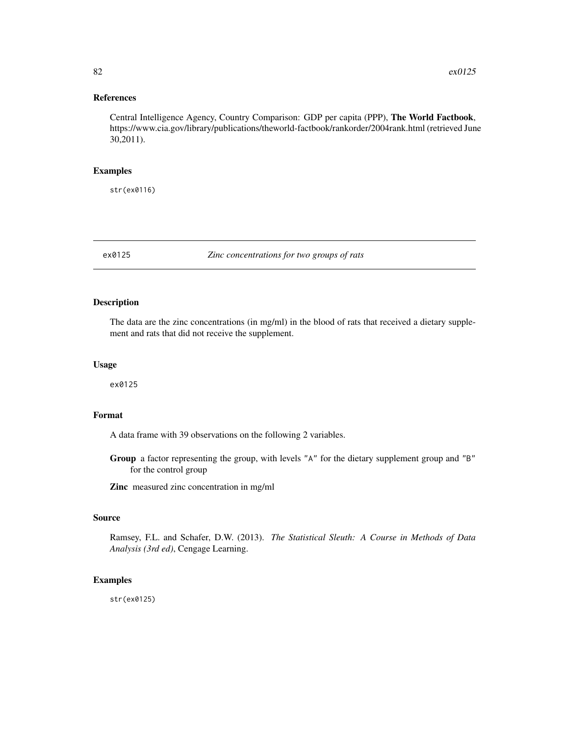## References

Central Intelligence Agency, Country Comparison: GDP per capita (PPP), The World Factbook, https://www.cia.gov/library/publications/theworld-factbook/rankorder/2004rank.html (retrieved June 30,2011).

### Examples

str(ex0116)

ex0125 *Zinc concentrations for two groups of rats*

## Description

The data are the zinc concentrations (in mg/ml) in the blood of rats that received a dietary supplement and rats that did not receive the supplement.

#### Usage

ex0125

# Format

A data frame with 39 observations on the following 2 variables.

Group a factor representing the group, with levels "A" for the dietary supplement group and "B" for the control group

Zinc measured zinc concentration in mg/ml

## Source

Ramsey, F.L. and Schafer, D.W. (2013). *The Statistical Sleuth: A Course in Methods of Data Analysis (3rd ed)*, Cengage Learning.

### Examples

str(ex0125)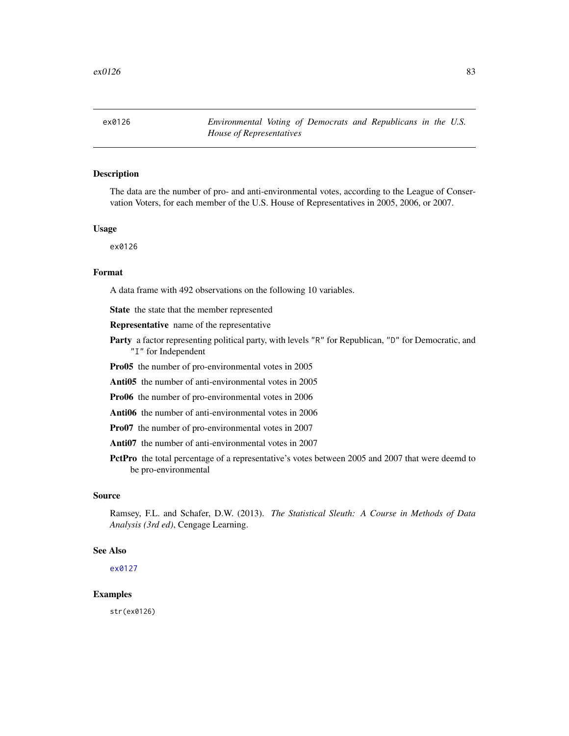<span id="page-82-0"></span>

The data are the number of pro- and anti-environmental votes, according to the League of Conservation Voters, for each member of the U.S. House of Representatives in 2005, 2006, or 2007.

### Usage

ex0126

#### Format

A data frame with 492 observations on the following 10 variables.

State the state that the member represented

Representative name of the representative

Party a factor representing political party, with levels "R" for Republican, "D" for Democratic, and "I" for Independent

Pro05 the number of pro-environmental votes in 2005

Anti05 the number of anti-environmental votes in 2005

- Pro06 the number of pro-environmental votes in 2006
- Anti06 the number of anti-environmental votes in 2006

Pro07 the number of pro-environmental votes in 2007

Anti07 the number of anti-environmental votes in 2007

PctPro the total percentage of a representative's votes between 2005 and 2007 that were deemd to be pro-environmental

## Source

Ramsey, F.L. and Schafer, D.W. (2013). *The Statistical Sleuth: A Course in Methods of Data Analysis (3rd ed)*, Cengage Learning.

### See Also

[ex0127](#page-83-0)

### Examples

str(ex0126)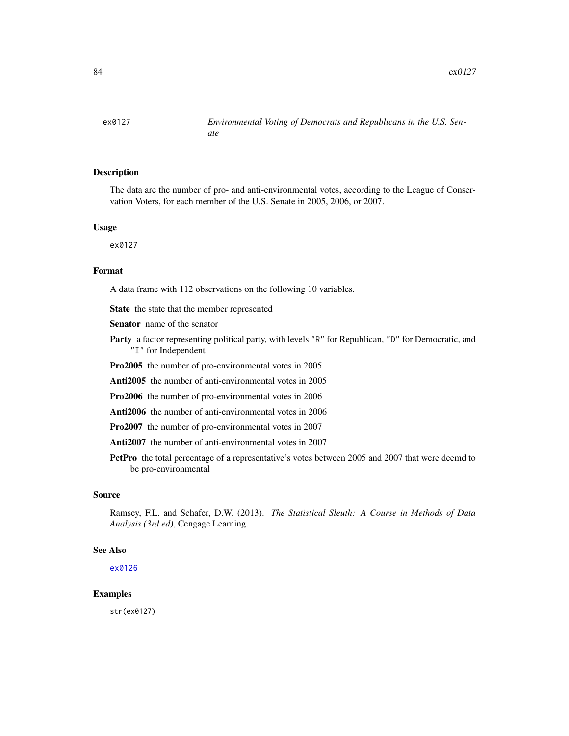<span id="page-83-0"></span>

The data are the number of pro- and anti-environmental votes, according to the League of Conservation Voters, for each member of the U.S. Senate in 2005, 2006, or 2007.

### Usage

ex0127

# Format

A data frame with 112 observations on the following 10 variables.

State the state that the member represented

Senator name of the senator

Party a factor representing political party, with levels "R" for Republican, "D" for Democratic, and "I" for Independent

Pro2005 the number of pro-environmental votes in 2005

Anti2005 the number of anti-environmental votes in 2005

Pro2006 the number of pro-environmental votes in 2006

Anti2006 the number of anti-environmental votes in 2006

Pro2007 the number of pro-environmental votes in 2007

Anti2007 the number of anti-environmental votes in 2007

PctPro the total percentage of a representative's votes between 2005 and 2007 that were deemd to be pro-environmental

## Source

Ramsey, F.L. and Schafer, D.W. (2013). *The Statistical Sleuth: A Course in Methods of Data Analysis (3rd ed)*, Cengage Learning.

### See Also

[ex0126](#page-82-0)

## Examples

str(ex0127)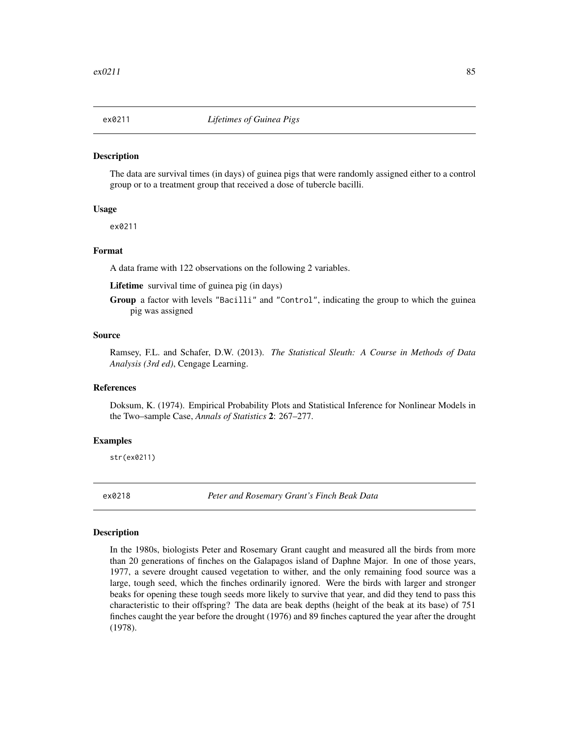The data are survival times (in days) of guinea pigs that were randomly assigned either to a control group or to a treatment group that received a dose of tubercle bacilli.

### Usage

ex0211

# Format

A data frame with 122 observations on the following 2 variables.

Lifetime survival time of guinea pig (in days)

Group a factor with levels "Bacilli" and "Control", indicating the group to which the guinea pig was assigned

#### Source

Ramsey, F.L. and Schafer, D.W. (2013). *The Statistical Sleuth: A Course in Methods of Data Analysis (3rd ed)*, Cengage Learning.

# References

Doksum, K. (1974). Empirical Probability Plots and Statistical Inference for Nonlinear Models in the Two–sample Case, *Annals of Statistics* 2: 267–277.

### Examples

str(ex0211)

ex0218 *Peter and Rosemary Grant's Finch Beak Data*

#### Description

In the 1980s, biologists Peter and Rosemary Grant caught and measured all the birds from more than 20 generations of finches on the Galapagos island of Daphne Major. In one of those years, 1977, a severe drought caused vegetation to wither, and the only remaining food source was a large, tough seed, which the finches ordinarily ignored. Were the birds with larger and stronger beaks for opening these tough seeds more likely to survive that year, and did they tend to pass this characteristic to their offspring? The data are beak depths (height of the beak at its base) of 751 finches caught the year before the drought (1976) and 89 finches captured the year after the drought (1978).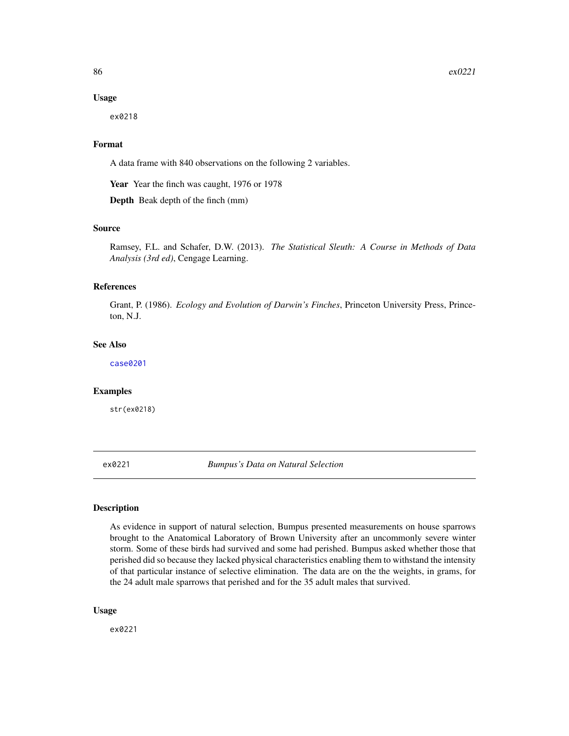#### Usage

ex0218

### Format

A data frame with 840 observations on the following 2 variables.

Year Year the finch was caught, 1976 or 1978

Depth Beak depth of the finch (mm)

## Source

Ramsey, F.L. and Schafer, D.W. (2013). *The Statistical Sleuth: A Course in Methods of Data Analysis (3rd ed)*, Cengage Learning.

### References

Grant, P. (1986). *Ecology and Evolution of Darwin's Finches*, Princeton University Press, Princeton, N.J.

### See Also

[case0201](#page-7-0)

## Examples

str(ex0218)

ex0221 *Bumpus's Data on Natural Selection*

#### Description

As evidence in support of natural selection, Bumpus presented measurements on house sparrows brought to the Anatomical Laboratory of Brown University after an uncommonly severe winter storm. Some of these birds had survived and some had perished. Bumpus asked whether those that perished did so because they lacked physical characteristics enabling them to withstand the intensity of that particular instance of selective elimination. The data are on the the weights, in grams, for the 24 adult male sparrows that perished and for the 35 adult males that survived.

#### Usage

ex0221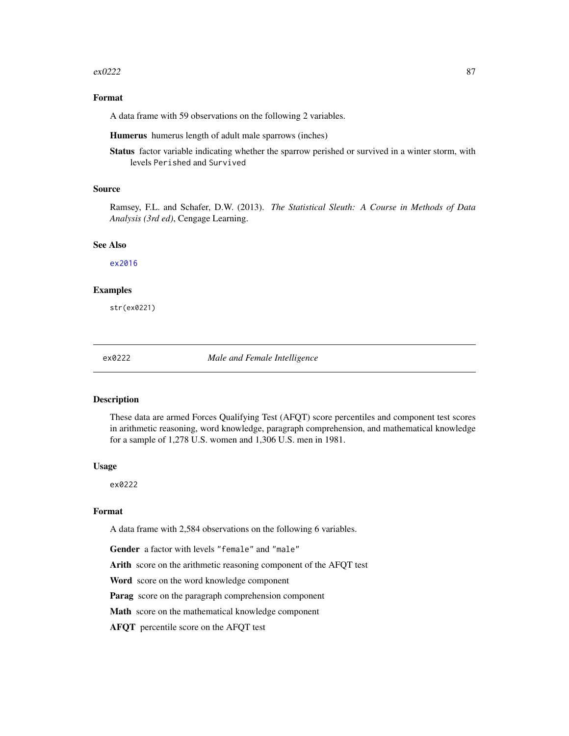#### $\exp(222$  87

# Format

A data frame with 59 observations on the following 2 variables.

Humerus humerus length of adult male sparrows (inches)

Status factor variable indicating whether the sparrow perished or survived in a winter storm, with levels Perished and Survived

# Source

Ramsey, F.L. and Schafer, D.W. (2013). *The Statistical Sleuth: A Course in Methods of Data Analysis (3rd ed)*, Cengage Learning.

### See Also

[ex2016](#page-177-0)

### Examples

str(ex0221)

<span id="page-86-0"></span>

ex0222 *Male and Female Intelligence*

## **Description**

These data are armed Forces Qualifying Test (AFQT) score percentiles and component test scores in arithmetic reasoning, word knowledge, paragraph comprehension, and mathematical knowledge for a sample of 1,278 U.S. women and 1,306 U.S. men in 1981.

#### Usage

ex0222

### Format

A data frame with 2,584 observations on the following 6 variables.

Gender a factor with levels "female" and "male"

Arith score on the arithmetic reasoning component of the AFQT test

Word score on the word knowledge component

Parag score on the paragraph comprehension component

Math score on the mathematical knowledge component

AFQT percentile score on the AFQT test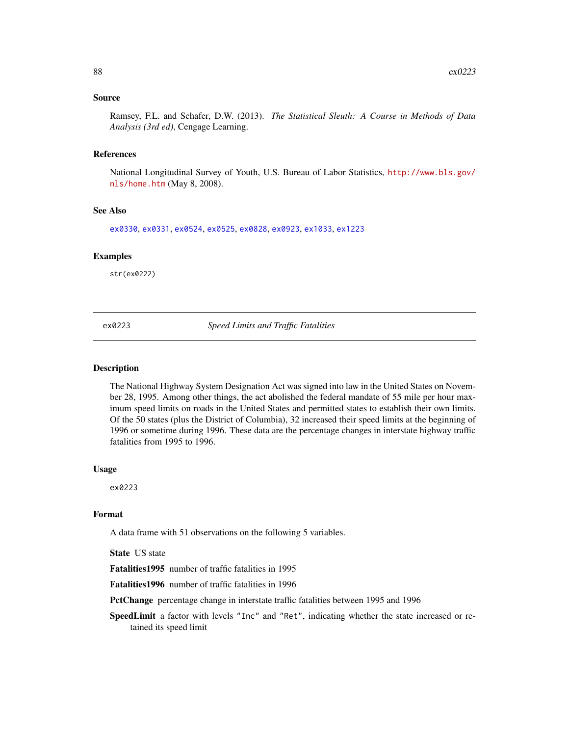### Source

Ramsey, F.L. and Schafer, D.W. (2013). *The Statistical Sleuth: A Course in Methods of Data Analysis (3rd ed)*, Cengage Learning.

#### References

National Longitudinal Survey of Youth, U.S. Bureau of Labor Statistics, [http://www.bls.gov/](http://www.bls.gov/nls/home.htm) [nls/home.htm](http://www.bls.gov/nls/home.htm) (May 8, 2008).

### See Also

[ex0330](#page-90-0), [ex0331](#page-91-0), [ex0524](#page-99-0), [ex0525](#page-100-0), [ex0828](#page-119-0), [ex0923](#page-125-0), [ex1033](#page-132-0), [ex1223](#page-143-0)

#### Examples

str(ex0222)

ex0223 *Speed Limits and Traffic Fatalities*

### **Description**

The National Highway System Designation Act was signed into law in the United States on November 28, 1995. Among other things, the act abolished the federal mandate of 55 mile per hour maximum speed limits on roads in the United States and permitted states to establish their own limits. Of the 50 states (plus the District of Columbia), 32 increased their speed limits at the beginning of 1996 or sometime during 1996. These data are the percentage changes in interstate highway traffic fatalities from 1995 to 1996.

#### Usage

ex0223

### Format

A data frame with 51 observations on the following 5 variables.

State US state

Fatalities1995 number of traffic fatalities in 1995

Fatalities1996 number of traffic fatalities in 1996

PctChange percentage change in interstate traffic fatalities between 1995 and 1996

SpeedLimit a factor with levels "Inc" and "Ret", indicating whether the state increased or retained its speed limit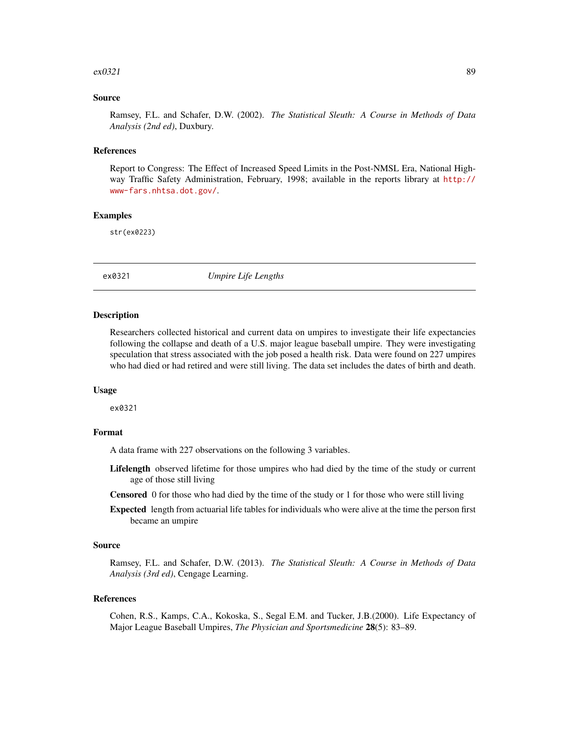#### $\exp(321)$  89

### Source

Ramsey, F.L. and Schafer, D.W. (2002). *The Statistical Sleuth: A Course in Methods of Data Analysis (2nd ed)*, Duxbury.

#### References

Report to Congress: The Effect of Increased Speed Limits in the Post-NMSL Era, National Highway Traffic Safety Administration, February, 1998; available in the reports library at [http://](http://www-fars.nhtsa.dot.gov/) [www-fars.nhtsa.dot.gov/](http://www-fars.nhtsa.dot.gov/).

#### Examples

str(ex0223)

ex0321 *Umpire Life Lengths*

### Description

Researchers collected historical and current data on umpires to investigate their life expectancies following the collapse and death of a U.S. major league baseball umpire. They were investigating speculation that stress associated with the job posed a health risk. Data were found on 227 umpires who had died or had retired and were still living. The data set includes the dates of birth and death.

### Usage

ex0321

## Format

A data frame with 227 observations on the following 3 variables.

- Lifelength observed lifetime for those umpires who had died by the time of the study or current age of those still living
- Censored 0 for those who had died by the time of the study or 1 for those who were still living
- Expected length from actuarial life tables for individuals who were alive at the time the person first became an umpire

#### Source

Ramsey, F.L. and Schafer, D.W. (2013). *The Statistical Sleuth: A Course in Methods of Data Analysis (3rd ed)*, Cengage Learning.

### References

Cohen, R.S., Kamps, C.A., Kokoska, S., Segal E.M. and Tucker, J.B.(2000). Life Expectancy of Major League Baseball Umpires, *The Physician and Sportsmedicine* 28(5): 83–89.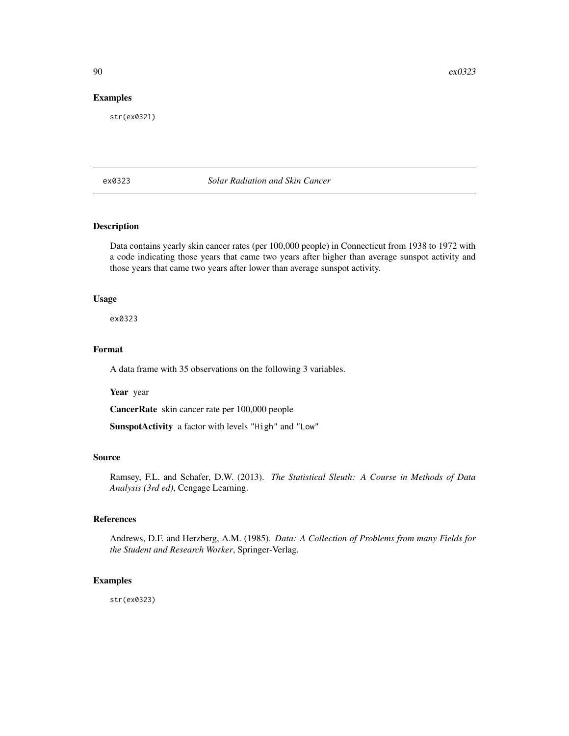90  $ex0323$ 

### Examples

str(ex0321)

## ex0323 *Solar Radiation and Skin Cancer*

## Description

Data contains yearly skin cancer rates (per 100,000 people) in Connecticut from 1938 to 1972 with a code indicating those years that came two years after higher than average sunspot activity and those years that came two years after lower than average sunspot activity.

### Usage

ex0323

## Format

A data frame with 35 observations on the following 3 variables.

Year year

CancerRate skin cancer rate per 100,000 people

SunspotActivity a factor with levels "High" and "Low"

# Source

Ramsey, F.L. and Schafer, D.W. (2013). *The Statistical Sleuth: A Course in Methods of Data Analysis (3rd ed)*, Cengage Learning.

## References

Andrews, D.F. and Herzberg, A.M. (1985). *Data: A Collection of Problems from many Fields for the Student and Research Worker*, Springer-Verlag.

### Examples

str(ex0323)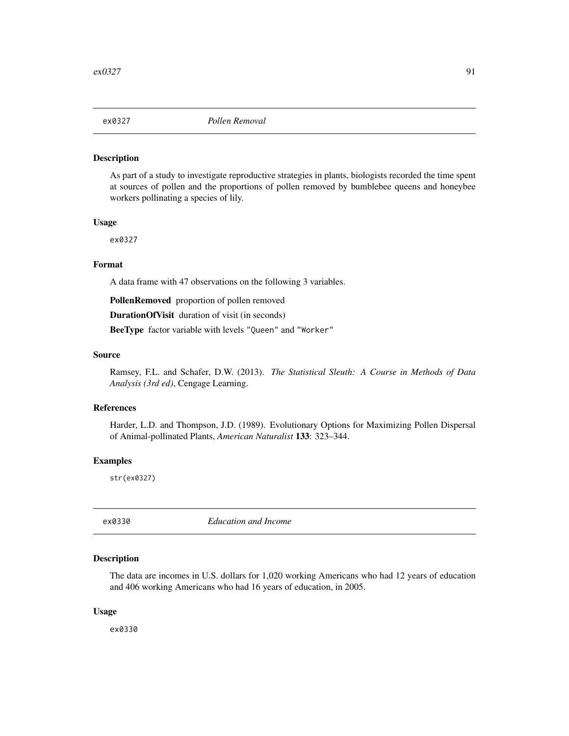As part of a study to investigate reproductive strategies in plants, biologists recorded the time spent at sources of pollen and the proportions of pollen removed by bumblebee queens and honeybee workers pollinating a species of lily.

#### Usage

ex0327

### Format

A data frame with 47 observations on the following 3 variables.

PollenRemoved proportion of pollen removed

DurationOfVisit duration of visit (in seconds)

BeeType factor variable with levels "Queen" and "Worker"

#### Source

Ramsey, F.L. and Schafer, D.W. (2013). *The Statistical Sleuth: A Course in Methods of Data Analysis (3rd ed)*, Cengage Learning.

## References

Harder, L.D. and Thompson, J.D. (1989). Evolutionary Options for Maximizing Pollen Dispersal of Animal-pollinated Plants, *American Naturalist* 133: 323–344.

#### Examples

str(ex0327)

<span id="page-90-0"></span>ex0330 *Education and Income*

### Description

The data are incomes in U.S. dollars for 1,020 working Americans who had 12 years of education and 406 working Americans who had 16 years of education, in 2005.

#### Usage

ex0330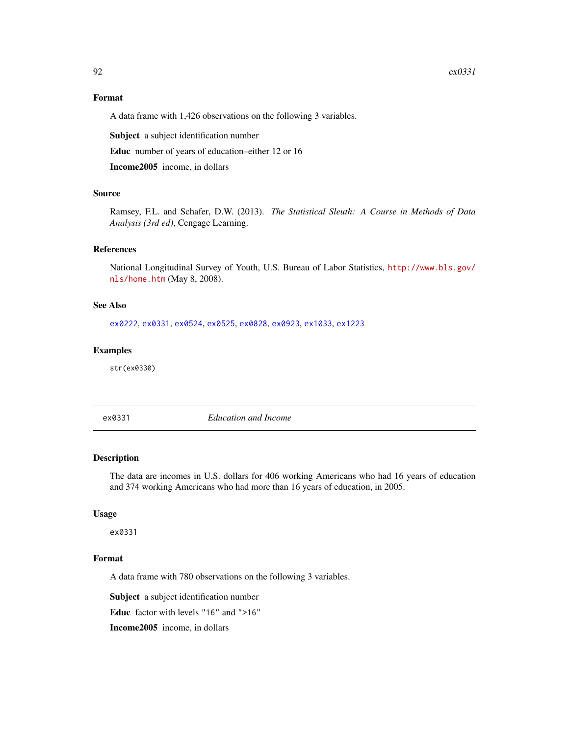## Format

A data frame with 1,426 observations on the following 3 variables.

Subject a subject identification number

Educ number of years of education–either 12 or 16

Income2005 income, in dollars

### Source

Ramsey, F.L. and Schafer, D.W. (2013). *The Statistical Sleuth: A Course in Methods of Data Analysis (3rd ed)*, Cengage Learning.

#### References

National Longitudinal Survey of Youth, U.S. Bureau of Labor Statistics, [http://www.bls.gov/](http://www.bls.gov/nls/home.htm) [nls/home.htm](http://www.bls.gov/nls/home.htm) (May 8, 2008).

### See Also

[ex0222](#page-86-0), [ex0331](#page-91-0), [ex0524](#page-99-0), [ex0525](#page-100-0), [ex0828](#page-119-0), [ex0923](#page-125-0), [ex1033](#page-132-0), [ex1223](#page-143-0)

### Examples

str(ex0330)

<span id="page-91-0"></span>

ex0331 *Education and Income*

## Description

The data are incomes in U.S. dollars for 406 working Americans who had 16 years of education and 374 working Americans who had more than 16 years of education, in 2005.

### Usage

ex0331

### Format

A data frame with 780 observations on the following 3 variables.

Subject a subject identification number

Educ factor with levels "16" and ">16"

Income2005 income, in dollars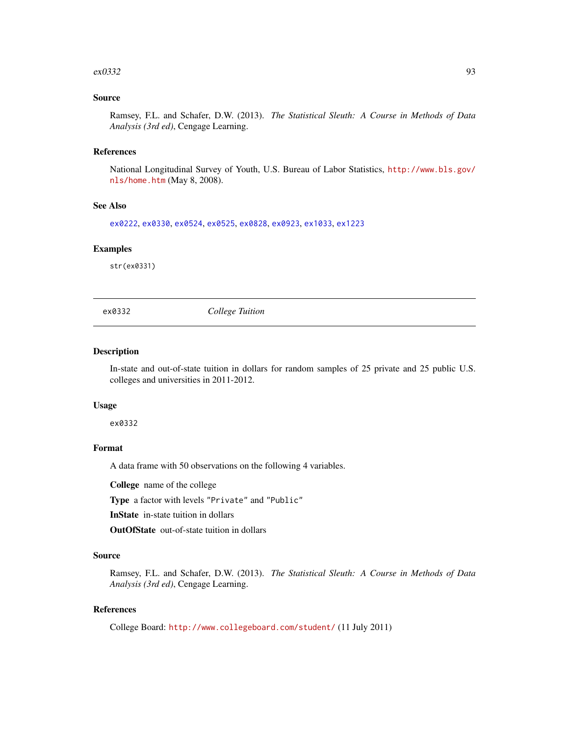#### $\exp(332)$  93

### Source

Ramsey, F.L. and Schafer, D.W. (2013). *The Statistical Sleuth: A Course in Methods of Data Analysis (3rd ed)*, Cengage Learning.

#### References

National Longitudinal Survey of Youth, U.S. Bureau of Labor Statistics, [http://www.bls.gov/](http://www.bls.gov/nls/home.htm) [nls/home.htm](http://www.bls.gov/nls/home.htm) (May 8, 2008).

#### See Also

[ex0222](#page-86-0), [ex0330](#page-90-0), [ex0524](#page-99-0), [ex0525](#page-100-0), [ex0828](#page-119-0), [ex0923](#page-125-0), [ex1033](#page-132-0), [ex1223](#page-143-0)

#### Examples

str(ex0331)

ex0332 *College Tuition*

#### Description

In-state and out-of-state tuition in dollars for random samples of 25 private and 25 public U.S. colleges and universities in 2011-2012.

#### Usage

ex0332

### Format

A data frame with 50 observations on the following 4 variables.

College name of the college

Type a factor with levels "Private" and "Public"

InState in-state tuition in dollars

OutOfState out-of-state tuition in dollars

### Source

Ramsey, F.L. and Schafer, D.W. (2013). *The Statistical Sleuth: A Course in Methods of Data Analysis (3rd ed)*, Cengage Learning.

## References

College Board: <http://www.collegeboard.com/student/> (11 July 2011)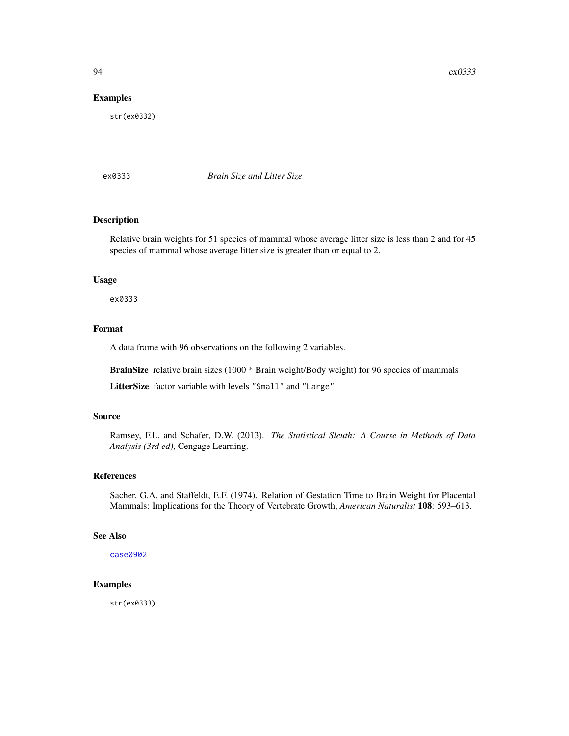$94$  ex $0333$ 

### Examples

str(ex0332)

ex0333 *Brain Size and Litter Size*

## Description

Relative brain weights for 51 species of mammal whose average litter size is less than 2 and for 45 species of mammal whose average litter size is greater than or equal to 2.

### Usage

ex0333

## Format

A data frame with 96 observations on the following 2 variables.

BrainSize relative brain sizes (1000 \* Brain weight/Body weight) for 96 species of mammals

LitterSize factor variable with levels "Small" and "Large"

## Source

Ramsey, F.L. and Schafer, D.W. (2013). *The Statistical Sleuth: A Course in Methods of Data Analysis (3rd ed)*, Cengage Learning.

## References

Sacher, G.A. and Staffeldt, E.F. (1974). Relation of Gestation Time to Brain Weight for Placental Mammals: Implications for the Theory of Vertebrate Growth, *American Naturalist* 108: 593–613.

## See Also

[case0902](#page-28-0)

## Examples

str(ex0333)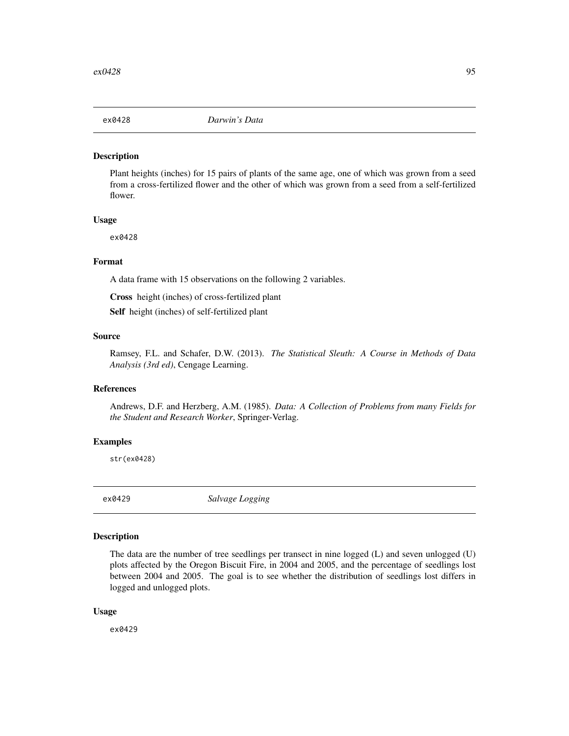Plant heights (inches) for 15 pairs of plants of the same age, one of which was grown from a seed from a cross-fertilized flower and the other of which was grown from a seed from a self-fertilized flower.

### Usage

ex0428

## Format

A data frame with 15 observations on the following 2 variables.

Cross height (inches) of cross-fertilized plant Self height (inches) of self-fertilized plant

### Source

Ramsey, F.L. and Schafer, D.W. (2013). *The Statistical Sleuth: A Course in Methods of Data Analysis (3rd ed)*, Cengage Learning.

# References

Andrews, D.F. and Herzberg, A.M. (1985). *Data: A Collection of Problems from many Fields for the Student and Research Worker*, Springer-Verlag.

### Examples

str(ex0428)

ex0429 *Salvage Logging*

# Description

The data are the number of tree seedlings per transect in nine logged (L) and seven unlogged (U) plots affected by the Oregon Biscuit Fire, in 2004 and 2005, and the percentage of seedlings lost between 2004 and 2005. The goal is to see whether the distribution of seedlings lost differs in logged and unlogged plots.

#### Usage

ex0429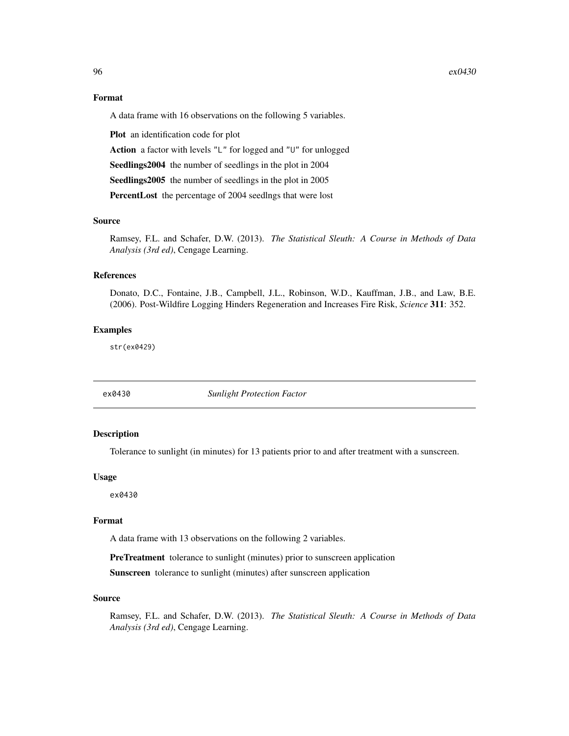96 ex $0.430$ 

### Format

A data frame with 16 observations on the following 5 variables.

Plot an identification code for plot

Action a factor with levels "L" for logged and "U" for unlogged

Seedlings2004 the number of seedlings in the plot in 2004

Seedlings2005 the number of seedlings in the plot in 2005

PercentLost the percentage of 2004 seedlngs that were lost

### Source

Ramsey, F.L. and Schafer, D.W. (2013). *The Statistical Sleuth: A Course in Methods of Data Analysis (3rd ed)*, Cengage Learning.

## References

Donato, D.C., Fontaine, J.B., Campbell, J.L., Robinson, W.D., Kauffman, J.B., and Law, B.E. (2006). Post-Wildfire Logging Hinders Regeneration and Increases Fire Risk, *Science* 311: 352.

### Examples

str(ex0429)

ex0430 *Sunlight Protection Factor*

### Description

Tolerance to sunlight (in minutes) for 13 patients prior to and after treatment with a sunscreen.

#### Usage

ex0430

## Format

A data frame with 13 observations on the following 2 variables.

PreTreatment tolerance to sunlight (minutes) prior to sunscreen application

Sunscreen tolerance to sunlight (minutes) after sunscreen application

### Source

Ramsey, F.L. and Schafer, D.W. (2013). *The Statistical Sleuth: A Course in Methods of Data Analysis (3rd ed)*, Cengage Learning.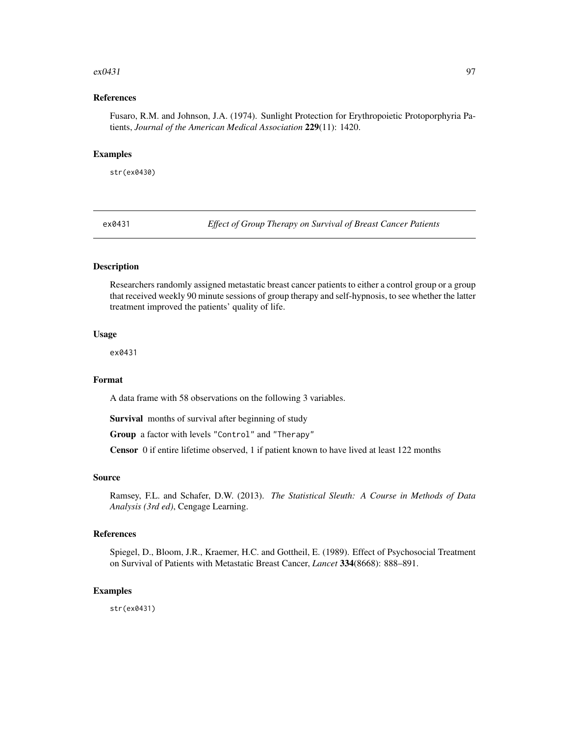#### $\exp(431)$  97

## References

Fusaro, R.M. and Johnson, J.A. (1974). Sunlight Protection for Erythropoietic Protoporphyria Patients, *Journal of the American Medical Association* 229(11): 1420.

#### Examples

str(ex0430)

ex0431 *Effect of Group Therapy on Survival of Breast Cancer Patients*

# Description

Researchers randomly assigned metastatic breast cancer patients to either a control group or a group that received weekly 90 minute sessions of group therapy and self-hypnosis, to see whether the latter treatment improved the patients' quality of life.

### Usage

ex0431

## Format

A data frame with 58 observations on the following 3 variables.

Survival months of survival after beginning of study

Group a factor with levels "Control" and "Therapy"

Censor 0 if entire lifetime observed, 1 if patient known to have lived at least 122 months

## Source

Ramsey, F.L. and Schafer, D.W. (2013). *The Statistical Sleuth: A Course in Methods of Data Analysis (3rd ed)*, Cengage Learning.

#### References

Spiegel, D., Bloom, J.R., Kraemer, H.C. and Gottheil, E. (1989). Effect of Psychosocial Treatment on Survival of Patients with Metastatic Breast Cancer, *Lancet* 334(8668): 888–891.

### Examples

str(ex0431)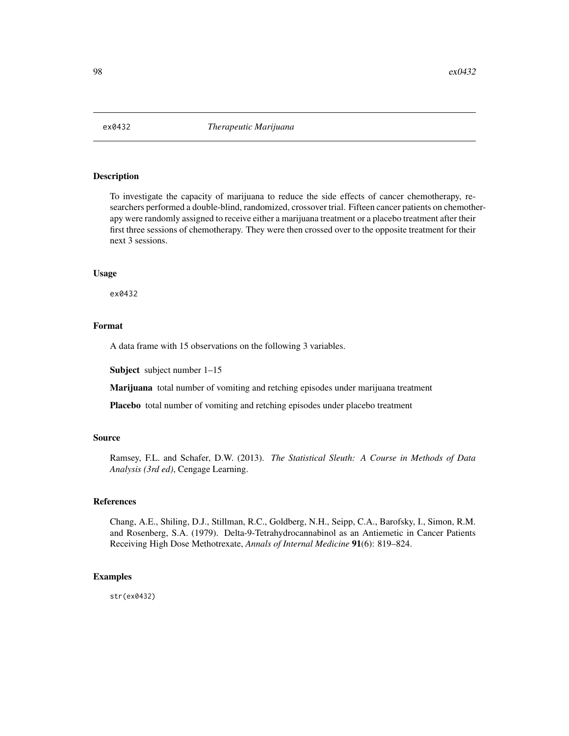To investigate the capacity of marijuana to reduce the side effects of cancer chemotherapy, researchers performed a double-blind, randomized, crossover trial. Fifteen cancer patients on chemotherapy were randomly assigned to receive either a marijuana treatment or a placebo treatment after their first three sessions of chemotherapy. They were then crossed over to the opposite treatment for their next 3 sessions.

#### Usage

ex0432

## Format

A data frame with 15 observations on the following 3 variables.

Subject subject number 1–15

Marijuana total number of vomiting and retching episodes under marijuana treatment

Placebo total number of vomiting and retching episodes under placebo treatment

### Source

Ramsey, F.L. and Schafer, D.W. (2013). *The Statistical Sleuth: A Course in Methods of Data Analysis (3rd ed)*, Cengage Learning.

# References

Chang, A.E., Shiling, D.J., Stillman, R.C., Goldberg, N.H., Seipp, C.A., Barofsky, I., Simon, R.M. and Rosenberg, S.A. (1979). Delta-9-Tetrahydrocannabinol as an Antiemetic in Cancer Patients Receiving High Dose Methotrexate, *Annals of Internal Medicine* 91(6): 819–824.

## Examples

str(ex0432)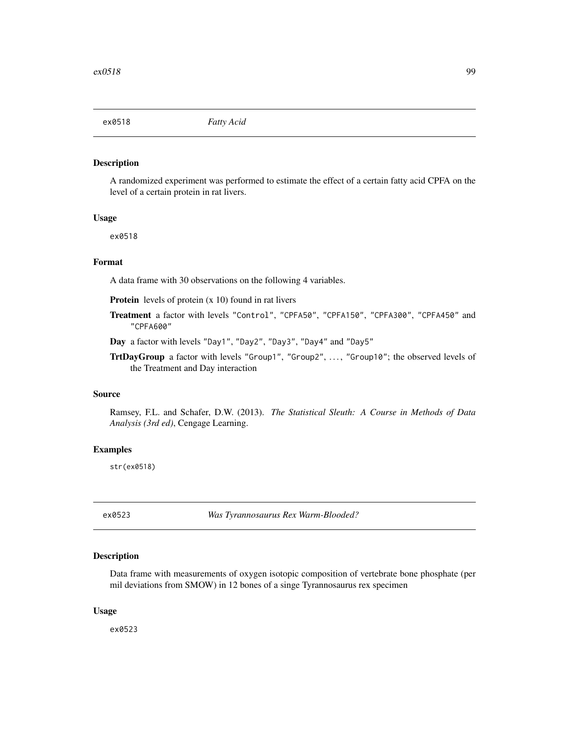A randomized experiment was performed to estimate the effect of a certain fatty acid CPFA on the level of a certain protein in rat livers.

#### Usage

ex0518

#### Format

A data frame with 30 observations on the following 4 variables.

**Protein** levels of protein (x 10) found in rat livers

Treatment a factor with levels "Control", "CPFA50", "CPFA150", "CPFA300", "CPFA450" and "CPFA600"

Day a factor with levels "Day1", "Day2", "Day3", "Day4" and "Day5"

TrtDayGroup a factor with levels "Group1", "Group2", ..., "Group10"; the observed levels of the Treatment and Day interaction

## Source

Ramsey, F.L. and Schafer, D.W. (2013). *The Statistical Sleuth: A Course in Methods of Data Analysis (3rd ed)*, Cengage Learning.

# Examples

str(ex0518)

ex0523 *Was Tyrannosaurus Rex Warm-Blooded?*

#### Description

Data frame with measurements of oxygen isotopic composition of vertebrate bone phosphate (per mil deviations from SMOW) in 12 bones of a singe Tyrannosaurus rex specimen

## Usage

ex0523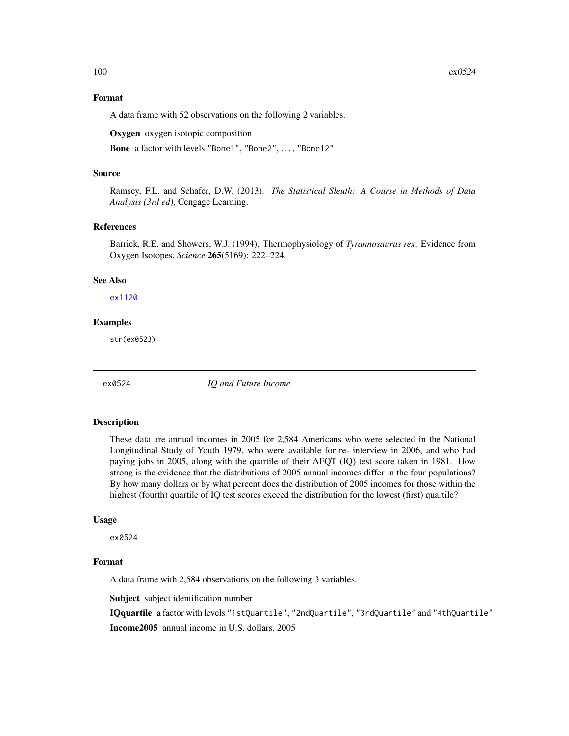# Format

A data frame with 52 observations on the following 2 variables.

Oxygen oxygen isotopic composition

Bone a factor with levels "Bone1", "Bone2", . . . , "Bone12"

#### Source

Ramsey, F.L. and Schafer, D.W. (2013). *The Statistical Sleuth: A Course in Methods of Data Analysis (3rd ed)*, Cengage Learning.

## References

Barrick, R.E. and Showers, W.J. (1994). Thermophysiology of *Tyrannosaurus rex*: Evidence from Oxygen Isotopes, *Science* 265(5169): 222–224.

#### See Also

[ex1120](#page-134-0)

# Examples

str(ex0523)

<span id="page-99-0"></span>ex0524 *IQ and Future Income*

#### **Description**

These data are annual incomes in 2005 for 2,584 Americans who were selected in the National Longitudinal Study of Youth 1979, who were available for re- interview in 2006, and who had paying jobs in 2005, along with the quartile of their AFQT (IQ) test score taken in 1981. How strong is the evidence that the distributions of 2005 annual incomes differ in the four populations? By how many dollars or by what percent does the distribution of 2005 incomes for those within the highest (fourth) quartile of IQ test scores exceed the distribution for the lowest (first) quartile?

#### Usage

ex0524

# Format

A data frame with 2,584 observations on the following 3 variables.

Subject subject identification number

IQquartile a factor with levels "1stQuartile", "2ndQuartile", "3rdQuartile" and "4thQuartile" Income2005 annual income in U.S. dollars, 2005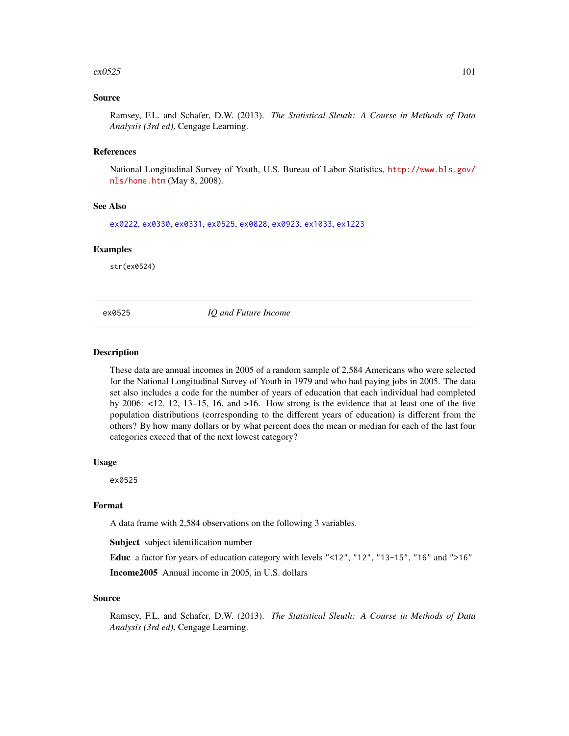#### $e^{(0.525)}$  101

### Source

Ramsey, F.L. and Schafer, D.W. (2013). *The Statistical Sleuth: A Course in Methods of Data Analysis (3rd ed)*, Cengage Learning.

### References

National Longitudinal Survey of Youth, U.S. Bureau of Labor Statistics, [http://www.bls.gov/](http://www.bls.gov/nls/home.htm) [nls/home.htm](http://www.bls.gov/nls/home.htm) (May 8, 2008).

#### See Also

[ex0222](#page-86-0), [ex0330](#page-90-0), [ex0331](#page-91-0), [ex0525](#page-100-0), [ex0828](#page-119-0), [ex0923](#page-125-0), [ex1033](#page-132-0), [ex1223](#page-143-0)

#### Examples

str(ex0524)

<span id="page-100-0"></span>ex0525 *IQ and Future Income*

#### Description

These data are annual incomes in 2005 of a random sample of 2,584 Americans who were selected for the National Longitudinal Survey of Youth in 1979 and who had paying jobs in 2005. The data set also includes a code for the number of years of education that each individual had completed by  $2006:$  <12, 12, 13–15, 16, and  $>16$ . How strong is the evidence that at least one of the five population distributions (corresponding to the different years of education) is different from the others? By how many dollars or by what percent does the mean or median for each of the last four categories exceed that of the next lowest category?

#### Usage

ex0525

### Format

A data frame with 2,584 observations on the following 3 variables.

Subject subject identification number

Educ a factor for years of education category with levels "<12", "12", "13-15", "16" and ">16" Income2005 Annual income in 2005, in U.S. dollars

## Source

Ramsey, F.L. and Schafer, D.W. (2013). *The Statistical Sleuth: A Course in Methods of Data Analysis (3rd ed)*, Cengage Learning.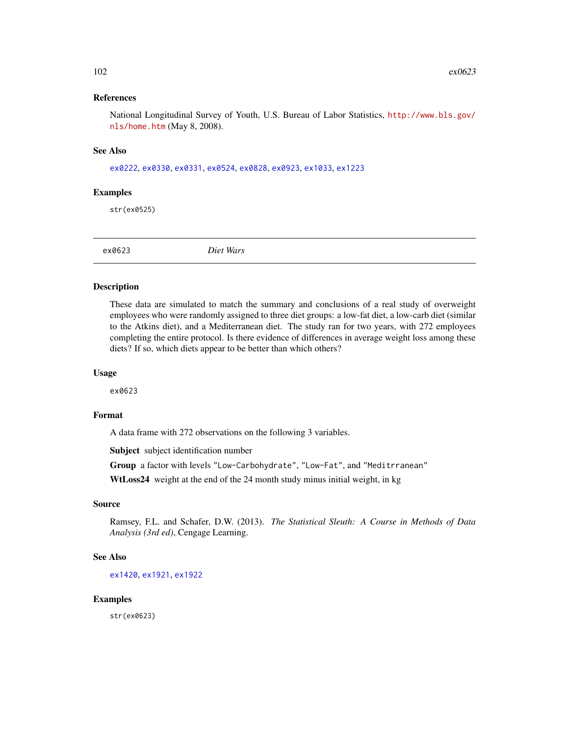### References

National Longitudinal Survey of Youth, U.S. Bureau of Labor Statistics, [http://www.bls.gov/](http://www.bls.gov/nls/home.htm) [nls/home.htm](http://www.bls.gov/nls/home.htm) (May 8, 2008).

#### See Also

[ex0222](#page-86-0), [ex0330](#page-90-0), [ex0331](#page-91-0), [ex0524](#page-99-0), [ex0828](#page-119-0), [ex0923](#page-125-0), [ex1033](#page-132-0), [ex1223](#page-143-0)

### Examples

str(ex0525)

ex0623 *Diet Wars*

### Description

These data are simulated to match the summary and conclusions of a real study of overweight employees who were randomly assigned to three diet groups: a low-fat diet, a low-carb diet (similar to the Atkins diet), and a Mediterranean diet. The study ran for two years, with 272 employees completing the entire protocol. Is there evidence of differences in average weight loss among these diets? If so, which diets appear to be better than which others?

#### Usage

ex0623

## Format

A data frame with 272 observations on the following 3 variables.

Subject subject identification number

Group a factor with levels "Low-Carbohydrate", "Low-Fat", and "Meditrranean"

WtLoss24 weight at the end of the 24 month study minus initial weight, in kg

## Source

Ramsey, F.L. and Schafer, D.W. (2013). *The Statistical Sleuth: A Course in Methods of Data Analysis (3rd ed)*, Cengage Learning.

# See Also

[ex1420](#page-152-0), [ex1921](#page-172-0), [ex1922](#page-173-0)

#### Examples

str(ex0623)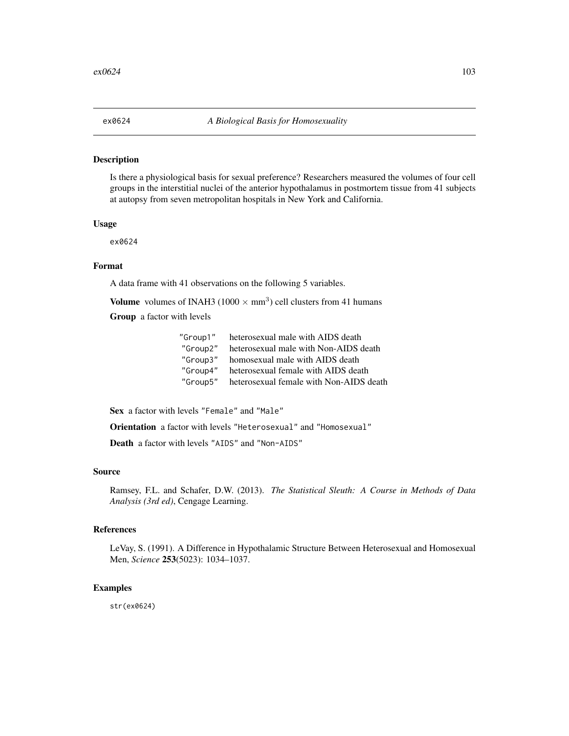Is there a physiological basis for sexual preference? Researchers measured the volumes of four cell groups in the interstitial nuclei of the anterior hypothalamus in postmortem tissue from 41 subjects at autopsy from seven metropolitan hospitals in New York and California.

### Usage

ex0624

# Format

A data frame with 41 observations on the following 5 variables.

**Volume** volumes of INAH3 (1000  $\times$  mm<sup>3</sup>) cell clusters from 41 humans

Group a factor with levels

| "Group1" | heterosexual male with AIDS death       |
|----------|-----------------------------------------|
| "Group2" | heterosexual male with Non-AIDS death   |
| "Group3" | homosexual male with AIDS death         |
| "Group4" | heterosexual female with AIDS death     |
| "Group5" | heterosexual female with Non-AIDS death |

Sex a factor with levels "Female" and "Male"

Orientation a factor with levels "Heterosexual" and "Homosexual"

Death a factor with levels "AIDS" and "Non-AIDS"

## Source

Ramsey, F.L. and Schafer, D.W. (2013). *The Statistical Sleuth: A Course in Methods of Data Analysis (3rd ed)*, Cengage Learning.

### References

LeVay, S. (1991). A Difference in Hypothalamic Structure Between Heterosexual and Homosexual Men, *Science* 253(5023): 1034–1037.

## Examples

str(ex0624)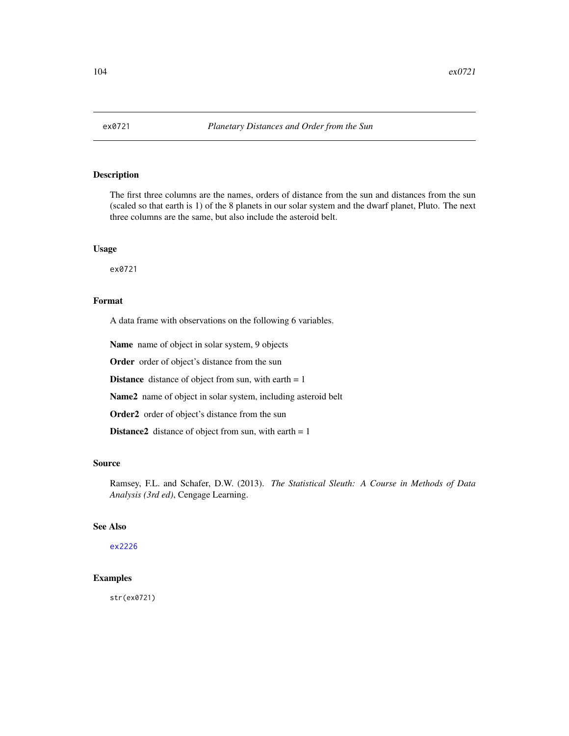The first three columns are the names, orders of distance from the sun and distances from the sun (scaled so that earth is 1) of the 8 planets in our solar system and the dwarf planet, Pluto. The next three columns are the same, but also include the asteroid belt.

### Usage

ex0721

## Format

A data frame with observations on the following 6 variables.

Name name of object in solar system, 9 objects

Order order of object's distance from the sun

**Distance** distance of object from sun, with earth  $= 1$ 

Name2 name of object in solar system, including asteroid belt

Order<sub>2</sub> order of object's distance from the sun

**Distance2** distance of object from sun, with earth  $= 1$ 

#### Source

Ramsey, F.L. and Schafer, D.W. (2013). *The Statistical Sleuth: A Course in Methods of Data Analysis (3rd ed)*, Cengage Learning.

# See Also

[ex2226](#page-193-0)

# Examples

str(ex0721)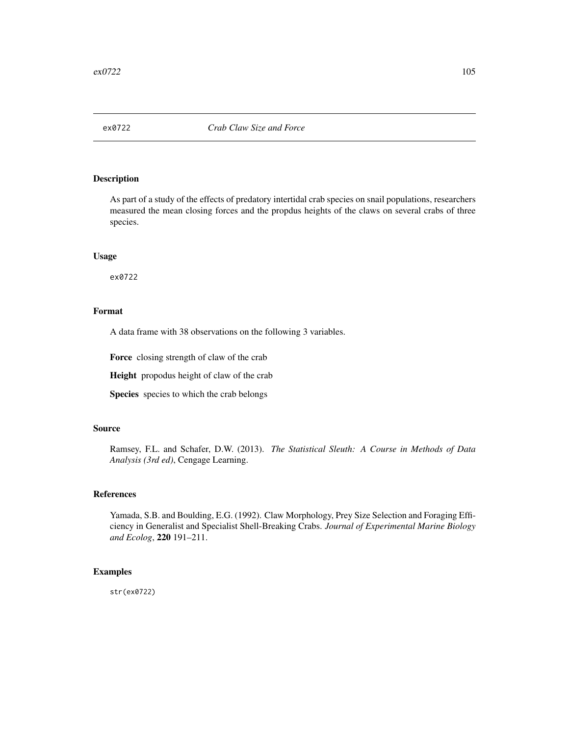As part of a study of the effects of predatory intertidal crab species on snail populations, researchers measured the mean closing forces and the propdus heights of the claws on several crabs of three species.

# Usage

ex0722

# Format

A data frame with 38 observations on the following 3 variables.

Force closing strength of claw of the crab

Height propodus height of claw of the crab

Species species to which the crab belongs

# Source

Ramsey, F.L. and Schafer, D.W. (2013). *The Statistical Sleuth: A Course in Methods of Data Analysis (3rd ed)*, Cengage Learning.

### References

Yamada, S.B. and Boulding, E.G. (1992). Claw Morphology, Prey Size Selection and Foraging Efficiency in Generalist and Specialist Shell-Breaking Crabs. *Journal of Experimental Marine Biology and Ecolog*, 220 191–211.

# Examples

str(ex0722)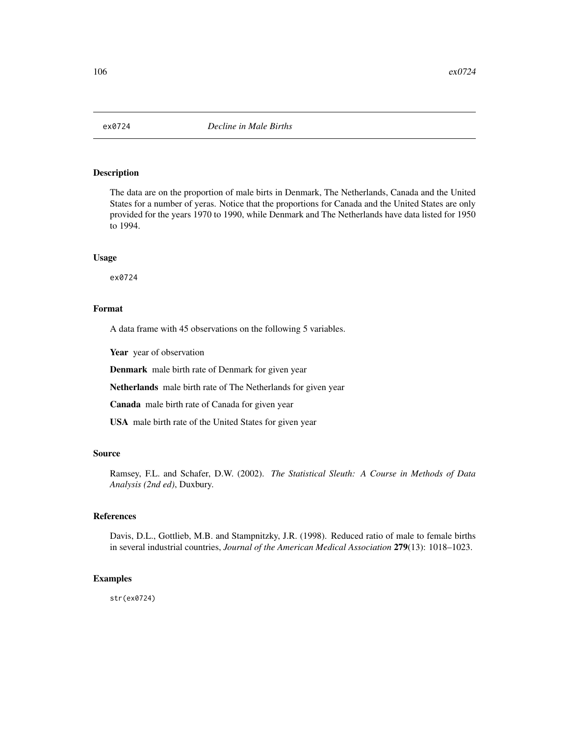The data are on the proportion of male birts in Denmark, The Netherlands, Canada and the United States for a number of yeras. Notice that the proportions for Canada and the United States are only provided for the years 1970 to 1990, while Denmark and The Netherlands have data listed for 1950 to 1994.

#### Usage

ex0724

#### Format

A data frame with 45 observations on the following 5 variables.

Year year of observation

Denmark male birth rate of Denmark for given year

Netherlands male birth rate of The Netherlands for given year

Canada male birth rate of Canada for given year

USA male birth rate of the United States for given year

#### Source

Ramsey, F.L. and Schafer, D.W. (2002). *The Statistical Sleuth: A Course in Methods of Data Analysis (2nd ed)*, Duxbury.

## References

Davis, D.L., Gottlieb, M.B. and Stampnitzky, J.R. (1998). Reduced ratio of male to female births in several industrial countries, *Journal of the American Medical Association* 279(13): 1018–1023.

### Examples

str(ex0724)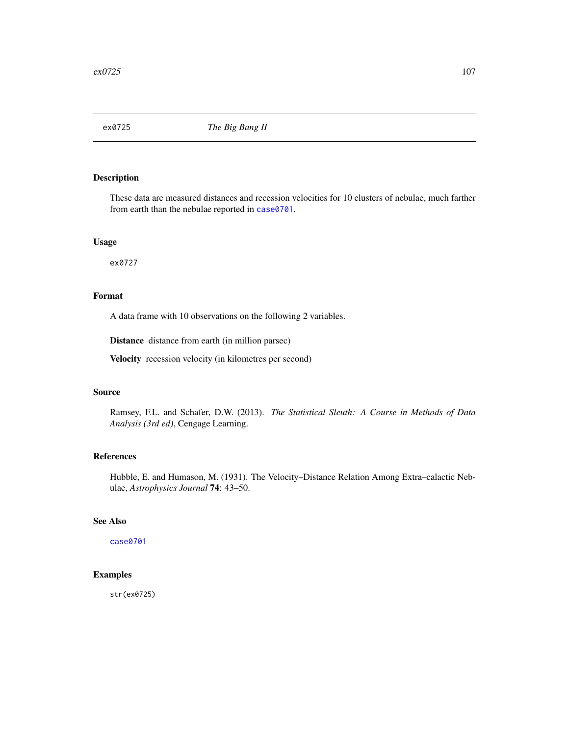These data are measured distances and recession velocities for 10 clusters of nebulae, much farther from earth than the nebulae reported in [case0701](#page-21-0).

#### Usage

ex0727

# Format

A data frame with 10 observations on the following 2 variables.

Distance distance from earth (in million parsec)

Velocity recession velocity (in kilometres per second)

### Source

Ramsey, F.L. and Schafer, D.W. (2013). *The Statistical Sleuth: A Course in Methods of Data Analysis (3rd ed)*, Cengage Learning.

## References

Hubble, E. and Humason, M. (1931). The Velocity–Distance Relation Among Extra–calactic Nebulae, *Astrophysics Journal* 74: 43–50.

## See Also

# [case0701](#page-21-0)

# Examples

str(ex0725)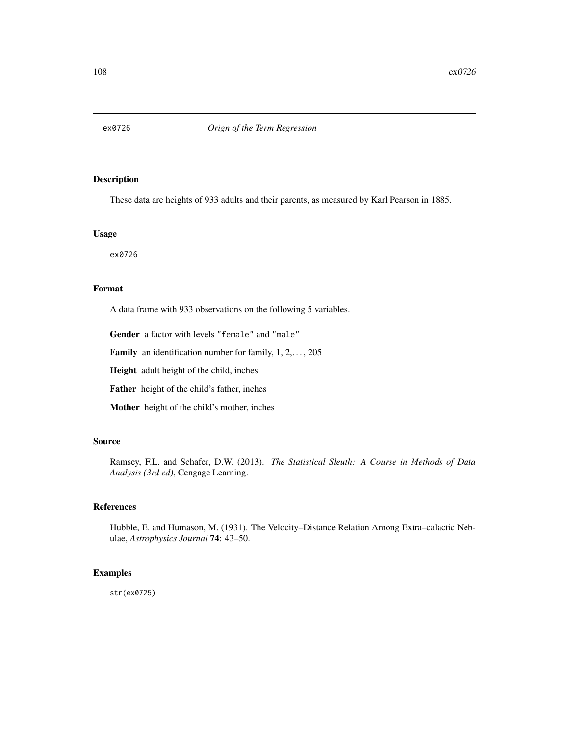These data are heights of 933 adults and their parents, as measured by Karl Pearson in 1885.

## Usage

ex0726

## Format

A data frame with 933 observations on the following 5 variables.

Gender a factor with levels "female" and "male"

Family an identification number for family, 1, 2, ..., 205

Height adult height of the child, inches

Father height of the child's father, inches

Mother height of the child's mother, inches

### Source

Ramsey, F.L. and Schafer, D.W. (2013). *The Statistical Sleuth: A Course in Methods of Data Analysis (3rd ed)*, Cengage Learning.

## References

Hubble, E. and Humason, M. (1931). The Velocity–Distance Relation Among Extra–calactic Nebulae, *Astrophysics Journal* 74: 43–50.

# Examples

str(ex0725)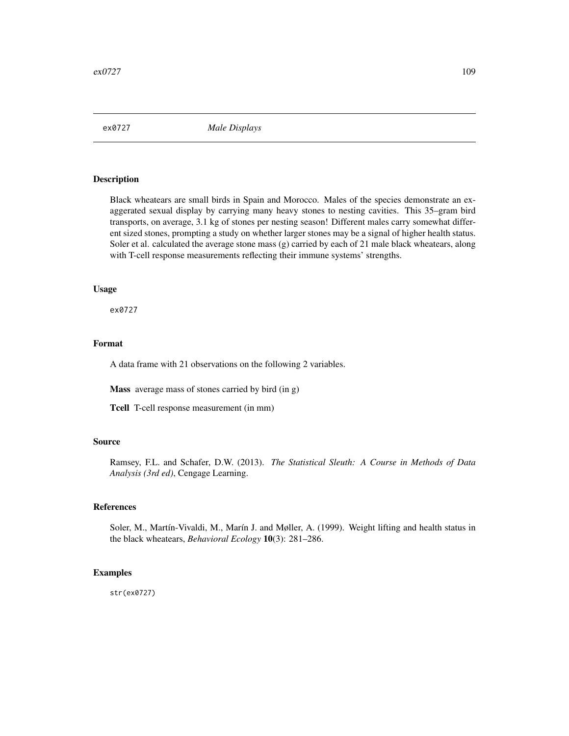ex0727 *Male Displays*

## Description

Black wheatears are small birds in Spain and Morocco. Males of the species demonstrate an exaggerated sexual display by carrying many heavy stones to nesting cavities. This 35–gram bird transports, on average, 3.1 kg of stones per nesting season! Different males carry somewhat different sized stones, prompting a study on whether larger stones may be a signal of higher health status. Soler et al. calculated the average stone mass (g) carried by each of 21 male black wheatears, along with T-cell response measurements reflecting their immune systems' strengths.

#### Usage

ex0727

# Format

A data frame with 21 observations on the following 2 variables.

Mass average mass of stones carried by bird (in g)

Tcell T-cell response measurement (in mm)

## Source

Ramsey, F.L. and Schafer, D.W. (2013). *The Statistical Sleuth: A Course in Methods of Data Analysis (3rd ed)*, Cengage Learning.

#### References

Soler, M., Martín-Vivaldi, M., Marín J. and Møller, A. (1999). Weight lifting and health status in the black wheatears, *Behavioral Ecology* 10(3): 281–286.

# Examples

str(ex0727)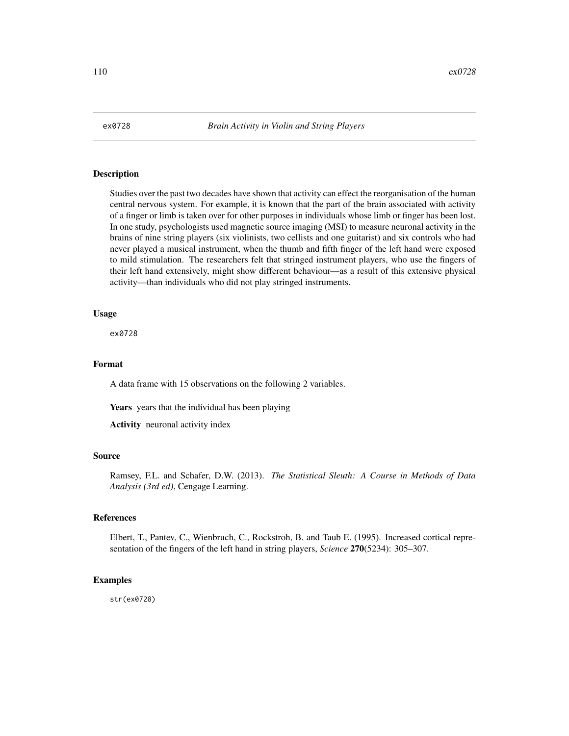Studies over the past two decades have shown that activity can effect the reorganisation of the human central nervous system. For example, it is known that the part of the brain associated with activity of a finger or limb is taken over for other purposes in individuals whose limb or finger has been lost. In one study, psychologists used magnetic source imaging (MSI) to measure neuronal activity in the brains of nine string players (six violinists, two cellists and one guitarist) and six controls who had never played a musical instrument, when the thumb and fifth finger of the left hand were exposed to mild stimulation. The researchers felt that stringed instrument players, who use the fingers of their left hand extensively, might show different behaviour—as a result of this extensive physical activity—than individuals who did not play stringed instruments.

#### Usage

ex0728

# Format

A data frame with 15 observations on the following 2 variables.

Years years that the individual has been playing

Activity neuronal activity index

## Source

Ramsey, F.L. and Schafer, D.W. (2013). *The Statistical Sleuth: A Course in Methods of Data Analysis (3rd ed)*, Cengage Learning.

#### References

Elbert, T., Pantev, C., Wienbruch, C., Rockstroh, B. and Taub E. (1995). Increased cortical representation of the fingers of the left hand in string players, *Science* 270(5234): 305–307.

## Examples

str(ex0728)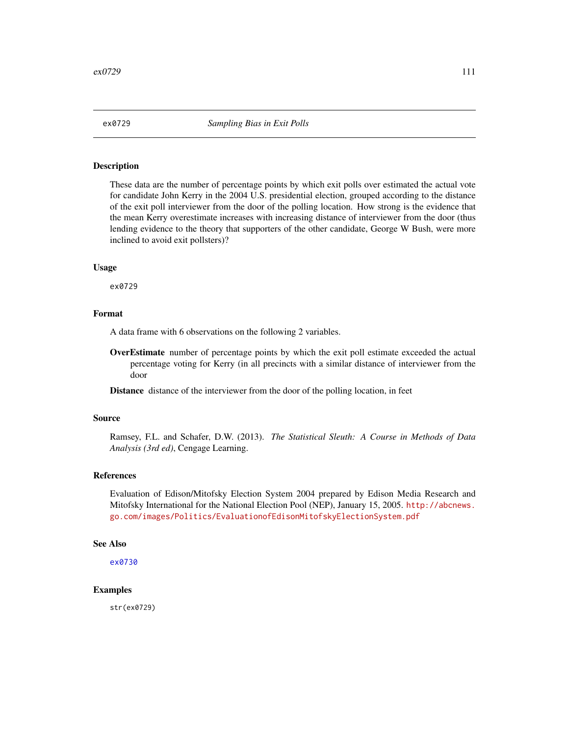<span id="page-110-0"></span>

These data are the number of percentage points by which exit polls over estimated the actual vote for candidate John Kerry in the 2004 U.S. presidential election, grouped according to the distance of the exit poll interviewer from the door of the polling location. How strong is the evidence that the mean Kerry overestimate increases with increasing distance of interviewer from the door (thus lending evidence to the theory that supporters of the other candidate, George W Bush, were more inclined to avoid exit pollsters)?

#### Usage

ex0729

## Format

A data frame with 6 observations on the following 2 variables.

OverEstimate number of percentage points by which the exit poll estimate exceeded the actual percentage voting for Kerry (in all precincts with a similar distance of interviewer from the door

Distance distance of the interviewer from the door of the polling location, in feet

## Source

Ramsey, F.L. and Schafer, D.W. (2013). *The Statistical Sleuth: A Course in Methods of Data Analysis (3rd ed)*, Cengage Learning.

## References

Evaluation of Edison/Mitofsky Election System 2004 prepared by Edison Media Research and Mitofsky International for the National Election Pool (NEP), January 15, 2005. [http://abcnews.](http://abcnews.go.com/images/Politics/EvaluationofEdisonMitofskyElectionSystem.pdf) [go.com/images/Politics/EvaluationofEdisonMitofskyElectionSystem.pdf](http://abcnews.go.com/images/Politics/EvaluationofEdisonMitofskyElectionSystem.pdf)

#### See Also

[ex0730](#page-111-0)

## Examples

str(ex0729)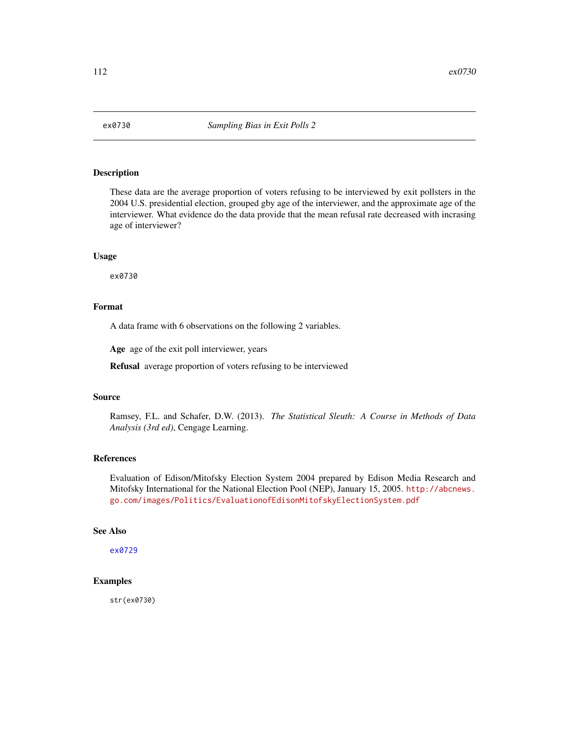<span id="page-111-0"></span>

These data are the average proportion of voters refusing to be interviewed by exit pollsters in the 2004 U.S. presidential election, grouped gby age of the interviewer, and the approximate age of the interviewer. What evidence do the data provide that the mean refusal rate decreased with incrasing age of interviewer?

## Usage

ex0730

## Format

A data frame with 6 observations on the following 2 variables.

Age age of the exit poll interviewer, years

Refusal average proportion of voters refusing to be interviewed

## Source

Ramsey, F.L. and Schafer, D.W. (2013). *The Statistical Sleuth: A Course in Methods of Data Analysis (3rd ed)*, Cengage Learning.

#### References

Evaluation of Edison/Mitofsky Election System 2004 prepared by Edison Media Research and Mitofsky International for the National Election Pool (NEP), January 15, 2005. [http://abcnews.](http://abcnews.go.com/images/Politics/EvaluationofEdisonMitofskyElectionSystem.pdf) [go.com/images/Politics/EvaluationofEdisonMitofskyElectionSystem.pdf](http://abcnews.go.com/images/Politics/EvaluationofEdisonMitofskyElectionSystem.pdf)

## See Also

[ex0729](#page-110-0)

# Examples

str(ex0730)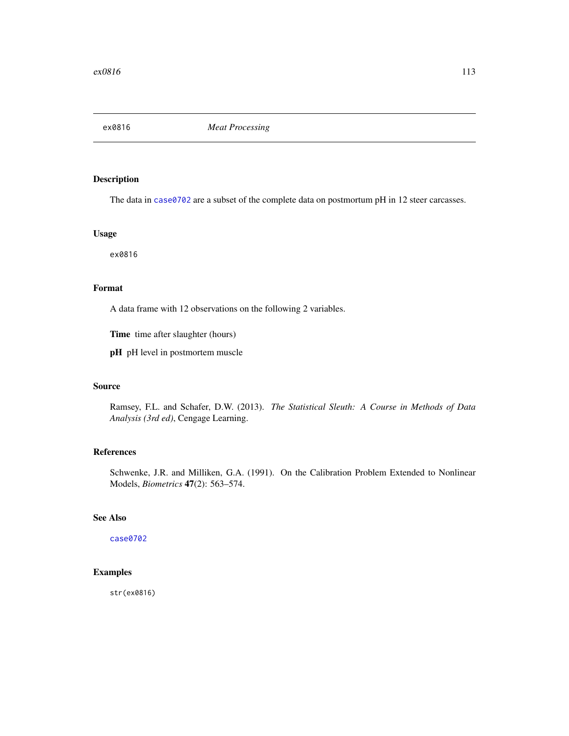The data in [case0702](#page-23-0) are a subset of the complete data on postmortum pH in 12 steer carcasses.

## Usage

ex0816

# Format

A data frame with 12 observations on the following 2 variables.

Time time after slaughter (hours)

pH pH level in postmortem muscle

#### Source

Ramsey, F.L. and Schafer, D.W. (2013). *The Statistical Sleuth: A Course in Methods of Data Analysis (3rd ed)*, Cengage Learning.

# References

Schwenke, J.R. and Milliken, G.A. (1991). On the Calibration Problem Extended to Nonlinear Models, *Biometrics* 47(2): 563–574.

# See Also

[case0702](#page-23-0)

# Examples

str(ex0816)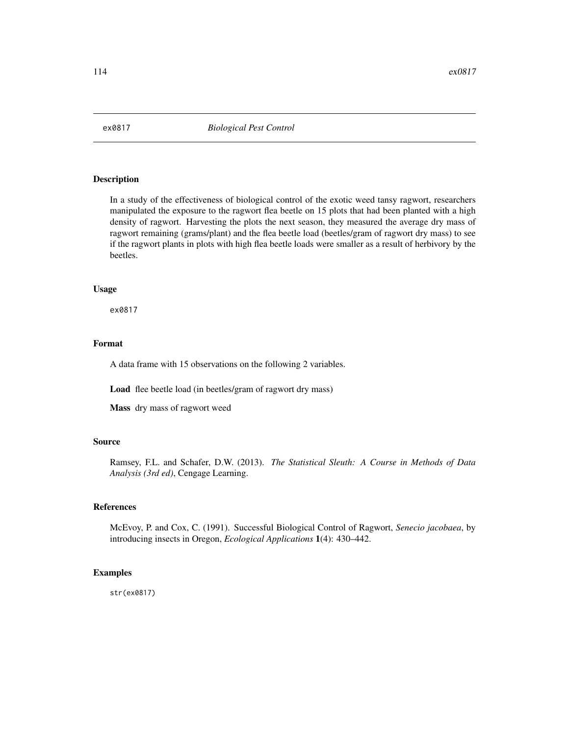In a study of the effectiveness of biological control of the exotic weed tansy ragwort, researchers manipulated the exposure to the ragwort flea beetle on 15 plots that had been planted with a high density of ragwort. Harvesting the plots the next season, they measured the average dry mass of ragwort remaining (grams/plant) and the flea beetle load (beetles/gram of ragwort dry mass) to see if the ragwort plants in plots with high flea beetle loads were smaller as a result of herbivory by the beetles.

#### Usage

ex0817

# Format

A data frame with 15 observations on the following 2 variables.

Load flee beetle load (in beetles/gram of ragwort dry mass)

Mass dry mass of ragwort weed

## Source

Ramsey, F.L. and Schafer, D.W. (2013). *The Statistical Sleuth: A Course in Methods of Data Analysis (3rd ed)*, Cengage Learning.

#### References

McEvoy, P. and Cox, C. (1991). Successful Biological Control of Ragwort, *Senecio jacobaea*, by introducing insects in Oregon, *Ecological Applications* 1(4): 430–442.

# Examples

str(ex0817)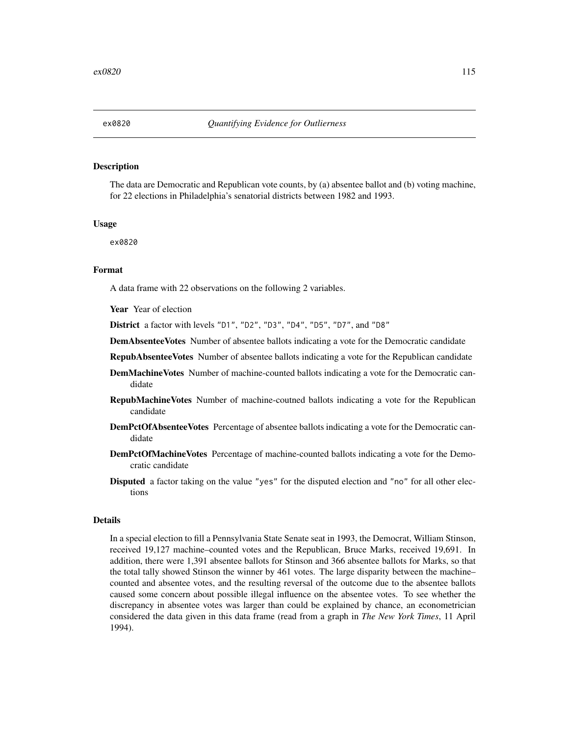The data are Democratic and Republican vote counts, by (a) absentee ballot and (b) voting machine, for 22 elections in Philadelphia's senatorial districts between 1982 and 1993.

#### Usage

ex0820

# Format

A data frame with 22 observations on the following 2 variables.

Year Year of election

District a factor with levels "D1", "D2", "D3", "D4", "D5", "D7", and "D8"

DemAbsenteeVotes Number of absentee ballots indicating a vote for the Democratic candidate

RepubAbsenteeVotes Number of absentee ballots indicating a vote for the Republican candidate

- DemMachineVotes Number of machine-counted ballots indicating a vote for the Democratic candidate
- RepubMachineVotes Number of machine-coutned ballots indicating a vote for the Republican candidate
- DemPctOfAbsenteeVotes Percentage of absentee ballots indicating a vote for the Democratic candidate
- DemPctOfMachineVotes Percentage of machine-counted ballots indicating a vote for the Democratic candidate
- Disputed a factor taking on the value "yes" for the disputed election and "no" for all other elections

## Details

In a special election to fill a Pennsylvania State Senate seat in 1993, the Democrat, William Stinson, received 19,127 machine–counted votes and the Republican, Bruce Marks, received 19,691. In addition, there were 1,391 absentee ballots for Stinson and 366 absentee ballots for Marks, so that the total tally showed Stinson the winner by 461 votes. The large disparity between the machine– counted and absentee votes, and the resulting reversal of the outcome due to the absentee ballots caused some concern about possible illegal influence on the absentee votes. To see whether the discrepancy in absentee votes was larger than could be explained by chance, an econometrician considered the data given in this data frame (read from a graph in *The New York Times*, 11 April 1994).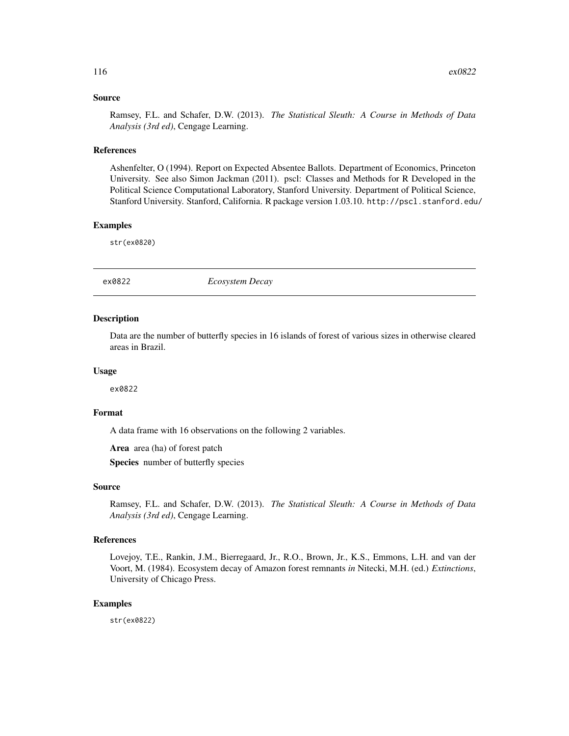## Source

Ramsey, F.L. and Schafer, D.W. (2013). *The Statistical Sleuth: A Course in Methods of Data Analysis (3rd ed)*, Cengage Learning.

#### References

Ashenfelter, O (1994). Report on Expected Absentee Ballots. Department of Economics, Princeton University. See also Simon Jackman (2011). pscl: Classes and Methods for R Developed in the Political Science Computational Laboratory, Stanford University. Department of Political Science, Stanford University. Stanford, California. R package version 1.03.10. http://pscl.stanford.edu/

#### Examples

str(ex0820)

| ex0822<br><b>Ecosystem Decay</b> |
|----------------------------------|
|----------------------------------|

## Description

Data are the number of butterfly species in 16 islands of forest of various sizes in otherwise cleared areas in Brazil.

#### Usage

ex0822

# Format

A data frame with 16 observations on the following 2 variables.

Area area (ha) of forest patch

Species number of butterfly species

## Source

Ramsey, F.L. and Schafer, D.W. (2013). *The Statistical Sleuth: A Course in Methods of Data Analysis (3rd ed)*, Cengage Learning.

## References

Lovejoy, T.E., Rankin, J.M., Bierregaard, Jr., R.O., Brown, Jr., K.S., Emmons, L.H. and van der Voort, M. (1984). Ecosystem decay of Amazon forest remnants *in* Nitecki, M.H. (ed.) *Extinctions*, University of Chicago Press.

## Examples

str(ex0822)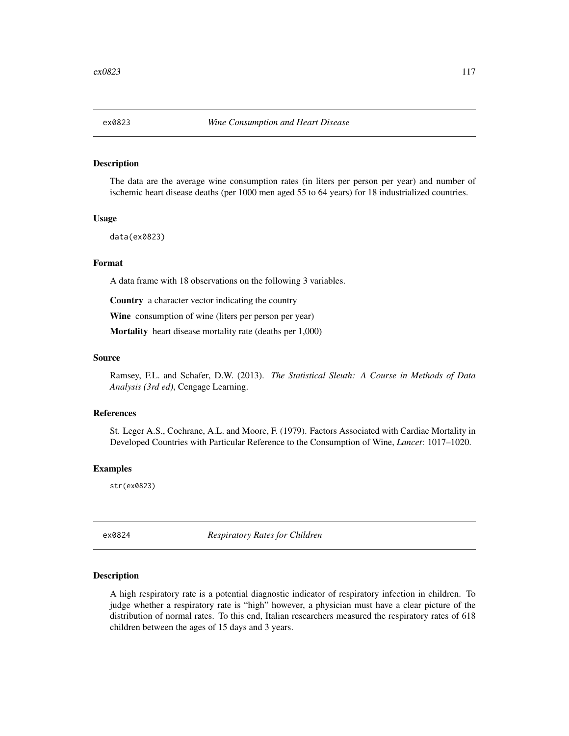The data are the average wine consumption rates (in liters per person per year) and number of ischemic heart disease deaths (per 1000 men aged 55 to 64 years) for 18 industrialized countries.

## Usage

data(ex0823)

# Format

A data frame with 18 observations on the following 3 variables.

Country a character vector indicating the country

Wine consumption of wine (liters per person per year)

Mortality heart disease mortality rate (deaths per 1,000)

#### Source

Ramsey, F.L. and Schafer, D.W. (2013). *The Statistical Sleuth: A Course in Methods of Data Analysis (3rd ed)*, Cengage Learning.

# References

St. Leger A.S., Cochrane, A.L. and Moore, F. (1979). Factors Associated with Cardiac Mortality in Developed Countries with Particular Reference to the Consumption of Wine, *Lancet*: 1017–1020.

#### Examples

str(ex0823)

ex0824 *Respiratory Rates for Children*

#### Description

A high respiratory rate is a potential diagnostic indicator of respiratory infection in children. To judge whether a respiratory rate is "high" however, a physician must have a clear picture of the distribution of normal rates. To this end, Italian researchers measured the respiratory rates of 618 children between the ages of 15 days and 3 years.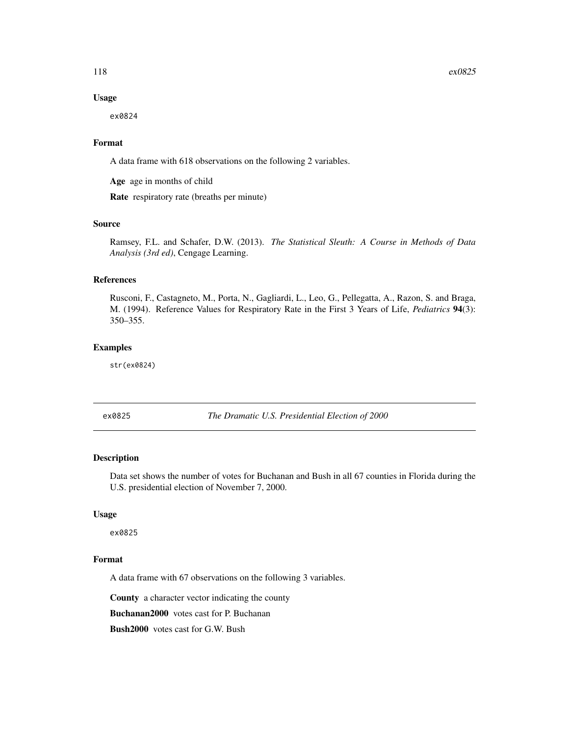## Usage

ex0824

# Format

A data frame with 618 observations on the following 2 variables.

Age age in months of child

Rate respiratory rate (breaths per minute)

#### Source

Ramsey, F.L. and Schafer, D.W. (2013). *The Statistical Sleuth: A Course in Methods of Data Analysis (3rd ed)*, Cengage Learning.

#### References

Rusconi, F., Castagneto, M., Porta, N., Gagliardi, L., Leo, G., Pellegatta, A., Razon, S. and Braga, M. (1994). Reference Values for Respiratory Rate in the First 3 Years of Life, *Pediatrics* 94(3): 350–355.

# Examples

str(ex0824)

<span id="page-117-0"></span>ex0825 *The Dramatic U.S. Presidential Election of 2000*

# Description

Data set shows the number of votes for Buchanan and Bush in all 67 counties in Florida during the U.S. presidential election of November 7, 2000.

## Usage

ex0825

## Format

A data frame with 67 observations on the following 3 variables.

County a character vector indicating the county

Buchanan2000 votes cast for P. Buchanan

Bush2000 votes cast for G.W. Bush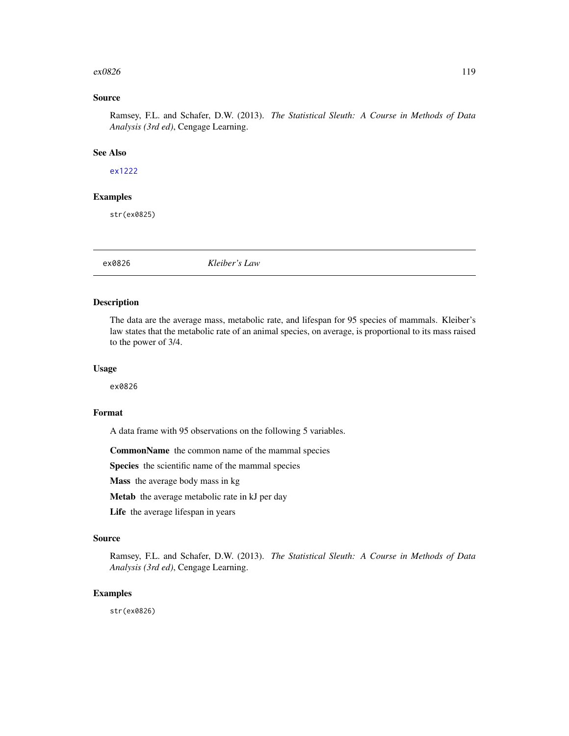#### $e^{20826}$  and  $e^{0.0000}$  119

## Source

Ramsey, F.L. and Schafer, D.W. (2013). *The Statistical Sleuth: A Course in Methods of Data Analysis (3rd ed)*, Cengage Learning.

## See Also

## [ex1222](#page-141-0)

## Examples

str(ex0825)

ex0826 *Kleiber's Law*

# Description

The data are the average mass, metabolic rate, and lifespan for 95 species of mammals. Kleiber's law states that the metabolic rate of an animal species, on average, is proportional to its mass raised to the power of 3/4.

#### Usage

ex0826

# Format

A data frame with 95 observations on the following 5 variables.

CommonName the common name of the mammal species

Species the scientific name of the mammal species

Mass the average body mass in kg

Metab the average metabolic rate in kJ per day

Life the average lifespan in years

# Source

Ramsey, F.L. and Schafer, D.W. (2013). *The Statistical Sleuth: A Course in Methods of Data Analysis (3rd ed)*, Cengage Learning.

# Examples

str(ex0826)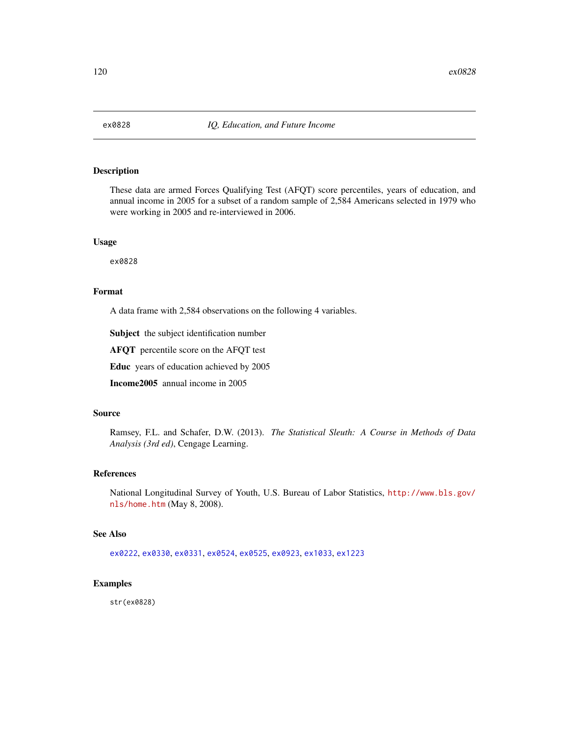<span id="page-119-0"></span>

These data are armed Forces Qualifying Test (AFQT) score percentiles, years of education, and annual income in 2005 for a subset of a random sample of 2,584 Americans selected in 1979 who were working in 2005 and re-interviewed in 2006.

#### Usage

ex0828

# Format

A data frame with 2,584 observations on the following 4 variables.

Subject the subject identification number

AFQT percentile score on the AFQT test

Educ years of education achieved by 2005

Income2005 annual income in 2005

## Source

Ramsey, F.L. and Schafer, D.W. (2013). *The Statistical Sleuth: A Course in Methods of Data Analysis (3rd ed)*, Cengage Learning.

## References

National Longitudinal Survey of Youth, U.S. Bureau of Labor Statistics, [http://www.bls.gov/](http://www.bls.gov/nls/home.htm) [nls/home.htm](http://www.bls.gov/nls/home.htm) (May 8, 2008).

## See Also

[ex0222](#page-86-0), [ex0330](#page-90-0), [ex0331](#page-91-0), [ex0524](#page-99-0), [ex0525](#page-100-0), [ex0923](#page-125-0), [ex1033](#page-132-0), [ex1223](#page-143-0)

# Examples

str(ex0828)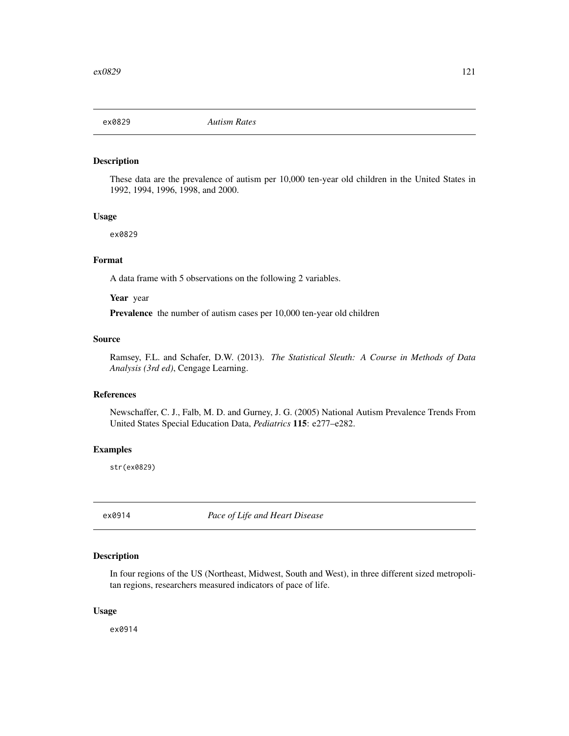These data are the prevalence of autism per 10,000 ten-year old children in the United States in 1992, 1994, 1996, 1998, and 2000.

#### Usage

ex0829

# Format

A data frame with 5 observations on the following 2 variables.

Year year

Prevalence the number of autism cases per 10,000 ten-year old children

## Source

Ramsey, F.L. and Schafer, D.W. (2013). *The Statistical Sleuth: A Course in Methods of Data Analysis (3rd ed)*, Cengage Learning.

# References

Newschaffer, C. J., Falb, M. D. and Gurney, J. G. (2005) National Autism Prevalence Trends From United States Special Education Data, *Pediatrics* 115: e277–e282.

# Examples

str(ex0829)

ex0914 *Pace of Life and Heart Disease*

#### Description

In four regions of the US (Northeast, Midwest, South and West), in three different sized metropolitan regions, researchers measured indicators of pace of life.

#### Usage

ex0914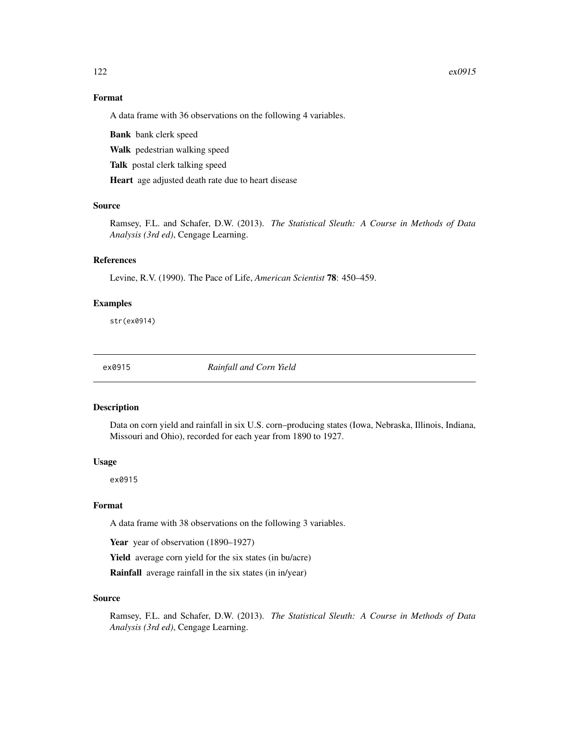#### $122$  ex $0915$

# Format

A data frame with 36 observations on the following 4 variables.

Bank bank clerk speed

Walk pedestrian walking speed

Talk postal clerk talking speed

Heart age adjusted death rate due to heart disease

## Source

Ramsey, F.L. and Schafer, D.W. (2013). *The Statistical Sleuth: A Course in Methods of Data Analysis (3rd ed)*, Cengage Learning.

# References

Levine, R.V. (1990). The Pace of Life, *American Scientist* 78: 450–459.

## Examples

str(ex0914)

ex0915 *Rainfall and Corn Yield*

#### Description

Data on corn yield and rainfall in six U.S. corn–producing states (Iowa, Nebraska, Illinois, Indiana, Missouri and Ohio), recorded for each year from 1890 to 1927.

#### Usage

ex0915

#### Format

A data frame with 38 observations on the following 3 variables.

Year year of observation (1890-1927)

Yield average corn yield for the six states (in bu/acre)

Rainfall average rainfall in the six states (in in/year)

#### Source

Ramsey, F.L. and Schafer, D.W. (2013). *The Statistical Sleuth: A Course in Methods of Data Analysis (3rd ed)*, Cengage Learning.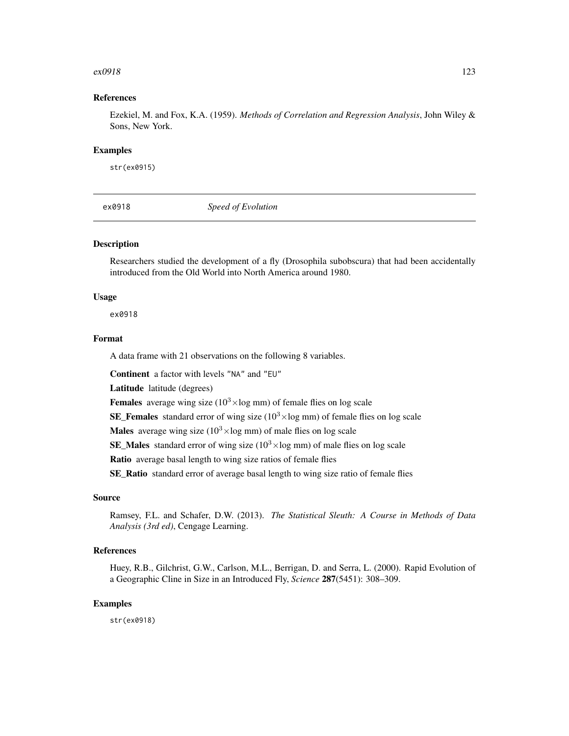#### $ex0918$  123

## References

Ezekiel, M. and Fox, K.A. (1959). *Methods of Correlation and Regression Analysis*, John Wiley & Sons, New York.

#### Examples

str(ex0915)

ex0918 *Speed of Evolution*

## Description

Researchers studied the development of a fly (Drosophila subobscura) that had been accidentally introduced from the Old World into North America around 1980.

## Usage

ex0918

## Format

A data frame with 21 observations on the following 8 variables.

Continent a factor with levels "NA" and "EU"

Latitude latitude (degrees)

**Females** average wing size ( $10^3 \times \log \text{mm}$ ) of female flies on log scale

**SE\_Females** standard error of wing size  $(10^3 \times \log \text{mm})$  of female flies on log scale

**Males** average wing size ( $10^3 \times \log$  mm) of male flies on log scale

**SE\_Males** standard error of wing size ( $10^3 \times \log \text{mm}$ ) of male flies on log scale

Ratio average basal length to wing size ratios of female flies

SE\_Ratio standard error of average basal length to wing size ratio of female flies

## Source

Ramsey, F.L. and Schafer, D.W. (2013). *The Statistical Sleuth: A Course in Methods of Data Analysis (3rd ed)*, Cengage Learning.

## References

Huey, R.B., Gilchrist, G.W., Carlson, M.L., Berrigan, D. and Serra, L. (2000). Rapid Evolution of a Geographic Cline in Size in an Introduced Fly, *Science* 287(5451): 308–309.

## Examples

str(ex0918)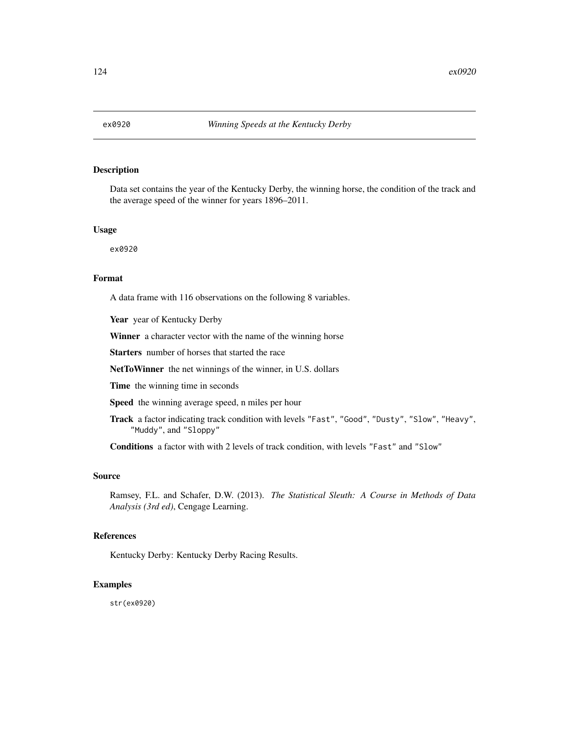Data set contains the year of the Kentucky Derby, the winning horse, the condition of the track and the average speed of the winner for years 1896–2011.

#### Usage

ex0920

# Format

A data frame with 116 observations on the following 8 variables.

Year year of Kentucky Derby

Winner a character vector with the name of the winning horse

Starters number of horses that started the race

NetToWinner the net winnings of the winner, in U.S. dollars

Time the winning time in seconds

Speed the winning average speed, n miles per hour

Track a factor indicating track condition with levels "Fast", "Good", "Dusty", "Slow", "Heavy", "Muddy", and "Sloppy"

Conditions a factor with with 2 levels of track condition, with levels "Fast" and "Slow"

## Source

Ramsey, F.L. and Schafer, D.W. (2013). *The Statistical Sleuth: A Course in Methods of Data Analysis (3rd ed)*, Cengage Learning.

# References

Kentucky Derby: Kentucky Derby Racing Results.

#### Examples

str(ex0920)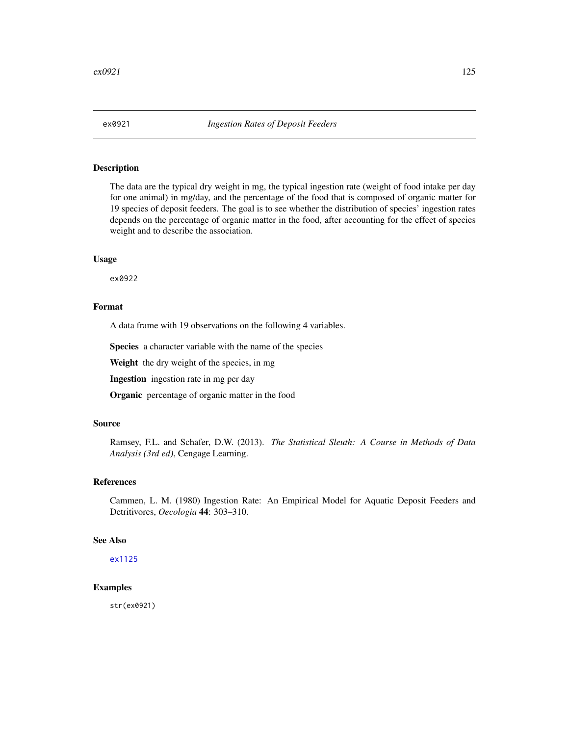<span id="page-124-0"></span>The data are the typical dry weight in mg, the typical ingestion rate (weight of food intake per day for one animal) in mg/day, and the percentage of the food that is composed of organic matter for 19 species of deposit feeders. The goal is to see whether the distribution of species' ingestion rates depends on the percentage of organic matter in the food, after accounting for the effect of species weight and to describe the association.

#### Usage

ex0922

## Format

A data frame with 19 observations on the following 4 variables.

Species a character variable with the name of the species

Weight the dry weight of the species, in mg

Ingestion ingestion rate in mg per day

Organic percentage of organic matter in the food

#### Source

Ramsey, F.L. and Schafer, D.W. (2013). *The Statistical Sleuth: A Course in Methods of Data Analysis (3rd ed)*, Cengage Learning.

# References

Cammen, L. M. (1980) Ingestion Rate: An Empirical Model for Aquatic Deposit Feeders and Detritivores, *Oecologia* 44: 303–310.

#### See Also

[ex1125](#page-137-0)

# Examples

str(ex0921)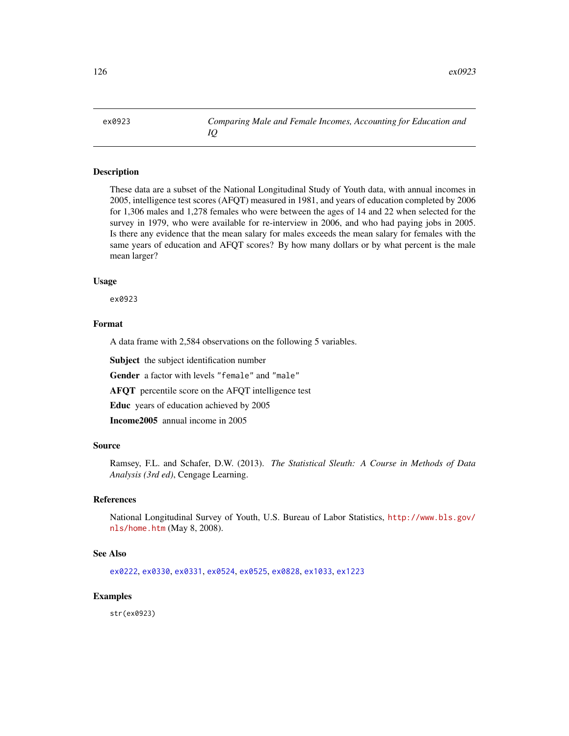<span id="page-125-0"></span>ex0923 *Comparing Male and Female Incomes, Accounting for Education and IQ*

## Description

These data are a subset of the National Longitudinal Study of Youth data, with annual incomes in 2005, intelligence test scores (AFQT) measured in 1981, and years of education completed by 2006 for 1,306 males and 1,278 females who were between the ages of 14 and 22 when selected for the survey in 1979, who were available for re-interview in 2006, and who had paying jobs in 2005. Is there any evidence that the mean salary for males exceeds the mean salary for females with the same years of education and AFQT scores? By how many dollars or by what percent is the male mean larger?

#### Usage

ex0923

## Format

A data frame with 2,584 observations on the following 5 variables.

Subject the subject identification number

Gender a factor with levels "female" and "male"

AFQT percentile score on the AFQT intelligence test

Educ years of education achieved by 2005

Income2005 annual income in 2005

#### Source

Ramsey, F.L. and Schafer, D.W. (2013). *The Statistical Sleuth: A Course in Methods of Data Analysis (3rd ed)*, Cengage Learning.

## References

National Longitudinal Survey of Youth, U.S. Bureau of Labor Statistics, [http://www.bls.gov/](http://www.bls.gov/nls/home.htm) [nls/home.htm](http://www.bls.gov/nls/home.htm) (May 8, 2008).

#### See Also

[ex0222](#page-86-0), [ex0330](#page-90-0), [ex0331](#page-91-0), [ex0524](#page-99-0), [ex0525](#page-100-0), [ex0828](#page-119-0), [ex1033](#page-132-0), [ex1223](#page-143-0)

# Examples

str(ex0923)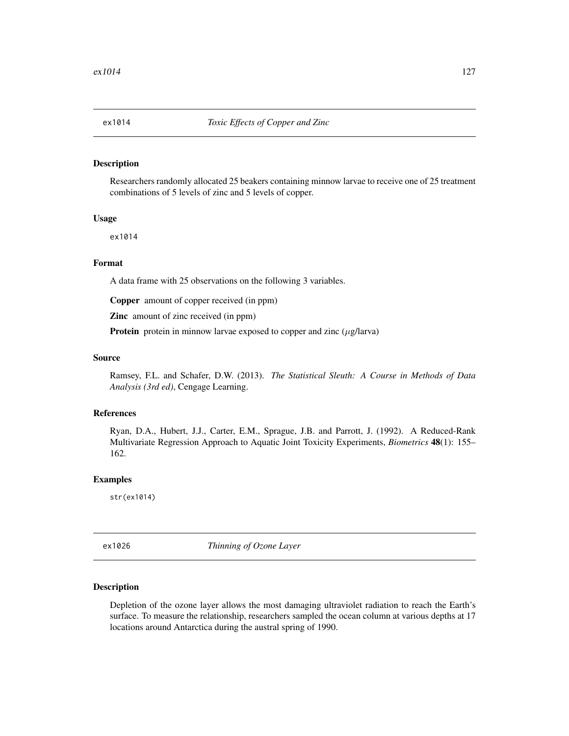Researchers randomly allocated 25 beakers containing minnow larvae to receive one of 25 treatment combinations of 5 levels of zinc and 5 levels of copper.

# Usage

ex1014

# Format

A data frame with 25 observations on the following 3 variables.

Copper amount of copper received (in ppm)

Zinc amount of zinc received (in ppm)

**Protein** protein in minnow larvae exposed to copper and zinc  $(\mu g / \text{larva})$ 

#### Source

Ramsey, F.L. and Schafer, D.W. (2013). *The Statistical Sleuth: A Course in Methods of Data Analysis (3rd ed)*, Cengage Learning.

# References

Ryan, D.A., Hubert, J.J., Carter, E.M., Sprague, J.B. and Parrott, J. (1992). A Reduced-Rank Multivariate Regression Approach to Aquatic Joint Toxicity Experiments, *Biometrics* 48(1): 155– 162.

#### Examples

str(ex1014)

ex1026 *Thinning of Ozone Layer*

# Description

Depletion of the ozone layer allows the most damaging ultraviolet radiation to reach the Earth's surface. To measure the relationship, researchers sampled the ocean column at various depths at 17 locations around Antarctica during the austral spring of 1990.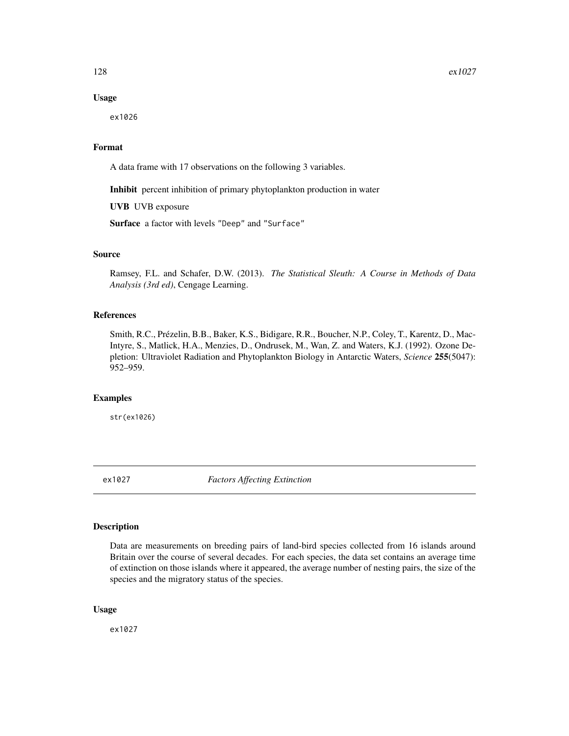#### Usage

ex1026

# Format

A data frame with 17 observations on the following 3 variables.

Inhibit percent inhibition of primary phytoplankton production in water

UVB UVB exposure

Surface a factor with levels "Deep" and "Surface"

#### Source

Ramsey, F.L. and Schafer, D.W. (2013). *The Statistical Sleuth: A Course in Methods of Data Analysis (3rd ed)*, Cengage Learning.

## References

Smith, R.C., Prézelin, B.B., Baker, K.S., Bidigare, R.R., Boucher, N.P., Coley, T., Karentz, D., Mac-Intyre, S., Matlick, H.A., Menzies, D., Ondrusek, M., Wan, Z. and Waters, K.J. (1992). Ozone Depletion: Ultraviolet Radiation and Phytoplankton Biology in Antarctic Waters, *Science* 255(5047): 952–959.

# Examples

str(ex1026)

ex1027 *Factors Affecting Extinction*

# Description

Data are measurements on breeding pairs of land-bird species collected from 16 islands around Britain over the course of several decades. For each species, the data set contains an average time of extinction on those islands where it appeared, the average number of nesting pairs, the size of the species and the migratory status of the species.

#### Usage

ex1027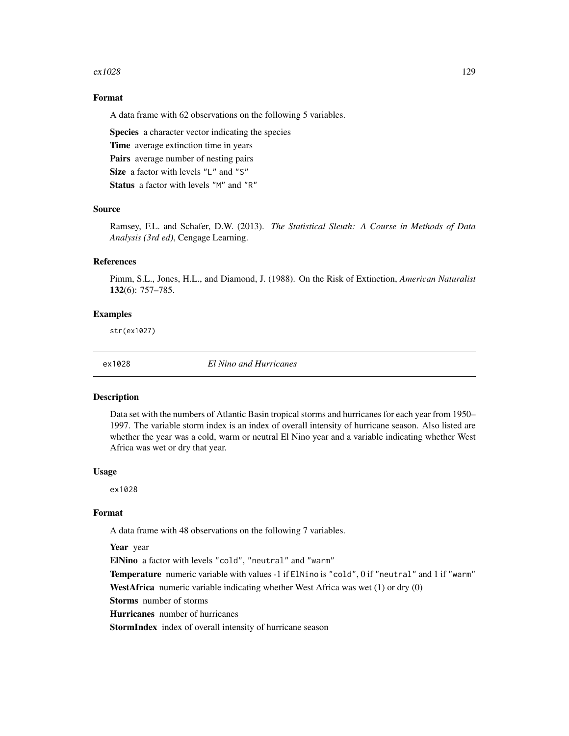#### $\exp(1028)$  and  $\exp(129)$  and  $\exp(129)$

# Format

A data frame with 62 observations on the following 5 variables.

Species a character vector indicating the species

Time average extinction time in years

Pairs average number of nesting pairs

Size a factor with levels "L" and "S"

Status a factor with levels "M" and "R"

## Source

Ramsey, F.L. and Schafer, D.W. (2013). *The Statistical Sleuth: A Course in Methods of Data Analysis (3rd ed)*, Cengage Learning.

#### References

Pimm, S.L., Jones, H.L., and Diamond, J. (1988). On the Risk of Extinction, *American Naturalist* 132(6): 757–785.

#### Examples

str(ex1027)

ex1028 *El Nino and Hurricanes*

## Description

Data set with the numbers of Atlantic Basin tropical storms and hurricanes for each year from 1950– 1997. The variable storm index is an index of overall intensity of hurricane season. Also listed are whether the year was a cold, warm or neutral El Nino year and a variable indicating whether West Africa was wet or dry that year.

#### Usage

ex1028

# Format

A data frame with 48 observations on the following 7 variables.

Year year

ElNino a factor with levels "cold", "neutral" and "warm"

Temperature numeric variable with values -1 if ElNino is "cold", 0 if "neutral" and 1 if "warm"

WestAfrica numeric variable indicating whether West Africa was wet (1) or dry (0)

Storms number of storms

Hurricanes number of hurricanes

StormIndex index of overall intensity of hurricane season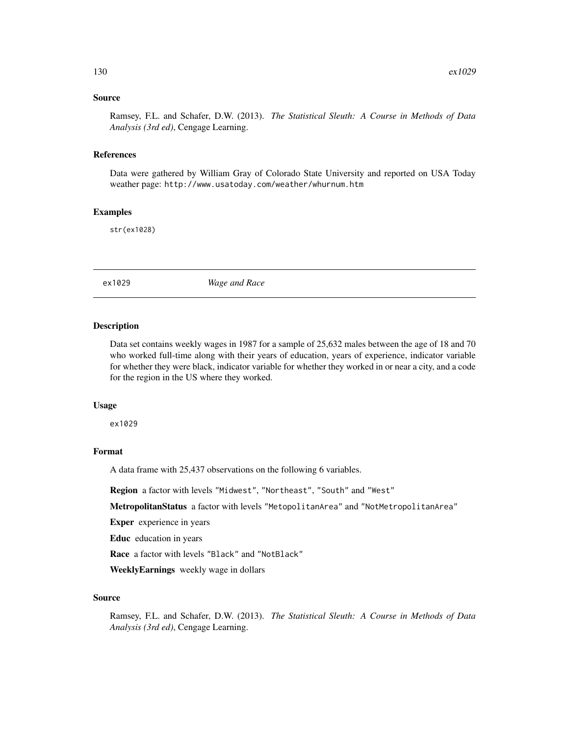#### Source

Ramsey, F.L. and Schafer, D.W. (2013). *The Statistical Sleuth: A Course in Methods of Data Analysis (3rd ed)*, Cengage Learning.

#### References

Data were gathered by William Gray of Colorado State University and reported on USA Today weather page: http://www.usatoday.com/weather/whurnum.htm

## Examples

str(ex1028)

ex1029 *Wage and Race*

#### Description

Data set contains weekly wages in 1987 for a sample of 25,632 males between the age of 18 and 70 who worked full-time along with their years of education, years of experience, indicator variable for whether they were black, indicator variable for whether they worked in or near a city, and a code for the region in the US where they worked.

#### Usage

ex1029

## Format

A data frame with 25,437 observations on the following 6 variables.

Region a factor with levels "Midwest", "Northeast", "South" and "West"

MetropolitanStatus a factor with levels "MetopolitanArea" and "NotMetropolitanArea"

Exper experience in years

Educ education in years

Race a factor with levels "Black" and "NotBlack"

WeeklyEarnings weekly wage in dollars

## Source

Ramsey, F.L. and Schafer, D.W. (2013). *The Statistical Sleuth: A Course in Methods of Data Analysis (3rd ed)*, Cengage Learning.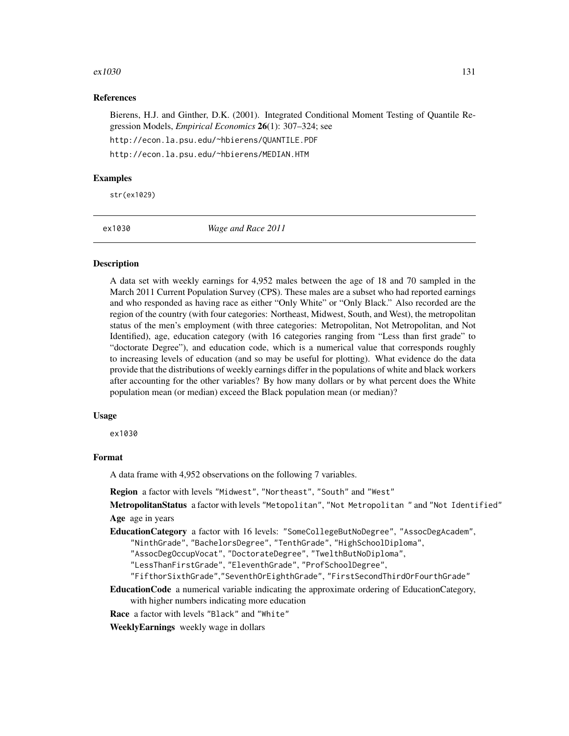#### $ex1030$  131

## References

Bierens, H.J. and Ginther, D.K. (2001). Integrated Conditional Moment Testing of Quantile Regression Models, *Empirical Economics* 26(1): 307–324; see http://econ.la.psu.edu/~hbierens/QUANTILE.PDF http://econ.la.psu.edu/~hbierens/MEDIAN.HTM

#### Examples

str(ex1029)

ex1030 *Wage and Race 2011*

## Description

A data set with weekly earnings for 4,952 males between the age of 18 and 70 sampled in the March 2011 Current Population Survey (CPS). These males are a subset who had reported earnings and who responded as having race as either "Only White" or "Only Black." Also recorded are the region of the country (with four categories: Northeast, Midwest, South, and West), the metropolitan status of the men's employment (with three categories: Metropolitan, Not Metropolitan, and Not Identified), age, education category (with 16 categories ranging from "Less than first grade" to "doctorate Degree"), and education code, which is a numerical value that corresponds roughly to increasing levels of education (and so may be useful for plotting). What evidence do the data provide that the distributions of weekly earnings differ in the populations of white and black workers after accounting for the other variables? By how many dollars or by what percent does the White population mean (or median) exceed the Black population mean (or median)?

#### Usage

ex1030

# Format

A data frame with 4,952 observations on the following 7 variables.

Region a factor with levels "Midwest", "Northeast", "South" and "West"

MetropolitanStatus a factor with levels "Metopolitan", "Not Metropolitan " and "Not Identified" Age age in years

EducationCategory a factor with 16 levels: "SomeCollegeButNoDegree", "AssocDegAcadem",

"NinthGrade", "BachelorsDegree", "TenthGrade", "HighSchoolDiploma",

"AssocDegOccupVocat", "DoctorateDegree", "TwelthButNoDiploma",

"LessThanFirstGrade", "EleventhGrade", "ProfSchoolDegree",

"FifthorSixthGrade","SeventhOrEighthGrade", "FirstSecondThirdOrFourthGrade"

EducationCode a numerical variable indicating the approximate ordering of EducationCategory, with higher numbers indicating more education

Race a factor with levels "Black" and "White"

WeeklyEarnings weekly wage in dollars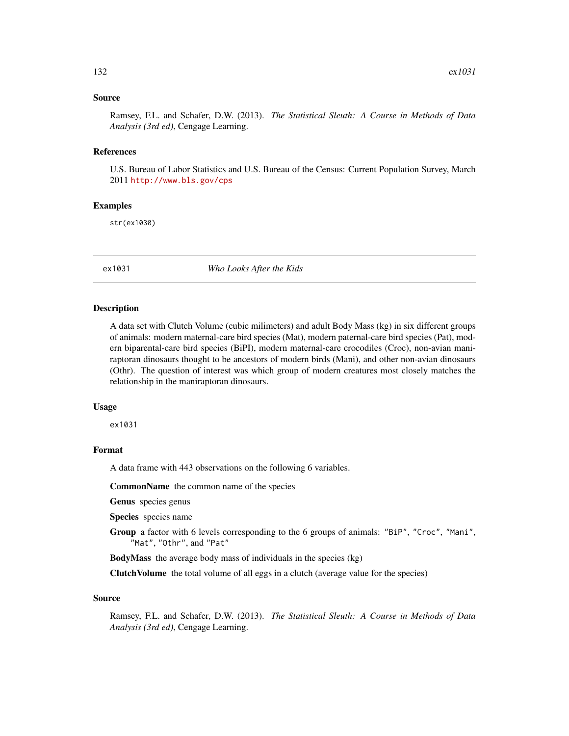## Source

Ramsey, F.L. and Schafer, D.W. (2013). *The Statistical Sleuth: A Course in Methods of Data Analysis (3rd ed)*, Cengage Learning.

## References

U.S. Bureau of Labor Statistics and U.S. Bureau of the Census: Current Population Survey, March 2011 <http://www.bls.gov/cps>

#### Examples

str(ex1030)

ex1031 *Who Looks After the Kids*

#### **Description**

A data set with Clutch Volume (cubic milimeters) and adult Body Mass (kg) in six different groups of animals: modern maternal-care bird species (Mat), modern paternal-care bird species (Pat), modern biparental-care bird species (BiPI), modern maternal-care crocodiles (Croc), non-avian maniraptoran dinosaurs thought to be ancestors of modern birds (Mani), and other non-avian dinosaurs (Othr). The question of interest was which group of modern creatures most closely matches the relationship in the maniraptoran dinosaurs.

#### Usage

ex1031

# Format

A data frame with 443 observations on the following 6 variables.

CommonName the common name of the species

Genus species genus

Species species name

Group a factor with 6 levels corresponding to the 6 groups of animals: "BiP", "Croc", "Mani", "Mat", "Othr", and "Pat"

BodyMass the average body mass of individuals in the species (kg)

ClutchVolume the total volume of all eggs in a clutch (average value for the species)

#### Source

Ramsey, F.L. and Schafer, D.W. (2013). *The Statistical Sleuth: A Course in Methods of Data Analysis (3rd ed)*, Cengage Learning.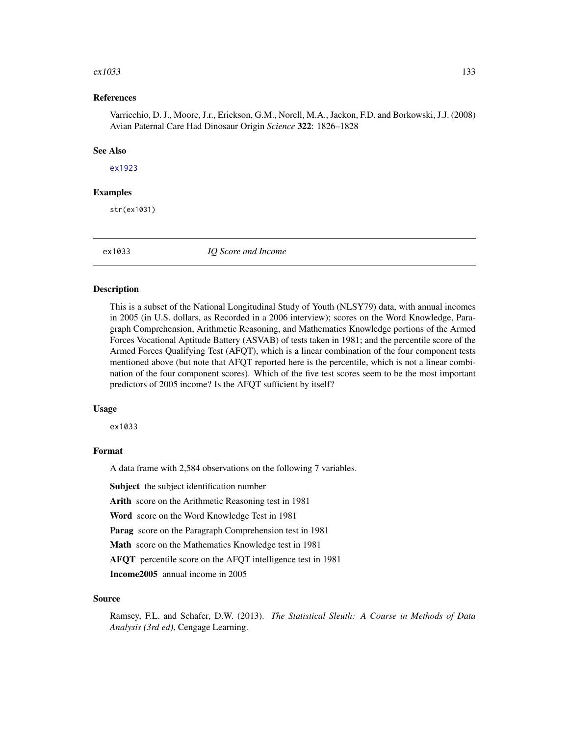#### $ex1033$  133

## References

Varricchio, D. J., Moore, J.r., Erickson, G.M., Norell, M.A., Jackon, F.D. and Borkowski, J.J. (2008) Avian Paternal Care Had Dinosaur Origin *Science* 322: 1826–1828

#### See Also

[ex1923](#page-174-0)

# Examples

str(ex1031)

<span id="page-132-0"></span>

ex1033 *IQ Score and Income*

## **Description**

This is a subset of the National Longitudinal Study of Youth (NLSY79) data, with annual incomes in 2005 (in U.S. dollars, as Recorded in a 2006 interview); scores on the Word Knowledge, Paragraph Comprehension, Arithmetic Reasoning, and Mathematics Knowledge portions of the Armed Forces Vocational Aptitude Battery (ASVAB) of tests taken in 1981; and the percentile score of the Armed Forces Qualifying Test (AFQT), which is a linear combination of the four component tests mentioned above (but note that AFQT reported here is the percentile, which is not a linear combination of the four component scores). Which of the five test scores seem to be the most important predictors of 2005 income? Is the AFQT sufficient by itself?

#### Usage

ex1033

## Format

A data frame with 2,584 observations on the following 7 variables.

Subject the subject identification number

Arith score on the Arithmetic Reasoning test in 1981

Word score on the Word Knowledge Test in 1981

Parag score on the Paragraph Comprehension test in 1981

Math score on the Mathematics Knowledge test in 1981

AFQT percentile score on the AFQT intelligence test in 1981

Income2005 annual income in 2005

# Source

Ramsey, F.L. and Schafer, D.W. (2013). *The Statistical Sleuth: A Course in Methods of Data Analysis (3rd ed)*, Cengage Learning.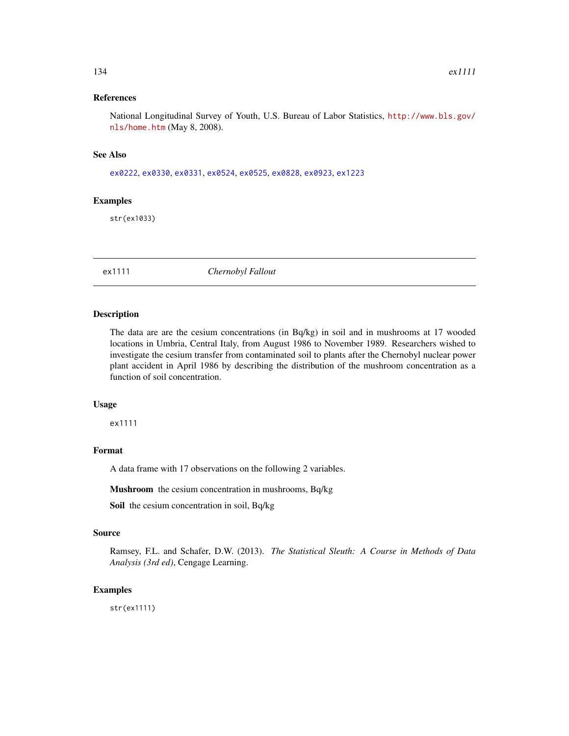National Longitudinal Survey of Youth, U.S. Bureau of Labor Statistics, [http://www.bls.gov/](http://www.bls.gov/nls/home.htm) [nls/home.htm](http://www.bls.gov/nls/home.htm) (May 8, 2008).

#### See Also

[ex0222](#page-86-0), [ex0330](#page-90-0), [ex0331](#page-91-0), [ex0524](#page-99-0), [ex0525](#page-100-0), [ex0828](#page-119-0), [ex0923](#page-125-0), [ex1223](#page-143-0)

#### Examples

str(ex1033)

ex1111 *Chernobyl Fallout*

#### Description

The data are are the cesium concentrations (in Bq/kg) in soil and in mushrooms at 17 wooded locations in Umbria, Central Italy, from August 1986 to November 1989. Researchers wished to investigate the cesium transfer from contaminated soil to plants after the Chernobyl nuclear power plant accident in April 1986 by describing the distribution of the mushroom concentration as a function of soil concentration.

#### Usage

ex1111

## Format

A data frame with 17 observations on the following 2 variables.

Mushroom the cesium concentration in mushrooms, Bq/kg

Soil the cesium concentration in soil, Bq/kg

## Source

Ramsey, F.L. and Schafer, D.W. (2013). *The Statistical Sleuth: A Course in Methods of Data Analysis (3rd ed)*, Cengage Learning.

## Examples

str(ex1111)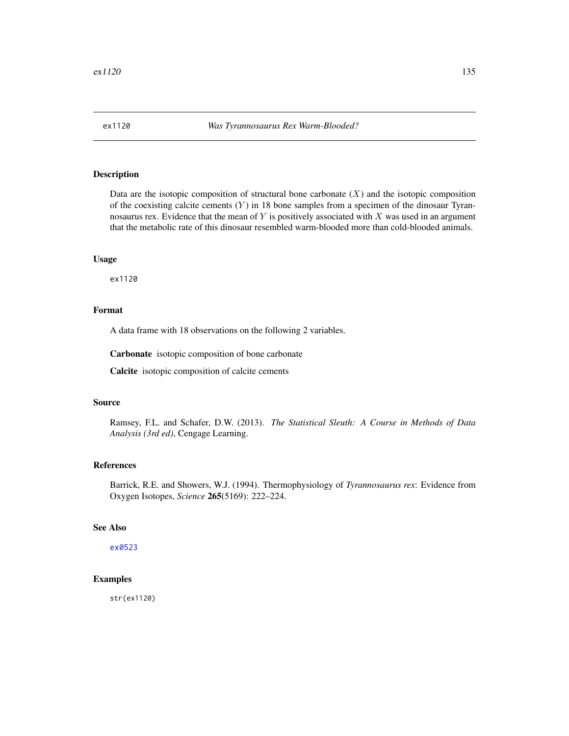Data are the isotopic composition of structural bone carbonate  $(X)$  and the isotopic composition of the coexisting calcite cements  $(Y)$  in 18 bone samples from a specimen of the dinosaur Tyrannosaurus rex. Evidence that the mean of  $Y$  is positively associated with  $X$  was used in an argument that the metabolic rate of this dinosaur resembled warm-blooded more than cold-blooded animals.

#### Usage

ex1120

## Format

A data frame with 18 observations on the following 2 variables.

Carbonate isotopic composition of bone carbonate

Calcite isotopic composition of calcite cements

#### Source

Ramsey, F.L. and Schafer, D.W. (2013). *The Statistical Sleuth: A Course in Methods of Data Analysis (3rd ed)*, Cengage Learning.

#### References

Barrick, R.E. and Showers, W.J. (1994). Thermophysiology of *Tyrannosaurus rex*: Evidence from Oxygen Isotopes, *Science* 265(5169): 222–224.

# See Also

[ex0523](#page-98-0)

# Examples

str(ex1120)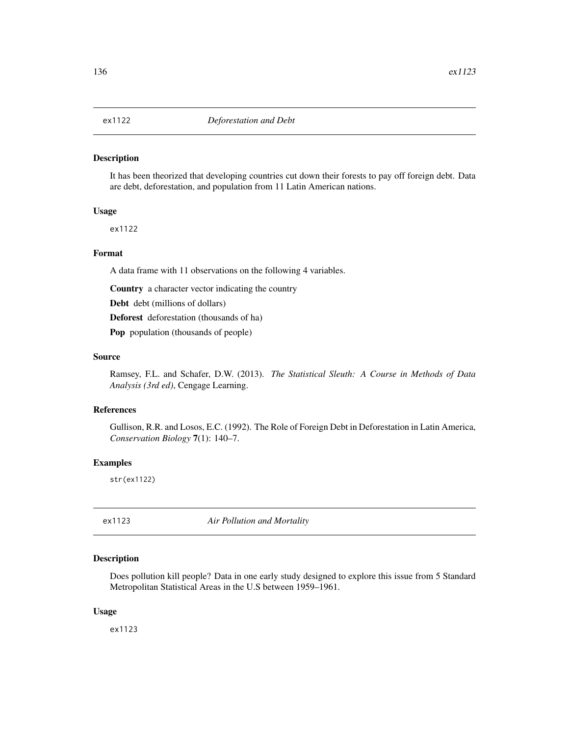It has been theorized that developing countries cut down their forests to pay off foreign debt. Data are debt, deforestation, and population from 11 Latin American nations.

## Usage

ex1122

# Format

A data frame with 11 observations on the following 4 variables.

Country a character vector indicating the country

Debt debt (millions of dollars)

Deforest deforestation (thousands of ha)

Pop population (thousands of people)

#### Source

Ramsey, F.L. and Schafer, D.W. (2013). *The Statistical Sleuth: A Course in Methods of Data Analysis (3rd ed)*, Cengage Learning.

## References

Gullison, R.R. and Losos, E.C. (1992). The Role of Foreign Debt in Deforestation in Latin America, *Conservation Biology* 7(1): 140–7.

#### Examples

str(ex1122)

<span id="page-135-0"></span>ex1123 *Air Pollution and Mortality*

#### Description

Does pollution kill people? Data in one early study designed to explore this issue from 5 Standard Metropolitan Statistical Areas in the U.S between 1959–1961.

#### Usage

ex1123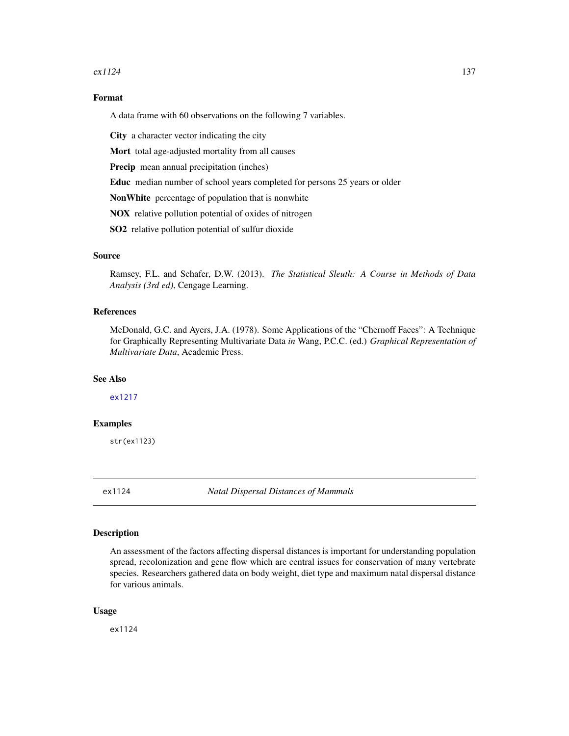#### $ex1124$  137

# Format

A data frame with 60 observations on the following 7 variables.

City a character vector indicating the city

Mort total age-adjusted mortality from all causes

Precip mean annual precipitation (inches)

Educ median number of school years completed for persons 25 years or older

NonWhite percentage of population that is nonwhite

NOX relative pollution potential of oxides of nitrogen

SO2 relative pollution potential of sulfur dioxide

# Source

Ramsey, F.L. and Schafer, D.W. (2013). *The Statistical Sleuth: A Course in Methods of Data Analysis (3rd ed)*, Cengage Learning.

# References

McDonald, G.C. and Ayers, J.A. (1978). Some Applications of the "Chernoff Faces": A Technique for Graphically Representing Multivariate Data *in* Wang, P.C.C. (ed.) *Graphical Representation of Multivariate Data*, Academic Press.

# See Also

[ex1217](#page-138-0)

# Examples

str(ex1123)

ex1124 *Natal Dispersal Distances of Mammals*

## **Description**

An assessment of the factors affecting dispersal distances is important for understanding population spread, recolonization and gene flow which are central issues for conservation of many vertebrate species. Researchers gathered data on body weight, diet type and maximum natal dispersal distance for various animals.

#### Usage

ex1124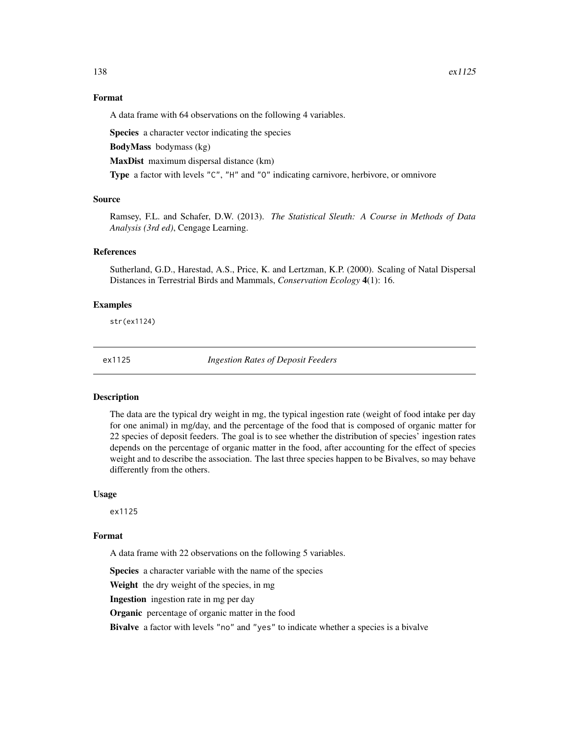# Format

A data frame with 64 observations on the following 4 variables.

Species a character vector indicating the species

BodyMass bodymass (kg)

MaxDist maximum dispersal distance (km)

Type a factor with levels "C", "H" and "O" indicating carnivore, herbivore, or omnivore

# Source

Ramsey, F.L. and Schafer, D.W. (2013). *The Statistical Sleuth: A Course in Methods of Data Analysis (3rd ed)*, Cengage Learning.

#### References

Sutherland, G.D., Harestad, A.S., Price, K. and Lertzman, K.P. (2000). Scaling of Natal Dispersal Distances in Terrestrial Birds and Mammals, *Conservation Ecology* 4(1): 16.

#### Examples

str(ex1124)

<span id="page-137-0"></span>

ex1125 *Ingestion Rates of Deposit Feeders*

# Description

The data are the typical dry weight in mg, the typical ingestion rate (weight of food intake per day for one animal) in mg/day, and the percentage of the food that is composed of organic matter for 22 species of deposit feeders. The goal is to see whether the distribution of species' ingestion rates depends on the percentage of organic matter in the food, after accounting for the effect of species weight and to describe the association. The last three species happen to be Bivalves, so may behave differently from the others.

#### Usage

ex1125

# Format

A data frame with 22 observations on the following 5 variables.

Species a character variable with the name of the species

Weight the dry weight of the species, in mg

Ingestion ingestion rate in mg per day

Organic percentage of organic matter in the food

Bivalve a factor with levels "no" and "yes" to indicate whether a species is a bivalve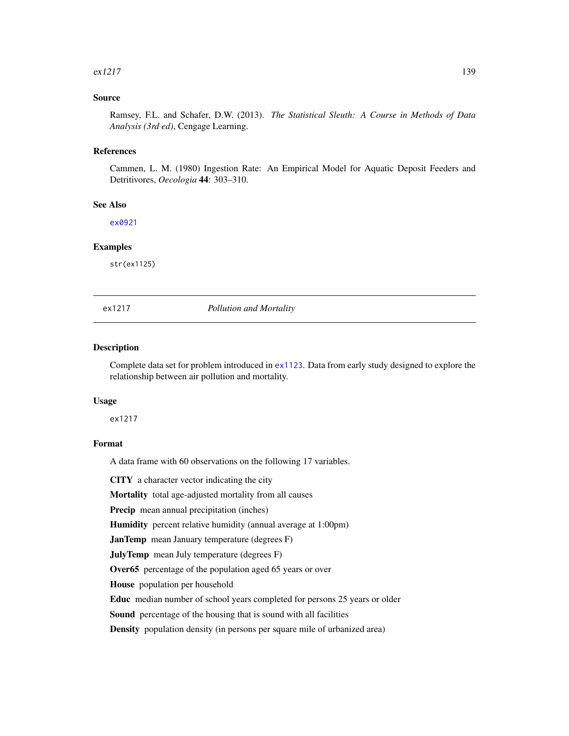#### $ex1217$  139

## Source

Ramsey, F.L. and Schafer, D.W. (2013). *The Statistical Sleuth: A Course in Methods of Data Analysis (3rd ed)*, Cengage Learning.

#### References

Cammen, L. M. (1980) Ingestion Rate: An Empirical Model for Aquatic Deposit Feeders and Detritivores, *Oecologia* 44: 303–310.

# See Also

[ex0921](#page-124-0)

#### Examples

str(ex1125)

<span id="page-138-0"></span>

#### ex1217 *Pollution and Mortality*

## **Description**

Complete data set for problem introduced in [ex1123](#page-135-0). Data from early study designed to explore the relationship between air pollution and mortality.

#### Usage

ex1217

#### Format

A data frame with 60 observations on the following 17 variables.

CITY a character vector indicating the city

Mortality total age-adjusted mortality from all causes

Precip mean annual precipitation (inches)

Humidity percent relative humidity (annual average at 1:00pm)

JanTemp mean January temperature (degrees F)

**JulyTemp** mean July temperature (degrees F)

Over65 percentage of the population aged 65 years or over

House population per household

Educ median number of school years completed for persons 25 years or older

Sound percentage of the housing that is sound with all facilities

Density population density (in persons per square mile of urbanized area)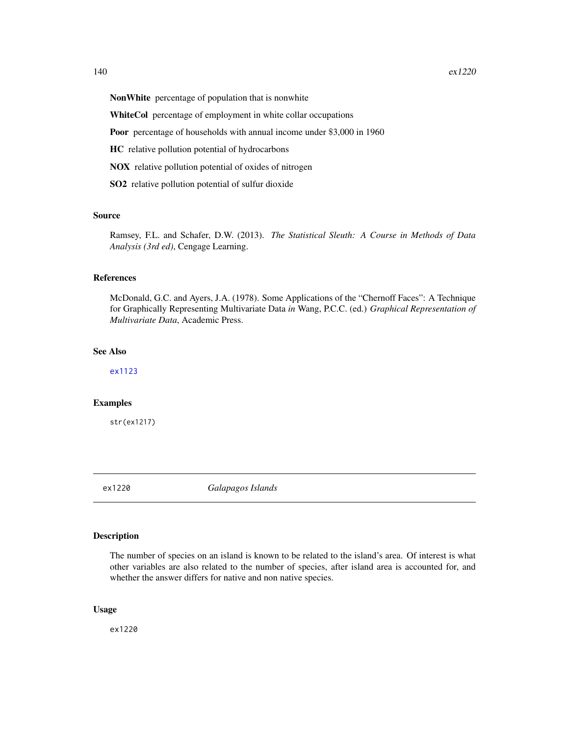WhiteCol percentage of employment in white collar occupations

Poor percentage of households with annual income under \$3,000 in 1960

HC relative pollution potential of hydrocarbons

NOX relative pollution potential of oxides of nitrogen

SO2 relative pollution potential of sulfur dioxide

#### Source

Ramsey, F.L. and Schafer, D.W. (2013). *The Statistical Sleuth: A Course in Methods of Data Analysis (3rd ed)*, Cengage Learning.

## References

McDonald, G.C. and Ayers, J.A. (1978). Some Applications of the "Chernoff Faces": A Technique for Graphically Representing Multivariate Data *in* Wang, P.C.C. (ed.) *Graphical Representation of Multivariate Data*, Academic Press.

## See Also

[ex1123](#page-135-0)

#### Examples

str(ex1217)

ex1220 *Galapagos Islands*

# Description

The number of species on an island is known to be related to the island's area. Of interest is what other variables are also related to the number of species, after island area is accounted for, and whether the answer differs for native and non native species.

#### Usage

ex1220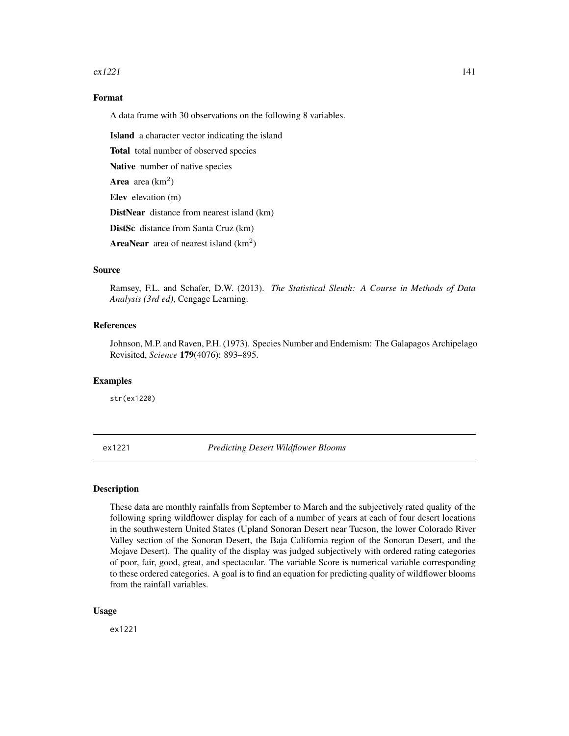#### $ex1221$  141

# Format

A data frame with 30 observations on the following 8 variables.

Island a character vector indicating the island

Total total number of observed species

Native number of native species

**Area** area  $(km^2)$ 

Elev elevation (m)

DistNear distance from nearest island (km)

DistSc distance from Santa Cruz (km)

**AreaNear** area of nearest island  $(km^2)$ 

## Source

Ramsey, F.L. and Schafer, D.W. (2013). *The Statistical Sleuth: A Course in Methods of Data Analysis (3rd ed)*, Cengage Learning.

## References

Johnson, M.P. and Raven, P.H. (1973). Species Number and Endemism: The Galapagos Archipelago Revisited, *Science* 179(4076): 893–895.

#### Examples

str(ex1220)

ex1221 *Predicting Desert Wildflower Blooms*

#### Description

These data are monthly rainfalls from September to March and the subjectively rated quality of the following spring wildflower display for each of a number of years at each of four desert locations in the southwestern United States (Upland Sonoran Desert near Tucson, the lower Colorado River Valley section of the Sonoran Desert, the Baja California region of the Sonoran Desert, and the Mojave Desert). The quality of the display was judged subjectively with ordered rating categories of poor, fair, good, great, and spectacular. The variable Score is numerical variable corresponding to these ordered categories. A goal is to find an equation for predicting quality of wildflower blooms from the rainfall variables.

#### Usage

ex1221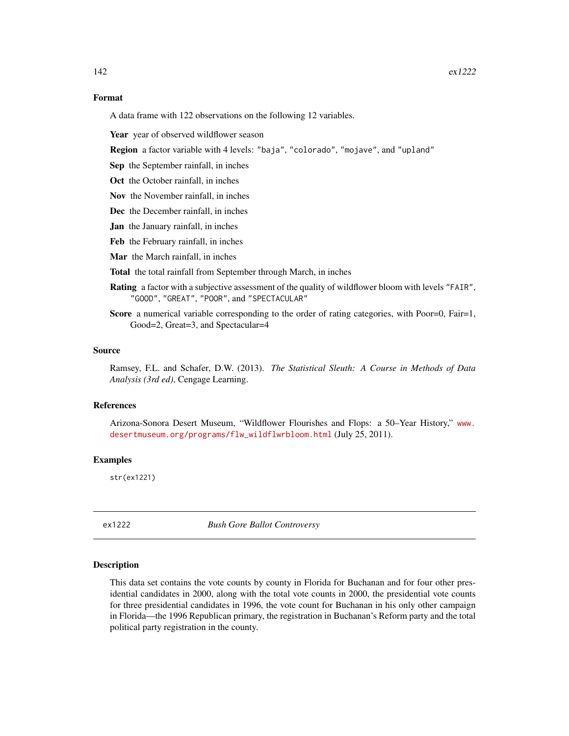## Format

A data frame with 122 observations on the following 12 variables.

Year year of observed wildflower season

Region a factor variable with 4 levels: "baja", "colorado", "mojave", and "upland"

Sep the September rainfall, in inches

Oct the October rainfall, in inches

Nov the November rainfall, in inches

Dec the December rainfall, in inches

Jan the January rainfall, in inches

Feb the February rainfall, in inches

Mar the March rainfall, in inches

Total the total rainfall from September through March, in inches

- Rating a factor with a subjective assessment of the quality of wildflower bloom with levels "FAIR", "GOOD", "GREAT", "POOR", and "SPECTACULAR"
- Score a numerical variable corresponding to the order of rating categories, with Poor=0, Fair=1, Good=2, Great=3, and Spectacular=4

#### Source

Ramsey, F.L. and Schafer, D.W. (2013). *The Statistical Sleuth: A Course in Methods of Data Analysis (3rd ed)*, Cengage Learning.

#### References

Arizona-Sonora Desert Museum, "Wildflower Flourishes and Flops: a 50–Year History," [www.](www.desertmuseum.org/programs/flw_wildflwrbloom.html) [desertmuseum.org/programs/flw\\_wildflwrbloom.html](www.desertmuseum.org/programs/flw_wildflwrbloom.html) (July 25, 2011).

# Examples

str(ex1221)

<span id="page-141-0"></span>ex1222 *Bush Gore Ballot Controversy*

#### Description

This data set contains the vote counts by county in Florida for Buchanan and for four other presidential candidates in 2000, along with the total vote counts in 2000, the presidential vote counts for three presidential candidates in 1996, the vote count for Buchanan in his only other campaign in Florida—the 1996 Republican primary, the registration in Buchanan's Reform party and the total political party registration in the county.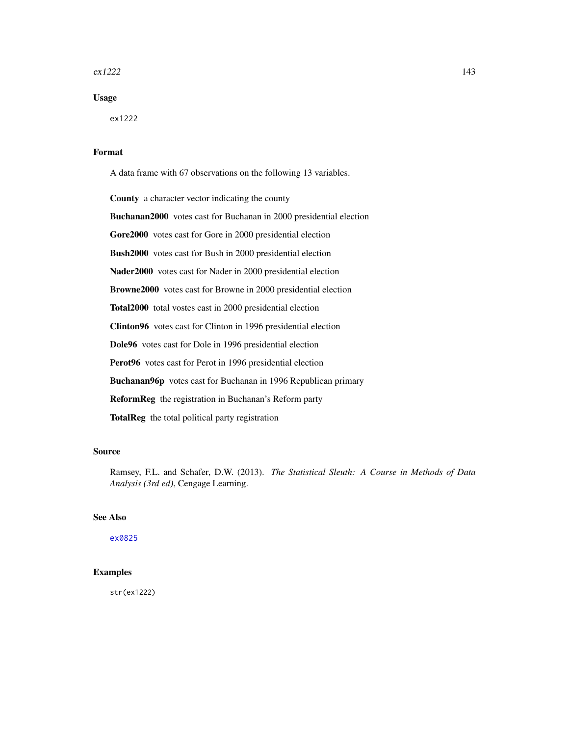## $\exp(1222)$  143

# Usage

ex1222

# Format

A data frame with 67 observations on the following 13 variables.

County a character vector indicating the county Buchanan2000 votes cast for Buchanan in 2000 presidential election Gore2000 votes cast for Gore in 2000 presidential election Bush2000 votes cast for Bush in 2000 presidential election Nader2000 votes cast for Nader in 2000 presidential election Browne2000 votes cast for Browne in 2000 presidential election Total2000 total vostes cast in 2000 presidential election Clinton96 votes cast for Clinton in 1996 presidential election Dole96 votes cast for Dole in 1996 presidential election Perot96 votes cast for Perot in 1996 presidential election Buchanan96p votes cast for Buchanan in 1996 Republican primary ReformReg the registration in Buchanan's Reform party TotalReg the total political party registration

## Source

Ramsey, F.L. and Schafer, D.W. (2013). *The Statistical Sleuth: A Course in Methods of Data Analysis (3rd ed)*, Cengage Learning.

# See Also

[ex0825](#page-117-0)

# Examples

str(ex1222)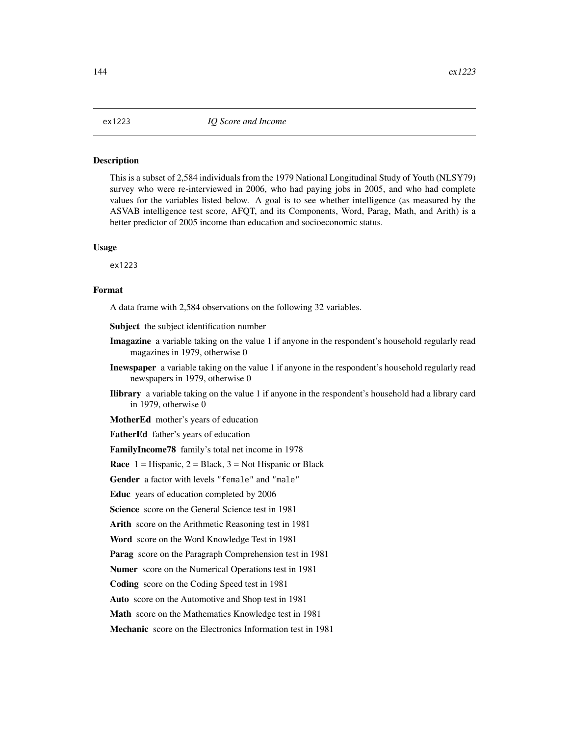<span id="page-143-0"></span>This is a subset of 2,584 individuals from the 1979 National Longitudinal Study of Youth (NLSY79) survey who were re-interviewed in 2006, who had paying jobs in 2005, and who had complete values for the variables listed below. A goal is to see whether intelligence (as measured by the ASVAB intelligence test score, AFQT, and its Components, Word, Parag, Math, and Arith) is a better predictor of 2005 income than education and socioeconomic status.

#### Usage

ex1223

# Format

A data frame with 2,584 observations on the following 32 variables.

- Subject the subject identification number
- Imagazine a variable taking on the value 1 if anyone in the respondent's household regularly read magazines in 1979, otherwise 0
- Inewspaper a variable taking on the value 1 if anyone in the respondent's household regularly read newspapers in 1979, otherwise 0
- Ilibrary a variable taking on the value 1 if anyone in the respondent's household had a library card in 1979, otherwise 0

MotherEd mother's years of education

FatherEd father's years of education

FamilyIncome78 family's total net income in 1978

**Race**  $1 =$  Hispanic,  $2 =$  Black,  $3 =$  Not Hispanic or Black

Gender a factor with levels "female" and "male"

Educ years of education completed by 2006

Science score on the General Science test in 1981

Arith score on the Arithmetic Reasoning test in 1981

Word score on the Word Knowledge Test in 1981

Parag score on the Paragraph Comprehension test in 1981

Numer score on the Numerical Operations test in 1981

Coding score on the Coding Speed test in 1981

Auto score on the Automotive and Shop test in 1981

Math score on the Mathematics Knowledge test in 1981

Mechanic score on the Electronics Information test in 1981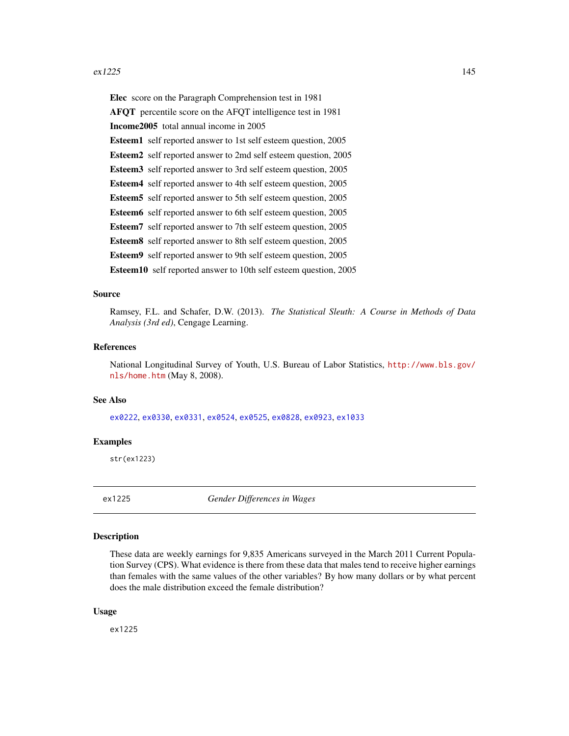Elec score on the Paragraph Comprehension test in 1981 AFQT percentile score on the AFQT intelligence test in 1981 Income2005 total annual income in 2005 Esteem1 self reported answer to 1st self esteem question, 2005 Esteem2 self reported answer to 2md self esteem question, 2005 Esteem3 self reported answer to 3rd self esteem question, 2005 Esteem4 self reported answer to 4th self esteem question, 2005 Esteem5 self reported answer to 5th self esteem question, 2005 Esteem6 self reported answer to 6th self esteem question, 2005 Esteem7 self reported answer to 7th self esteem question, 2005 Esteem8 self reported answer to 8th self esteem question, 2005 Esteem9 self reported answer to 9th self esteem question, 2005 Esteem10 self reported answer to 10th self esteem question, 2005

#### Source

Ramsey, F.L. and Schafer, D.W. (2013). *The Statistical Sleuth: A Course in Methods of Data Analysis (3rd ed)*, Cengage Learning.

# References

National Longitudinal Survey of Youth, U.S. Bureau of Labor Statistics, [http://www.bls.gov/](http://www.bls.gov/nls/home.htm) [nls/home.htm](http://www.bls.gov/nls/home.htm) (May 8, 2008).

#### See Also

[ex0222](#page-86-0), [ex0330](#page-90-0), [ex0331](#page-91-0), [ex0524](#page-99-0), [ex0525](#page-100-0), [ex0828](#page-119-0), [ex0923](#page-125-0), [ex1033](#page-132-0)

#### Examples

str(ex1223)

ex1225 *Gender Differences in Wages*

# **Description**

These data are weekly earnings for 9,835 Americans surveyed in the March 2011 Current Population Survey (CPS). What evidence is there from these data that males tend to receive higher earnings than females with the same values of the other variables? By how many dollars or by what percent does the male distribution exceed the female distribution?

## Usage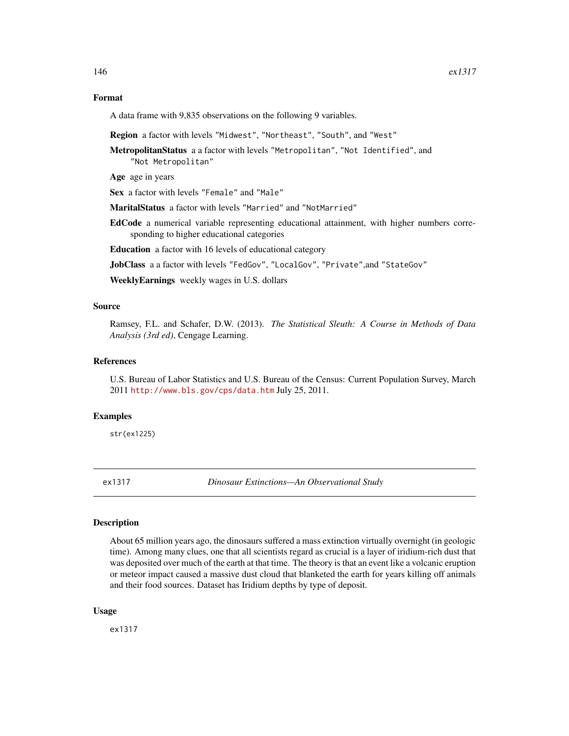## Format

A data frame with 9,835 observations on the following 9 variables.

Region a factor with levels "Midwest", "Northeast", "South", and "West"

MetropolitanStatus a a factor with levels "Metropolitan", "Not Identified", and "Not Metropolitan"

Age age in years

Sex a factor with levels "Female" and "Male"

MaritalStatus a factor with levels "Married" and "NotMarried"

EdCode a numerical variable representing educational attainment, with higher numbers corresponding to higher educational categories

Education a factor with 16 levels of educational category

JobClass a a factor with levels "FedGov", "LocalGov", "Private",and "StateGov"

WeeklyEarnings weekly wages in U.S. dollars

# Source

Ramsey, F.L. and Schafer, D.W. (2013). *The Statistical Sleuth: A Course in Methods of Data Analysis (3rd ed)*, Cengage Learning.

### References

U.S. Bureau of Labor Statistics and U.S. Bureau of the Census: Current Population Survey, March 2011 <http://www.bls.gov/cps/data.htm> July 25, 2011.

#### Examples

str(ex1225)

ex1317 *Dinosaur Extinctions—An Observational Study*

#### **Description**

About 65 million years ago, the dinosaurs suffered a mass extinction virtually overnight (in geologic time). Among many clues, one that all scientists regard as crucial is a layer of iridium-rich dust that was deposited over much of the earth at that time. The theory is that an event like a volcanic eruption or meteor impact caused a massive dust cloud that blanketed the earth for years killing off animals and their food sources. Dataset has Iridium depths by type of deposit.

#### Usage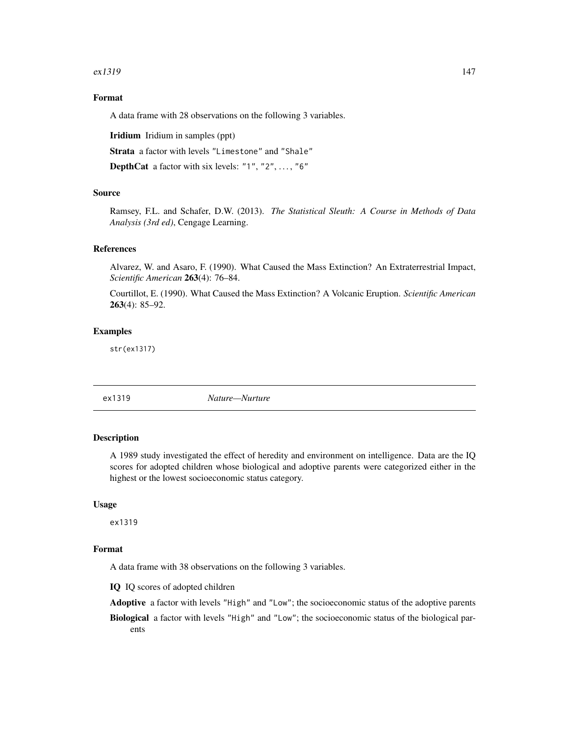#### $ex1319$  147

# Format

A data frame with 28 observations on the following 3 variables.

Iridium Iridium in samples (ppt)

Strata a factor with levels "Limestone" and "Shale"

**DepthCat** a factor with six levels:  $"1", "2", \ldots, "6"$ 

## Source

Ramsey, F.L. and Schafer, D.W. (2013). *The Statistical Sleuth: A Course in Methods of Data Analysis (3rd ed)*, Cengage Learning.

## References

Alvarez, W. and Asaro, F. (1990). What Caused the Mass Extinction? An Extraterrestrial Impact, *Scientific American* 263(4): 76–84.

Courtillot, E. (1990). What Caused the Mass Extinction? A Volcanic Eruption. *Scientific American*  $263(4): 85-92.$ 

# Examples

str(ex1317)

<span id="page-146-0"></span>

ex1319 *Nature—Nurture*

# **Description**

A 1989 study investigated the effect of heredity and environment on intelligence. Data are the IQ scores for adopted children whose biological and adoptive parents were categorized either in the highest or the lowest socioeconomic status category.

#### Usage

ex1319

## Format

A data frame with 38 observations on the following 3 variables.

IQ IQ scores of adopted children

Adoptive a factor with levels "High" and "Low"; the socioeconomic status of the adoptive parents

Biological a factor with levels "High" and "Low"; the socioeconomic status of the biological parents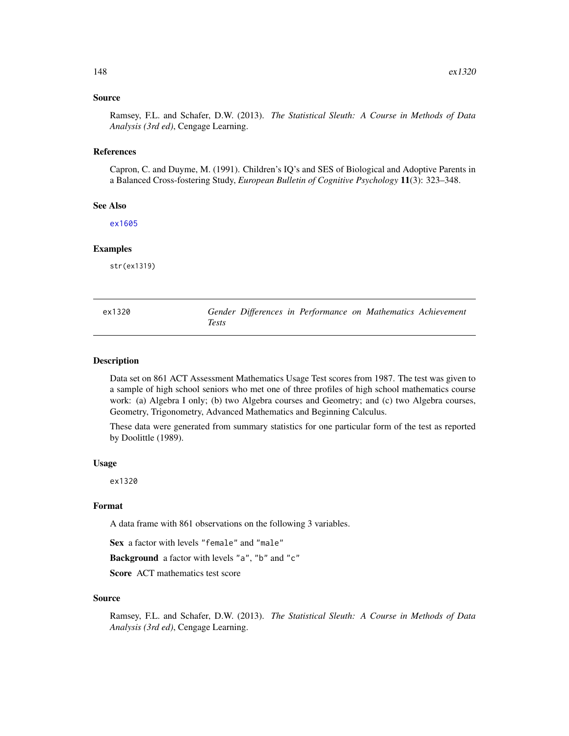#### Source

Ramsey, F.L. and Schafer, D.W. (2013). *The Statistical Sleuth: A Course in Methods of Data Analysis (3rd ed)*, Cengage Learning.

#### References

Capron, C. and Duyme, M. (1991). Children's IQ's and SES of Biological and Adoptive Parents in a Balanced Cross-fostering Study, *European Bulletin of Cognitive Psychology* 11(3): 323–348.

#### See Also

[ex1605](#page-159-0)

## Examples

str(ex1319)

| ex1320 |       |  |  | Gender Differences in Performance on Mathematics Achievement |
|--------|-------|--|--|--------------------------------------------------------------|
|        | Tests |  |  |                                                              |

#### Description

Data set on 861 ACT Assessment Mathematics Usage Test scores from 1987. The test was given to a sample of high school seniors who met one of three profiles of high school mathematics course work: (a) Algebra I only; (b) two Algebra courses and Geometry; and (c) two Algebra courses, Geometry, Trigonometry, Advanced Mathematics and Beginning Calculus.

These data were generated from summary statistics for one particular form of the test as reported by Doolittle (1989).

#### Usage

ex1320

# Format

A data frame with 861 observations on the following 3 variables.

Sex a factor with levels "female" and "male"

Background a factor with levels "a", "b" and "c"

Score ACT mathematics test score

## Source

Ramsey, F.L. and Schafer, D.W. (2013). *The Statistical Sleuth: A Course in Methods of Data Analysis (3rd ed)*, Cengage Learning.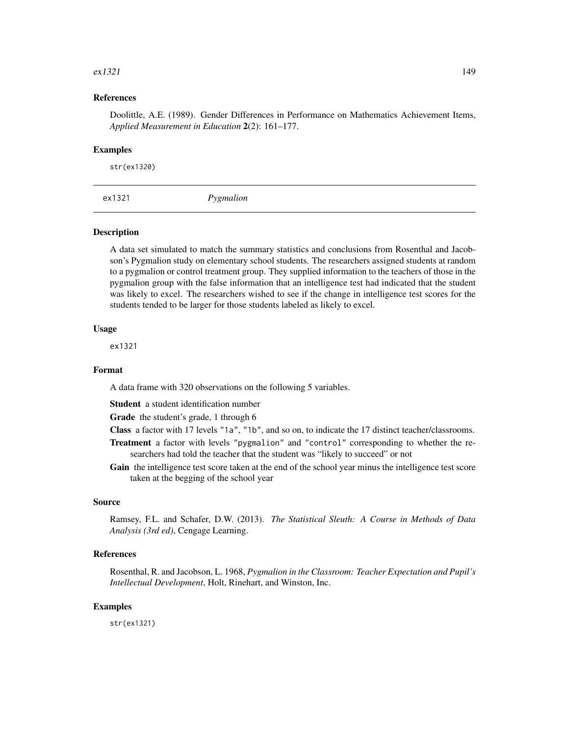#### $ex1321$  149

# References

Doolittle, A.E. (1989). Gender Differences in Performance on Mathematics Achievement Items, *Applied Measurement in Education* 2(2): 161–177.

#### Examples

str(ex1320)

ex1321 *Pygmalion*

#### **Description**

A data set simulated to match the summary statistics and conclusions from Rosenthal and Jacobson's Pygmalion study on elementary school students. The researchers assigned students at random to a pygmalion or control treatment group. They supplied information to the teachers of those in the pygmalion group with the false information that an intelligence test had indicated that the student was likely to excel. The researchers wished to see if the change in intelligence test scores for the students tended to be larger for those students labeled as likely to excel.

#### Usage

ex1321

#### Format

A data frame with 320 observations on the following 5 variables.

Student a student identification number

Grade the student's grade, 1 through 6

Class a factor with 17 levels "1a", "1b", and so on, to indicate the 17 distinct teacher/classrooms.

- Treatment a factor with levels "pygmalion" and "control" corresponding to whether the researchers had told the teacher that the student was "likely to succeed" or not
- Gain the intelligence test score taken at the end of the school year minus the intelligence test score taken at the begging of the school year

#### Source

Ramsey, F.L. and Schafer, D.W. (2013). *The Statistical Sleuth: A Course in Methods of Data Analysis (3rd ed)*, Cengage Learning.

# References

Rosenthal, R. and Jacobson, L. 1968, *Pygmalion in the Classroom: Teacher Expectation and Pupil's Intellectual Development*, Holt, Rinehart, and Winston, Inc.

# Examples

str(ex1321)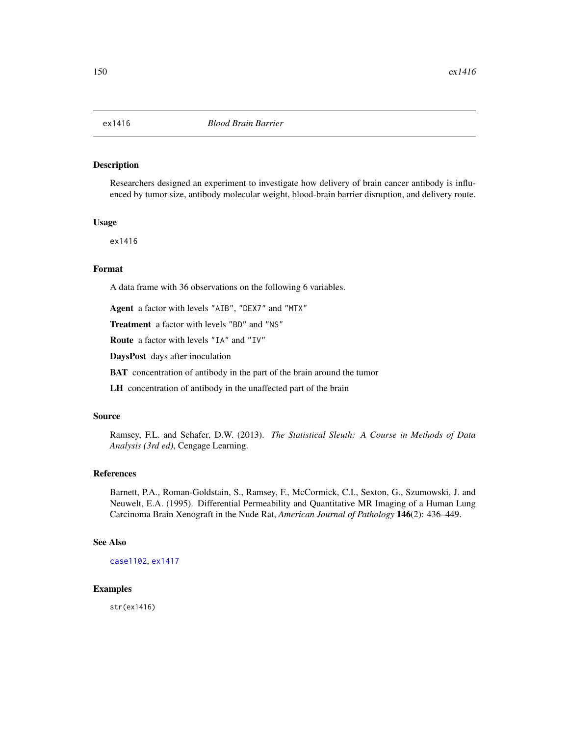<span id="page-149-0"></span>

Researchers designed an experiment to investigate how delivery of brain cancer antibody is influenced by tumor size, antibody molecular weight, blood-brain barrier disruption, and delivery route.

#### Usage

ex1416

# Format

A data frame with 36 observations on the following 6 variables.

Agent a factor with levels "AIB", "DEX7" and "MTX"

Treatment a factor with levels "BD" and "NS"

Route a factor with levels "IA" and "IV"

DaysPost days after inoculation

BAT concentration of antibody in the part of the brain around the tumor

LH concentration of antibody in the unaffected part of the brain

## Source

Ramsey, F.L. and Schafer, D.W. (2013). *The Statistical Sleuth: A Course in Methods of Data Analysis (3rd ed)*, Cengage Learning.

# References

Barnett, P.A., Roman-Goldstain, S., Ramsey, F., McCormick, C.I., Sexton, G., Szumowski, J. and Neuwelt, E.A. (1995). Differential Permeability and Quantitative MR Imaging of a Human Lung Carcinoma Brain Xenograft in the Nude Rat, *American Journal of Pathology* 146(2): 436–449.

# See Also

[case1102](#page-35-0), [ex1417](#page-150-0)

#### Examples

str(ex1416)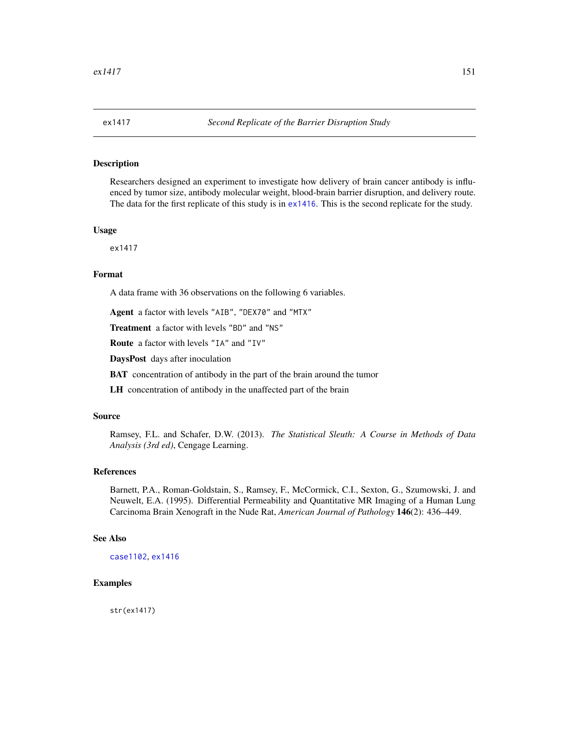<span id="page-150-0"></span>

Researchers designed an experiment to investigate how delivery of brain cancer antibody is influenced by tumor size, antibody molecular weight, blood-brain barrier disruption, and delivery route. The data for the first replicate of this study is in [ex1416](#page-149-0). This is the second replicate for the study.

#### Usage

ex1417

#### Format

A data frame with 36 observations on the following 6 variables.

Agent a factor with levels "AIB", "DEX70" and "MTX"

Treatment a factor with levels "BD" and "NS"

Route a factor with levels "IA" and "IV"

DaysPost days after inoculation

BAT concentration of antibody in the part of the brain around the tumor

LH concentration of antibody in the unaffected part of the brain

#### Source

Ramsey, F.L. and Schafer, D.W. (2013). *The Statistical Sleuth: A Course in Methods of Data Analysis (3rd ed)*, Cengage Learning.

# References

Barnett, P.A., Roman-Goldstain, S., Ramsey, F., McCormick, C.I., Sexton, G., Szumowski, J. and Neuwelt, E.A. (1995). Differential Permeability and Quantitative MR Imaging of a Human Lung Carcinoma Brain Xenograft in the Nude Rat, *American Journal of Pathology* 146(2): 436–449.

## See Also

[case1102](#page-35-0), [ex1416](#page-149-0)

## Examples

str(ex1417)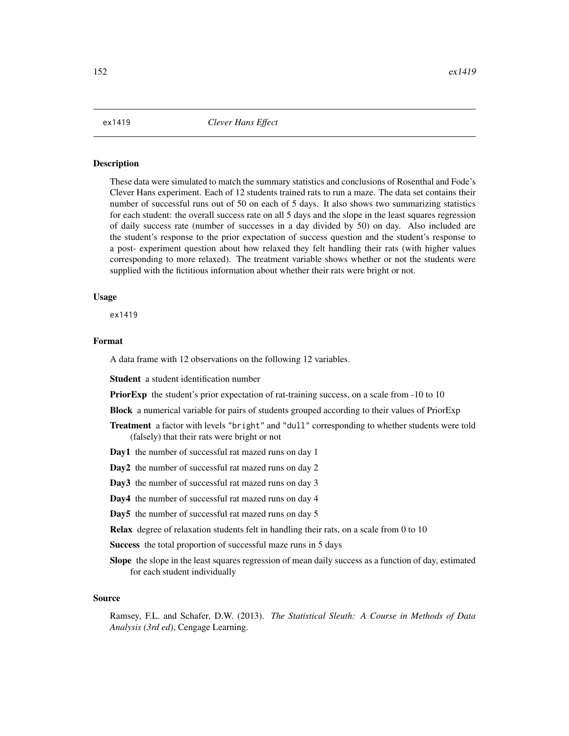These data were simulated to match the summary statistics and conclusions of Rosenthal and Fode's Clever Hans experiment. Each of 12 students trained rats to run a maze. The data set contains their number of successful runs out of 50 on each of 5 days. It also shows two summarizing statistics for each student: the overall success rate on all 5 days and the slope in the least squares regression of daily success rate (number of successes in a day divided by 50) on day. Also included are the student's response to the prior expectation of success question and the student's response to a post- experiment question about how relaxed they felt handling their rats (with higher values corresponding to more relaxed). The treatment variable shows whether or not the students were supplied with the fictitious information about whether their rats were bright or not.

## Usage

ex1419

## Format

A data frame with 12 observations on the following 12 variables.

Student a student identification number

PriorExp the student's prior expectation of rat-training success, on a scale from -10 to 10

Block a numerical variable for pairs of students grouped according to their values of PriorExp

- **Treatment** a factor with levels "bright" and "dull" corresponding to whether students were told (falsely) that their rats were bright or not
- Day1 the number of successful rat mazed runs on day 1
- Day2 the number of successful rat mazed runs on day 2

Day3 the number of successful rat mazed runs on day 3

Day4 the number of successful rat mazed runs on day 4

Day5 the number of successful rat mazed runs on day 5

Relax degree of relaxation students felt in handling their rats, on a scale from 0 to 10

Success the total proportion of successful maze runs in 5 days

Slope the slope in the least squares regression of mean daily success as a function of day, estimated for each student individually

### Source

Ramsey, F.L. and Schafer, D.W. (2013). *The Statistical Sleuth: A Course in Methods of Data Analysis (3rd ed)*, Cengage Learning.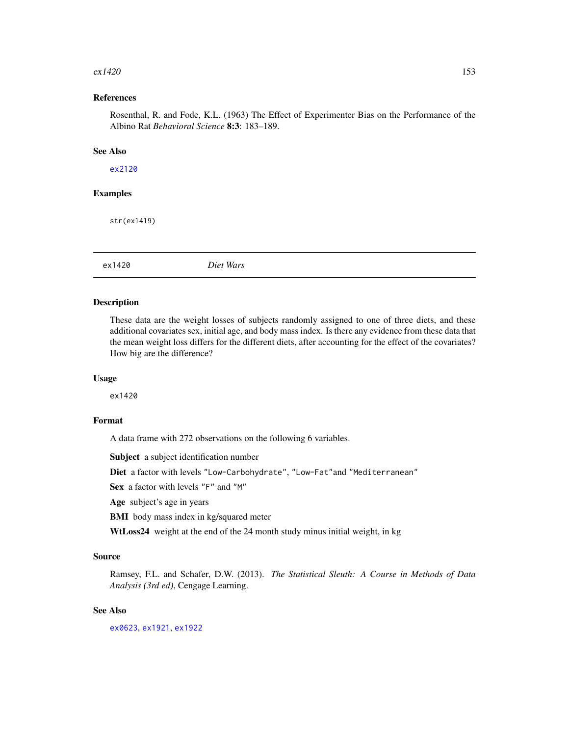#### $ex1420$  153

# References

Rosenthal, R. and Fode, K.L. (1963) The Effect of Experimenter Bias on the Performance of the Albino Rat *Behavioral Science* 8:3: 183–189.

# See Also

## [ex2120](#page-187-0)

# Examples

str(ex1419)

<span id="page-152-0"></span>ex1420 *Diet Wars*

# Description

These data are the weight losses of subjects randomly assigned to one of three diets, and these additional covariates sex, initial age, and body mass index. Is there any evidence from these data that the mean weight loss differs for the different diets, after accounting for the effect of the covariates? How big are the difference?

#### Usage

ex1420

# Format

A data frame with 272 observations on the following 6 variables.

Subject a subject identification number

Diet a factor with levels "Low-Carbohydrate", "Low-Fat"and "Mediterranean"

Sex a factor with levels "F" and "M"

Age subject's age in years

BMI body mass index in kg/squared meter

WtLoss24 weight at the end of the 24 month study minus initial weight, in kg

## Source

Ramsey, F.L. and Schafer, D.W. (2013). *The Statistical Sleuth: A Course in Methods of Data Analysis (3rd ed)*, Cengage Learning.

# See Also

[ex0623](#page-101-0), [ex1921](#page-172-0), [ex1922](#page-173-0)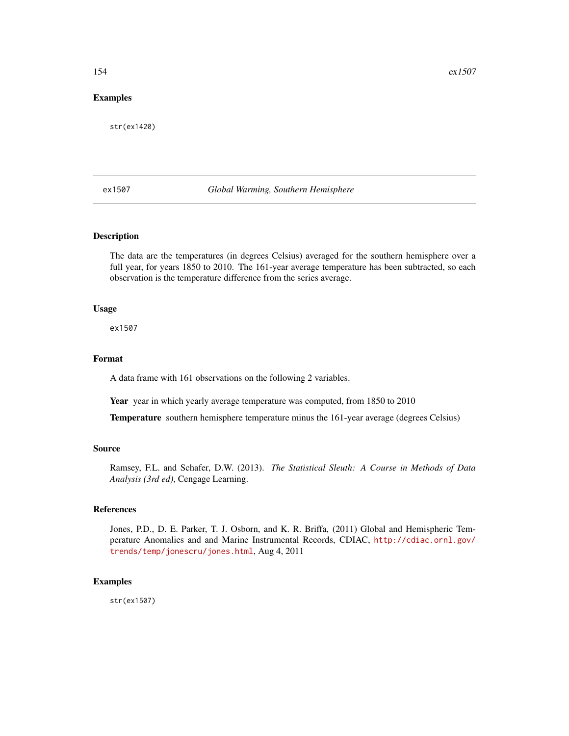# Examples

str(ex1420)

# ex1507 *Global Warming, Southern Hemisphere*

## Description

The data are the temperatures (in degrees Celsius) averaged for the southern hemisphere over a full year, for years 1850 to 2010. The 161-year average temperature has been subtracted, so each observation is the temperature difference from the series average.

#### Usage

ex1507

# Format

A data frame with 161 observations on the following 2 variables.

Year year in which yearly average temperature was computed, from 1850 to 2010

Temperature southern hemisphere temperature minus the 161-year average (degrees Celsius)

### Source

Ramsey, F.L. and Schafer, D.W. (2013). *The Statistical Sleuth: A Course in Methods of Data Analysis (3rd ed)*, Cengage Learning.

## References

Jones, P.D., D. E. Parker, T. J. Osborn, and K. R. Briffa, (2011) Global and Hemispheric Temperature Anomalies and and Marine Instrumental Records, CDIAC, [http://cdiac.ornl.gov/](http://cdiac.ornl.gov/trends/temp/jonescru/jones.html) [trends/temp/jonescru/jones.html](http://cdiac.ornl.gov/trends/temp/jonescru/jones.html), Aug 4, 2011

# Examples

str(ex1507)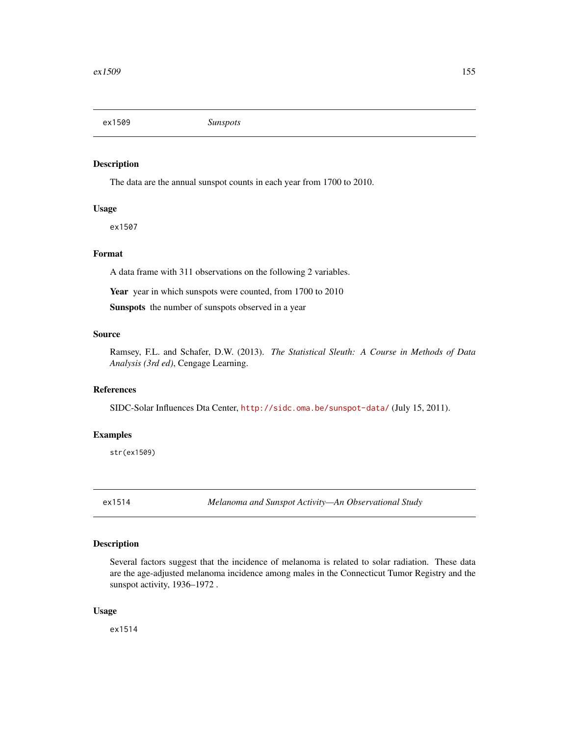The data are the annual sunspot counts in each year from 1700 to 2010.

# Usage

ex1507

# Format

A data frame with 311 observations on the following 2 variables.

Year year in which sunspots were counted, from 1700 to 2010

Sunspots the number of sunspots observed in a year

# Source

Ramsey, F.L. and Schafer, D.W. (2013). *The Statistical Sleuth: A Course in Methods of Data Analysis (3rd ed)*, Cengage Learning.

# References

SIDC-Solar Influences Dta Center, <http://sidc.oma.be/sunspot-data/> (July 15, 2011).

# Examples

str(ex1509)

ex1514 *Melanoma and Sunspot Activity—An Observational Study*

# Description

Several factors suggest that the incidence of melanoma is related to solar radiation. These data are the age-adjusted melanoma incidence among males in the Connecticut Tumor Registry and the sunspot activity, 1936-1972.

#### Usage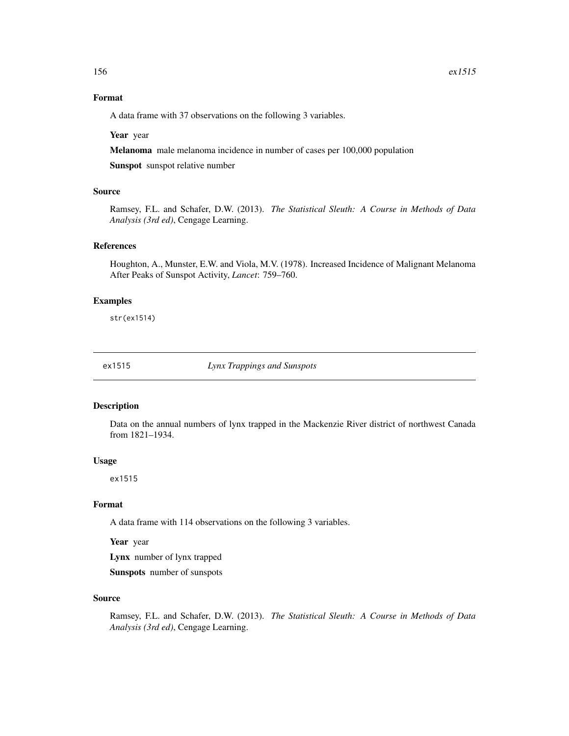# Format

A data frame with 37 observations on the following 3 variables.

## Year year

Melanoma male melanoma incidence in number of cases per 100,000 population Sunspot sunspot relative number

Source

Ramsey, F.L. and Schafer, D.W. (2013). *The Statistical Sleuth: A Course in Methods of Data Analysis (3rd ed)*, Cengage Learning.

# References

Houghton, A., Munster, E.W. and Viola, M.V. (1978). Increased Incidence of Malignant Melanoma After Peaks of Sunspot Activity, *Lancet*: 759–760.

# Examples

str(ex1514)

ex1515 *Lynx Trappings and Sunspots*

# Description

Data on the annual numbers of lynx trapped in the Mackenzie River district of northwest Canada from 1821–1934.

#### Usage

ex1515

#### Format

A data frame with 114 observations on the following 3 variables.

Year year

Lynx number of lynx trapped

Sunspots number of sunspots

# Source

Ramsey, F.L. and Schafer, D.W. (2013). *The Statistical Sleuth: A Course in Methods of Data Analysis (3rd ed)*, Cengage Learning.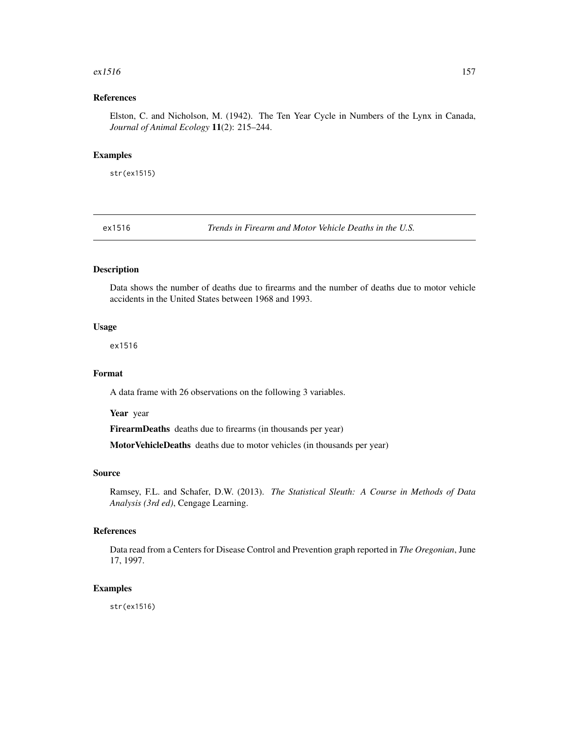#### $ex1516$  157

# References

Elston, C. and Nicholson, M. (1942). The Ten Year Cycle in Numbers of the Lynx in Canada, *Journal of Animal Ecology* 11(2): 215–244.

# Examples

str(ex1515)

ex1516 *Trends in Firearm and Motor Vehicle Deaths in the U.S.*

# Description

Data shows the number of deaths due to firearms and the number of deaths due to motor vehicle accidents in the United States between 1968 and 1993.

# Usage

ex1516

# Format

A data frame with 26 observations on the following 3 variables.

Year year

FirearmDeaths deaths due to firearms (in thousands per year)

MotorVehicleDeaths deaths due to motor vehicles (in thousands per year)

# Source

Ramsey, F.L. and Schafer, D.W. (2013). *The Statistical Sleuth: A Course in Methods of Data Analysis (3rd ed)*, Cengage Learning.

# References

Data read from a Centers for Disease Control and Prevention graph reported in *The Oregonian*, June 17, 1997.

# Examples

str(ex1516)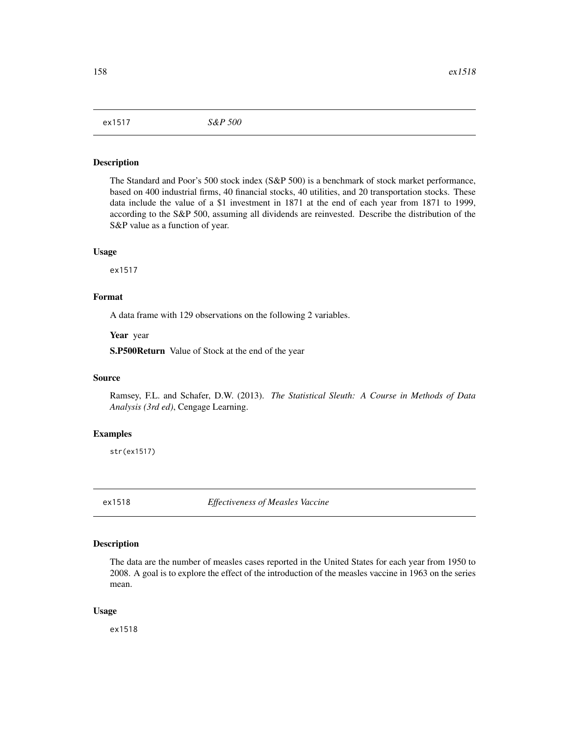The Standard and Poor's 500 stock index (S&P 500) is a benchmark of stock market performance, based on 400 industrial firms, 40 financial stocks, 40 utilities, and 20 transportation stocks. These data include the value of a \$1 investment in 1871 at the end of each year from 1871 to 1999, according to the S&P 500, assuming all dividends are reinvested. Describe the distribution of the S&P value as a function of year.

#### Usage

ex1517

# Format

A data frame with 129 observations on the following 2 variables.

Year year

S.P500Return Value of Stock at the end of the year

#### Source

Ramsey, F.L. and Schafer, D.W. (2013). *The Statistical Sleuth: A Course in Methods of Data Analysis (3rd ed)*, Cengage Learning.

## Examples

str(ex1517)

ex1518 *Effectiveness of Measles Vaccine*

## Description

The data are the number of measles cases reported in the United States for each year from 1950 to 2008. A goal is to explore the effect of the introduction of the measles vaccine in 1963 on the series mean.

## Usage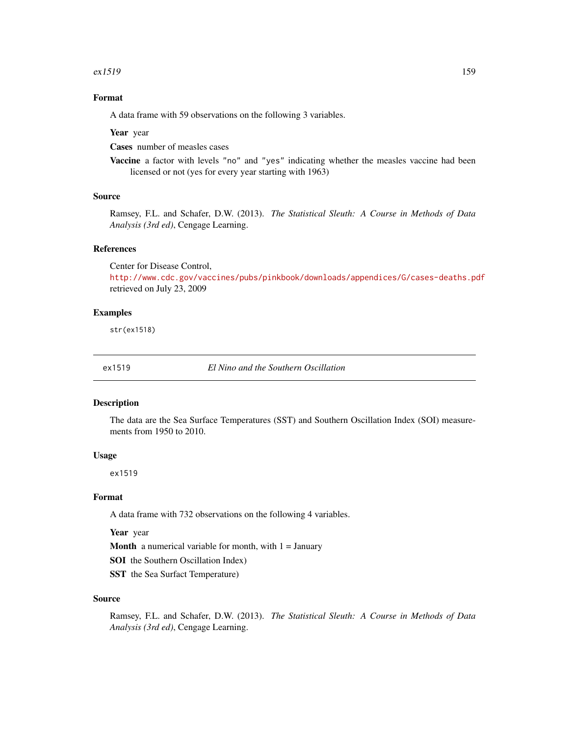#### $ex1519$  159

# Format

A data frame with 59 observations on the following 3 variables.

#### Year year

Cases number of measles cases

Vaccine a factor with levels "no" and "yes" indicating whether the measles vaccine had been licensed or not (yes for every year starting with 1963)

#### Source

Ramsey, F.L. and Schafer, D.W. (2013). *The Statistical Sleuth: A Course in Methods of Data Analysis (3rd ed)*, Cengage Learning.

#### References

Center for Disease Control,

<http://www.cdc.gov/vaccines/pubs/pinkbook/downloads/appendices/G/cases-deaths.pdf> retrieved on July 23, 2009

## Examples

str(ex1518)

ex1519 *El Nino and the Southern Oscillation*

# Description

The data are the Sea Surface Temperatures (SST) and Southern Oscillation Index (SOI) measurements from 1950 to 2010.

#### Usage

ex1519

# Format

A data frame with 732 observations on the following 4 variables.

Year year

**Month** a numerical variable for month, with  $1 =$  January

SOI the Southern Oscillation Index)

SST the Sea Surfact Temperature)

## Source

Ramsey, F.L. and Schafer, D.W. (2013). *The Statistical Sleuth: A Course in Methods of Data Analysis (3rd ed)*, Cengage Learning.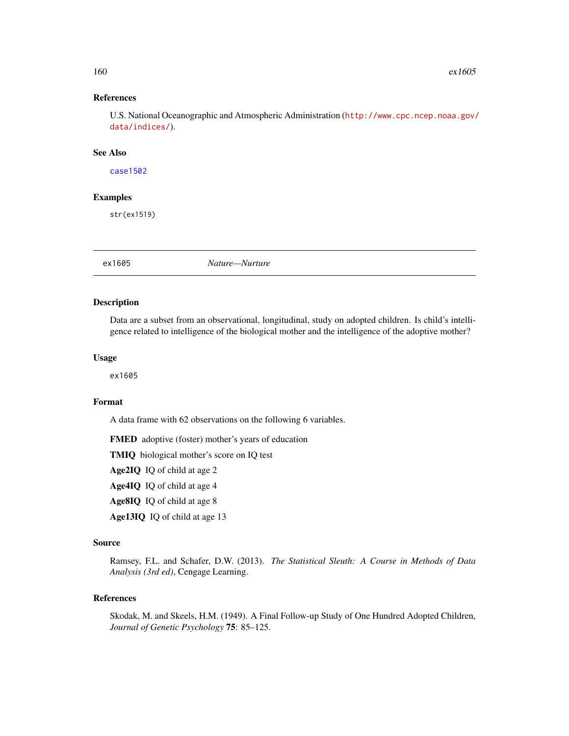#### References

U.S. National Oceanographic and Atmospheric Administration ([http://www.cpc.ncep.noaa.gov/](http://www.cpc.ncep.noaa.gov/data/indices/) [data/indices/](http://www.cpc.ncep.noaa.gov/data/indices/)).

# See Also

[case1502](#page-50-0)

# Examples

str(ex1519)

<span id="page-159-0"></span>ex1605 *Nature—Nurture*

# Description

Data are a subset from an observational, longitudinal, study on adopted children. Is child's intelligence related to intelligence of the biological mother and the intelligence of the adoptive mother?

#### Usage

ex1605

### Format

A data frame with 62 observations on the following 6 variables.

FMED adoptive (foster) mother's years of education

TMIQ biological mother's score on IQ test

Age2IQ IQ of child at age 2

Age4IQ IQ of child at age 4

Age8IQ IQ of child at age 8

Age13IQ IQ of child at age 13

# Source

Ramsey, F.L. and Schafer, D.W. (2013). *The Statistical Sleuth: A Course in Methods of Data Analysis (3rd ed)*, Cengage Learning.

# References

Skodak, M. and Skeels, H.M. (1949). A Final Follow-up Study of One Hundred Adopted Children, *Journal of Genetic Psychology* 75: 85–125.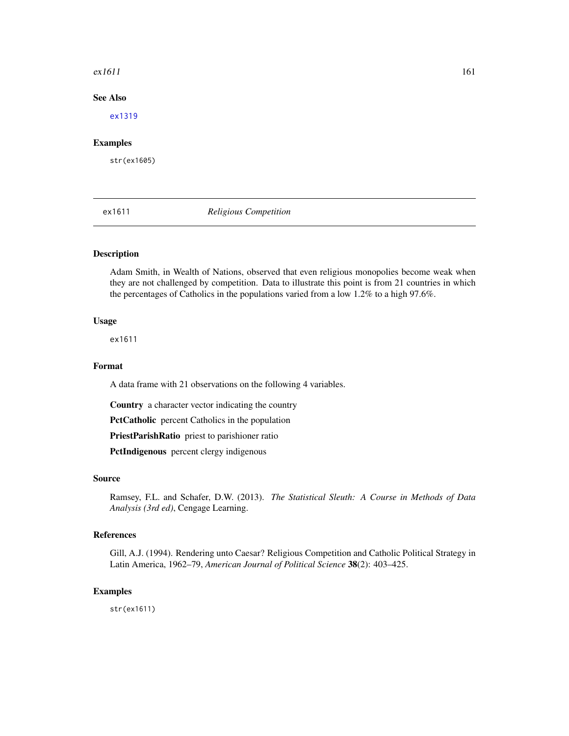#### $ex1611$  161

# See Also

[ex1319](#page-146-0)

# Examples

str(ex1605)

ex1611 *Religious Competition*

# Description

Adam Smith, in Wealth of Nations, observed that even religious monopolies become weak when they are not challenged by competition. Data to illustrate this point is from 21 countries in which the percentages of Catholics in the populations varied from a low 1.2% to a high 97.6%.

# Usage

ex1611

# Format

A data frame with 21 observations on the following 4 variables.

Country a character vector indicating the country

PctCatholic percent Catholics in the population

PriestParishRatio priest to parishioner ratio

PctIndigenous percent clergy indigenous

#### Source

Ramsey, F.L. and Schafer, D.W. (2013). *The Statistical Sleuth: A Course in Methods of Data Analysis (3rd ed)*, Cengage Learning.

#### References

Gill, A.J. (1994). Rendering unto Caesar? Religious Competition and Catholic Political Strategy in Latin America, 1962–79, *American Journal of Political Science* 38(2): 403–425.

## Examples

str(ex1611)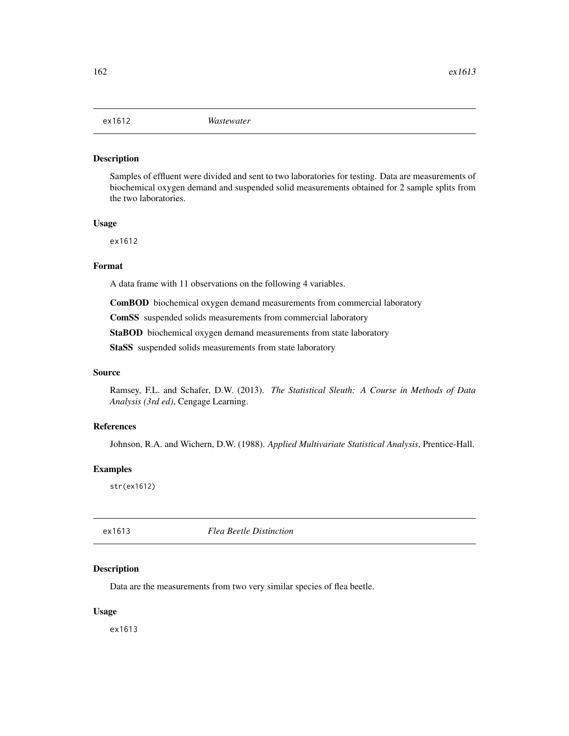Samples of effluent were divided and sent to two laboratories for testing. Data are measurements of biochemical oxygen demand and suspended solid measurements obtained for 2 sample splits from the two laboratories.

### Usage

ex1612

# Format

A data frame with 11 observations on the following 4 variables.

ComBOD biochemical oxygen demand measurements from commercial laboratory

ComSS suspended solids measurements from commercial laboratory

StaBOD biochemical oxygen demand measurements from state laboratory

StaSS suspended solids measurements from state laboratory

## Source

Ramsey, F.L. and Schafer, D.W. (2013). *The Statistical Sleuth: A Course in Methods of Data Analysis (3rd ed)*, Cengage Learning.

## References

Johnson, R.A. and Wichern, D.W. (1988). *Applied Multivariate Statistical Analysis*, Prentice-Hall.

## Examples

str(ex1612)

ex1613 *Flea Beetle Distinction*

#### Description

Data are the measurements from two very similar species of flea beetle.

## Usage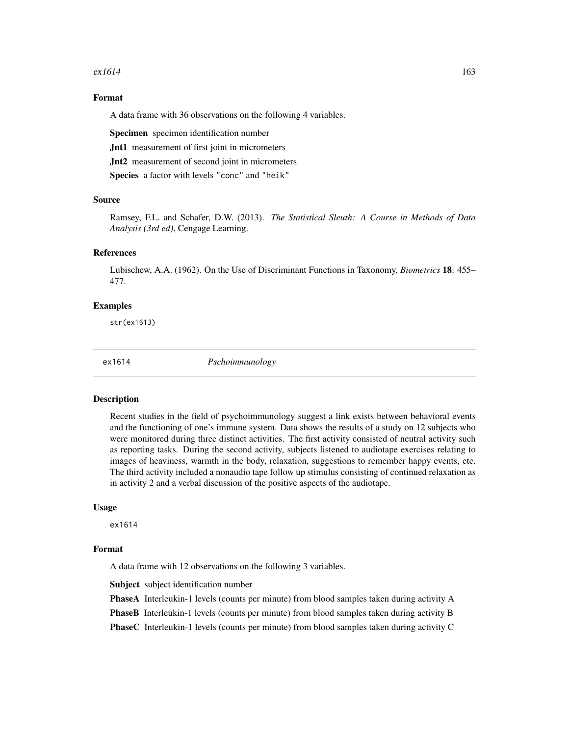#### $ex1614$  163

# Format

A data frame with 36 observations on the following 4 variables.

Specimen specimen identification number

Jnt1 measurement of first joint in micrometers

Jnt2 measurement of second joint in micrometers

Species a factor with levels "conc" and "heik"

## Source

Ramsey, F.L. and Schafer, D.W. (2013). *The Statistical Sleuth: A Course in Methods of Data Analysis (3rd ed)*, Cengage Learning.

### References

Lubischew, A.A. (1962). On the Use of Discriminant Functions in Taxonomy, *Biometrics* 18: 455– 477.

## Examples

str(ex1613)

ex1614 *Pschoimmunology*

#### Description

Recent studies in the field of psychoimmunology suggest a link exists between behavioral events and the functioning of one's immune system. Data shows the results of a study on 12 subjects who were monitored during three distinct activities. The first activity consisted of neutral activity such as reporting tasks. During the second activity, subjects listened to audiotape exercises relating to images of heaviness, warmth in the body, relaxation, suggestions to remember happy events, etc. The third activity included a nonaudio tape follow up stimulus consisting of continued relaxation as in activity 2 and a verbal discussion of the positive aspects of the audiotape.

#### Usage

ex1614

## Format

A data frame with 12 observations on the following 3 variables.

Subject subject identification number

PhaseA Interleukin-1 levels (counts per minute) from blood samples taken during activity A

PhaseB Interleukin-1 levels (counts per minute) from blood samples taken during activity B

PhaseC Interleukin-1 levels (counts per minute) from blood samples taken during activity C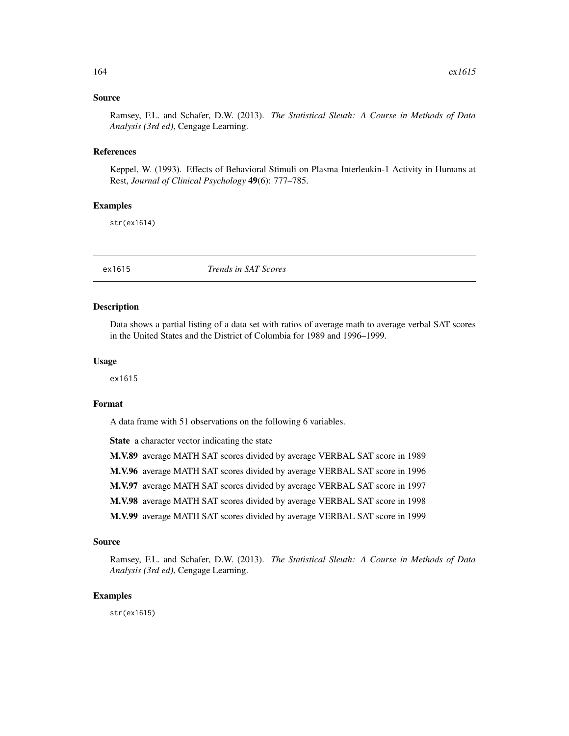## Source

Ramsey, F.L. and Schafer, D.W. (2013). *The Statistical Sleuth: A Course in Methods of Data Analysis (3rd ed)*, Cengage Learning.

#### References

Keppel, W. (1993). Effects of Behavioral Stimuli on Plasma Interleukin-1 Activity in Humans at Rest, *Journal of Clinical Psychology* 49(6): 777–785.

#### Examples

str(ex1614)

ex1615 *Trends in SAT Scores*

# Description

Data shows a partial listing of a data set with ratios of average math to average verbal SAT scores in the United States and the District of Columbia for 1989 and 1996–1999.

#### Usage

ex1615

## Format

A data frame with 51 observations on the following 6 variables.

State a character vector indicating the state

M.V.89 average MATH SAT scores divided by average VERBAL SAT score in 1989

M.V.96 average MATH SAT scores divided by average VERBAL SAT score in 1996

M.V.97 average MATH SAT scores divided by average VERBAL SAT score in 1997

M.V.98 average MATH SAT scores divided by average VERBAL SAT score in 1998

M.V.99 average MATH SAT scores divided by average VERBAL SAT score in 1999

## Source

Ramsey, F.L. and Schafer, D.W. (2013). *The Statistical Sleuth: A Course in Methods of Data Analysis (3rd ed)*, Cengage Learning.

#### Examples

str(ex1615)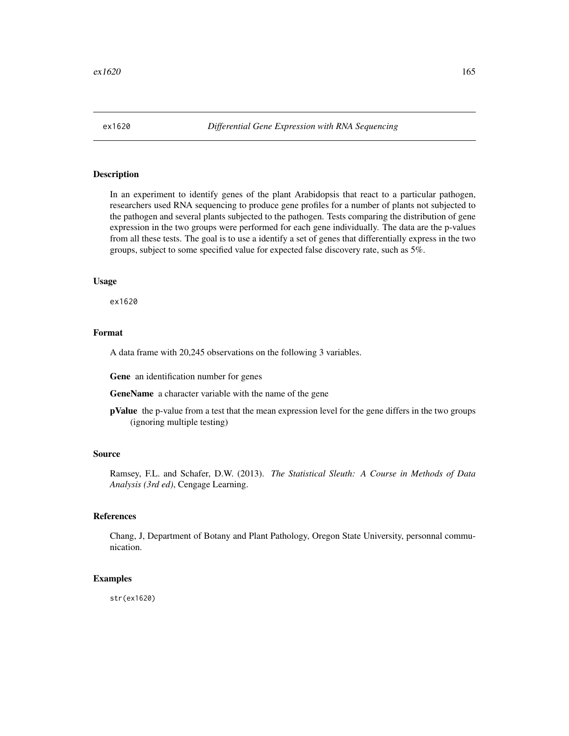In an experiment to identify genes of the plant Arabidopsis that react to a particular pathogen, researchers used RNA sequencing to produce gene profiles for a number of plants not subjected to the pathogen and several plants subjected to the pathogen. Tests comparing the distribution of gene expression in the two groups were performed for each gene individually. The data are the p-values from all these tests. The goal is to use a identify a set of genes that differentially express in the two groups, subject to some specified value for expected false discovery rate, such as 5%.

### Usage

ex1620

# Format

A data frame with 20,245 observations on the following 3 variables.

Gene an identification number for genes

GeneName a character variable with the name of the gene

**pValue** the p-value from a test that the mean expression level for the gene differs in the two groups (ignoring multiple testing)

# Source

Ramsey, F.L. and Schafer, D.W. (2013). *The Statistical Sleuth: A Course in Methods of Data Analysis (3rd ed)*, Cengage Learning.

# References

Chang, J, Department of Botany and Plant Pathology, Oregon State University, personnal communication.

## Examples

str(ex1620)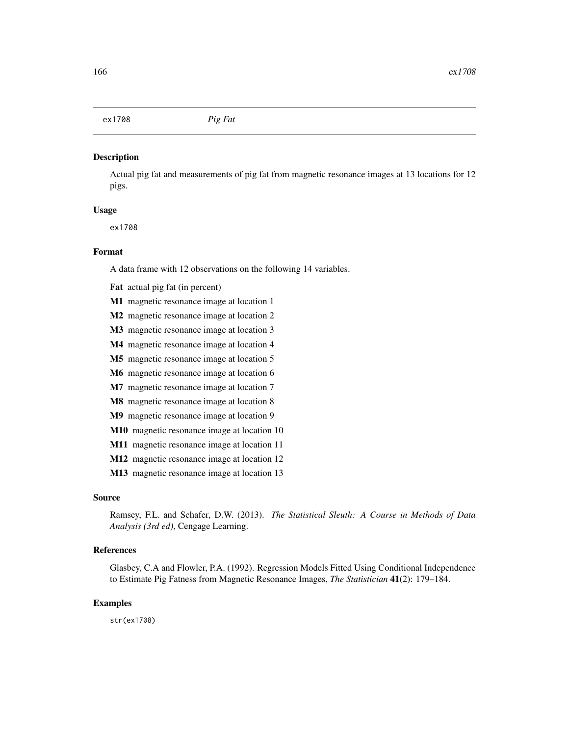## ex1708 *Pig Fat*

### Description

Actual pig fat and measurements of pig fat from magnetic resonance images at 13 locations for 12 pigs.

# Usage

ex1708

#### Format

A data frame with 12 observations on the following 14 variables.

Fat actual pig fat (in percent)

M1 magnetic resonance image at location 1

M2 magnetic resonance image at location 2

M3 magnetic resonance image at location 3

M4 magnetic resonance image at location 4

M5 magnetic resonance image at location 5

M6 magnetic resonance image at location 6

M7 magnetic resonance image at location 7

M8 magnetic resonance image at location 8

M9 magnetic resonance image at location 9

M10 magnetic resonance image at location 10

M11 magnetic resonance image at location 11

M12 magnetic resonance image at location 12

M13 magnetic resonance image at location 13

#### Source

Ramsey, F.L. and Schafer, D.W. (2013). *The Statistical Sleuth: A Course in Methods of Data Analysis (3rd ed)*, Cengage Learning.

# References

Glasbey, C.A and Flowler, P.A. (1992). Regression Models Fitted Using Conditional Independence to Estimate Pig Fatness from Magnetic Resonance Images, *The Statistician* 41(2): 179–184.

## Examples

str(ex1708)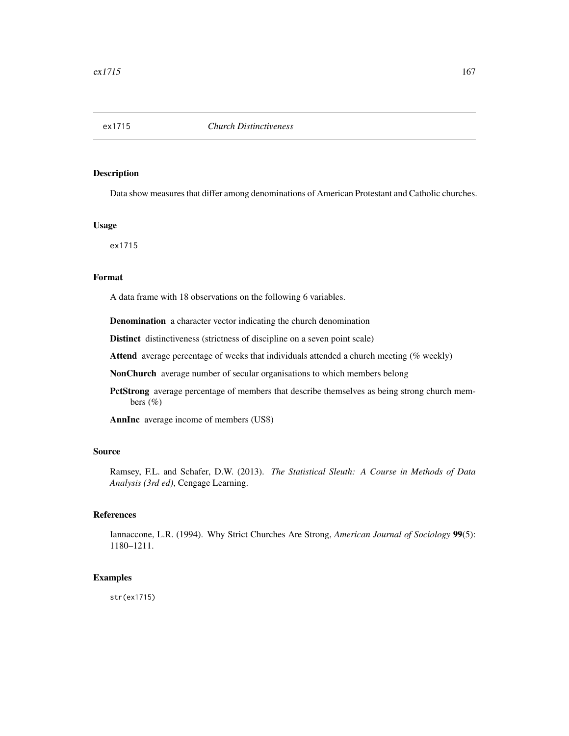Data show measures that differ among denominations of American Protestant and Catholic churches.

## Usage

ex1715

#### Format

A data frame with 18 observations on the following 6 variables.

Denomination a character vector indicating the church denomination

Distinct distinctiveness (strictness of discipline on a seven point scale)

Attend average percentage of weeks that individuals attended a church meeting (% weekly)

NonChurch average number of secular organisations to which members belong

PctStrong average percentage of members that describe themselves as being strong church members  $(\% )$ 

AnnInc average income of members (US\$)

# Source

Ramsey, F.L. and Schafer, D.W. (2013). *The Statistical Sleuth: A Course in Methods of Data Analysis (3rd ed)*, Cengage Learning.

## References

Iannaccone, L.R. (1994). Why Strict Churches Are Strong, *American Journal of Sociology* 99(5): 1180–1211.

# Examples

str(ex1715)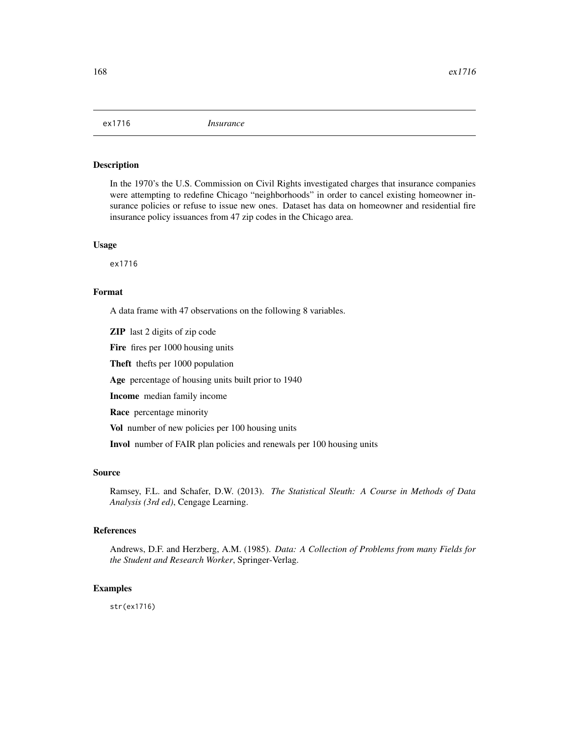In the 1970's the U.S. Commission on Civil Rights investigated charges that insurance companies were attempting to redefine Chicago "neighborhoods" in order to cancel existing homeowner insurance policies or refuse to issue new ones. Dataset has data on homeowner and residential fire insurance policy issuances from 47 zip codes in the Chicago area.

#### Usage

ex1716

#### Format

A data frame with 47 observations on the following 8 variables.

ZIP last 2 digits of zip code

Fire fires per 1000 housing units

Theft thefts per 1000 population

Age percentage of housing units built prior to 1940

Income median family income

Race percentage minority

Vol number of new policies per 100 housing units

Invol number of FAIR plan policies and renewals per 100 housing units

## Source

Ramsey, F.L. and Schafer, D.W. (2013). *The Statistical Sleuth: A Course in Methods of Data Analysis (3rd ed)*, Cengage Learning.

## References

Andrews, D.F. and Herzberg, A.M. (1985). *Data: A Collection of Problems from many Fields for the Student and Research Worker*, Springer-Verlag.

# Examples

str(ex1716)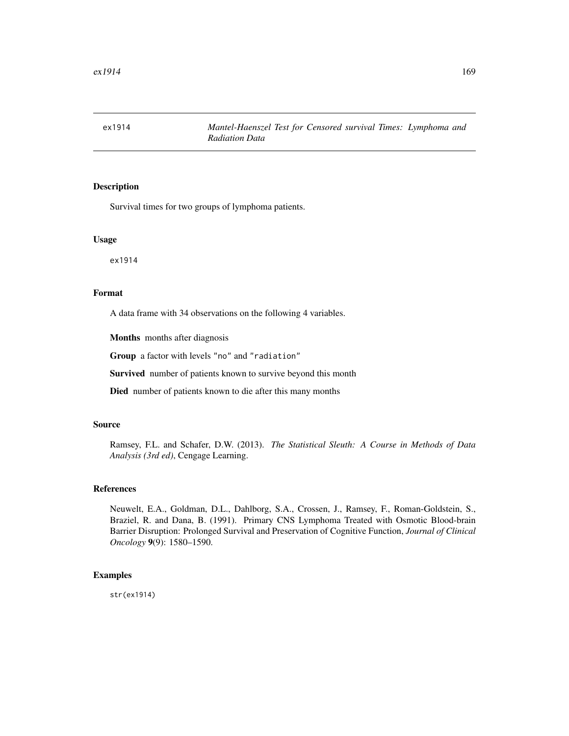Survival times for two groups of lymphoma patients.

## Usage

ex1914

# Format

A data frame with 34 observations on the following 4 variables.

Months months after diagnosis

Group a factor with levels "no" and "radiation"

Survived number of patients known to survive beyond this month

Died number of patients known to die after this many months

#### Source

Ramsey, F.L. and Schafer, D.W. (2013). *The Statistical Sleuth: A Course in Methods of Data Analysis (3rd ed)*, Cengage Learning.

# References

Neuwelt, E.A., Goldman, D.L., Dahlborg, S.A., Crossen, J., Ramsey, F., Roman-Goldstein, S., Braziel, R. and Dana, B. (1991). Primary CNS Lymphoma Treated with Osmotic Blood-brain Barrier Disruption: Prolonged Survival and Preservation of Cognitive Function, *Journal of Clinical Oncology* 9(9): 1580–1590.

## Examples

str(ex1914)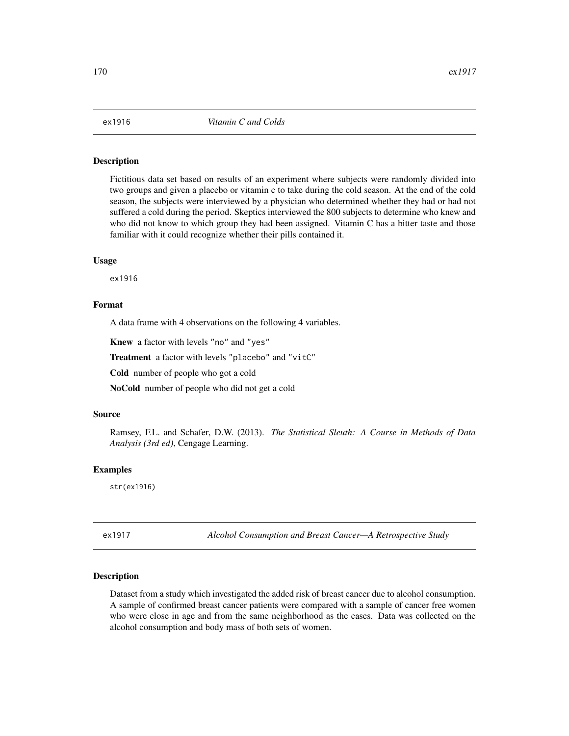Fictitious data set based on results of an experiment where subjects were randomly divided into two groups and given a placebo or vitamin c to take during the cold season. At the end of the cold season, the subjects were interviewed by a physician who determined whether they had or had not suffered a cold during the period. Skeptics interviewed the 800 subjects to determine who knew and who did not know to which group they had been assigned. Vitamin C has a bitter taste and those familiar with it could recognize whether their pills contained it.

#### Usage

ex1916

# Format

A data frame with 4 observations on the following 4 variables.

Knew a factor with levels "no" and "yes"

Treatment a factor with levels "placebo" and "vitC"

Cold number of people who got a cold

NoCold number of people who did not get a cold

#### Source

Ramsey, F.L. and Schafer, D.W. (2013). *The Statistical Sleuth: A Course in Methods of Data Analysis (3rd ed)*, Cengage Learning.

#### Examples

str(ex1916)

ex1917 *Alcohol Consumption and Breast Cancer—A Retrospective Study*

#### Description

Dataset from a study which investigated the added risk of breast cancer due to alcohol consumption. A sample of confirmed breast cancer patients were compared with a sample of cancer free women who were close in age and from the same neighborhood as the cases. Data was collected on the alcohol consumption and body mass of both sets of women.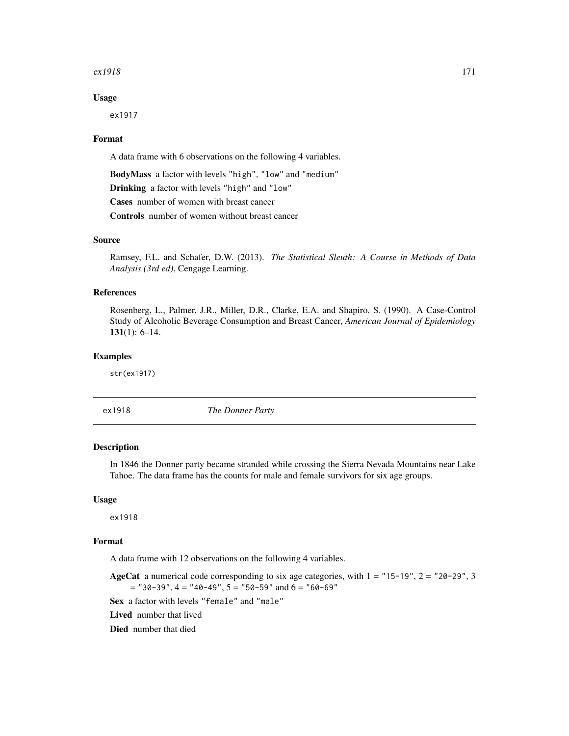#### $ex1918$  171

### Usage

ex1917

#### Format

A data frame with 6 observations on the following 4 variables.

BodyMass a factor with levels "high", "low" and "medium"

Drinking a factor with levels "high" and "low"

Cases number of women with breast cancer

Controls number of women without breast cancer

# Source

Ramsey, F.L. and Schafer, D.W. (2013). *The Statistical Sleuth: A Course in Methods of Data Analysis (3rd ed)*, Cengage Learning.

# References

Rosenberg, L., Palmer, J.R., Miller, D.R., Clarke, E.A. and Shapiro, S. (1990). A Case-Control Study of Alcoholic Beverage Consumption and Breast Cancer, *American Journal of Epidemiology* 131(1): 6–14.

### Examples

str(ex1917)

ex1918 *The Donner Party*

#### Description

In 1846 the Donner party became stranded while crossing the Sierra Nevada Mountains near Lake Tahoe. The data frame has the counts for male and female survivors for six age groups.

#### Usage

ex1918

# Format

A data frame with 12 observations on the following 4 variables.

AgeCat a numerical code corresponding to six age categories, with  $1 = "15-19", 2 = "20-29", 3$  $=$  "30-39", 4 = "40-49", 5 = "50-59" and 6 = "60-69"

Sex a factor with levels "female" and "male"

Lived number that lived

Died number that died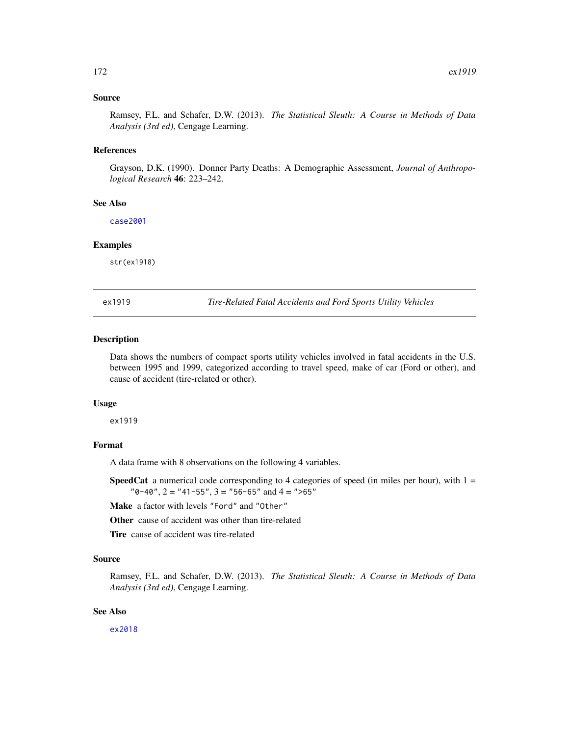## Source

Ramsey, F.L. and Schafer, D.W. (2013). *The Statistical Sleuth: A Course in Methods of Data Analysis (3rd ed)*, Cengage Learning.

#### References

Grayson, D.K. (1990). Donner Party Deaths: A Demographic Assessment, *Journal of Anthropological Research* 46: 223–242.

## See Also

[case2001](#page-68-0)

# Examples

str(ex1918)

ex1919 *Tire-Related Fatal Accidents and Ford Sports Utility Vehicles*

## Description

Data shows the numbers of compact sports utility vehicles involved in fatal accidents in the U.S. between 1995 and 1999, categorized according to travel speed, make of car (Ford or other), and cause of accident (tire-related or other).

#### Usage

ex1919

# Format

A data frame with 8 observations on the following 4 variables.

**SpeedCat** a numerical code corresponding to 4 categories of speed (in miles per hour), with  $1 =$  $"0-40", 2 = "41-55", 3 = "56-65" and 4 = ">65"$ 

Make a factor with levels "Ford" and "Other"

Other cause of accident was other than tire-related

Tire cause of accident was tire-related

#### Source

Ramsey, F.L. and Schafer, D.W. (2013). *The Statistical Sleuth: A Course in Methods of Data Analysis (3rd ed)*, Cengage Learning.

# See Also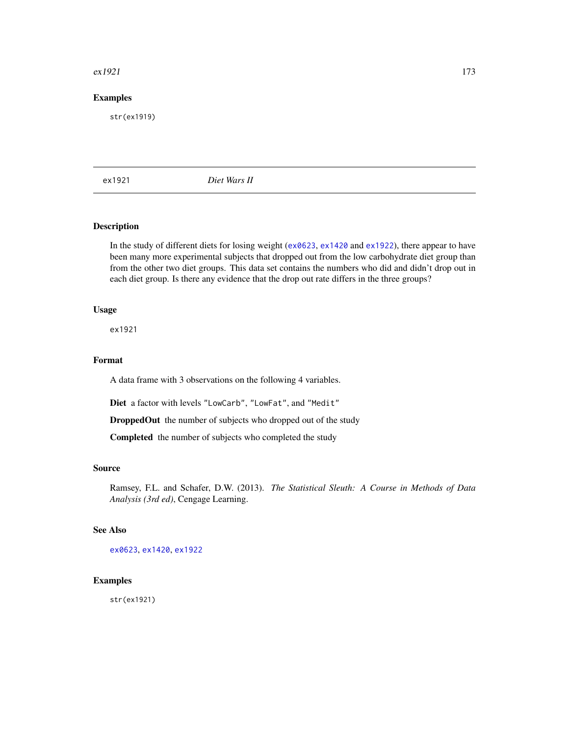#### $ex1921$  173

# Examples

str(ex1919)

<span id="page-172-0"></span>ex1921 *Diet Wars II*

# Description

In the study of different diets for losing weight ( $ex0623$ ,  $ex1420$  and  $ex1922$ ), there appear to have been many more experimental subjects that dropped out from the low carbohydrate diet group than from the other two diet groups. This data set contains the numbers who did and didn't drop out in each diet group. Is there any evidence that the drop out rate differs in the three groups?

### Usage

ex1921

## Format

A data frame with 3 observations on the following 4 variables.

Diet a factor with levels "LowCarb", "LowFat", and "Medit"

DroppedOut the number of subjects who dropped out of the study

Completed the number of subjects who completed the study

#### Source

Ramsey, F.L. and Schafer, D.W. (2013). *The Statistical Sleuth: A Course in Methods of Data Analysis (3rd ed)*, Cengage Learning.

## See Also

[ex0623](#page-101-0), [ex1420](#page-152-0), [ex1922](#page-173-0)

## Examples

str(ex1921)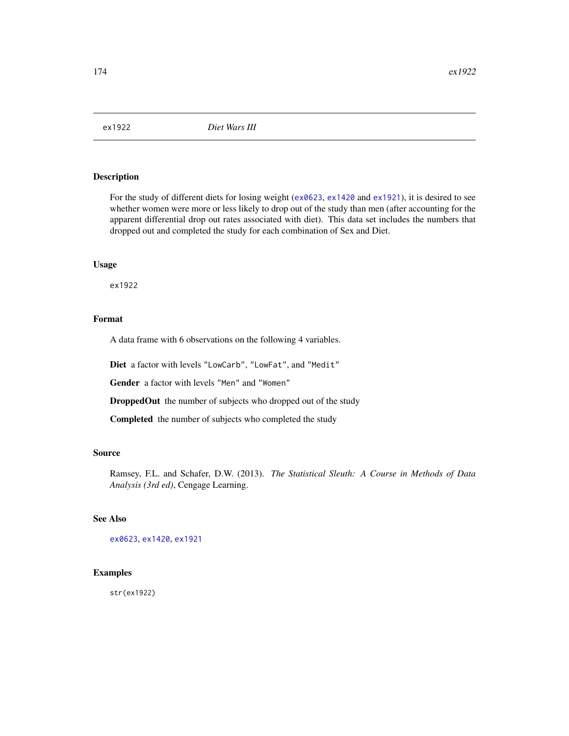<span id="page-173-0"></span>

For the study of different diets for losing weight ([ex0623](#page-101-0), [ex1420](#page-152-0) and [ex1921](#page-172-0)), it is desired to see whether women were more or less likely to drop out of the study than men (after accounting for the apparent differential drop out rates associated with diet). This data set includes the numbers that dropped out and completed the study for each combination of Sex and Diet.

# Usage

ex1922

# Format

A data frame with 6 observations on the following 4 variables.

Diet a factor with levels "LowCarb", "LowFat", and "Medit"

Gender a factor with levels "Men" and "Women"

DroppedOut the number of subjects who dropped out of the study

Completed the number of subjects who completed the study

#### Source

Ramsey, F.L. and Schafer, D.W. (2013). *The Statistical Sleuth: A Course in Methods of Data Analysis (3rd ed)*, Cengage Learning.

# See Also

[ex0623](#page-101-0), [ex1420](#page-152-0), [ex1921](#page-172-0)

# Examples

str(ex1922)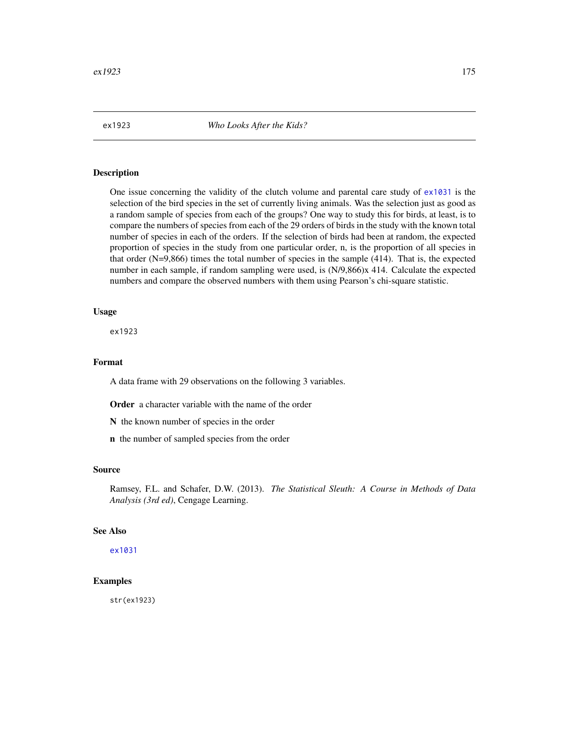One issue concerning the validity of the clutch volume and parental care study of  $e \times 1031$  is the selection of the bird species in the set of currently living animals. Was the selection just as good as a random sample of species from each of the groups? One way to study this for birds, at least, is to compare the numbers of species from each of the 29 orders of birds in the study with the known total number of species in each of the orders. If the selection of birds had been at random, the expected proportion of species in the study from one particular order, n, is the proportion of all species in that order (N=9,866) times the total number of species in the sample (414). That is, the expected number in each sample, if random sampling were used, is (N/9,866)x 414. Calculate the expected numbers and compare the observed numbers with them using Pearson's chi-square statistic.

#### Usage

ex1923

# Format

A data frame with 29 observations on the following 3 variables.

Order a character variable with the name of the order

N the known number of species in the order

n the number of sampled species from the order

#### Source

Ramsey, F.L. and Schafer, D.W. (2013). *The Statistical Sleuth: A Course in Methods of Data Analysis (3rd ed)*, Cengage Learning.

# See Also

[ex1031](#page-131-0)

# Examples

str(ex1923)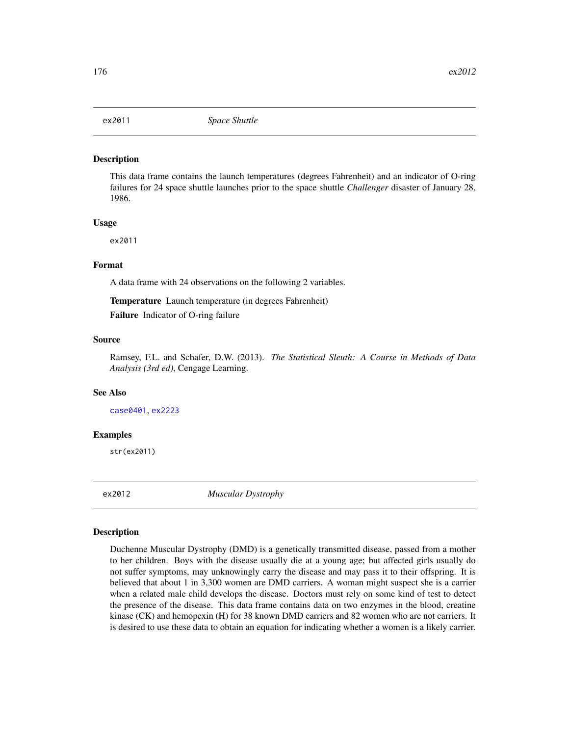This data frame contains the launch temperatures (degrees Fahrenheit) and an indicator of O-ring failures for 24 space shuttle launches prior to the space shuttle *Challenger* disaster of January 28, 1986.

#### Usage

ex2011

# Format

A data frame with 24 observations on the following 2 variables.

Temperature Launch temperature (in degrees Fahrenheit)

Failure Indicator of O-ring failure

## Source

Ramsey, F.L. and Schafer, D.W. (2013). *The Statistical Sleuth: A Course in Methods of Data Analysis (3rd ed)*, Cengage Learning.

# See Also

[case0401](#page-12-0), [ex2223](#page-191-0)

#### Examples

str(ex2011)

ex2012 *Muscular Dystrophy*

#### Description

Duchenne Muscular Dystrophy (DMD) is a genetically transmitted disease, passed from a mother to her children. Boys with the disease usually die at a young age; but affected girls usually do not suffer symptoms, may unknowingly carry the disease and may pass it to their offspring. It is believed that about 1 in 3,300 women are DMD carriers. A woman might suspect she is a carrier when a related male child develops the disease. Doctors must rely on some kind of test to detect the presence of the disease. This data frame contains data on two enzymes in the blood, creatine kinase (CK) and hemopexin (H) for 38 known DMD carriers and 82 women who are not carriers. It is desired to use these data to obtain an equation for indicating whether a women is a likely carrier.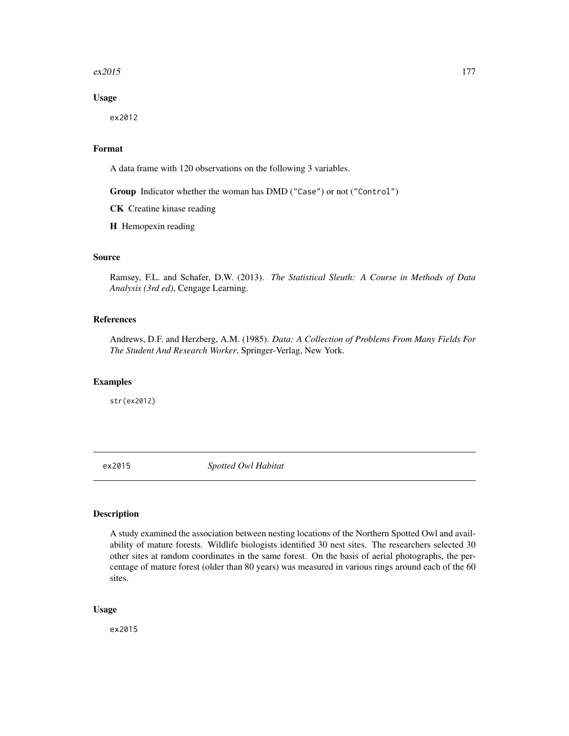### $\exp(2015)$  177

## Usage

ex2012

# Format

A data frame with 120 observations on the following 3 variables.

Group Indicator whether the woman has DMD ("Case") or not ("Control")

CK Creatine kinase reading

H Hemopexin reading

## Source

Ramsey, F.L. and Schafer, D.W. (2013). *The Statistical Sleuth: A Course in Methods of Data Analysis (3rd ed)*, Cengage Learning.

# References

Andrews, D.F. and Herzberg, A.M. (1985). *Data: A Collection of Problems From Many Fields For The Student And Research Worker*, Springer-Verlag, New York.

## Examples

str(ex2012)

ex2015 *Spotted Owl Habitat*

# Description

A study examined the association between nesting locations of the Northern Spotted Owl and availability of mature forests. Wildlife biologists identified 30 nest sites. The researchers selected 30 other sites at random coordinates in the same forest. On the basis of aerial photographs, the percentage of mature forest (older than 80 years) was measured in various rings around each of the 60 sites.

### Usage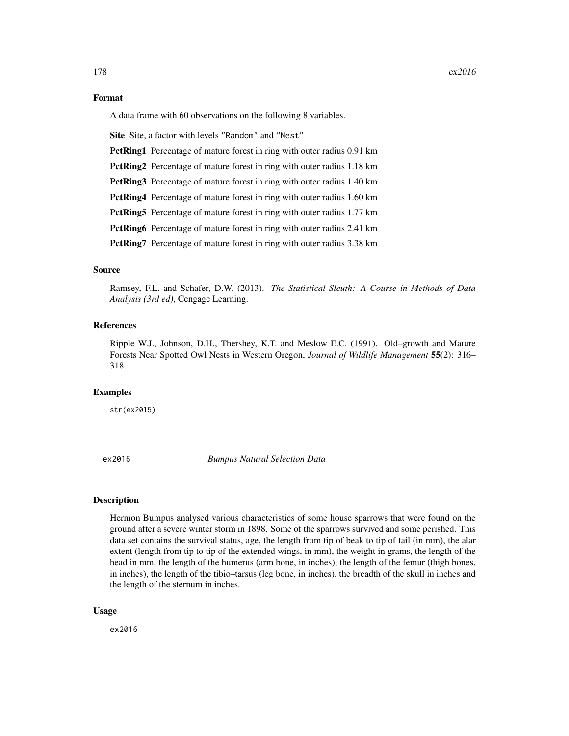# Format

A data frame with 60 observations on the following 8 variables.

Site Site, a factor with levels "Random" and "Nest"

PctRing1 Percentage of mature forest in ring with outer radius 0.91 km

PctRing<sub>2</sub> Percentage of mature forest in ring with outer radius 1.18 km

PctRing3 Percentage of mature forest in ring with outer radius 1.40 km

PctRing4 Percentage of mature forest in ring with outer radius 1.60 km

PctRing5 Percentage of mature forest in ring with outer radius 1.77 km

PctRing6 Percentage of mature forest in ring with outer radius 2.41 km

PctRing7 Percentage of mature forest in ring with outer radius 3.38 km

# Source

Ramsey, F.L. and Schafer, D.W. (2013). *The Statistical Sleuth: A Course in Methods of Data Analysis (3rd ed)*, Cengage Learning.

#### References

Ripple W.J., Johnson, D.H., Thershey, K.T. and Meslow E.C. (1991). Old–growth and Mature Forests Near Spotted Owl Nests in Western Oregon, *Journal of Wildlife Management* 55(2): 316– 318.

## Examples

str(ex2015)

ex2016 *Bumpus Natural Selection Data*

## Description

Hermon Bumpus analysed various characteristics of some house sparrows that were found on the ground after a severe winter storm in 1898. Some of the sparrows survived and some perished. This data set contains the survival status, age, the length from tip of beak to tip of tail (in mm), the alar extent (length from tip to tip of the extended wings, in mm), the weight in grams, the length of the head in mm, the length of the humerus (arm bone, in inches), the length of the femur (thigh bones, in inches), the length of the tibio–tarsus (leg bone, in inches), the breadth of the skull in inches and the length of the sternum in inches.

#### Usage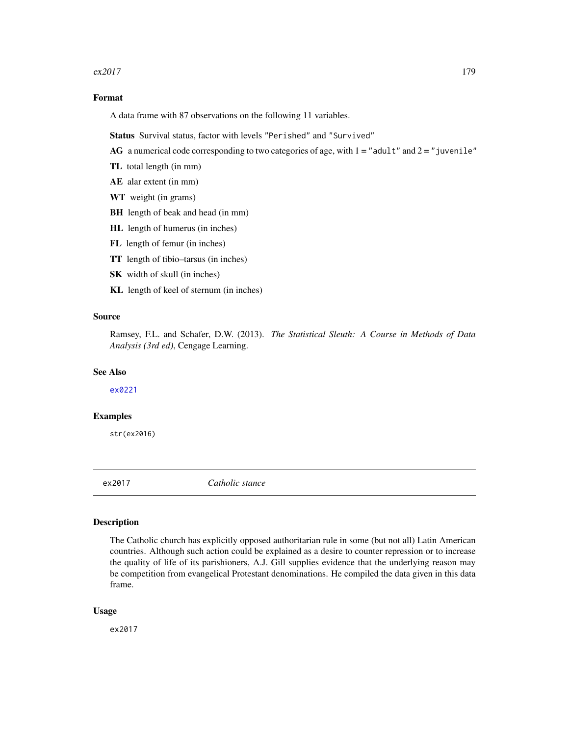## $\exp(2017)$  179

# Format

A data frame with 87 observations on the following 11 variables.

Status Survival status, factor with levels "Perished" and "Survived"

AG a numerical code corresponding to two categories of age, with  $1 =$  "adult" and  $2 =$  "juvenile"

- TL total length (in mm)
- AE alar extent (in mm)
- WT weight (in grams)
- BH length of beak and head (in mm)
- HL length of humerus (in inches)
- FL length of femur (in inches)
- TT length of tibio–tarsus (in inches)
- SK width of skull (in inches)
- KL length of keel of sternum (in inches)

### Source

Ramsey, F.L. and Schafer, D.W. (2013). *The Statistical Sleuth: A Course in Methods of Data Analysis (3rd ed)*, Cengage Learning.

## See Also

[ex0221](#page-85-0)

# Examples

str(ex2016)

ex2017 *Catholic stance*

#### Description

The Catholic church has explicitly opposed authoritarian rule in some (but not all) Latin American countries. Although such action could be explained as a desire to counter repression or to increase the quality of life of its parishioners, A.J. Gill supplies evidence that the underlying reason may be competition from evangelical Protestant denominations. He compiled the data given in this data frame.

#### Usage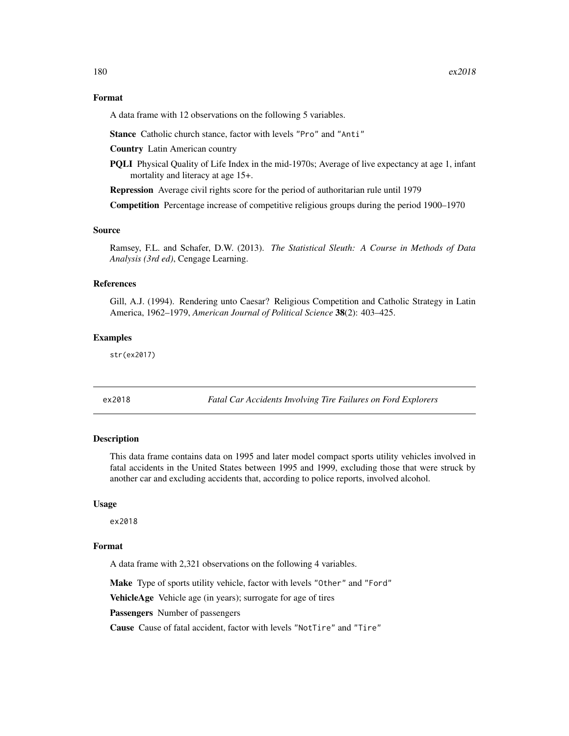## Format

A data frame with 12 observations on the following 5 variables.

Stance Catholic church stance, factor with levels "Pro" and "Anti"

Country Latin American country

PQLI Physical Quality of Life Index in the mid-1970s; Average of live expectancy at age 1, infant mortality and literacy at age 15+.

Repression Average civil rights score for the period of authoritarian rule until 1979

Competition Percentage increase of competitive religious groups during the period 1900–1970

## Source

Ramsey, F.L. and Schafer, D.W. (2013). *The Statistical Sleuth: A Course in Methods of Data Analysis (3rd ed)*, Cengage Learning.

#### References

Gill, A.J. (1994). Rendering unto Caesar? Religious Competition and Catholic Strategy in Latin America, 1962–1979, *American Journal of Political Science* 38(2): 403–425.

# Examples

str(ex2017)

<span id="page-179-0"></span>ex2018 *Fatal Car Accidents Involving Tire Failures on Ford Explorers*

## Description

This data frame contains data on 1995 and later model compact sports utility vehicles involved in fatal accidents in the United States between 1995 and 1999, excluding those that were struck by another car and excluding accidents that, according to police reports, involved alcohol.

#### Usage

ex2018

#### Format

A data frame with 2,321 observations on the following 4 variables.

Make Type of sports utility vehicle, factor with levels "Other" and "Ford"

VehicleAge Vehicle age (in years); surrogate for age of tires

Passengers Number of passengers

Cause Cause of fatal accident, factor with levels "NotTire" and "Tire"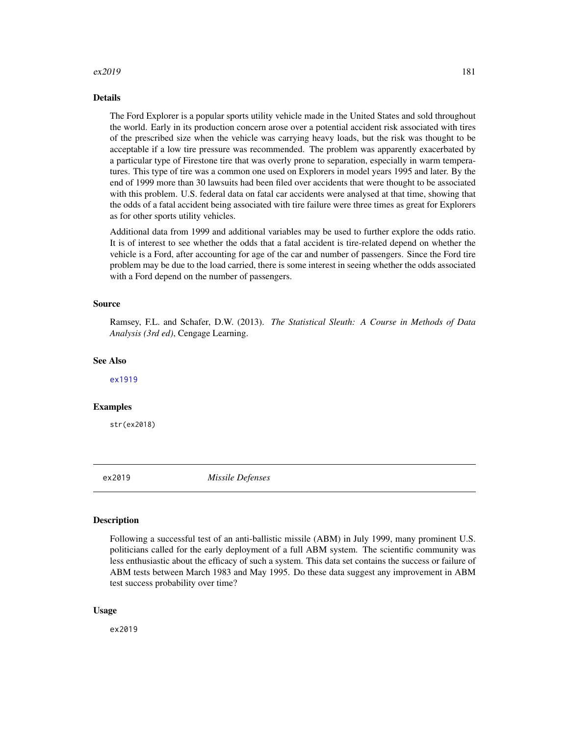#### <span id="page-180-0"></span> $ex2019$  181

# Details

The Ford Explorer is a popular sports utility vehicle made in the United States and sold throughout the world. Early in its production concern arose over a potential accident risk associated with tires of the prescribed size when the vehicle was carrying heavy loads, but the risk was thought to be acceptable if a low tire pressure was recommended. The problem was apparently exacerbated by a particular type of Firestone tire that was overly prone to separation, especially in warm temperatures. This type of tire was a common one used on Explorers in model years 1995 and later. By the end of 1999 more than 30 lawsuits had been filed over accidents that were thought to be associated with this problem. U.S. federal data on fatal car accidents were analysed at that time, showing that the odds of a fatal accident being associated with tire failure were three times as great for Explorers as for other sports utility vehicles.

Additional data from 1999 and additional variables may be used to further explore the odds ratio. It is of interest to see whether the odds that a fatal accident is tire-related depend on whether the vehicle is a Ford, after accounting for age of the car and number of passengers. Since the Ford tire problem may be due to the load carried, there is some interest in seeing whether the odds associated with a Ford depend on the number of passengers.

#### Source

Ramsey, F.L. and Schafer, D.W. (2013). *The Statistical Sleuth: A Course in Methods of Data Analysis (3rd ed)*, Cengage Learning.

#### See Also

[ex1919](#page-171-0)

#### Examples

str(ex2018)

ex2019 *Missile Defenses*

# Description

Following a successful test of an anti-ballistic missile (ABM) in July 1999, many prominent U.S. politicians called for the early deployment of a full ABM system. The scientific community was less enthusiastic about the efficacy of such a system. This data set contains the success or failure of ABM tests between March 1983 and May 1995. Do these data suggest any improvement in ABM test success probability over time?

#### Usage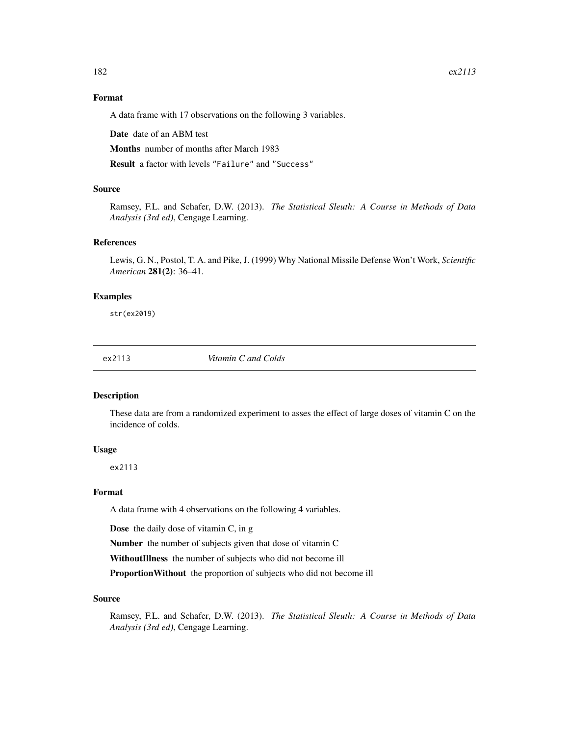# Format

A data frame with 17 observations on the following 3 variables.

Date date of an ABM test

Months number of months after March 1983

Result a factor with levels "Failure" and "Success"

# Source

Ramsey, F.L. and Schafer, D.W. (2013). *The Statistical Sleuth: A Course in Methods of Data Analysis (3rd ed)*, Cengage Learning.

# References

Lewis, G. N., Postol, T. A. and Pike, J. (1999) Why National Missile Defense Won't Work, *Scientific American* 281(2): 36–41.

# Examples

str(ex2019)

ex2113 *Vitamin C and Colds*

#### Description

These data are from a randomized experiment to asses the effect of large doses of vitamin C on the incidence of colds.

# Usage

ex2113

#### Format

A data frame with 4 observations on the following 4 variables.

Dose the daily dose of vitamin C, in g

Number the number of subjects given that dose of vitamin C

WithoutIllness the number of subjects who did not become ill

Proportion Without the proportion of subjects who did not become ill

#### Source

Ramsey, F.L. and Schafer, D.W. (2013). *The Statistical Sleuth: A Course in Methods of Data Analysis (3rd ed)*, Cengage Learning.

<span id="page-181-0"></span>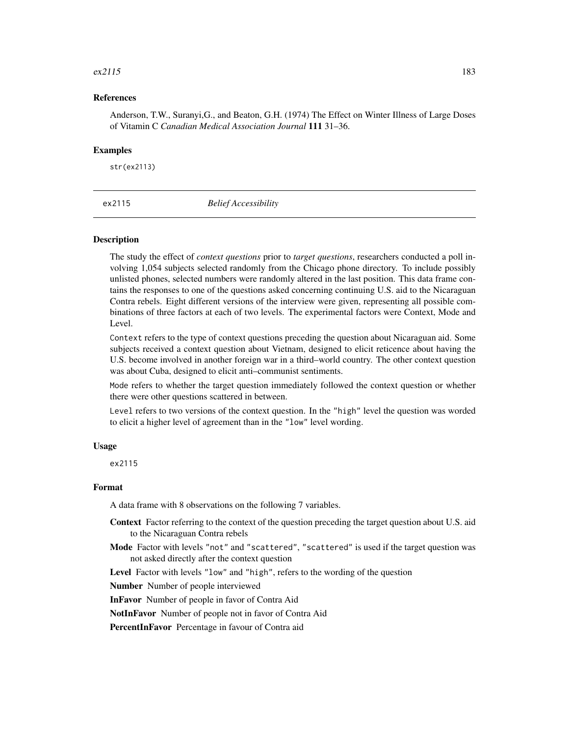#### <span id="page-182-0"></span> $ex2115$  183

# References

Anderson, T.W., Suranyi,G., and Beaton, G.H. (1974) The Effect on Winter Illness of Large Doses of Vitamin C *Canadian Medical Association Journal* 111 31–36.

#### Examples

str(ex2113)

ex2115 *Belief Accessibility*

## Description

The study the effect of *context questions* prior to *target questions*, researchers conducted a poll involving 1,054 subjects selected randomly from the Chicago phone directory. To include possibly unlisted phones, selected numbers were randomly altered in the last position. This data frame contains the responses to one of the questions asked concerning continuing U.S. aid to the Nicaraguan Contra rebels. Eight different versions of the interview were given, representing all possible combinations of three factors at each of two levels. The experimental factors were Context, Mode and Level.

Context refers to the type of context questions preceding the question about Nicaraguan aid. Some subjects received a context question about Vietnam, designed to elicit reticence about having the U.S. become involved in another foreign war in a third–world country. The other context question was about Cuba, designed to elicit anti–communist sentiments.

Mode refers to whether the target question immediately followed the context question or whether there were other questions scattered in between.

Level refers to two versions of the context question. In the "high" level the question was worded to elicit a higher level of agreement than in the "low" level wording.

#### Usage

ex2115

#### Format

A data frame with 8 observations on the following 7 variables.

- Context Factor referring to the context of the question preceding the target question about U.S. aid to the Nicaraguan Contra rebels
- Mode Factor with levels "not" and "scattered", "scattered" is used if the target question was not asked directly after the context question
- Level Factor with levels "low" and "high", refers to the wording of the question

Number Number of people interviewed

InFavor Number of people in favor of Contra Aid

NotInFavor Number of people not in favor of Contra Aid

PercentInFavor Percentage in favour of Contra aid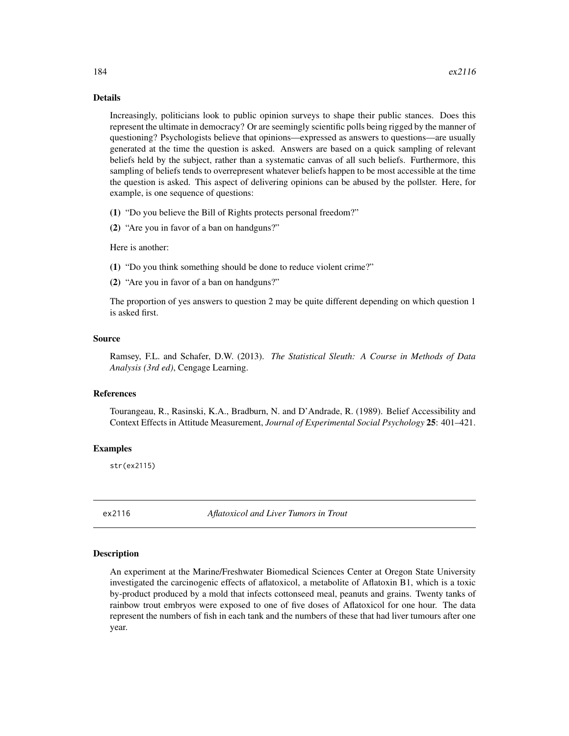#### <span id="page-183-0"></span>Details

Increasingly, politicians look to public opinion surveys to shape their public stances. Does this represent the ultimate in democracy? Or are seemingly scientific polls being rigged by the manner of questioning? Psychologists believe that opinions—expressed as answers to questions—are usually generated at the time the question is asked. Answers are based on a quick sampling of relevant beliefs held by the subject, rather than a systematic canvas of all such beliefs. Furthermore, this sampling of beliefs tends to overrepresent whatever beliefs happen to be most accessible at the time the question is asked. This aspect of delivering opinions can be abused by the pollster. Here, for example, is one sequence of questions:

(1) "Do you believe the Bill of Rights protects personal freedom?"

(2) "Are you in favor of a ban on handguns?"

Here is another:

- (1) "Do you think something should be done to reduce violent crime?"
- (2) "Are you in favor of a ban on handguns?"

The proportion of yes answers to question 2 may be quite different depending on which question 1 is asked first.

#### Source

Ramsey, F.L. and Schafer, D.W. (2013). *The Statistical Sleuth: A Course in Methods of Data Analysis (3rd ed)*, Cengage Learning.

# References

Tourangeau, R., Rasinski, K.A., Bradburn, N. and D'Andrade, R. (1989). Belief Accessibility and Context Effects in Attitude Measurement, *Journal of Experimental Social Psychology* 25: 401–421.

#### Examples

str(ex2115)

ex2116 *Aflatoxicol and Liver Tumors in Trout*

#### **Description**

An experiment at the Marine/Freshwater Biomedical Sciences Center at Oregon State University investigated the carcinogenic effects of aflatoxicol, a metabolite of Aflatoxin B1, which is a toxic by-product produced by a mold that infects cottonseed meal, peanuts and grains. Twenty tanks of rainbow trout embryos were exposed to one of five doses of Aflatoxicol for one hour. The data represent the numbers of fish in each tank and the numbers of these that had liver tumours after one year.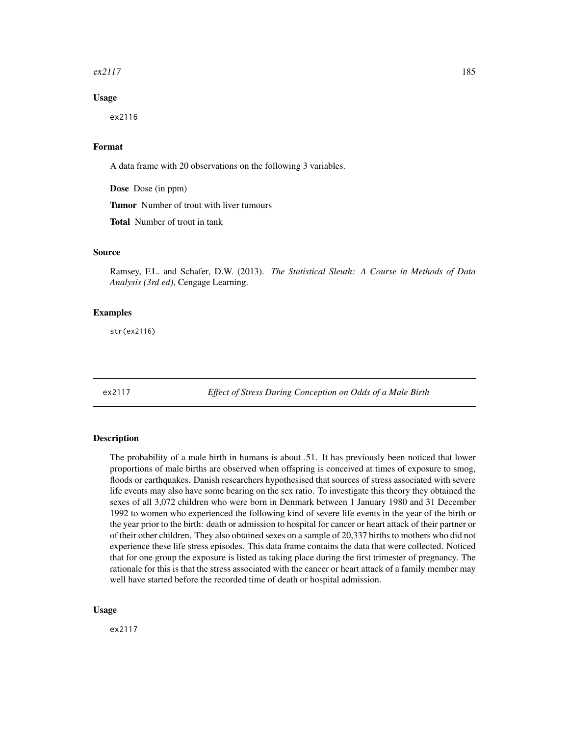#### <span id="page-184-0"></span> $ex2117$  185

#### Usage

ex2116

#### Format

A data frame with 20 observations on the following 3 variables.

Dose Dose (in ppm)

Tumor Number of trout with liver tumours

Total Number of trout in tank

# Source

Ramsey, F.L. and Schafer, D.W. (2013). *The Statistical Sleuth: A Course in Methods of Data Analysis (3rd ed)*, Cengage Learning.

### Examples

str(ex2116)

ex2117 *Effect of Stress During Conception on Odds of a Male Birth*

#### Description

The probability of a male birth in humans is about .51. It has previously been noticed that lower proportions of male births are observed when offspring is conceived at times of exposure to smog, floods or earthquakes. Danish researchers hypothesised that sources of stress associated with severe life events may also have some bearing on the sex ratio. To investigate this theory they obtained the sexes of all 3,072 children who were born in Denmark between 1 January 1980 and 31 December 1992 to women who experienced the following kind of severe life events in the year of the birth or the year prior to the birth: death or admission to hospital for cancer or heart attack of their partner or of their other children. They also obtained sexes on a sample of 20,337 births to mothers who did not experience these life stress episodes. This data frame contains the data that were collected. Noticed that for one group the exposure is listed as taking place during the first trimester of pregnancy. The rationale for this is that the stress associated with the cancer or heart attack of a family member may well have started before the recorded time of death or hospital admission.

#### Usage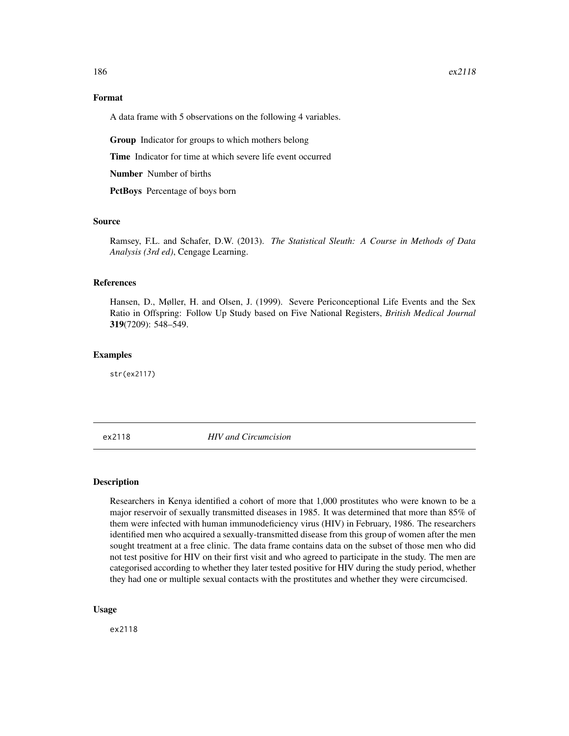# <span id="page-185-0"></span>Format

A data frame with 5 observations on the following 4 variables.

Group Indicator for groups to which mothers belong

Time Indicator for time at which severe life event occurred

Number Number of births

PctBoys Percentage of boys born

# Source

Ramsey, F.L. and Schafer, D.W. (2013). *The Statistical Sleuth: A Course in Methods of Data Analysis (3rd ed)*, Cengage Learning.

# References

Hansen, D., Møller, H. and Olsen, J. (1999). Severe Periconceptional Life Events and the Sex Ratio in Offspring: Follow Up Study based on Five National Registers, *British Medical Journal* 319(7209): 548–549.

#### Examples

str(ex2117)

ex2118 *HIV and Circumcision*

#### Description

Researchers in Kenya identified a cohort of more that 1,000 prostitutes who were known to be a major reservoir of sexually transmitted diseases in 1985. It was determined that more than 85% of them were infected with human immunodeficiency virus (HIV) in February, 1986. The researchers identified men who acquired a sexually-transmitted disease from this group of women after the men sought treatment at a free clinic. The data frame contains data on the subset of those men who did not test positive for HIV on their first visit and who agreed to participate in the study. The men are categorised according to whether they later tested positive for HIV during the study period, whether they had one or multiple sexual contacts with the prostitutes and whether they were circumcised.

#### Usage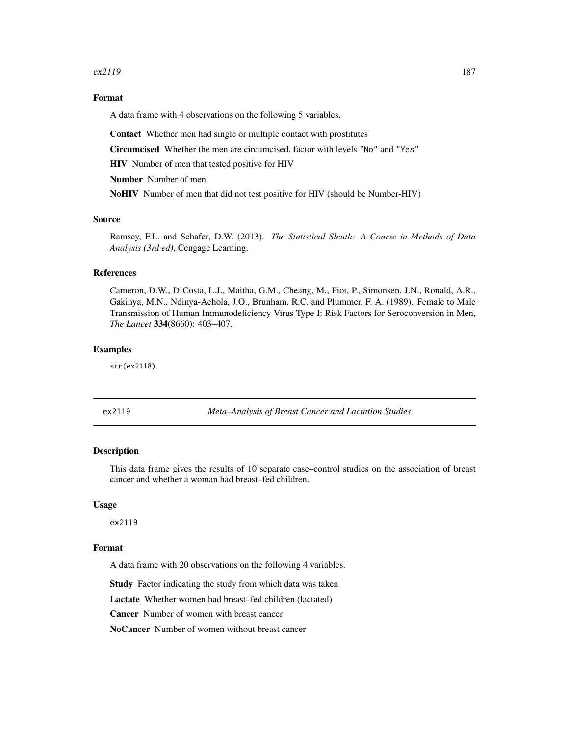#### <span id="page-186-0"></span> $ex2119$  187

# Format

A data frame with 4 observations on the following 5 variables.

Contact Whether men had single or multiple contact with prostitutes

Circumcised Whether the men are circumcised, factor with levels "No" and "Yes"

HIV Number of men that tested positive for HIV

Number Number of men

NoHIV Number of men that did not test positive for HIV (should be Number-HIV)

# Source

Ramsey, F.L. and Schafer, D.W. (2013). *The Statistical Sleuth: A Course in Methods of Data Analysis (3rd ed)*, Cengage Learning.

#### References

Cameron, D.W., D'Costa, L.J., Maitha, G.M., Cheang, M., Piot, P., Simonsen, J.N., Ronald, A.R., Gakinya, M.N., Ndinya-Achola, J.O., Brunham, R.C. and Plummer, F. A. (1989). Female to Male Transmission of Human Immunodeficiency Virus Type I: Risk Factors for Seroconversion in Men, *The Lancet* 334(8660): 403–407.

#### Examples

str(ex2118)

ex2119 *Meta–Analysis of Breast Cancer and Lactation Studies*

#### **Description**

This data frame gives the results of 10 separate case–control studies on the association of breast cancer and whether a woman had breast–fed children.

#### Usage

ex2119

# Format

A data frame with 20 observations on the following 4 variables.

Study Factor indicating the study from which data was taken

Lactate Whether women had breast–fed children (lactated)

Cancer Number of women with breast cancer

NoCancer Number of women without breast cancer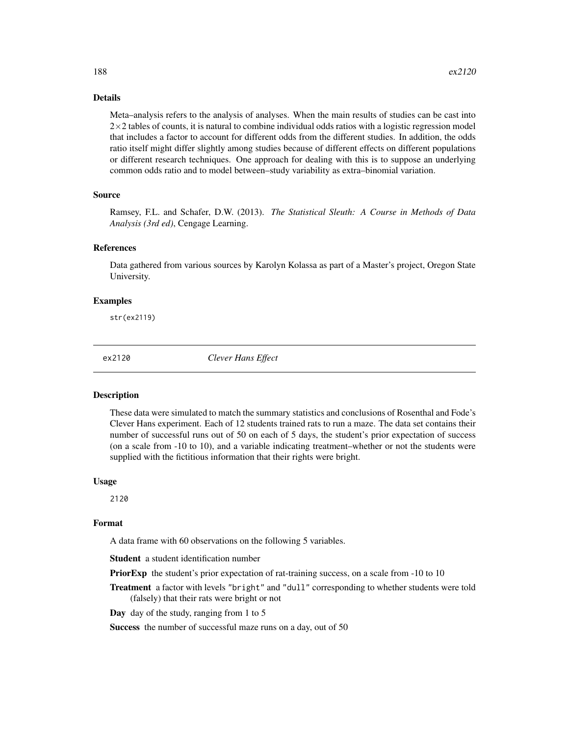#### <span id="page-187-0"></span>Details

Meta–analysis refers to the analysis of analyses. When the main results of studies can be cast into  $2\times2$  tables of counts, it is natural to combine individual odds ratios with a logistic regression model that includes a factor to account for different odds from the different studies. In addition, the odds ratio itself might differ slightly among studies because of different effects on different populations or different research techniques. One approach for dealing with this is to suppose an underlying common odds ratio and to model between–study variability as extra–binomial variation.

# Source

Ramsey, F.L. and Schafer, D.W. (2013). *The Statistical Sleuth: A Course in Methods of Data Analysis (3rd ed)*, Cengage Learning.

#### References

Data gathered from various sources by Karolyn Kolassa as part of a Master's project, Oregon State University.

#### Examples

str(ex2119)

ex2120 *Clever Hans Effect*

#### Description

These data were simulated to match the summary statistics and conclusions of Rosenthal and Fode's Clever Hans experiment. Each of 12 students trained rats to run a maze. The data set contains their number of successful runs out of 50 on each of 5 days, the student's prior expectation of success (on a scale from -10 to 10), and a variable indicating treatment–whether or not the students were supplied with the fictitious information that their rights were bright.

#### Usage

2120

#### Format

A data frame with 60 observations on the following 5 variables.

Student a student identification number

PriorExp the student's prior expectation of rat-training success, on a scale from -10 to 10

Treatment a factor with levels "bright" and "dull" corresponding to whether students were told (falsely) that their rats were bright or not

Day day of the study, ranging from 1 to 5

Success the number of successful maze runs on a day, out of 50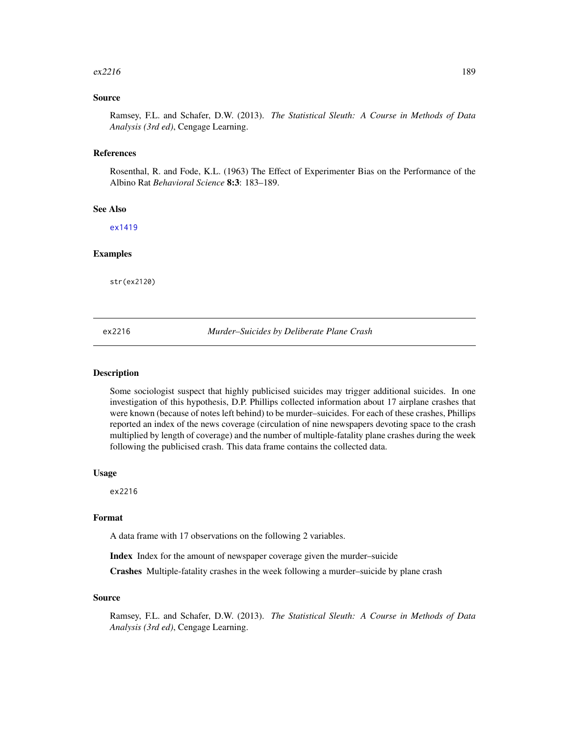#### <span id="page-188-0"></span> $ex2216$  189

### Source

Ramsey, F.L. and Schafer, D.W. (2013). *The Statistical Sleuth: A Course in Methods of Data Analysis (3rd ed)*, Cengage Learning.

# References

Rosenthal, R. and Fode, K.L. (1963) The Effect of Experimenter Bias on the Performance of the Albino Rat *Behavioral Science* 8:3: 183–189.

# See Also

[ex1419](#page-151-0)

# Examples

str(ex2120)

ex2216 *Murder–Suicides by Deliberate Plane Crash*

#### **Description**

Some sociologist suspect that highly publicised suicides may trigger additional suicides. In one investigation of this hypothesis, D.P. Phillips collected information about 17 airplane crashes that were known (because of notes left behind) to be murder–suicides. For each of these crashes, Phillips reported an index of the news coverage (circulation of nine newspapers devoting space to the crash multiplied by length of coverage) and the number of multiple-fatality plane crashes during the week following the publicised crash. This data frame contains the collected data.

#### Usage

ex2216

#### Format

A data frame with 17 observations on the following 2 variables.

Index Index for the amount of newspaper coverage given the murder–suicide

Crashes Multiple-fatality crashes in the week following a murder–suicide by plane crash

#### Source

Ramsey, F.L. and Schafer, D.W. (2013). *The Statistical Sleuth: A Course in Methods of Data Analysis (3rd ed)*, Cengage Learning.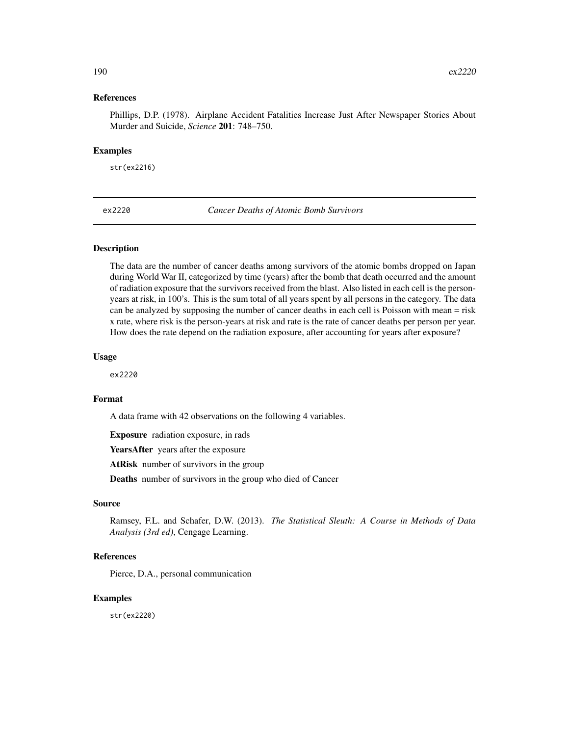#### <span id="page-189-0"></span>References

Phillips, D.P. (1978). Airplane Accident Fatalities Increase Just After Newspaper Stories About Murder and Suicide, *Science* 201: 748–750.

#### Examples

str(ex2216)

ex2220 *Cancer Deaths of Atomic Bomb Survivors*

#### Description

The data are the number of cancer deaths among survivors of the atomic bombs dropped on Japan during World War II, categorized by time (years) after the bomb that death occurred and the amount of radiation exposure that the survivors received from the blast. Also listed in each cell is the personyears at risk, in 100's. This is the sum total of all years spent by all persons in the category. The data can be analyzed by supposing the number of cancer deaths in each cell is Poisson with mean = risk x rate, where risk is the person-years at risk and rate is the rate of cancer deaths per person per year. How does the rate depend on the radiation exposure, after accounting for years after exposure?

#### Usage

ex2220

# Format

A data frame with 42 observations on the following 4 variables.

Exposure radiation exposure, in rads

YearsAfter years after the exposure

AtRisk number of survivors in the group

Deaths number of survivors in the group who died of Cancer

### Source

Ramsey, F.L. and Schafer, D.W. (2013). *The Statistical Sleuth: A Course in Methods of Data Analysis (3rd ed)*, Cengage Learning.

# References

Pierce, D.A., personal communication

#### Examples

str(ex2220)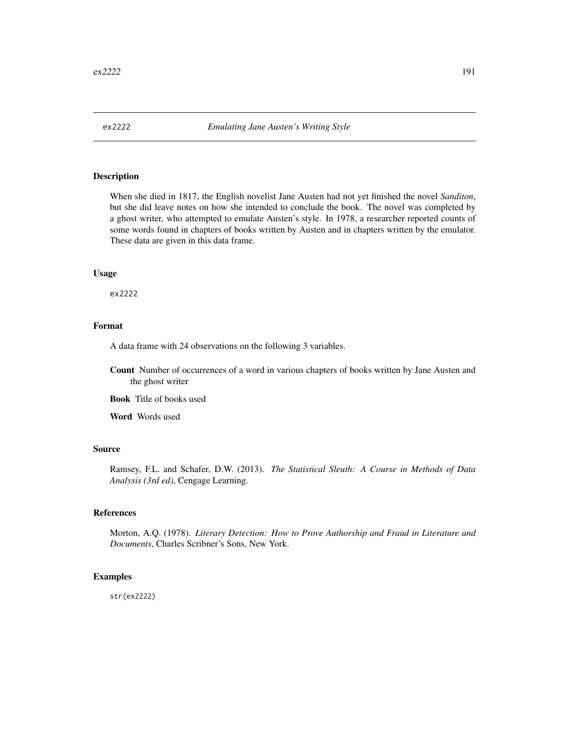#### <span id="page-190-0"></span>Description

When she died in 1817, the English novelist Jane Austen had not yet finished the novel *Sanditon*, but she did leave notes on how she intended to conclude the book. The novel was completed by a ghost writer, who attempted to emulate Austen's style. In 1978, a researcher reported counts of some words found in chapters of books written by Austen and in chapters written by the emulator. These data are given in this data frame.

#### Usage

ex2222

## Format

A data frame with 24 observations on the following 3 variables.

Count Number of occurrences of a word in various chapters of books written by Jane Austen and the ghost writer

Book Title of books used

Word Words used

# Source

Ramsey, F.L. and Schafer, D.W. (2013). *The Statistical Sleuth: A Course in Methods of Data Analysis (3rd ed)*, Cengage Learning.

#### References

Morton, A.Q. (1978). *Literary Detection: How to Prove Authorship and Fraud in Literature and Documents*, Charles Scribner's Sons, New York.

# Examples

str(ex2222)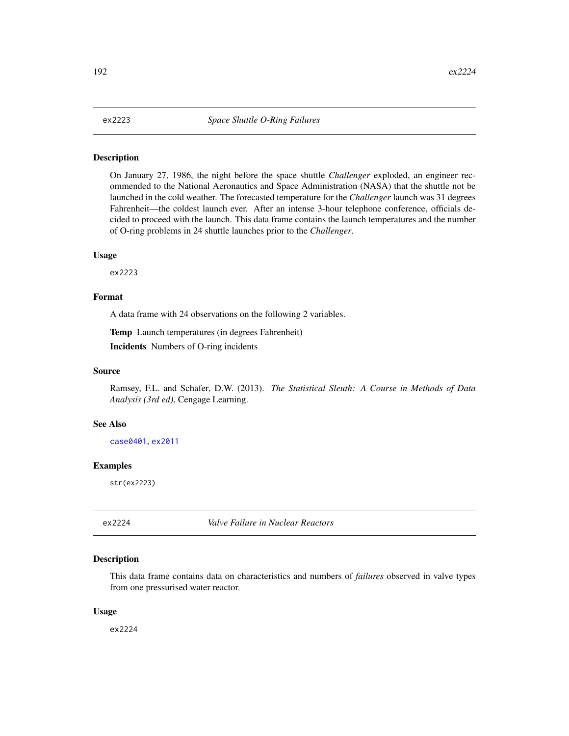# <span id="page-191-0"></span>Description

On January 27, 1986, the night before the space shuttle *Challenger* exploded, an engineer recommended to the National Aeronautics and Space Administration (NASA) that the shuttle not be launched in the cold weather. The forecasted temperature for the *Challenger* launch was 31 degrees Fahrenheit—the coldest launch ever. After an intense 3-hour telephone conference, officials decided to proceed with the launch. This data frame contains the launch temperatures and the number of O-ring problems in 24 shuttle launches prior to the *Challenger*.

#### Usage

ex2223

### Format

A data frame with 24 observations on the following 2 variables.

Temp Launch temperatures (in degrees Fahrenheit)

Incidents Numbers of O-ring incidents

#### Source

Ramsey, F.L. and Schafer, D.W. (2013). *The Statistical Sleuth: A Course in Methods of Data Analysis (3rd ed)*, Cengage Learning.

# See Also

[case0401](#page-12-0), [ex2011](#page-175-0)

#### Examples

str(ex2223)

ex2224 *Valve Failure in Nuclear Reactors*

#### **Description**

This data frame contains data on characteristics and numbers of *failures* observed in valve types from one pressurised water reactor.

#### Usage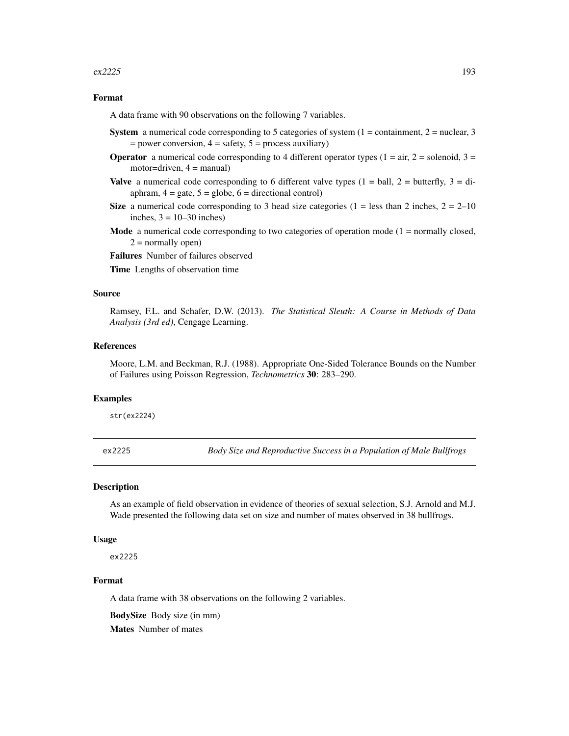#### <span id="page-192-0"></span> $ex2225$  193

#### Format

A data frame with 90 observations on the following 7 variables.

- **System** a numerical code corresponding to 5 categories of system  $(1 = \text{containment}, 2 = \text{nuclear}, 3$  $=$  power conversion,  $4 =$  safety,  $5 =$  process auxiliary)
- **Operator** a numerical code corresponding to 4 different operator types  $(1 = air, 2 = solenoid, 3 =$  $motor=driven, 4 = manual$
- **Valve** a numerical code corresponding to 6 different valve types  $(1 = ball, 2 = butterfly, 3 = di$ aphram,  $4 =$  gate,  $5 =$  globe,  $6 =$  directional control)
- Size a numerical code corresponding to 3 head size categories (1 = less than 2 inches,  $2 = 2{\text -}10$ ) inches,  $3 = 10-30$  inches)
- **Mode** a numerical code corresponding to two categories of operation mode  $(1 = normally closed)$ ,  $2 =$  normally open)

Failures Number of failures observed

Time Lengths of observation time

#### Source

Ramsey, F.L. and Schafer, D.W. (2013). *The Statistical Sleuth: A Course in Methods of Data Analysis (3rd ed)*, Cengage Learning.

#### References

Moore, L.M. and Beckman, R.J. (1988). Appropriate One-Sided Tolerance Bounds on the Number of Failures using Poisson Regression, *Technometrics* 30: 283–290.

#### Examples

str(ex2224)

ex2225 *Body Size and Reproductive Success in a Population of Male Bullfrogs*

#### Description

As an example of field observation in evidence of theories of sexual selection, S.J. Arnold and M.J. Wade presented the following data set on size and number of mates observed in 38 bullfrogs.

#### Usage

ex2225

#### Format

A data frame with 38 observations on the following 2 variables.

BodySize Body size (in mm)

Mates Number of mates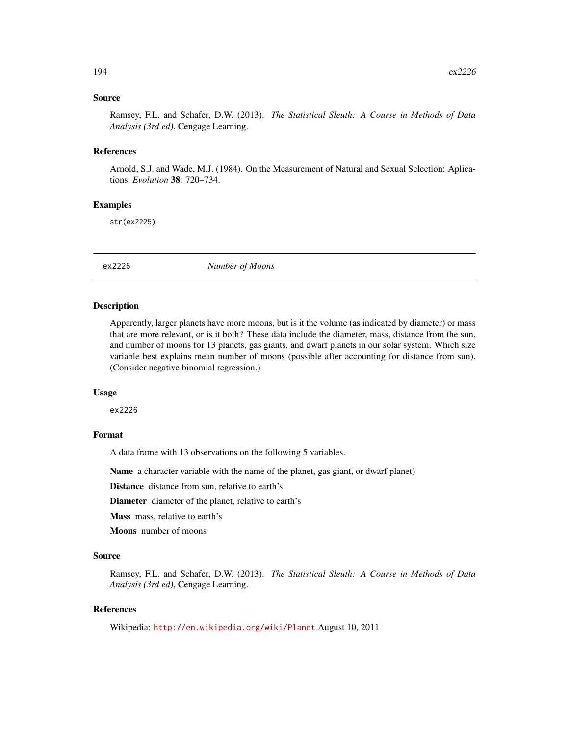### <span id="page-193-0"></span>Source

Ramsey, F.L. and Schafer, D.W. (2013). *The Statistical Sleuth: A Course in Methods of Data Analysis (3rd ed)*, Cengage Learning.

#### References

Arnold, S.J. and Wade, M.J. (1984). On the Measurement of Natural and Sexual Selection: Aplications, *Evolution* 38: 720–734.

#### Examples

str(ex2225)

ex2226 *Number of Moons*

#### Description

Apparently, larger planets have more moons, but is it the volume (as indicated by diameter) or mass that are more relevant, or is it both? These data include the diameter, mass, distance from the sun, and number of moons for 13 planets, gas giants, and dwarf planets in our solar system. Which size variable best explains mean number of moons (possible after accounting for distance from sun). (Consider negative binomial regression.)

# Usage

ex2226

# Format

A data frame with 13 observations on the following 5 variables.

Name a character variable with the name of the planet, gas giant, or dwarf planet)

Distance distance from sun, relative to earth's

Diameter diameter of the planet, relative to earth's

Mass mass, relative to earth's

Moons number of moons

#### Source

Ramsey, F.L. and Schafer, D.W. (2013). *The Statistical Sleuth: A Course in Methods of Data Analysis (3rd ed)*, Cengage Learning.

# References

Wikipedia: <http://en.wikipedia.org/wiki/Planet> August 10, 2011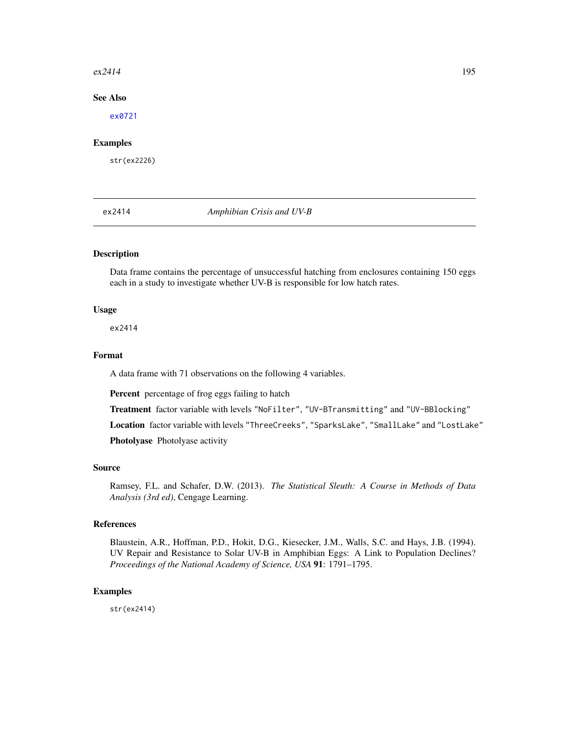#### <span id="page-194-0"></span> $ex2414$  195

# See Also

[ex0721](#page-103-0)

# Examples

str(ex2226)

ex2414 *Amphibian Crisis and UV-B*

# Description

Data frame contains the percentage of unsuccessful hatching from enclosures containing 150 eggs each in a study to investigate whether UV-B is responsible for low hatch rates.

#### Usage

ex2414

# Format

A data frame with 71 observations on the following 4 variables.

Percent percentage of frog eggs failing to hatch

Treatment factor variable with levels "NoFilter", "UV-BTransmitting" and "UV-BBlocking"

Location factor variable with levels "ThreeCreeks", "SparksLake", "SmallLake" and "LostLake"

Photolyase Photolyase activity

#### Source

Ramsey, F.L. and Schafer, D.W. (2013). *The Statistical Sleuth: A Course in Methods of Data Analysis (3rd ed)*, Cengage Learning.

#### References

Blaustein, A.R., Hoffman, P.D., Hokit, D.G., Kiesecker, J.M., Walls, S.C. and Hays, J.B. (1994). UV Repair and Resistance to Solar UV-B in Amphibian Eggs: A Link to Population Declines? *Proceedings of the National Academy of Science, USA* 91: 1791–1795.

# Examples

str(ex2414)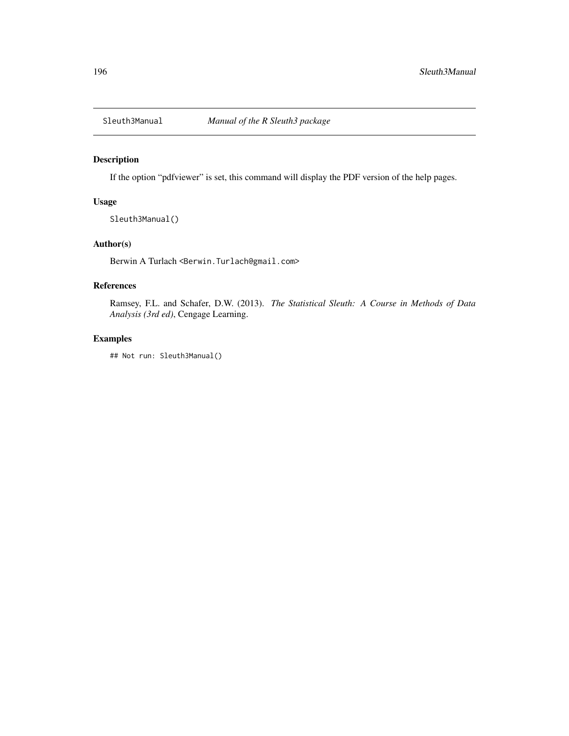<span id="page-195-0"></span>

# Description

If the option "pdfviewer" is set, this command will display the PDF version of the help pages.

# Usage

Sleuth3Manual()

# Author(s)

Berwin A Turlach <Berwin.Turlach@gmail.com>

# References

Ramsey, F.L. and Schafer, D.W. (2013). *The Statistical Sleuth: A Course in Methods of Data Analysis (3rd ed)*, Cengage Learning.

# Examples

## Not run: Sleuth3Manual()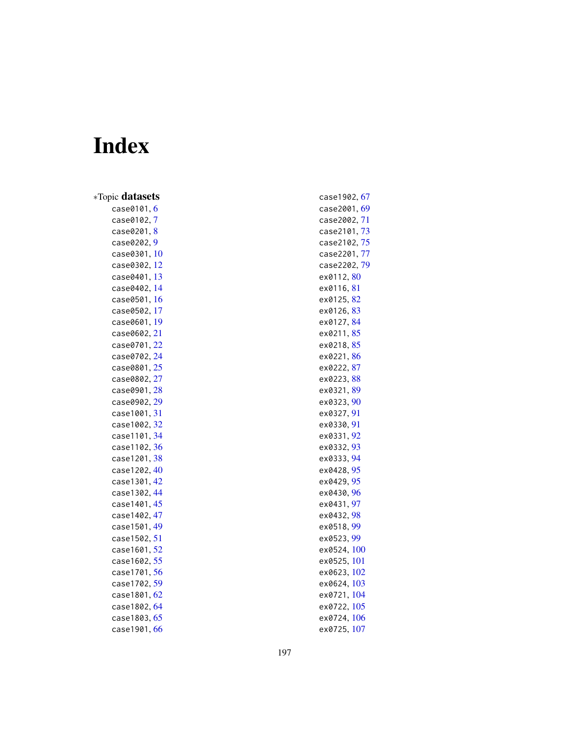# Index

| <i><b>*Topic datasets</b></i> |  |
|-------------------------------|--|
| case0101, 6                   |  |
| case0102,7                    |  |
| case0201, 8                   |  |
| case0202, 9                   |  |
| $10\text{ }$<br>case0301,     |  |
| case0302, 12                  |  |
| case0401, 13                  |  |
| case0402, 14                  |  |
| case0501, 16                  |  |
| case0502, 17                  |  |
| case0601, 19                  |  |
| case0602, 21                  |  |
| case0701, 22                  |  |
| case0702, 24                  |  |
| case0801, 25                  |  |
| case0802, 27                  |  |
| case0901,<br>28               |  |
| case0902,<br>29               |  |
| case1001,<br>31               |  |
| case1002, 32                  |  |
| case1101, 34                  |  |
| case1102, 36                  |  |
| case1201, 38                  |  |
| case1202, 40                  |  |
| case1301, 42                  |  |
| case1302, 44                  |  |
| case1401, 45                  |  |
| case1402, 47                  |  |
| case1501, 49                  |  |
| case1502, 51                  |  |
| case1601, 52                  |  |
| case1602, 55                  |  |
| case1701, 56                  |  |
| case1702, 59                  |  |
| case1801, 62<br>case1802, 64  |  |
| case1803, 65                  |  |
| case1901, 66                  |  |
|                               |  |

case1902 , [67](#page-66-0) case2001 , [69](#page-68-0) case2002 , [71](#page-70-0) case2101 , [73](#page-72-0) case2102 , [75](#page-74-0) case2201 , [77](#page-76-0) case2202 , [79](#page-78-0) ex0112, <mark>[80](#page-79-0)</mark> ex0116, [81](#page-80-0) ex0125, <mark>[82](#page-81-0)</mark> ex0126, [83](#page-82-0) ex0127, <mark>8</mark>4 ex0211, [85](#page-84-0) ex0218, <mark>[85](#page-84-0)</mark> ex0221, <mark>[86](#page-85-0)</mark> ex0222, [87](#page-86-0) ex0223, <mark>[88](#page-87-0)</mark> ex0321, <mark>[89](#page-88-0)</mark> ex0323, <mark>9</mark>0 ex0327 , [91](#page-90-0) ex0330 , [91](#page-90-0) ex0331 , [92](#page-91-0) ex0332 , [93](#page-92-0) ex0333 , [94](#page-93-0) ex0428, <mark>[95](#page-94-0)</mark> ex0429, <mark>[95](#page-94-0)</mark> ex0430, <mark>[96](#page-95-0)</mark> ex0431 , [97](#page-96-0) ex0432, <mark>[98](#page-97-0)</mark> ex0518, <mark>[99](#page-98-0)</mark> ex0523, <mark>[99](#page-98-0)</mark> ex0524, [100](#page-99-0) ex0525 , [101](#page-100-0) ex0623 , [102](#page-101-0) ex0624 , [103](#page-102-0) ex0721 , [104](#page-103-1) ex0722 , [105](#page-104-0) ex0724, [106](#page-105-0) ex0725 , [107](#page-106-0)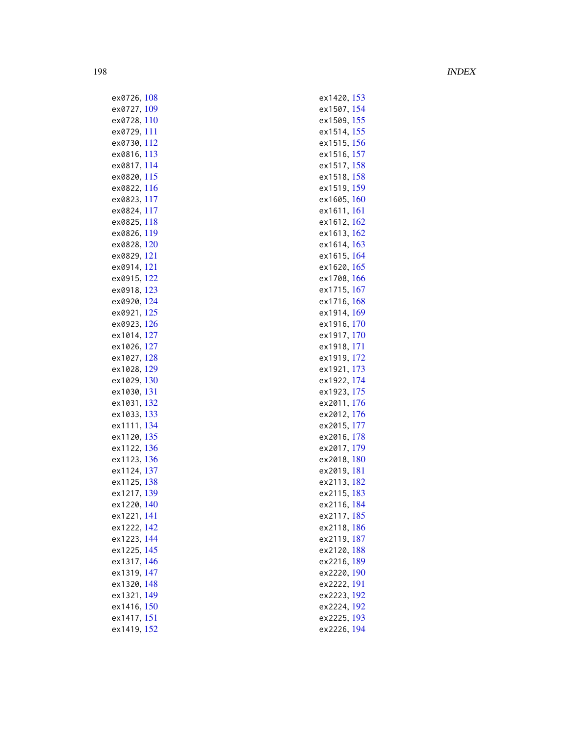198 **INDEX** 

| ex0726, 108        |            |
|--------------------|------------|
| ex0727, 109        |            |
| ex0728, 110        |            |
| ex0729, 111        |            |
| ex0730, 112        |            |
| ex0816, 113        |            |
| ex0817,            | 114        |
| ex0820,            | 115        |
| ex0822, 116        |            |
| ex0823,            | 117        |
| ex0824,            | 117        |
| ex0825,            | 118        |
| ex0826,            | 119        |
| ex0828,            | 120        |
| ex0829,            | 121        |
| ex0914,            | 121        |
| ex0915,            | 122        |
| ex0918,            | 123        |
| ex0920,            | 124        |
| ex0921,            | 125        |
| ex0923,<br>ex1014, | 126<br>127 |
| ex1026,            | 127        |
| ex1027,            | 128        |
| ex1028,            | 129        |
| ex1029,            | 130        |
| ex1030,            | 131        |
| ex1031,            | 132        |
| ex1033,            | 133        |
| ex1111,            | 134        |
| ex1120,            | 135        |
| ex1122,            | 136        |
| ex1123,            | 136        |
| ex1124, 137        |            |
| ex1125, 138        |            |
| ex1217, 139        |            |
| 220,<br>ex1        | 140        |
| ex1221,            | 141        |
| ex1222,            | 142        |
| ex1223,            | 144        |
| ex1225,            | 145        |
| ex1317,            | 146        |
| ex1319,            | 147        |
| ex1320,<br>ex1321, | 148<br>149 |
| ex1416,            | 150        |
| ex1417,            | 151        |
| ex1419,            | 152        |
|                    |            |

| ex1420, 153               |                |
|---------------------------|----------------|
| ex1507, 154               |                |
| ex1509,                   | 155            |
| ex1514,                   | 155            |
| ex1515,                   | 156            |
| ex1516,                   | 157            |
| ex1517,                   | 158            |
| ex1518,                   | 158            |
| ex1519,                   | 159            |
| ex1605,                   | 160            |
| ex1611,                   | 161            |
| ex1612, 162               |                |
| ex1613, 162               |                |
| ex1614,                   | 163            |
| ex1615,                   | 164            |
| ex1620,                   | 165            |
| ex1708,                   | 166            |
| ex1715,                   | 167            |
| ex1716,                   | 168            |
| ex1914,                   | 169            |
| ex1916,                   | <sup>170</sup> |
| ex1917,                   | <sup>170</sup> |
| ex1918,                   | 171            |
| ex1919,                   | 172            |
| ex1921,                   | 173            |
| ex1922,                   | 174            |
| ex1923,                   | 175            |
| ex2011,                   | 176            |
| ex2012, 176               |                |
| ex2015,                   | 177            |
| ex2016,                   | 178            |
| ex2017, 179               |                |
| ex2018, 180               |                |
| ex2019, 181               |                |
| ex2113, 182               |                |
| ex2115, 183               |                |
| ex2116, <mark>18</mark> 4 |                |
| ex2117,<br>ex2118,        | 185            |
| ex2119,                   | 186<br>187     |
| ex2120,                   | 188            |
| ex2216,                   | 189            |
| ex2220,                   | 190            |
| ex2222,                   | 191            |
| ex2223,                   | 192            |
| ex2224,                   | 192            |
| ex2225,                   | 193            |
| ex2226,                   | 194            |
|                           |                |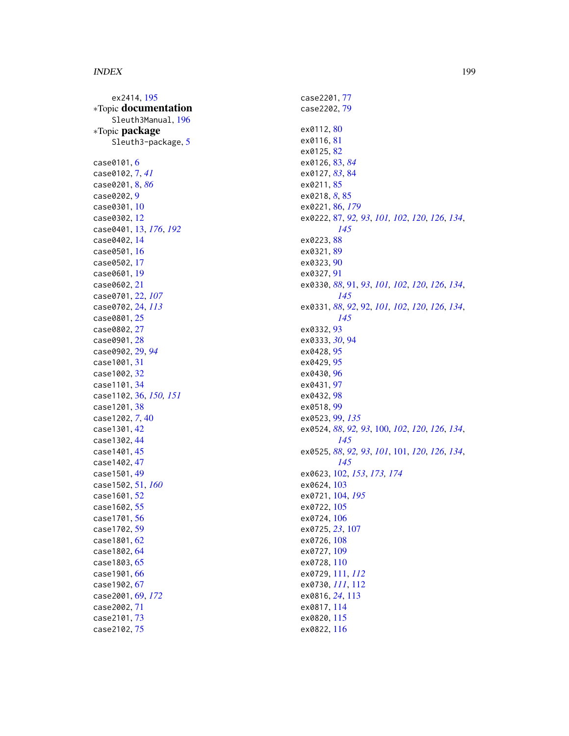#### INDEX 199

ex2414, [195](#page-194-0) ∗Topic documentation Sleuth3Manual, [196](#page-195-0) ∗Topic package Sleuth3-package, [5](#page-4-0) case0101, [6](#page-5-0) case0102, [7,](#page-6-0) *[41](#page-40-0)* case0201, [8,](#page-7-0) *[86](#page-85-0)* case0202, [9](#page-8-0) case0301, [10](#page-9-0) case0302, [12](#page-11-0) case0401, [13,](#page-12-1) *[176](#page-175-1)*, *[192](#page-191-0)* case0402, [14](#page-13-0) case0501, [16](#page-15-0) case0502, [17](#page-16-0) case0601, [19](#page-18-0) case0602, [21](#page-20-0) case0701, [22,](#page-21-0) *[107](#page-106-0)* case0702, [24,](#page-23-0) *[113](#page-112-0)* case0801, [25](#page-24-0) case0802, [27](#page-26-0) case0901, [28](#page-27-0) case0902, [29,](#page-28-0) *[94](#page-93-0)* case1001, [31](#page-30-0) case1002, [32](#page-31-0) case1101, [34](#page-33-0) case1102, [36,](#page-35-0) *[150,](#page-149-0) [151](#page-150-0)* case1201, [38](#page-37-0) case1202, *[7](#page-6-0)*, [40](#page-39-0) case1301, [42](#page-41-0) case1302, [44](#page-43-0) case1401, [45](#page-44-0) case1402, [47](#page-46-0) case1501, [49](#page-48-0) case1502, [51,](#page-50-0) *[160](#page-159-0)* case1601, [52](#page-51-0) case1602, [55](#page-54-0) case1701, [56](#page-55-0) case1702, [59](#page-58-0) case1801, [62](#page-61-0) case1802, [64](#page-63-0) case1803, [65](#page-64-0) case1901, [66](#page-65-0) case1902, [67](#page-66-0) case2001, [69,](#page-68-0) *[172](#page-171-1)* case2002, [71](#page-70-0) case2101, [73](#page-72-0) case2102, [75](#page-74-0)

case2201, [77](#page-76-0) case2202, [79](#page-78-0) ex0112, [80](#page-79-0) ex0116, [81](#page-80-0) ex0125, [82](#page-81-0) ex0126, [83,](#page-82-0) *[84](#page-83-0)* ex0127, *[83](#page-82-0)*, [84](#page-83-0) ex0211, [85](#page-84-0) ex0218, *[8](#page-7-0)*, [85](#page-84-0) ex0221, [86,](#page-85-0) *[179](#page-178-0)* ex0222, [87,](#page-86-0) *[92,](#page-91-0) [93](#page-92-0)*, *[101,](#page-100-0) [102](#page-101-0)*, *[120](#page-119-0)*, *[126](#page-125-0)*, *[134](#page-133-0)*, *[145](#page-144-0)* ex0223, [88](#page-87-0) ex0321, [89](#page-88-0) ex0323, [90](#page-89-0) ex0327, [91](#page-90-0) ex0330, *[88](#page-87-0)*, [91,](#page-90-0) *[93](#page-92-0)*, *[101,](#page-100-0) [102](#page-101-0)*, *[120](#page-119-0)*, *[126](#page-125-0)*, *[134](#page-133-0)*, *[145](#page-144-0)* ex0331, *[88](#page-87-0)*, *[92](#page-91-0)*, [92,](#page-91-0) *[101,](#page-100-0) [102](#page-101-0)*, *[120](#page-119-0)*, *[126](#page-125-0)*, *[134](#page-133-0)*, *[145](#page-144-0)* ex0332, [93](#page-92-0) ex0333, *[30](#page-29-0)*, [94](#page-93-0) ex0428, [95](#page-94-0) ex0429, [95](#page-94-0) ex0430, [96](#page-95-0) ex0431, [97](#page-96-0) ex0432, [98](#page-97-0) ex0518, [99](#page-98-0) ex0523, [99,](#page-98-0) *[135](#page-134-0)* ex0524, *[88](#page-87-0)*, *[92,](#page-91-0) [93](#page-92-0)*, [100,](#page-99-0) *[102](#page-101-0)*, *[120](#page-119-0)*, *[126](#page-125-0)*, *[134](#page-133-0)*, *[145](#page-144-0)* ex0525, *[88](#page-87-0)*, *[92,](#page-91-0) [93](#page-92-0)*, *[101](#page-100-0)*, [101,](#page-100-0) *[120](#page-119-0)*, *[126](#page-125-0)*, *[134](#page-133-0)*, *[145](#page-144-0)* ex0623, [102,](#page-101-0) *[153](#page-152-0)*, *[173,](#page-172-0) [174](#page-173-0)* ex0624, [103](#page-102-0) ex0721, [104,](#page-103-1) *[195](#page-194-0)* ex0722, [105](#page-104-0) ex0724, [106](#page-105-0) ex0725, *[23](#page-22-0)*, [107](#page-106-0) ex0726, [108](#page-107-0) ex0727, [109](#page-108-0) ex0728, [110](#page-109-0) ex0729, [111,](#page-110-0) *[112](#page-111-0)* ex0730, *[111](#page-110-0)*, [112](#page-111-0) ex0816, *[24](#page-23-0)*, [113](#page-112-0) ex0817, [114](#page-113-0) ex0820, [115](#page-114-0) ex0822, [116](#page-115-0)